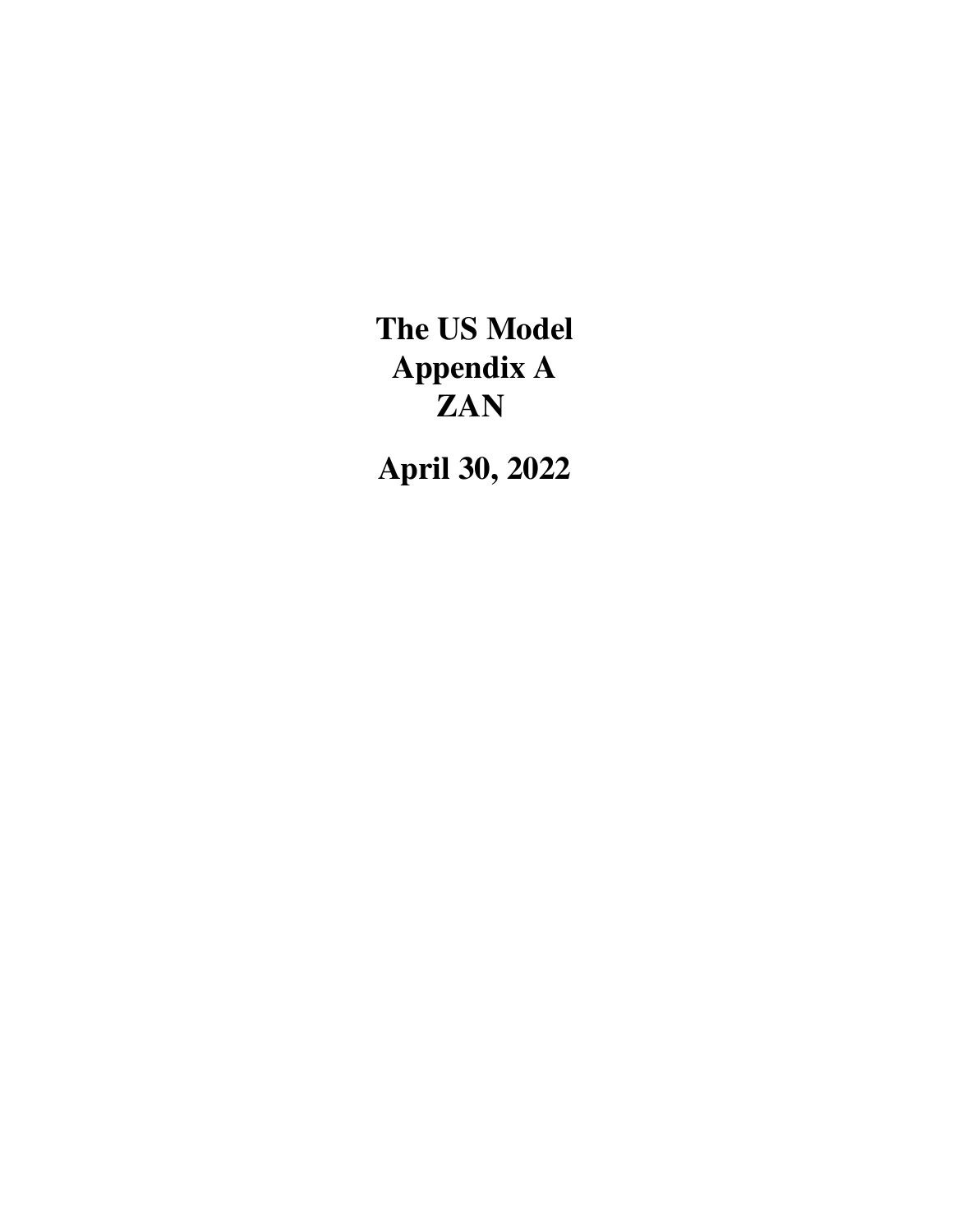The US Model Appendix A **ZAN** 

April 30, 2022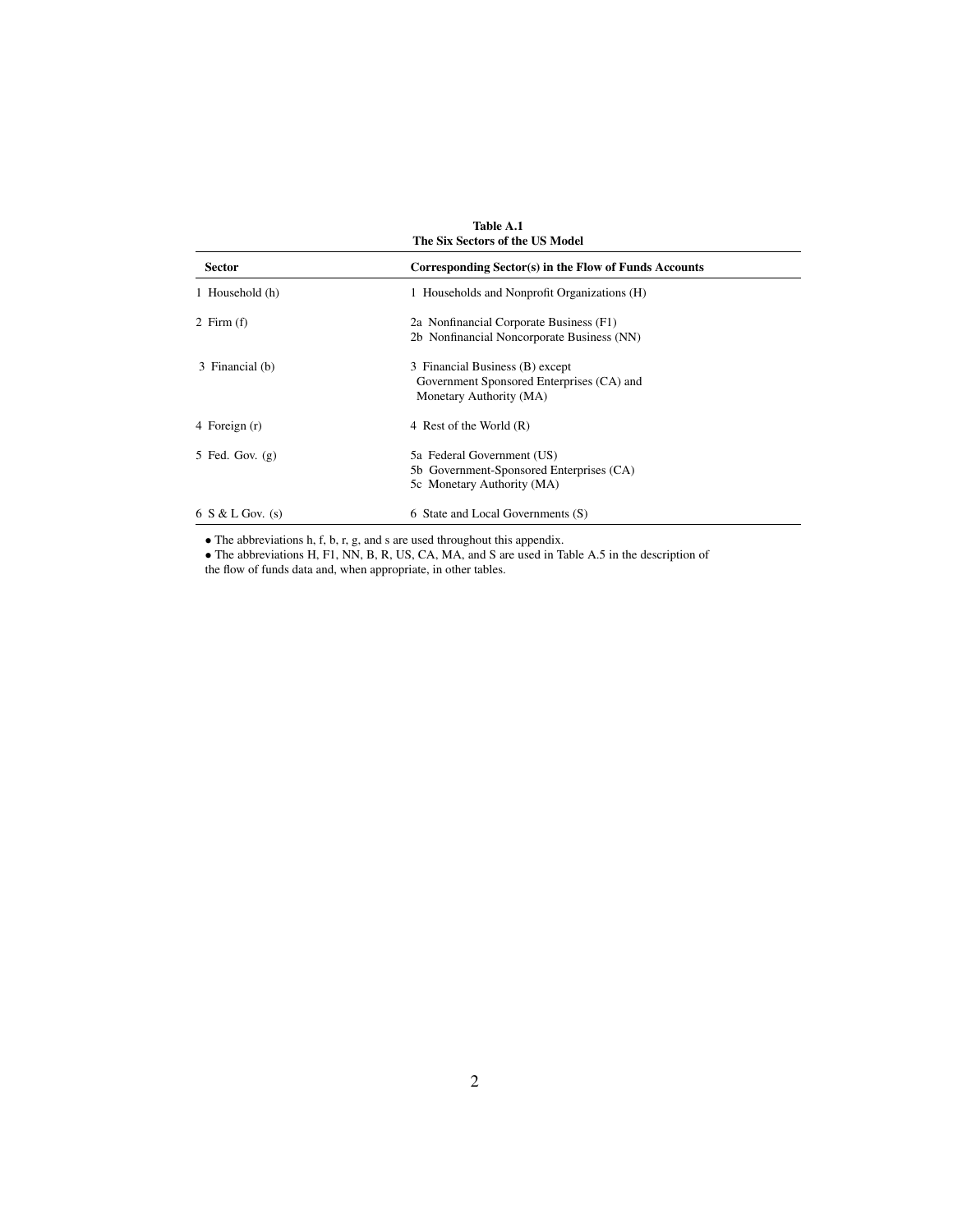|                      | Table A.1<br>The Six Sectors of the US Model          |
|----------------------|-------------------------------------------------------|
| <b>Sector</b>        | Corresponding Sector(s) in the Flow of Funds Accounts |
| 1 Household (h)      | 1 Households and Nonprofit Organizations (H)          |
| 2 Firm $(f)$         | 2a Nonfinancial Corporate Business (F1)               |
|                      | 2b Nonfinancial Noncorporate Business (NN)            |
| 3 Financial (b)      | 3 Financial Business (B) except                       |
|                      | Government Sponsored Enterprises (CA) and             |
|                      | Monetary Authority (MA)                               |
| 4 Foreign (r)        | 4 Rest of the World (R)                               |
| 5 Fed. Gov. $(g)$    | 5a Federal Government (US)                            |
|                      | 5b Government-Sponsored Enterprises (CA)              |
|                      | 5c Monetary Authority (MA)                            |
| $6 S & L$ Gov. $(s)$ | 6 State and Local Governments (S)                     |

• The abbreviations h, f, b, r, g, and s are used throughout this appendix.

• The abbreviations H, F1, NN, B, R, US, CA, MA, and S are used in Table A.5 in the description of the flow of funds data and, when appropriate, in other tables.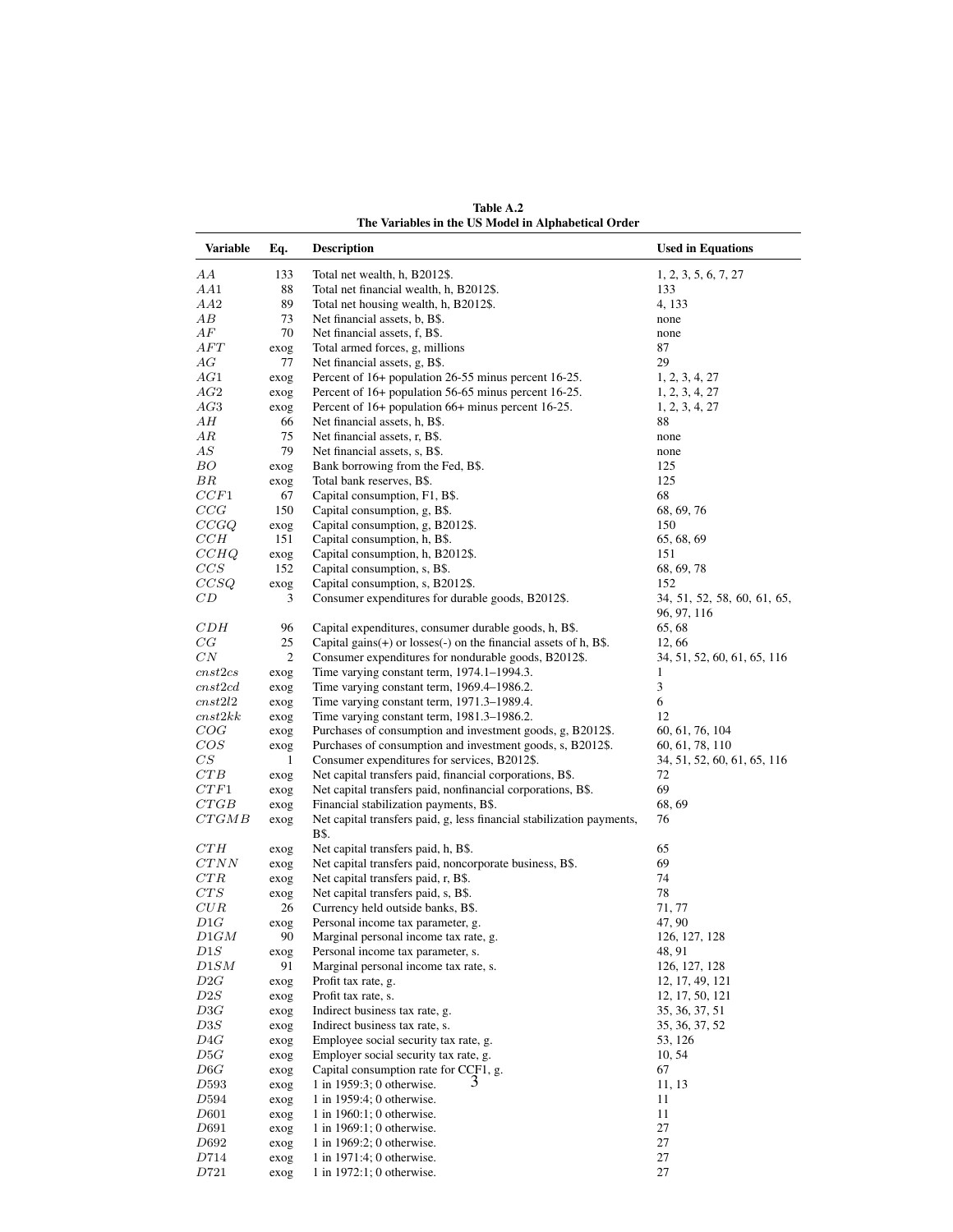| <b>Variable</b> | Eq.            | <b>Description</b>                                                                                                       | <b>Used in Equations</b>                       |
|-----------------|----------------|--------------------------------------------------------------------------------------------------------------------------|------------------------------------------------|
| AА              | 133            | Total net wealth, h, B2012\$.                                                                                            | 1, 2, 3, 5, 6, 7, 27                           |
| AA1             | 88             | Total net financial wealth, h, B2012\$.                                                                                  | 133                                            |
| AA2             | 89             | Total net housing wealth, h, B2012\$.                                                                                    | 4, 133                                         |
| AВ              | 73             | Net financial assets, b, B\$.                                                                                            | none                                           |
| AF              | 70             | Net financial assets, f, B\$.                                                                                            | none                                           |
| AFT             | exog           | Total armed forces, g, millions                                                                                          | 87                                             |
| AG              | 77             | Net financial assets, g, B\$.                                                                                            | 29                                             |
| AG1             | exog           | Percent of 16+ population 26-55 minus percent 16-25.                                                                     | 1, 2, 3, 4, 27                                 |
| AG2             | exog           | Percent of 16+ population 56-65 minus percent 16-25.                                                                     | 1, 2, 3, 4, 27                                 |
| AG3             | exog           | Percent of 16+ population 66+ minus percent 16-25.                                                                       | 1, 2, 3, 4, 27                                 |
| AН              | 66             | Net financial assets, h, B\$.                                                                                            | 88                                             |
| ΑR              | 75             | Net financial assets, r, B\$.                                                                                            | none                                           |
| AS              | 79             | Net financial assets, s, B\$.                                                                                            | none                                           |
| BО              | exog           | Bank borrowing from the Fed, B\$.                                                                                        | 125                                            |
| ΒR              | exog           | Total bank reserves, B\$.                                                                                                | 125                                            |
| CCF1            | 67             | Capital consumption, F1, B\$.                                                                                            | 68                                             |
| CCG             | 150            | Capital consumption, g, B\$.                                                                                             | 68, 69, 76                                     |
| CCGQ            | exog           | Capital consumption, g, B2012\$.                                                                                         | 150                                            |
| CCH             | 151            | Capital consumption, h, B\$.                                                                                             | 65, 68, 69                                     |
| CCHQ            | exog           | Capital consumption, h, B2012\$.                                                                                         | 151                                            |
| CCS             | 152            | Capital consumption, s, B\$.                                                                                             | 68, 69, 78                                     |
| CCSQ            | exog           | Capital consumption, s, B2012\$.                                                                                         | 152                                            |
| CD              | 3              | Consumer expenditures for durable goods, B2012\$.                                                                        | 34, 51, 52, 58, 60, 61, 65,<br>96, 97, 116     |
| CDH             | 96             | Capital expenditures, consumer durable goods, h, B\$.                                                                    | 65, 68                                         |
| CG              | 25             | Capital gains $(+)$ or losses $(-)$ on the financial assets of h, B\$.                                                   | 12,66                                          |
| $_{CN}$         | $\mathfrak{2}$ | Consumer expenditures for nondurable goods, B2012\$.                                                                     | 34, 51, 52, 60, 61, 65, 116                    |
| cnst2cs         | exog           | Time varying constant term, 1974.1–1994.3.                                                                               | 1                                              |
| cnst2cd         | exog           | Time varying constant term, 1969.4-1986.2.                                                                               | 3                                              |
| cnst2l2         | exog           | Time varying constant term, 1971.3–1989.4.                                                                               | 6                                              |
| cnst2kk         | exog           | Time varying constant term, 1981.3-1986.2.                                                                               | 12                                             |
| COG             | exog           | Purchases of consumption and investment goods, g, B2012\$.<br>Purchases of consumption and investment goods, s, B2012\$. | 60, 61, 76, 104                                |
| COS<br>CS       | exog<br>1      | Consumer expenditures for services, B2012\$.                                                                             | 60, 61, 78, 110<br>34, 51, 52, 60, 61, 65, 116 |
| CTB             | exog           | Net capital transfers paid, financial corporations, B\$.                                                                 | 72                                             |
| CTF1            | exog           | Net capital transfers paid, nonfinancial corporations, B\$.                                                              | 69                                             |
| CTGB            | exog           | Financial stabilization payments, B\$.                                                                                   | 68, 69                                         |
| CTGMB           | exog           | Net capital transfers paid, g, less financial stabilization payments,                                                    | 76                                             |
|                 |                | B\$.                                                                                                                     |                                                |
| CTH<br>CTNN     | exog           | Net capital transfers paid, h, B\$.<br>Net capital transfers paid, noncorporate business, B\$.                           | 65                                             |
| CTR             | exog           | Net capital transfers paid, r, B\$.                                                                                      | 69<br>74                                       |
| CTS             | exog           | Net capital transfers paid, s, B\$.                                                                                      | 78                                             |
| $_{CUR}$        | exog<br>26     | Currency held outside banks, B\$.                                                                                        | 71, 77                                         |
| D1G             | exog           | Personal income tax parameter, g.                                                                                        | 47, 90                                         |
| D1GM            | 90             | Marginal personal income tax rate, g.                                                                                    | 126, 127, 128                                  |
| $_{DIS}$        | exog           | Personal income tax parameter, s.                                                                                        | 48, 91                                         |
| D1SM            | 91             | Marginal personal income tax rate, s.                                                                                    | 126, 127, 128                                  |
| D2G             | exog           | Profit tax rate, g.                                                                                                      | 12, 17, 49, 121                                |
| D2S             | exog           | Profit tax rate, s.                                                                                                      | 12, 17, 50, 121                                |
| D3G             | exog           | Indirect business tax rate, g.                                                                                           | 35, 36, 37, 51                                 |
| D3S             | exog           | Indirect business tax rate, s.                                                                                           | 35, 36, 37, 52                                 |
| D4G             | exog           | Employee social security tax rate, g.                                                                                    | 53, 126                                        |
| D5G             | exog           | Employer social security tax rate, g.                                                                                    | 10, 54                                         |
| D6G             | exog           | Capital consumption rate for CCF1, g.                                                                                    | 67                                             |
| D593            | exog           | 1 in 1959:3; 0 otherwise.                                                                                                | 11, 13                                         |
| D594            | exog           | 1 in 1959:4; 0 otherwise.                                                                                                | 11                                             |
| D601            | exog           | 1 in $1960:1$ ; 0 otherwise.                                                                                             | 11                                             |
| D691            | exog           | 1 in 1969:1; 0 otherwise.                                                                                                | 27                                             |
| D692            | exog           | 1 in 1969:2; 0 otherwise.                                                                                                | 27                                             |
| D714            | exog           | 1 in 1971:4; 0 otherwise.                                                                                                | 27                                             |
| $D721\,$        | exog           | 1 in 1972:1; 0 otherwise.                                                                                                | 27                                             |

Table A.2 The Variables in the US Model in Alphabetical Order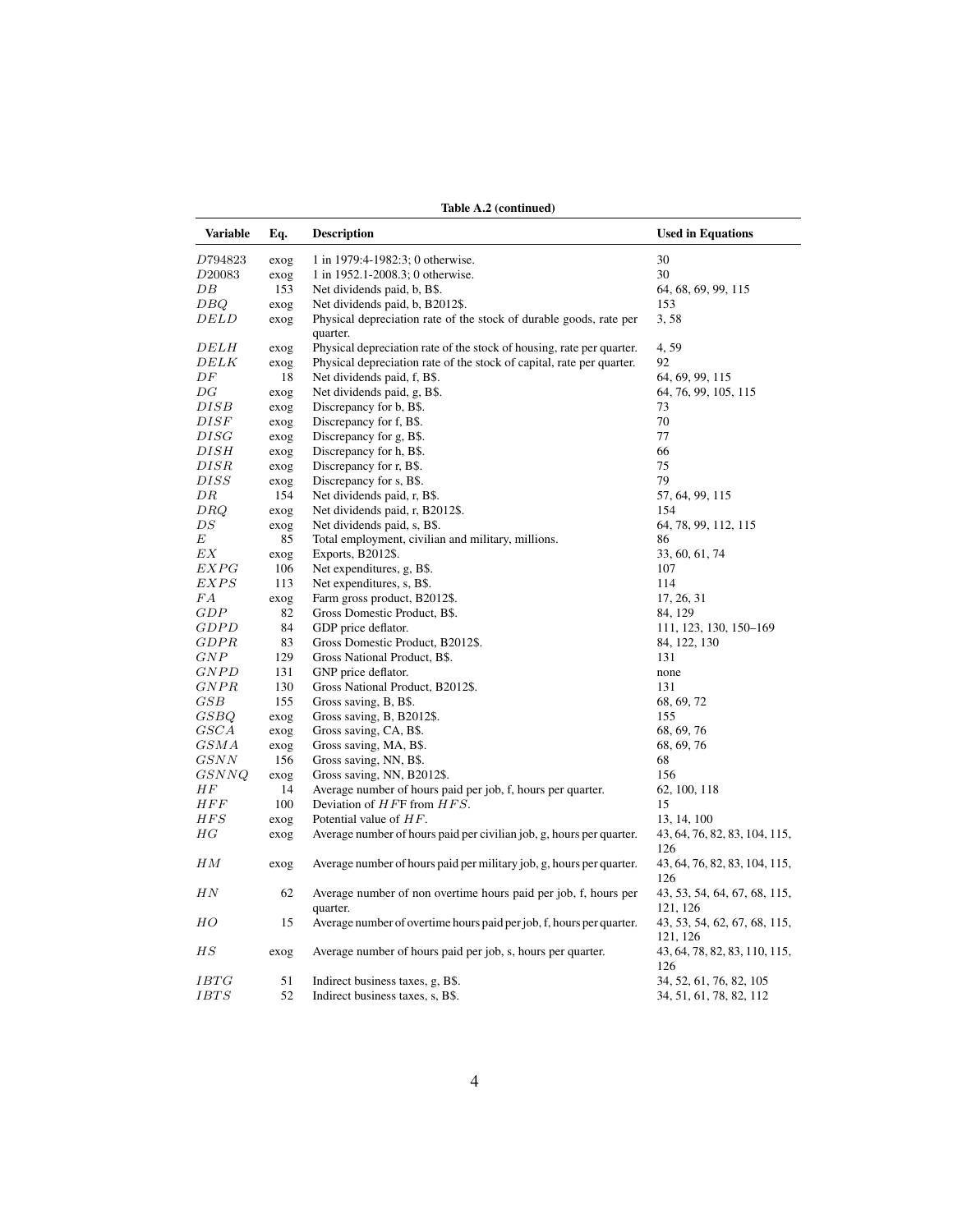| <b>Variable</b>          | Eq.         | <b>Description</b>                                                             | <b>Used in Equations</b>                         |
|--------------------------|-------------|--------------------------------------------------------------------------------|--------------------------------------------------|
|                          |             |                                                                                |                                                  |
| D794823                  | exog        | 1 in 1979:4-1982:3; 0 otherwise.                                               | 30                                               |
| D20083                   | exog        | 1 in 1952.1-2008.3; 0 otherwise.                                               | 30                                               |
| DΒ                       | 153         | Net dividends paid, b, B\$.                                                    | 64, 68, 69, 99, 115                              |
| DBQ                      | exog        | Net dividends paid, b, B2012\$.                                                | 153                                              |
| <i>DELD</i>              | exog        | Physical depreciation rate of the stock of durable goods, rate per<br>quarter. | 3,58                                             |
| <i>DELH</i>              | exog        | Physical depreciation rate of the stock of housing, rate per quarter.          | 4,59                                             |
| <i>DELK</i>              | exog        | Physical depreciation rate of the stock of capital, rate per quarter.          | 92                                               |
| DF                       | 18          | Net dividends paid, f, B\$.                                                    | 64, 69, 99, 115                                  |
| $\overline{\mathrm{D}G}$ | exog        | Net dividends paid, g, B\$.                                                    | 64, 76, 99, 105, 115                             |
| DISB                     | exog        | Discrepancy for b, B\$.                                                        | 73                                               |
| $\it{DISF}$              | exog        | Discrepancy for f, B\$.                                                        | 70                                               |
| DISG                     | exog        | Discrepancy for g, B\$.                                                        | 77                                               |
| DISH                     | exog        | Discrepancy for h, B\$.                                                        | 66                                               |
| DISR                     | exog        | Discrepancy for r, B\$.                                                        | 75                                               |
| $\it{DISS}$              |             | Discrepancy for s, B\$.                                                        | 79                                               |
| DR                       | exog<br>154 | Net dividends paid, r, B\$.                                                    | 57, 64, 99, 115                                  |
|                          |             |                                                                                | 154                                              |
| DRQ                      | exog        | Net dividends paid, r, B2012\$.                                                |                                                  |
| DS                       | exog        | Net dividends paid, s, B\$.                                                    | 64, 78, 99, 112, 115                             |
| Е                        | 85          | Total employment, civilian and military, millions.                             | 86                                               |
| EΧ                       | exog        | Exports, B2012\$.                                                              | 33, 60, 61, 74                                   |
| EXPG                     | 106         | Net expenditures, g, B\$.                                                      | 107                                              |
| EXPS                     | 113         | Net expenditures, s, B\$.                                                      | 114                                              |
| FΑ                       | exog        | Farm gross product, B2012\$.                                                   | 17, 26, 31                                       |
| GDP                      | 82          | Gross Domestic Product, B\$.                                                   | 84, 129                                          |
| <b>GDPD</b>              | 84          | GDP price deflator.                                                            | 111, 123, 130, 150-169                           |
| GDPR                     | 83          | Gross Domestic Product, B2012\$.                                               | 84, 122, 130                                     |
| GNP                      | 129         | Gross National Product, B\$.                                                   | 131                                              |
| <b>GNPD</b>              | 131         | GNP price deflator.                                                            | none                                             |
| GNPR                     | 130         | Gross National Product, B2012\$.                                               | 131                                              |
| $_{GSB}$                 | 155         | Gross saving, B, B\$.                                                          | 68, 69, 72                                       |
| GSBQ                     | exog        | Gross saving, B, B2012\$.                                                      | 155                                              |
| GSCA                     | exog        | Gross saving, CA, B\$.                                                         | 68, 69, 76                                       |
| G S M A                  | exog        | Gross saving, MA, B\$.                                                         | 68, 69, 76                                       |
| GSNN                     | 156         | Gross saving, NN, B\$.                                                         | 68                                               |
| GSNNQ                    | exog        | Gross saving, NN, B2012\$.                                                     | 156                                              |
| ΗF                       | 14          | Average number of hours paid per job, f, hours per quarter.                    | 62, 100, 118                                     |
| HFF                      | 100         | Deviation of $HFF$ from $HFS$ .                                                | 15                                               |
| HFS                      | exog        | Potential value of $HF$ .                                                      | 13, 14, 100                                      |
| $_{HG}$                  | exog        | Average number of hours paid per civilian job, g, hours per quarter.           | 43, 64, 76, 82, 83, 104, 115,<br>126             |
| ΗМ                       | exog        | Average number of hours paid per military job, g, hours per quarter.           | 43, 64, 76, 82, 83, 104, 115,<br>126             |
| ΗN                       | 62          | Average number of non overtime hours paid per job, f, hours per<br>quarter.    | 43, 53, 54, 64, 67, 68, 115,<br>121, 126         |
| HО                       | 15          | Average number of overtime hours paid per job, f, hours per quarter.           | 43, 53, 54, 62, 67, 68, 115,                     |
| ΗS                       | exog        | Average number of hours paid per job, s, hours per quarter.                    | 121, 126<br>43, 64, 78, 82, 83, 110, 115,<br>126 |
|                          |             |                                                                                |                                                  |
| IBTG                     | 51          | Indirect business taxes, g, B\$.                                               | 34, 52, 61, 76, 82, 105                          |
| <i>IBTS</i>              | 52          | Indirect business taxes, s, B\$.                                               | 34, 51, 61, 78, 82, 112                          |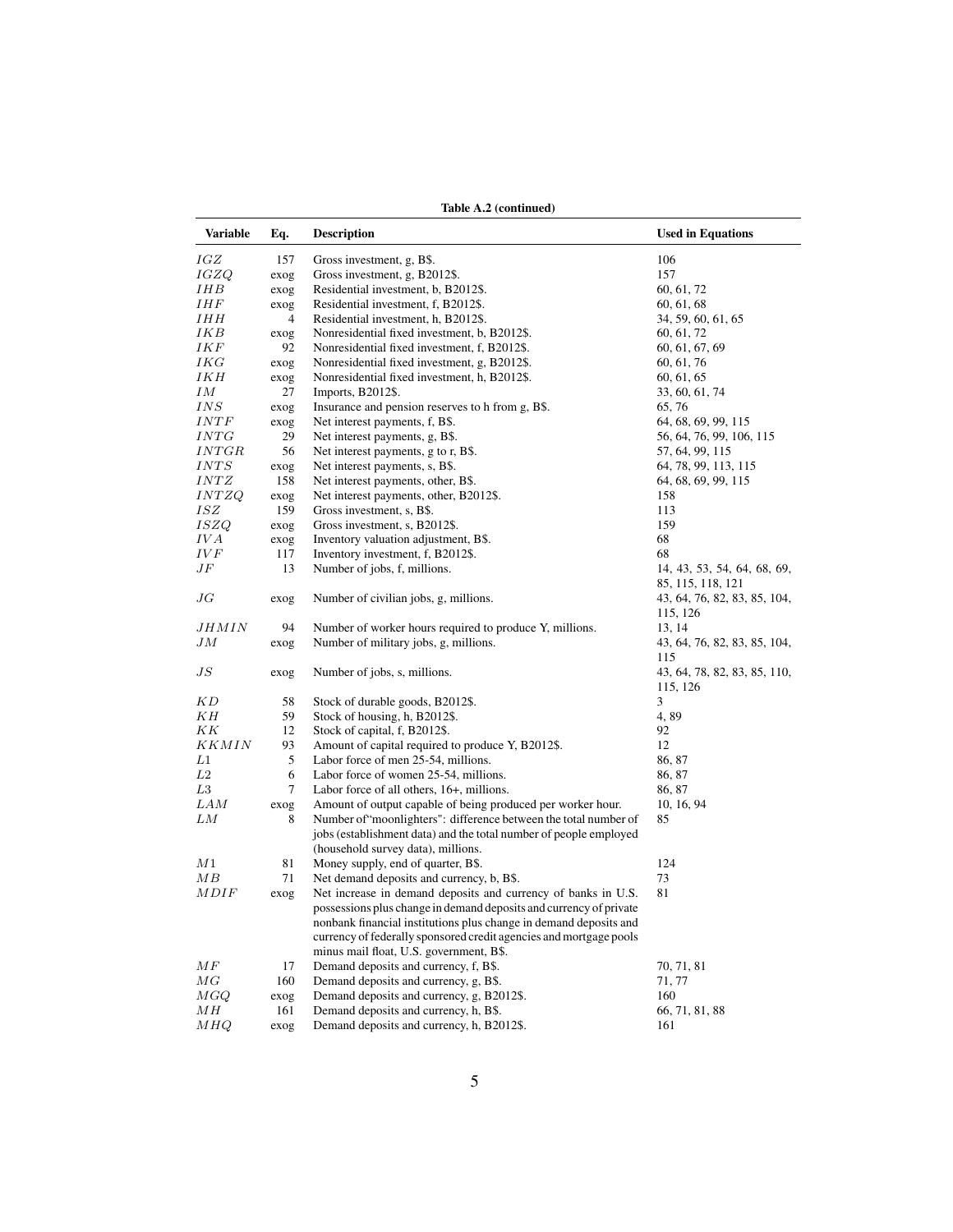| Table A.2 (continued) |             |                                                                    |                                                   |
|-----------------------|-------------|--------------------------------------------------------------------|---------------------------------------------------|
| <b>Variable</b>       | Eq.         | <b>Description</b>                                                 | <b>Used in Equations</b>                          |
| IGZ                   | 157         | Gross investment, g, B\$.                                          | 106                                               |
| IGZQ                  | exog        | Gross investment, g, B2012\$.                                      | 157                                               |
| IHB                   | exog        | Residential investment, b, B2012\$.                                | 60, 61, 72                                        |
| IHF                   | exog        | Residential investment, f, B2012\$.                                | 60, 61, 68                                        |
| IHH                   | 4           | Residential investment, h, B2012\$.                                | 34, 59, 60, 61, 65                                |
| IKB                   | exog        | Nonresidential fixed investment, b, B2012\$.                       | 60, 61, 72                                        |
| IKF                   | 92          | Nonresidential fixed investment, f, B2012\$.                       | 60, 61, 67, 69                                    |
| IKG                   | exog        | Nonresidential fixed investment, g, B2012\$.                       | 60, 61, 76                                        |
| IKH                   | exog        | Nonresidential fixed investment, h, B2012\$.                       | 60, 61, 65                                        |
| IΜ                    | 27          | Imports, B2012\$.                                                  | 33, 60, 61, 74                                    |
| INS                   | exog        | Insurance and pension reserves to h from g, B\$.                   | 65, 76                                            |
| INTF                  | exog        | Net interest payments, f, B\$.                                     | 64, 68, 69, 99, 115                               |
| INTG                  | 29          | Net interest payments, g, B\$.                                     | 56, 64, 76, 99, 106, 115                          |
| <i>INTGR</i>          | 56          | Net interest payments, g to r, B\$.                                | 57, 64, 99, 115                                   |
| INTS                  | exog        | Net interest payments, s, B\$.                                     | 64, 78, 99, 113, 115                              |
| $INTZ$                | 158         | Net interest payments, other, B\$.                                 | 64, 68, 69, 99, 115                               |
| INTZQ                 | exog        | Net interest payments, other, B2012\$.                             | 158                                               |
| ISZ                   | 159         | Gross investment, s, B\$.                                          | 113                                               |
| ISZQ                  | exog        | Gross investment, s, B2012\$.                                      | 159                                               |
| IV A                  | exog        | Inventory valuation adjustment, B\$.                               | 68                                                |
| IV F                  | 117         | Inventory investment, f, B2012\$.                                  | 68                                                |
| JF                    | 13          | Number of jobs, f, millions.                                       | 14, 43, 53, 54, 64, 68, 69,                       |
| JG                    | exog        | Number of civilian jobs, g, millions.                              | 85, 115, 118, 121<br>43, 64, 76, 82, 83, 85, 104, |
|                       |             |                                                                    | 115, 126                                          |
| JHMIN                 | 94          | Number of worker hours required to produce Y, millions.            | 13, 14                                            |
| JМ                    | exog        | Number of military jobs, g, millions.                              | 43, 64, 76, 82, 83, 85, 104,                      |
| J S                   | exog        | Number of jobs, s, millions.                                       | 115<br>43, 64, 78, 82, 83, 85, 110,<br>115, 126   |
| K D                   | 58          | Stock of durable goods, B2012\$.                                   | 3                                                 |
| KН                    | 59          | Stock of housing, h, B2012\$.                                      | 4,89                                              |
| ΚK                    | 12          | Stock of capital, f, B2012\$.                                      | 92                                                |
| <i>KKMIN</i>          | 93          | Amount of capital required to produce Y, B2012\$.                  | 12                                                |
| L1                    | 5           | Labor force of men 25-54, millions.                                | 86, 87                                            |
| L2                    | 6           | Labor force of women 25-54, millions.                              | 86, 87                                            |
| L3                    | 7           | Labor force of all others, 16+, millions.                          | 86, 87                                            |
| LAM                   | exog        | Amount of output capable of being produced per worker hour.        | 10, 16, 94                                        |
| LМ                    | 8           | Number of "moonlighters": difference between the total number of   | 85                                                |
|                       |             | jobs (establishment data) and the total number of people employed  |                                                   |
|                       |             | (household survey data), millions.                                 |                                                   |
| М1                    | 81          | Money supply, end of quarter, B\$.                                 | 124                                               |
| ΜВ                    | 71          | Net demand deposits and currency, b, B\$.                          | 73                                                |
| MDIF                  |             | Net increase in demand deposits and currency of banks in U.S.      | 81                                                |
|                       | exog        | possessions plus change in demand deposits and currency of private |                                                   |
|                       |             | nonbank financial institutions plus change in demand deposits and  |                                                   |
|                       |             | currency of federally sponsored credit agencies and mortgage pools |                                                   |
|                       |             | minus mail float, U.S. government, B\$.                            |                                                   |
| MF                    | 17          | Demand deposits and currency, f, B\$.                              | 70, 71, 81                                        |
| MG                    | 160         | Demand deposits and currency, g, B\$.                              | 71, 77                                            |
| MGQ                   |             | Demand deposits and currency, g, B2012\$.                          | 160                                               |
| MH                    | exog<br>161 | Demand deposits and currency, h, B\$.                              | 66, 71, 81, 88                                    |
|                       |             | Demand deposits and currency, h, B2012\$.                          |                                                   |
| MHQ                   | exog        |                                                                    | 161                                               |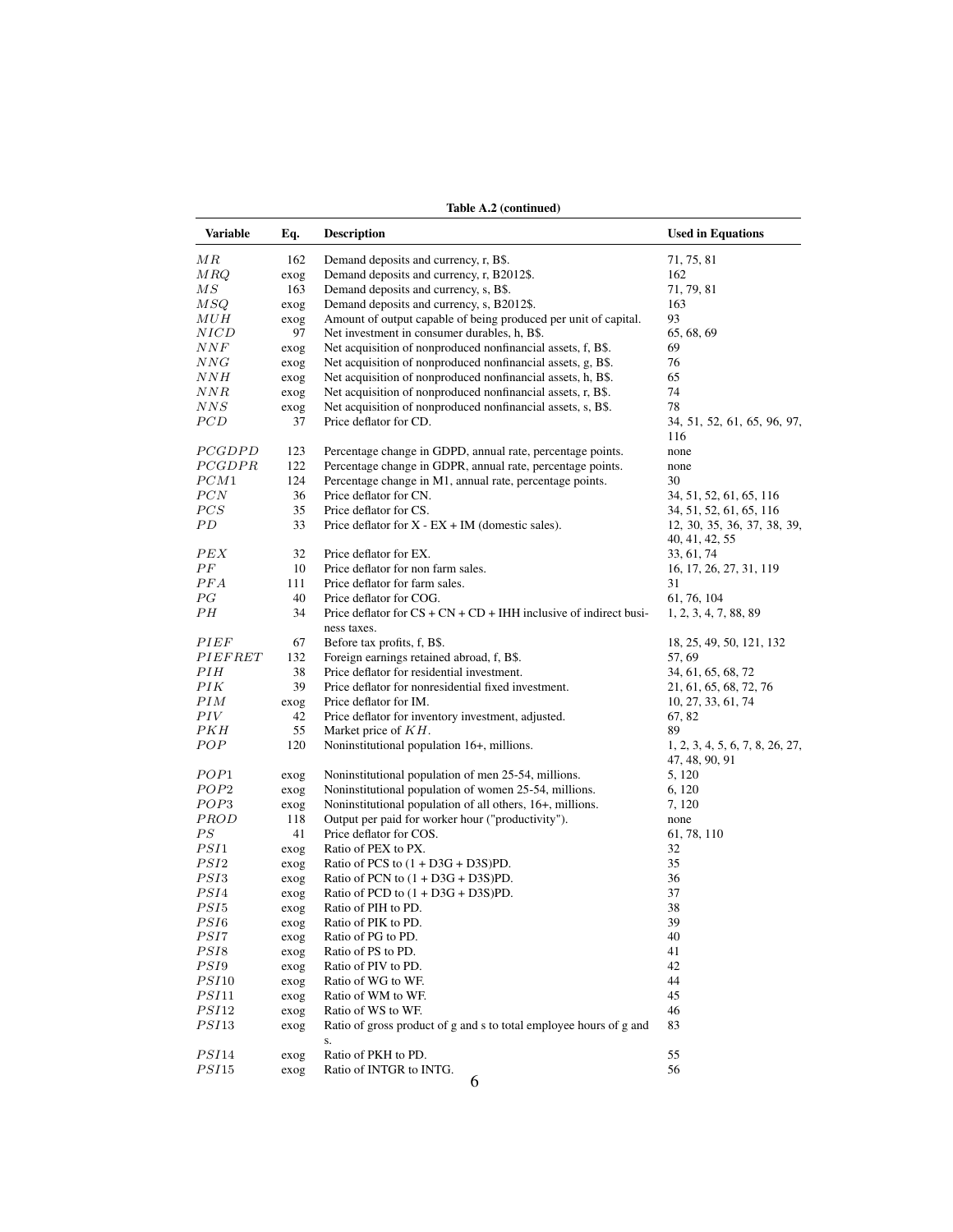| Demand deposits and currency, r, B\$.<br>162<br>71, 75, 81<br>Demand deposits and currency, r, B2012\$.<br>MRQ<br>162<br>exog<br>163<br>Demand deposits and currency, s, B\$.<br>71, 79, 81<br>Demand deposits and currency, s, B2012\$.<br>163<br>exog<br>Amount of output capable of being produced per unit of capital.<br>93<br>exog<br>NICD<br>97<br>Net investment in consumer durables, h, B\$.<br>65, 68, 69<br>Net acquisition of nonproduced nonfinancial assets, f, B\$.<br>69<br>exog<br>NNG<br>Net acquisition of nonproduced nonfinancial assets, g, B\$.<br>76<br>exog<br>Net acquisition of nonproduced nonfinancial assets, h, B\$.<br>65<br>exog<br>NNR<br>Net acquisition of nonproduced nonfinancial assets, r, B\$.<br>74<br>exog<br>NNS<br>Net acquisition of nonproduced nonfinancial assets, s, B\$.<br>78<br>exog<br>Price deflator for CD.<br>37<br>34, 51, 52, 61, 65, 96, 97,<br>116<br><i>PCGDPD</i><br>123<br>Percentage change in GDPD, annual rate, percentage points.<br>none<br>PCGDPR<br>122<br>Percentage change in GDPR, annual rate, percentage points.<br>none<br>$_{PCM1}$<br>124<br>Percentage change in M1, annual rate, percentage points.<br>30<br>$_{PCN}$<br>36<br>Price deflator for CN.<br>34, 51, 52, 61, 65, 116<br>PCS<br>35<br>Price deflator for CS.<br>34, 51, 52, 61, 65, 116<br>РD<br>33<br>Price deflator for $X - EX + IM$ (domestic sales).<br>12, 30, 35, 36, 37, 38, 39,<br>40, 41, 42, 55<br>PEX<br>32<br>Price deflator for EX.<br>33, 61, 74<br>10<br>Price deflator for non farm sales.<br>16, 17, 26, 27, 31, 119<br>PFA<br>Price deflator for farm sales.<br>31<br>111<br>РG<br>40<br>Price deflator for COG.<br>61, 76, 104<br>34<br>Price deflator for $CS + CN + CD + IHH$ inclusive of indirect busi-<br>1, 2, 3, 4, 7, 88, 89<br>ness taxes.<br>PIEF<br>67<br>Before tax profits, f, B\$.<br>18, 25, 49, 50, 121, 132<br>PIEFRET<br>132<br>Foreign earnings retained abroad, f, B\$.<br>57, 69<br>Price deflator for residential investment.<br>34, 61, 65, 68, 72<br>PIН<br>38<br>PІK<br>39<br>Price deflator for nonresidential fixed investment.<br>21, 61, 65, 68, 72, 76<br>PIM<br>Price deflator for IM.<br>10, 27, 33, 61, 74<br>exog<br>PIV<br>42<br>Price deflator for inventory investment, adjusted.<br>67, 82<br>55<br>Market price of $KH$ .<br>89<br>РКН<br>POP<br>120<br>Noninstitutional population 16+, millions.<br>1, 2, 3, 4, 5, 6, 7, 8, 26, 27,<br>47, 48, 90, 91<br>POP1<br>Noninstitutional population of men 25-54, millions.<br>5, 120<br>exog<br>POP2<br>Noninstitutional population of women 25-54, millions.<br>6, 120<br>exog<br>POP3<br>Noninstitutional population of all others, 16+, millions.<br>7, 120<br>exog<br><i>PROD</i><br>Output per paid for worker hour ("productivity").<br>118<br>none<br>41<br>Price deflator for COS.<br>61, 78, 110<br>Ratio of PEX to PX.<br>32<br>exog<br>Ratio of PCS to $(1 + D3G + D3S)PD$ .<br>35<br>exog<br>Ratio of PCN to $(1 + D3G + D3S)PD$ .<br>36<br>exog<br>37<br>Ratio of PCD to $(1 + D3G + D3S)PD$ .<br>exog<br>PSI5<br>38<br>Ratio of PIH to PD.<br>exog<br>$\scriptstyle{PSI6}$<br>Ratio of PIK to PD.<br>39<br>exog<br>40<br>Ratio of PG to PD.<br>exog<br>$_{PSI8}$<br>Ratio of PS to PD.<br>41<br>exog<br>$\overline{PSI9}$<br>42<br>Ratio of PIV to PD.<br>exog<br>44<br>Ratio of WG to WF.<br>exog<br>PSI11<br>45<br>Ratio of WM to WF.<br>exog<br>PSI12<br>Ratio of WS to WF.<br>46<br>exog<br>Ratio of gross product of g and s to total employee hours of g and<br>83<br>exog<br>s.<br>PSI14<br>55<br>Ratio of PKH to PD.<br>exog<br>PSI15<br>Ratio of INTGR to INTG.<br>56<br>exog | <b>Variable</b> | Eq. | <b>Description</b> | <b>Used in Equations</b> |
|----------------------------------------------------------------------------------------------------------------------------------------------------------------------------------------------------------------------------------------------------------------------------------------------------------------------------------------------------------------------------------------------------------------------------------------------------------------------------------------------------------------------------------------------------------------------------------------------------------------------------------------------------------------------------------------------------------------------------------------------------------------------------------------------------------------------------------------------------------------------------------------------------------------------------------------------------------------------------------------------------------------------------------------------------------------------------------------------------------------------------------------------------------------------------------------------------------------------------------------------------------------------------------------------------------------------------------------------------------------------------------------------------------------------------------------------------------------------------------------------------------------------------------------------------------------------------------------------------------------------------------------------------------------------------------------------------------------------------------------------------------------------------------------------------------------------------------------------------------------------------------------------------------------------------------------------------------------------------------------------------------------------------------------------------------------------------------------------------------------------------------------------------------------------------------------------------------------------------------------------------------------------------------------------------------------------------------------------------------------------------------------------------------------------------------------------------------------------------------------------------------------------------------------------------------------------------------------------------------------------------------------------------------------------------------------------------------------------------------------------------------------------------------------------------------------------------------------------------------------------------------------------------------------------------------------------------------------------------------------------------------------------------------------------------------------------------------------------------------------------------------------------------------------------------------------------------------------------------------------------------------------------------------------------------------------------------------------------------------------------------------------------------------------------------------------------------------------------------------------------------------------------------------------------------------------------------------------------------------------------------------------------------------|-----------------|-----|--------------------|--------------------------|
|                                                                                                                                                                                                                                                                                                                                                                                                                                                                                                                                                                                                                                                                                                                                                                                                                                                                                                                                                                                                                                                                                                                                                                                                                                                                                                                                                                                                                                                                                                                                                                                                                                                                                                                                                                                                                                                                                                                                                                                                                                                                                                                                                                                                                                                                                                                                                                                                                                                                                                                                                                                                                                                                                                                                                                                                                                                                                                                                                                                                                                                                                                                                                                                                                                                                                                                                                                                                                                                                                                                                                                                                                                                          | ΜR              |     |                    |                          |
|                                                                                                                                                                                                                                                                                                                                                                                                                                                                                                                                                                                                                                                                                                                                                                                                                                                                                                                                                                                                                                                                                                                                                                                                                                                                                                                                                                                                                                                                                                                                                                                                                                                                                                                                                                                                                                                                                                                                                                                                                                                                                                                                                                                                                                                                                                                                                                                                                                                                                                                                                                                                                                                                                                                                                                                                                                                                                                                                                                                                                                                                                                                                                                                                                                                                                                                                                                                                                                                                                                                                                                                                                                                          |                 |     |                    |                          |
|                                                                                                                                                                                                                                                                                                                                                                                                                                                                                                                                                                                                                                                                                                                                                                                                                                                                                                                                                                                                                                                                                                                                                                                                                                                                                                                                                                                                                                                                                                                                                                                                                                                                                                                                                                                                                                                                                                                                                                                                                                                                                                                                                                                                                                                                                                                                                                                                                                                                                                                                                                                                                                                                                                                                                                                                                                                                                                                                                                                                                                                                                                                                                                                                                                                                                                                                                                                                                                                                                                                                                                                                                                                          | $\overline{MS}$ |     |                    |                          |
|                                                                                                                                                                                                                                                                                                                                                                                                                                                                                                                                                                                                                                                                                                                                                                                                                                                                                                                                                                                                                                                                                                                                                                                                                                                                                                                                                                                                                                                                                                                                                                                                                                                                                                                                                                                                                                                                                                                                                                                                                                                                                                                                                                                                                                                                                                                                                                                                                                                                                                                                                                                                                                                                                                                                                                                                                                                                                                                                                                                                                                                                                                                                                                                                                                                                                                                                                                                                                                                                                                                                                                                                                                                          | MSQ             |     |                    |                          |
|                                                                                                                                                                                                                                                                                                                                                                                                                                                                                                                                                                                                                                                                                                                                                                                                                                                                                                                                                                                                                                                                                                                                                                                                                                                                                                                                                                                                                                                                                                                                                                                                                                                                                                                                                                                                                                                                                                                                                                                                                                                                                                                                                                                                                                                                                                                                                                                                                                                                                                                                                                                                                                                                                                                                                                                                                                                                                                                                                                                                                                                                                                                                                                                                                                                                                                                                                                                                                                                                                                                                                                                                                                                          | $_{MUH}$        |     |                    |                          |
|                                                                                                                                                                                                                                                                                                                                                                                                                                                                                                                                                                                                                                                                                                                                                                                                                                                                                                                                                                                                                                                                                                                                                                                                                                                                                                                                                                                                                                                                                                                                                                                                                                                                                                                                                                                                                                                                                                                                                                                                                                                                                                                                                                                                                                                                                                                                                                                                                                                                                                                                                                                                                                                                                                                                                                                                                                                                                                                                                                                                                                                                                                                                                                                                                                                                                                                                                                                                                                                                                                                                                                                                                                                          |                 |     |                    |                          |
|                                                                                                                                                                                                                                                                                                                                                                                                                                                                                                                                                                                                                                                                                                                                                                                                                                                                                                                                                                                                                                                                                                                                                                                                                                                                                                                                                                                                                                                                                                                                                                                                                                                                                                                                                                                                                                                                                                                                                                                                                                                                                                                                                                                                                                                                                                                                                                                                                                                                                                                                                                                                                                                                                                                                                                                                                                                                                                                                                                                                                                                                                                                                                                                                                                                                                                                                                                                                                                                                                                                                                                                                                                                          | $\it NNF$       |     |                    |                          |
|                                                                                                                                                                                                                                                                                                                                                                                                                                                                                                                                                                                                                                                                                                                                                                                                                                                                                                                                                                                                                                                                                                                                                                                                                                                                                                                                                                                                                                                                                                                                                                                                                                                                                                                                                                                                                                                                                                                                                                                                                                                                                                                                                                                                                                                                                                                                                                                                                                                                                                                                                                                                                                                                                                                                                                                                                                                                                                                                                                                                                                                                                                                                                                                                                                                                                                                                                                                                                                                                                                                                                                                                                                                          |                 |     |                    |                          |
|                                                                                                                                                                                                                                                                                                                                                                                                                                                                                                                                                                                                                                                                                                                                                                                                                                                                                                                                                                                                                                                                                                                                                                                                                                                                                                                                                                                                                                                                                                                                                                                                                                                                                                                                                                                                                                                                                                                                                                                                                                                                                                                                                                                                                                                                                                                                                                                                                                                                                                                                                                                                                                                                                                                                                                                                                                                                                                                                                                                                                                                                                                                                                                                                                                                                                                                                                                                                                                                                                                                                                                                                                                                          | NNH             |     |                    |                          |
|                                                                                                                                                                                                                                                                                                                                                                                                                                                                                                                                                                                                                                                                                                                                                                                                                                                                                                                                                                                                                                                                                                                                                                                                                                                                                                                                                                                                                                                                                                                                                                                                                                                                                                                                                                                                                                                                                                                                                                                                                                                                                                                                                                                                                                                                                                                                                                                                                                                                                                                                                                                                                                                                                                                                                                                                                                                                                                                                                                                                                                                                                                                                                                                                                                                                                                                                                                                                                                                                                                                                                                                                                                                          |                 |     |                    |                          |
|                                                                                                                                                                                                                                                                                                                                                                                                                                                                                                                                                                                                                                                                                                                                                                                                                                                                                                                                                                                                                                                                                                                                                                                                                                                                                                                                                                                                                                                                                                                                                                                                                                                                                                                                                                                                                                                                                                                                                                                                                                                                                                                                                                                                                                                                                                                                                                                                                                                                                                                                                                                                                                                                                                                                                                                                                                                                                                                                                                                                                                                                                                                                                                                                                                                                                                                                                                                                                                                                                                                                                                                                                                                          |                 |     |                    |                          |
|                                                                                                                                                                                                                                                                                                                                                                                                                                                                                                                                                                                                                                                                                                                                                                                                                                                                                                                                                                                                                                                                                                                                                                                                                                                                                                                                                                                                                                                                                                                                                                                                                                                                                                                                                                                                                                                                                                                                                                                                                                                                                                                                                                                                                                                                                                                                                                                                                                                                                                                                                                                                                                                                                                                                                                                                                                                                                                                                                                                                                                                                                                                                                                                                                                                                                                                                                                                                                                                                                                                                                                                                                                                          | PCD             |     |                    |                          |
|                                                                                                                                                                                                                                                                                                                                                                                                                                                                                                                                                                                                                                                                                                                                                                                                                                                                                                                                                                                                                                                                                                                                                                                                                                                                                                                                                                                                                                                                                                                                                                                                                                                                                                                                                                                                                                                                                                                                                                                                                                                                                                                                                                                                                                                                                                                                                                                                                                                                                                                                                                                                                                                                                                                                                                                                                                                                                                                                                                                                                                                                                                                                                                                                                                                                                                                                                                                                                                                                                                                                                                                                                                                          |                 |     |                    |                          |
|                                                                                                                                                                                                                                                                                                                                                                                                                                                                                                                                                                                                                                                                                                                                                                                                                                                                                                                                                                                                                                                                                                                                                                                                                                                                                                                                                                                                                                                                                                                                                                                                                                                                                                                                                                                                                                                                                                                                                                                                                                                                                                                                                                                                                                                                                                                                                                                                                                                                                                                                                                                                                                                                                                                                                                                                                                                                                                                                                                                                                                                                                                                                                                                                                                                                                                                                                                                                                                                                                                                                                                                                                                                          |                 |     |                    |                          |
|                                                                                                                                                                                                                                                                                                                                                                                                                                                                                                                                                                                                                                                                                                                                                                                                                                                                                                                                                                                                                                                                                                                                                                                                                                                                                                                                                                                                                                                                                                                                                                                                                                                                                                                                                                                                                                                                                                                                                                                                                                                                                                                                                                                                                                                                                                                                                                                                                                                                                                                                                                                                                                                                                                                                                                                                                                                                                                                                                                                                                                                                                                                                                                                                                                                                                                                                                                                                                                                                                                                                                                                                                                                          |                 |     |                    |                          |
|                                                                                                                                                                                                                                                                                                                                                                                                                                                                                                                                                                                                                                                                                                                                                                                                                                                                                                                                                                                                                                                                                                                                                                                                                                                                                                                                                                                                                                                                                                                                                                                                                                                                                                                                                                                                                                                                                                                                                                                                                                                                                                                                                                                                                                                                                                                                                                                                                                                                                                                                                                                                                                                                                                                                                                                                                                                                                                                                                                                                                                                                                                                                                                                                                                                                                                                                                                                                                                                                                                                                                                                                                                                          |                 |     |                    |                          |
|                                                                                                                                                                                                                                                                                                                                                                                                                                                                                                                                                                                                                                                                                                                                                                                                                                                                                                                                                                                                                                                                                                                                                                                                                                                                                                                                                                                                                                                                                                                                                                                                                                                                                                                                                                                                                                                                                                                                                                                                                                                                                                                                                                                                                                                                                                                                                                                                                                                                                                                                                                                                                                                                                                                                                                                                                                                                                                                                                                                                                                                                                                                                                                                                                                                                                                                                                                                                                                                                                                                                                                                                                                                          |                 |     |                    |                          |
|                                                                                                                                                                                                                                                                                                                                                                                                                                                                                                                                                                                                                                                                                                                                                                                                                                                                                                                                                                                                                                                                                                                                                                                                                                                                                                                                                                                                                                                                                                                                                                                                                                                                                                                                                                                                                                                                                                                                                                                                                                                                                                                                                                                                                                                                                                                                                                                                                                                                                                                                                                                                                                                                                                                                                                                                                                                                                                                                                                                                                                                                                                                                                                                                                                                                                                                                                                                                                                                                                                                                                                                                                                                          |                 |     |                    |                          |
|                                                                                                                                                                                                                                                                                                                                                                                                                                                                                                                                                                                                                                                                                                                                                                                                                                                                                                                                                                                                                                                                                                                                                                                                                                                                                                                                                                                                                                                                                                                                                                                                                                                                                                                                                                                                                                                                                                                                                                                                                                                                                                                                                                                                                                                                                                                                                                                                                                                                                                                                                                                                                                                                                                                                                                                                                                                                                                                                                                                                                                                                                                                                                                                                                                                                                                                                                                                                                                                                                                                                                                                                                                                          |                 |     |                    |                          |
|                                                                                                                                                                                                                                                                                                                                                                                                                                                                                                                                                                                                                                                                                                                                                                                                                                                                                                                                                                                                                                                                                                                                                                                                                                                                                                                                                                                                                                                                                                                                                                                                                                                                                                                                                                                                                                                                                                                                                                                                                                                                                                                                                                                                                                                                                                                                                                                                                                                                                                                                                                                                                                                                                                                                                                                                                                                                                                                                                                                                                                                                                                                                                                                                                                                                                                                                                                                                                                                                                                                                                                                                                                                          |                 |     |                    |                          |
|                                                                                                                                                                                                                                                                                                                                                                                                                                                                                                                                                                                                                                                                                                                                                                                                                                                                                                                                                                                                                                                                                                                                                                                                                                                                                                                                                                                                                                                                                                                                                                                                                                                                                                                                                                                                                                                                                                                                                                                                                                                                                                                                                                                                                                                                                                                                                                                                                                                                                                                                                                                                                                                                                                                                                                                                                                                                                                                                                                                                                                                                                                                                                                                                                                                                                                                                                                                                                                                                                                                                                                                                                                                          |                 |     |                    |                          |
|                                                                                                                                                                                                                                                                                                                                                                                                                                                                                                                                                                                                                                                                                                                                                                                                                                                                                                                                                                                                                                                                                                                                                                                                                                                                                                                                                                                                                                                                                                                                                                                                                                                                                                                                                                                                                                                                                                                                                                                                                                                                                                                                                                                                                                                                                                                                                                                                                                                                                                                                                                                                                                                                                                                                                                                                                                                                                                                                                                                                                                                                                                                                                                                                                                                                                                                                                                                                                                                                                                                                                                                                                                                          | $_{PF}$         |     |                    |                          |
|                                                                                                                                                                                                                                                                                                                                                                                                                                                                                                                                                                                                                                                                                                                                                                                                                                                                                                                                                                                                                                                                                                                                                                                                                                                                                                                                                                                                                                                                                                                                                                                                                                                                                                                                                                                                                                                                                                                                                                                                                                                                                                                                                                                                                                                                                                                                                                                                                                                                                                                                                                                                                                                                                                                                                                                                                                                                                                                                                                                                                                                                                                                                                                                                                                                                                                                                                                                                                                                                                                                                                                                                                                                          |                 |     |                    |                          |
|                                                                                                                                                                                                                                                                                                                                                                                                                                                                                                                                                                                                                                                                                                                                                                                                                                                                                                                                                                                                                                                                                                                                                                                                                                                                                                                                                                                                                                                                                                                                                                                                                                                                                                                                                                                                                                                                                                                                                                                                                                                                                                                                                                                                                                                                                                                                                                                                                                                                                                                                                                                                                                                                                                                                                                                                                                                                                                                                                                                                                                                                                                                                                                                                                                                                                                                                                                                                                                                                                                                                                                                                                                                          |                 |     |                    |                          |
|                                                                                                                                                                                                                                                                                                                                                                                                                                                                                                                                                                                                                                                                                                                                                                                                                                                                                                                                                                                                                                                                                                                                                                                                                                                                                                                                                                                                                                                                                                                                                                                                                                                                                                                                                                                                                                                                                                                                                                                                                                                                                                                                                                                                                                                                                                                                                                                                                                                                                                                                                                                                                                                                                                                                                                                                                                                                                                                                                                                                                                                                                                                                                                                                                                                                                                                                                                                                                                                                                                                                                                                                                                                          | РН              |     |                    |                          |
|                                                                                                                                                                                                                                                                                                                                                                                                                                                                                                                                                                                                                                                                                                                                                                                                                                                                                                                                                                                                                                                                                                                                                                                                                                                                                                                                                                                                                                                                                                                                                                                                                                                                                                                                                                                                                                                                                                                                                                                                                                                                                                                                                                                                                                                                                                                                                                                                                                                                                                                                                                                                                                                                                                                                                                                                                                                                                                                                                                                                                                                                                                                                                                                                                                                                                                                                                                                                                                                                                                                                                                                                                                                          |                 |     |                    |                          |
|                                                                                                                                                                                                                                                                                                                                                                                                                                                                                                                                                                                                                                                                                                                                                                                                                                                                                                                                                                                                                                                                                                                                                                                                                                                                                                                                                                                                                                                                                                                                                                                                                                                                                                                                                                                                                                                                                                                                                                                                                                                                                                                                                                                                                                                                                                                                                                                                                                                                                                                                                                                                                                                                                                                                                                                                                                                                                                                                                                                                                                                                                                                                                                                                                                                                                                                                                                                                                                                                                                                                                                                                                                                          |                 |     |                    |                          |
|                                                                                                                                                                                                                                                                                                                                                                                                                                                                                                                                                                                                                                                                                                                                                                                                                                                                                                                                                                                                                                                                                                                                                                                                                                                                                                                                                                                                                                                                                                                                                                                                                                                                                                                                                                                                                                                                                                                                                                                                                                                                                                                                                                                                                                                                                                                                                                                                                                                                                                                                                                                                                                                                                                                                                                                                                                                                                                                                                                                                                                                                                                                                                                                                                                                                                                                                                                                                                                                                                                                                                                                                                                                          |                 |     |                    |                          |
|                                                                                                                                                                                                                                                                                                                                                                                                                                                                                                                                                                                                                                                                                                                                                                                                                                                                                                                                                                                                                                                                                                                                                                                                                                                                                                                                                                                                                                                                                                                                                                                                                                                                                                                                                                                                                                                                                                                                                                                                                                                                                                                                                                                                                                                                                                                                                                                                                                                                                                                                                                                                                                                                                                                                                                                                                                                                                                                                                                                                                                                                                                                                                                                                                                                                                                                                                                                                                                                                                                                                                                                                                                                          |                 |     |                    |                          |
|                                                                                                                                                                                                                                                                                                                                                                                                                                                                                                                                                                                                                                                                                                                                                                                                                                                                                                                                                                                                                                                                                                                                                                                                                                                                                                                                                                                                                                                                                                                                                                                                                                                                                                                                                                                                                                                                                                                                                                                                                                                                                                                                                                                                                                                                                                                                                                                                                                                                                                                                                                                                                                                                                                                                                                                                                                                                                                                                                                                                                                                                                                                                                                                                                                                                                                                                                                                                                                                                                                                                                                                                                                                          |                 |     |                    |                          |
|                                                                                                                                                                                                                                                                                                                                                                                                                                                                                                                                                                                                                                                                                                                                                                                                                                                                                                                                                                                                                                                                                                                                                                                                                                                                                                                                                                                                                                                                                                                                                                                                                                                                                                                                                                                                                                                                                                                                                                                                                                                                                                                                                                                                                                                                                                                                                                                                                                                                                                                                                                                                                                                                                                                                                                                                                                                                                                                                                                                                                                                                                                                                                                                                                                                                                                                                                                                                                                                                                                                                                                                                                                                          |                 |     |                    |                          |
|                                                                                                                                                                                                                                                                                                                                                                                                                                                                                                                                                                                                                                                                                                                                                                                                                                                                                                                                                                                                                                                                                                                                                                                                                                                                                                                                                                                                                                                                                                                                                                                                                                                                                                                                                                                                                                                                                                                                                                                                                                                                                                                                                                                                                                                                                                                                                                                                                                                                                                                                                                                                                                                                                                                                                                                                                                                                                                                                                                                                                                                                                                                                                                                                                                                                                                                                                                                                                                                                                                                                                                                                                                                          |                 |     |                    |                          |
|                                                                                                                                                                                                                                                                                                                                                                                                                                                                                                                                                                                                                                                                                                                                                                                                                                                                                                                                                                                                                                                                                                                                                                                                                                                                                                                                                                                                                                                                                                                                                                                                                                                                                                                                                                                                                                                                                                                                                                                                                                                                                                                                                                                                                                                                                                                                                                                                                                                                                                                                                                                                                                                                                                                                                                                                                                                                                                                                                                                                                                                                                                                                                                                                                                                                                                                                                                                                                                                                                                                                                                                                                                                          |                 |     |                    |                          |
|                                                                                                                                                                                                                                                                                                                                                                                                                                                                                                                                                                                                                                                                                                                                                                                                                                                                                                                                                                                                                                                                                                                                                                                                                                                                                                                                                                                                                                                                                                                                                                                                                                                                                                                                                                                                                                                                                                                                                                                                                                                                                                                                                                                                                                                                                                                                                                                                                                                                                                                                                                                                                                                                                                                                                                                                                                                                                                                                                                                                                                                                                                                                                                                                                                                                                                                                                                                                                                                                                                                                                                                                                                                          |                 |     |                    |                          |
|                                                                                                                                                                                                                                                                                                                                                                                                                                                                                                                                                                                                                                                                                                                                                                                                                                                                                                                                                                                                                                                                                                                                                                                                                                                                                                                                                                                                                                                                                                                                                                                                                                                                                                                                                                                                                                                                                                                                                                                                                                                                                                                                                                                                                                                                                                                                                                                                                                                                                                                                                                                                                                                                                                                                                                                                                                                                                                                                                                                                                                                                                                                                                                                                                                                                                                                                                                                                                                                                                                                                                                                                                                                          |                 |     |                    |                          |
|                                                                                                                                                                                                                                                                                                                                                                                                                                                                                                                                                                                                                                                                                                                                                                                                                                                                                                                                                                                                                                                                                                                                                                                                                                                                                                                                                                                                                                                                                                                                                                                                                                                                                                                                                                                                                                                                                                                                                                                                                                                                                                                                                                                                                                                                                                                                                                                                                                                                                                                                                                                                                                                                                                                                                                                                                                                                                                                                                                                                                                                                                                                                                                                                                                                                                                                                                                                                                                                                                                                                                                                                                                                          |                 |     |                    |                          |
|                                                                                                                                                                                                                                                                                                                                                                                                                                                                                                                                                                                                                                                                                                                                                                                                                                                                                                                                                                                                                                                                                                                                                                                                                                                                                                                                                                                                                                                                                                                                                                                                                                                                                                                                                                                                                                                                                                                                                                                                                                                                                                                                                                                                                                                                                                                                                                                                                                                                                                                                                                                                                                                                                                                                                                                                                                                                                                                                                                                                                                                                                                                                                                                                                                                                                                                                                                                                                                                                                                                                                                                                                                                          |                 |     |                    |                          |
|                                                                                                                                                                                                                                                                                                                                                                                                                                                                                                                                                                                                                                                                                                                                                                                                                                                                                                                                                                                                                                                                                                                                                                                                                                                                                                                                                                                                                                                                                                                                                                                                                                                                                                                                                                                                                                                                                                                                                                                                                                                                                                                                                                                                                                                                                                                                                                                                                                                                                                                                                                                                                                                                                                                                                                                                                                                                                                                                                                                                                                                                                                                                                                                                                                                                                                                                                                                                                                                                                                                                                                                                                                                          |                 |     |                    |                          |
|                                                                                                                                                                                                                                                                                                                                                                                                                                                                                                                                                                                                                                                                                                                                                                                                                                                                                                                                                                                                                                                                                                                                                                                                                                                                                                                                                                                                                                                                                                                                                                                                                                                                                                                                                                                                                                                                                                                                                                                                                                                                                                                                                                                                                                                                                                                                                                                                                                                                                                                                                                                                                                                                                                                                                                                                                                                                                                                                                                                                                                                                                                                                                                                                                                                                                                                                                                                                                                                                                                                                                                                                                                                          | PS              |     |                    |                          |
|                                                                                                                                                                                                                                                                                                                                                                                                                                                                                                                                                                                                                                                                                                                                                                                                                                                                                                                                                                                                                                                                                                                                                                                                                                                                                                                                                                                                                                                                                                                                                                                                                                                                                                                                                                                                                                                                                                                                                                                                                                                                                                                                                                                                                                                                                                                                                                                                                                                                                                                                                                                                                                                                                                                                                                                                                                                                                                                                                                                                                                                                                                                                                                                                                                                                                                                                                                                                                                                                                                                                                                                                                                                          | PSI1            |     |                    |                          |
|                                                                                                                                                                                                                                                                                                                                                                                                                                                                                                                                                                                                                                                                                                                                                                                                                                                                                                                                                                                                                                                                                                                                                                                                                                                                                                                                                                                                                                                                                                                                                                                                                                                                                                                                                                                                                                                                                                                                                                                                                                                                                                                                                                                                                                                                                                                                                                                                                                                                                                                                                                                                                                                                                                                                                                                                                                                                                                                                                                                                                                                                                                                                                                                                                                                                                                                                                                                                                                                                                                                                                                                                                                                          | PSI2            |     |                    |                          |
|                                                                                                                                                                                                                                                                                                                                                                                                                                                                                                                                                                                                                                                                                                                                                                                                                                                                                                                                                                                                                                                                                                                                                                                                                                                                                                                                                                                                                                                                                                                                                                                                                                                                                                                                                                                                                                                                                                                                                                                                                                                                                                                                                                                                                                                                                                                                                                                                                                                                                                                                                                                                                                                                                                                                                                                                                                                                                                                                                                                                                                                                                                                                                                                                                                                                                                                                                                                                                                                                                                                                                                                                                                                          | PSI3            |     |                    |                          |
|                                                                                                                                                                                                                                                                                                                                                                                                                                                                                                                                                                                                                                                                                                                                                                                                                                                                                                                                                                                                                                                                                                                                                                                                                                                                                                                                                                                                                                                                                                                                                                                                                                                                                                                                                                                                                                                                                                                                                                                                                                                                                                                                                                                                                                                                                                                                                                                                                                                                                                                                                                                                                                                                                                                                                                                                                                                                                                                                                                                                                                                                                                                                                                                                                                                                                                                                                                                                                                                                                                                                                                                                                                                          | PSI4            |     |                    |                          |
|                                                                                                                                                                                                                                                                                                                                                                                                                                                                                                                                                                                                                                                                                                                                                                                                                                                                                                                                                                                                                                                                                                                                                                                                                                                                                                                                                                                                                                                                                                                                                                                                                                                                                                                                                                                                                                                                                                                                                                                                                                                                                                                                                                                                                                                                                                                                                                                                                                                                                                                                                                                                                                                                                                                                                                                                                                                                                                                                                                                                                                                                                                                                                                                                                                                                                                                                                                                                                                                                                                                                                                                                                                                          |                 |     |                    |                          |
|                                                                                                                                                                                                                                                                                                                                                                                                                                                                                                                                                                                                                                                                                                                                                                                                                                                                                                                                                                                                                                                                                                                                                                                                                                                                                                                                                                                                                                                                                                                                                                                                                                                                                                                                                                                                                                                                                                                                                                                                                                                                                                                                                                                                                                                                                                                                                                                                                                                                                                                                                                                                                                                                                                                                                                                                                                                                                                                                                                                                                                                                                                                                                                                                                                                                                                                                                                                                                                                                                                                                                                                                                                                          |                 |     |                    |                          |
|                                                                                                                                                                                                                                                                                                                                                                                                                                                                                                                                                                                                                                                                                                                                                                                                                                                                                                                                                                                                                                                                                                                                                                                                                                                                                                                                                                                                                                                                                                                                                                                                                                                                                                                                                                                                                                                                                                                                                                                                                                                                                                                                                                                                                                                                                                                                                                                                                                                                                                                                                                                                                                                                                                                                                                                                                                                                                                                                                                                                                                                                                                                                                                                                                                                                                                                                                                                                                                                                                                                                                                                                                                                          | PSI7            |     |                    |                          |
|                                                                                                                                                                                                                                                                                                                                                                                                                                                                                                                                                                                                                                                                                                                                                                                                                                                                                                                                                                                                                                                                                                                                                                                                                                                                                                                                                                                                                                                                                                                                                                                                                                                                                                                                                                                                                                                                                                                                                                                                                                                                                                                                                                                                                                                                                                                                                                                                                                                                                                                                                                                                                                                                                                                                                                                                                                                                                                                                                                                                                                                                                                                                                                                                                                                                                                                                                                                                                                                                                                                                                                                                                                                          |                 |     |                    |                          |
|                                                                                                                                                                                                                                                                                                                                                                                                                                                                                                                                                                                                                                                                                                                                                                                                                                                                                                                                                                                                                                                                                                                                                                                                                                                                                                                                                                                                                                                                                                                                                                                                                                                                                                                                                                                                                                                                                                                                                                                                                                                                                                                                                                                                                                                                                                                                                                                                                                                                                                                                                                                                                                                                                                                                                                                                                                                                                                                                                                                                                                                                                                                                                                                                                                                                                                                                                                                                                                                                                                                                                                                                                                                          |                 |     |                    |                          |
|                                                                                                                                                                                                                                                                                                                                                                                                                                                                                                                                                                                                                                                                                                                                                                                                                                                                                                                                                                                                                                                                                                                                                                                                                                                                                                                                                                                                                                                                                                                                                                                                                                                                                                                                                                                                                                                                                                                                                                                                                                                                                                                                                                                                                                                                                                                                                                                                                                                                                                                                                                                                                                                                                                                                                                                                                                                                                                                                                                                                                                                                                                                                                                                                                                                                                                                                                                                                                                                                                                                                                                                                                                                          | PSI10           |     |                    |                          |
|                                                                                                                                                                                                                                                                                                                                                                                                                                                                                                                                                                                                                                                                                                                                                                                                                                                                                                                                                                                                                                                                                                                                                                                                                                                                                                                                                                                                                                                                                                                                                                                                                                                                                                                                                                                                                                                                                                                                                                                                                                                                                                                                                                                                                                                                                                                                                                                                                                                                                                                                                                                                                                                                                                                                                                                                                                                                                                                                                                                                                                                                                                                                                                                                                                                                                                                                                                                                                                                                                                                                                                                                                                                          |                 |     |                    |                          |
|                                                                                                                                                                                                                                                                                                                                                                                                                                                                                                                                                                                                                                                                                                                                                                                                                                                                                                                                                                                                                                                                                                                                                                                                                                                                                                                                                                                                                                                                                                                                                                                                                                                                                                                                                                                                                                                                                                                                                                                                                                                                                                                                                                                                                                                                                                                                                                                                                                                                                                                                                                                                                                                                                                                                                                                                                                                                                                                                                                                                                                                                                                                                                                                                                                                                                                                                                                                                                                                                                                                                                                                                                                                          |                 |     |                    |                          |
|                                                                                                                                                                                                                                                                                                                                                                                                                                                                                                                                                                                                                                                                                                                                                                                                                                                                                                                                                                                                                                                                                                                                                                                                                                                                                                                                                                                                                                                                                                                                                                                                                                                                                                                                                                                                                                                                                                                                                                                                                                                                                                                                                                                                                                                                                                                                                                                                                                                                                                                                                                                                                                                                                                                                                                                                                                                                                                                                                                                                                                                                                                                                                                                                                                                                                                                                                                                                                                                                                                                                                                                                                                                          | PSI13           |     |                    |                          |
|                                                                                                                                                                                                                                                                                                                                                                                                                                                                                                                                                                                                                                                                                                                                                                                                                                                                                                                                                                                                                                                                                                                                                                                                                                                                                                                                                                                                                                                                                                                                                                                                                                                                                                                                                                                                                                                                                                                                                                                                                                                                                                                                                                                                                                                                                                                                                                                                                                                                                                                                                                                                                                                                                                                                                                                                                                                                                                                                                                                                                                                                                                                                                                                                                                                                                                                                                                                                                                                                                                                                                                                                                                                          |                 |     |                    |                          |
|                                                                                                                                                                                                                                                                                                                                                                                                                                                                                                                                                                                                                                                                                                                                                                                                                                                                                                                                                                                                                                                                                                                                                                                                                                                                                                                                                                                                                                                                                                                                                                                                                                                                                                                                                                                                                                                                                                                                                                                                                                                                                                                                                                                                                                                                                                                                                                                                                                                                                                                                                                                                                                                                                                                                                                                                                                                                                                                                                                                                                                                                                                                                                                                                                                                                                                                                                                                                                                                                                                                                                                                                                                                          |                 |     |                    |                          |
|                                                                                                                                                                                                                                                                                                                                                                                                                                                                                                                                                                                                                                                                                                                                                                                                                                                                                                                                                                                                                                                                                                                                                                                                                                                                                                                                                                                                                                                                                                                                                                                                                                                                                                                                                                                                                                                                                                                                                                                                                                                                                                                                                                                                                                                                                                                                                                                                                                                                                                                                                                                                                                                                                                                                                                                                                                                                                                                                                                                                                                                                                                                                                                                                                                                                                                                                                                                                                                                                                                                                                                                                                                                          |                 |     | 6                  |                          |

Table A.2 (continued)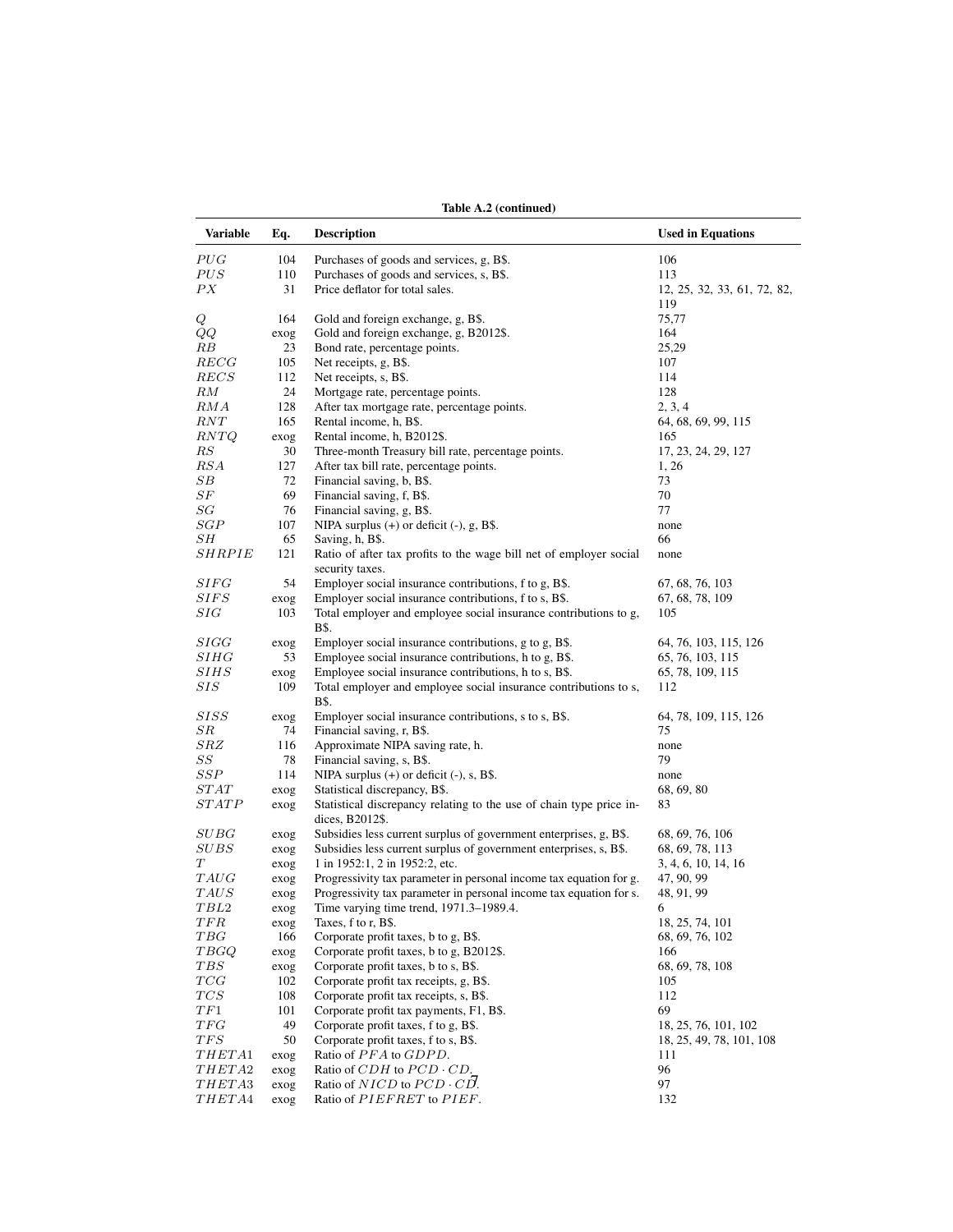|                  |              | Table A.2 (continued)                                                                  |                                    |
|------------------|--------------|----------------------------------------------------------------------------------------|------------------------------------|
| Variable         | Eq.          | <b>Description</b>                                                                     | <b>Used in Equations</b>           |
| PUG              | 104          | Purchases of goods and services, g, B\$.                                               | 106                                |
| PUS              | 110          | Purchases of goods and services, s, B\$.                                               | 113                                |
| PX               | 31           | Price deflator for total sales.                                                        | 12, 25, 32, 33, 61, 72, 82,<br>119 |
| Q                | 164          | Gold and foreign exchange, g, B\$.                                                     | 75,77                              |
| QQ               | exog         | Gold and foreign exchange, g, B2012\$.                                                 | 164                                |
| RВ               | 23           | Bond rate, percentage points.                                                          | 25,29                              |
| RECG             | 105          | Net receipts, g, B\$.                                                                  | 107                                |
| $_{RECS}$        | 112          | Net receipts, s, B\$.                                                                  | 114                                |
| RM               | 24           | Mortgage rate, percentage points.                                                      | 128                                |
| RMA              | 128          | After tax mortgage rate, percentage points.                                            | 2, 3, 4                            |
| RNT              | 165          | Rental income, h, B\$.                                                                 | 64, 68, 69, 99, 115                |
| RNTQ             | exog         | Rental income, h, B2012\$.                                                             | 165                                |
| $\mathbb{R}S$    | 30           | Three-month Treasury bill rate, percentage points.                                     | 17, 23, 24, 29, 127                |
| RSA              | 127          | After tax bill rate, percentage points.                                                | 1, 26                              |
| SВ               | 72           | Financial saving, b, B\$.                                                              | 73                                 |
| $_{SF}$          | 69           | Financial saving, f, B\$.                                                              | 70                                 |
| SG<br>SGP        | 76<br>107    | Financial saving, g, B\$.<br>NIPA surplus $(+)$ or deficit $(-)$ , g, B\$.             | 77                                 |
| SН               | 65           | Saving, h, B\$.                                                                        | none<br>66                         |
| SHRPIE           | 121          | Ratio of after tax profits to the wage bill net of employer social                     | none                               |
|                  |              | security taxes.                                                                        |                                    |
| $\mathcal S IFG$ | 54           | Employer social insurance contributions, f to g, B\$.                                  | 67, 68, 76, 103                    |
| SIFS             | exog         | Employer social insurance contributions, f to s, B\$.                                  | 67, 68, 78, 109                    |
| $_{SIG}$         | 103          | Total employer and employee social insurance contributions to g,<br><b>B</b> \$.       | 105                                |
| SIGG             | exog         | Employer social insurance contributions, g to g, B\$.                                  | 64, 76, 103, 115, 126              |
| SHHG             | 53           | Employee social insurance contributions, h to g, B\$.                                  | 65, 76, 103, 115                   |
| <i>SIHS</i>      | exog         | Employee social insurance contributions, h to s, B\$.                                  | 65, 78, 109, 115                   |
| $_{SIS}$         | 109          | Total employer and employee social insurance contributions to s,<br>B\$.               | 112                                |
| SISS             | exog         | Employer social insurance contributions, s to s, B\$.                                  | 64, 78, 109, 115, 126              |
| $_{SR}$          | 74           | Financial saving, r, B\$.                                                              | 75                                 |
| SRZ              | 116          | Approximate NIPA saving rate, h.                                                       | none                               |
| SS               | 78           | Financial saving, s, B\$.                                                              | 79                                 |
| $\cal{SSP}$      | 114          | NIPA surplus $(+)$ or deficit $(-)$ , s, B\$.                                          | none                               |
| STAT             | exog         | Statistical discrepancy, B\$.                                                          | 68, 69, 80                         |
| STATE            | exog         | Statistical discrepancy relating to the use of chain type price in-<br>dices, B2012\$. | 83                                 |
| $\it SUBG$       | exog         | Subsidies less current surplus of government enterprises, g, B\$.                      | 68, 69, 76, 106                    |
| $_{SUBS}$        | exog         | Subsidies less current surplus of government enterprises, s, B\$.                      | 68, 69, 78, 113                    |
| Т                | exog         | 1 in 1952:1, 2 in 1952:2, etc.                                                         | 3, 4, 6, 10, 14, 16                |
| TAUG             | exog         | Progressivity tax parameter in personal income tax equation for g.                     | 47, 90, 99                         |
| $_{TAUS}$        | exog         | Progressivity tax parameter in personal income tax equation for s.                     | 48, 91, 99                         |
| TBL2             | exog         | Time varying time trend, 1971.3-1989.4.                                                | 6                                  |
| TFR<br>TBG       | exog         | Taxes, f to r, B\$.                                                                    | 18, 25, 74, 101                    |
|                  | 166          | Corporate profit taxes, b to g, B\$.<br>Corporate profit taxes, b to g, B2012\$.       | 68, 69, 76, 102                    |
| TBGQ<br>$_{TBS}$ | exog<br>exog | Corporate profit taxes, b to s, B\$.                                                   | 166<br>68, 69, 78, 108             |
| TCG              | 102          | Corporate profit tax receipts, g, B\$.                                                 | 105                                |
| $TCS$            | 108          | Corporate profit tax receipts, s, B\$.                                                 | 112                                |
| TF1              | 101          | Corporate profit tax payments, F1, B\$.                                                | 69                                 |
| TFG              | 49           | Corporate profit taxes, f to g, B\$.                                                   | 18, 25, 76, 101, 102               |
| TFS              | 50           | Corporate profit taxes, f to s, B\$.                                                   | 18, 25, 49, 78, 101, 108           |
| THETA1           | exog         | Ratio of PFA to GDPD.                                                                  | 111                                |
| <i>THETA</i> 2   | exog         | Ratio of $CDH$ to $PCD \cdot CD$ .                                                     | 96                                 |
| THETA3           | exog         | Ratio of $NICD$ to $PCD \cdot CD$ .                                                    | 97                                 |
| THETA4           | exog         | Ratio of PIEFRET to PIEF.                                                              | 132                                |
|                  |              |                                                                                        |                                    |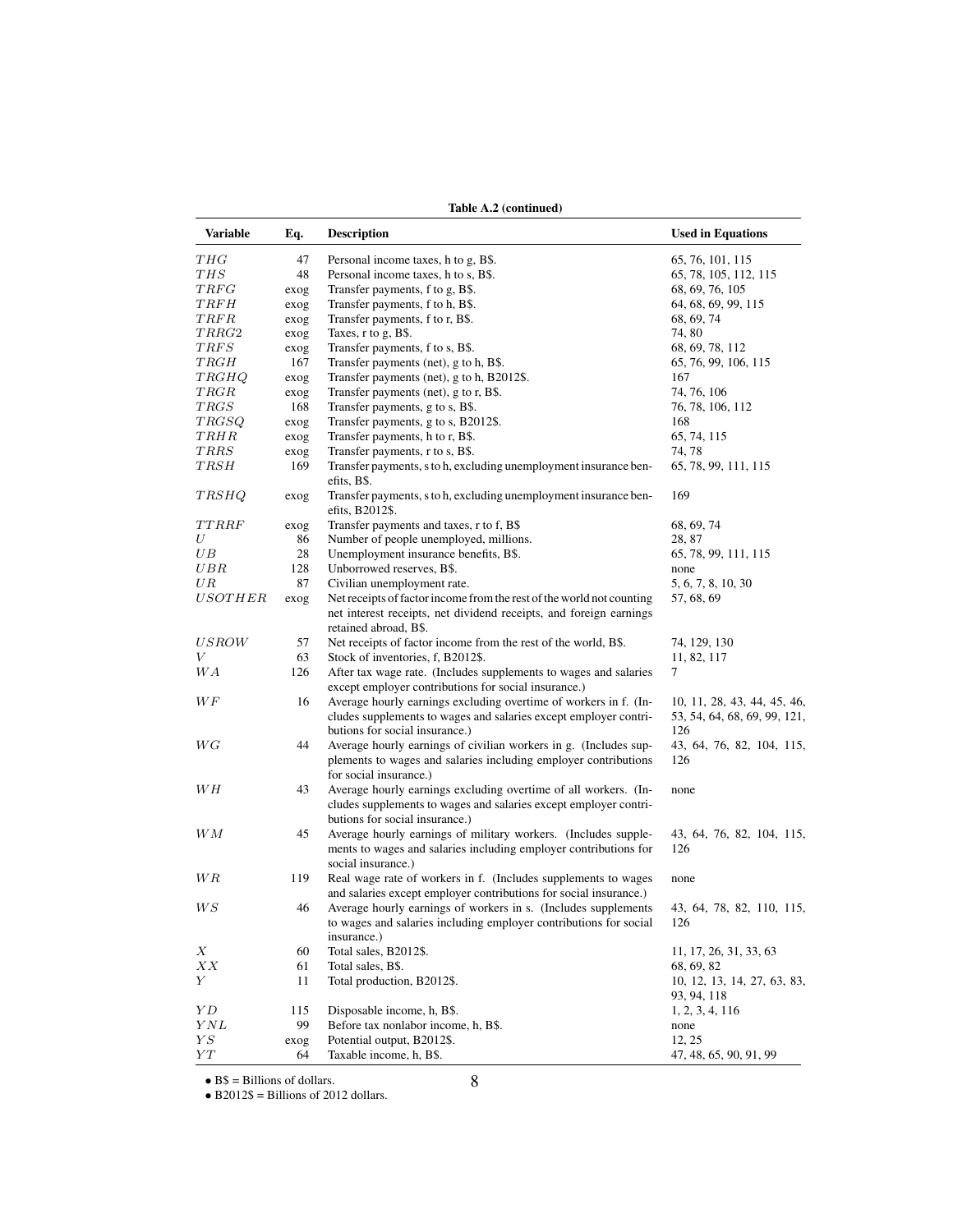Table A.2 (continued)

| Variable           | Eq.  | <b>Description</b>                                                                          | <b>Used in Equations</b>         |
|--------------------|------|---------------------------------------------------------------------------------------------|----------------------------------|
| THG                | 47   | Personal income taxes, h to g, B\$.                                                         | 65, 76, 101, 115                 |
| THS                | 48   | Personal income taxes, h to s, B\$.                                                         | 65, 78, 105, 112, 115            |
| TRFG               | exog | Transfer payments, f to g, B\$.                                                             | 68, 69, 76, 105                  |
| TRFH               | exog | Transfer payments, f to h, B\$.                                                             | 64, 68, 69, 99, 115              |
| TRFR               | exog | Transfer payments, f to r, B\$.                                                             | 68, 69, 74                       |
| TRRG2              | exog | Taxes, $r$ to $g$ , $B$ \$.                                                                 | 74,80                            |
| $\mathit{TRFS}$    | exog | Transfer payments, f to s, B\$.                                                             | 68, 69, 78, 112                  |
| TRGH               | 167  | Transfer payments (net), g to h, B\$.                                                       | 65, 76, 99, 106, 115             |
| TRGHQ              | exog | Transfer payments (net), g to h, B2012\$.                                                   | 167                              |
| TRGR               | exog | Transfer payments (net), g to r, B\$.                                                       | 74, 76, 106                      |
| TRGS               | 168  | Transfer payments, g to s, B\$.                                                             | 76, 78, 106, 112                 |
| <b>TRGSQ</b>       | exog | Transfer payments, g to s, B2012\$.                                                         | 168                              |
| TRHR               | exog | Transfer payments, h to r, B\$.                                                             | 65, 74, 115                      |
| <b>TRRS</b>        | exog | Transfer payments, r to s, B\$.                                                             | 74, 78                           |
| TRSH               | 169  | Transfer payments, s to h, excluding unemployment insurance ben-                            | 65, 78, 99, 111, 115             |
|                    |      | efits, B\$.                                                                                 |                                  |
| <b>TRSHQ</b>       | exog | Transfer payments, s to h, excluding unemployment insurance ben-<br>efits, B2012\$.         | 169                              |
| TTRRF              | exog | Transfer payments and taxes, r to f, B\$                                                    | 68, 69, 74                       |
| U                  | 86   | Number of people unemployed, millions.                                                      | 28, 87                           |
| UВ                 | 28   | Unemployment insurance benefits, B\$.                                                       | 65, 78, 99, 111, 115             |
| UBR                | 128  | Unborrowed reserves, B\$.                                                                   | none                             |
| UΒ                 | 87   | Civilian unemployment rate.                                                                 | 5, 6, 7, 8, 10, 30               |
| <i>USOTHER</i>     | exog | Net receipts of factor income from the rest of the world not counting                       | 57, 68, 69                       |
|                    |      | net interest receipts, net dividend receipts, and foreign earnings<br>retained abroad, B\$. |                                  |
| <i>USROW</i>       | 57   | Net receipts of factor income from the rest of the world, B\$.                              | 74, 129, 130                     |
| V                  | 63   | Stock of inventories, f, B2012\$.                                                           | 11, 82, 117                      |
| WА                 | 126  | After tax wage rate. (Includes supplements to wages and salaries                            | 7                                |
|                    |      | except employer contributions for social insurance.)                                        |                                  |
| WF                 | 16   | Average hourly earnings excluding overtime of workers in f. (In-                            | 10, 11, 28, 43, 44, 45, 46,      |
|                    |      | cludes supplements to wages and salaries except employer contri-                            | 53, 54, 64, 68, 69, 99, 121,     |
|                    |      | butions for social insurance.)                                                              | 126                              |
| WG                 | 44   | Average hourly earnings of civilian workers in g. (Includes sup-                            | 43, 64, 76, 82, 104, 115,        |
|                    |      | plements to wages and salaries including employer contributions                             | 126                              |
|                    |      | for social insurance.)                                                                      |                                  |
| WН                 | 43   | Average hourly earnings excluding overtime of all workers. (In-                             | none                             |
|                    |      | cludes supplements to wages and salaries except employer contri-                            |                                  |
|                    |      | butions for social insurance.)                                                              |                                  |
| WМ                 | 45   | Average hourly earnings of military workers. (Includes supple-                              | 43, 64, 76, 82, 104, 115,        |
|                    |      | ments to wages and salaries including employer contributions for                            | 126                              |
|                    |      | social insurance.)                                                                          |                                  |
| W R                | 119  | Real wage rate of workers in f. (Includes supplements to wages                              | none                             |
|                    |      | and salaries except employer contributions for social insurance.)                           |                                  |
| WS                 | 46   | Average hourly earnings of workers in s. (Includes supplements                              | 43, 64, 78, 82, 110, 115,        |
|                    |      | to wages and salaries including employer contributions for social                           | 126                              |
|                    |      | insurance.)                                                                                 |                                  |
| Χ                  | 60   | Total sales, B2012\$.                                                                       | 11, 17, 26, 31, 33, 63           |
| XX                 | 61   | Total sales, B\$.                                                                           | 68, 69, 82                       |
| Υ                  | 11   | Total production, B2012\$.                                                                  | 10, 12, 13, 14, 27, 63, 83,      |
|                    |      |                                                                                             | 93, 94, 118                      |
| ΥD                 | 115  | Disposable income, h, B\$.                                                                  | 1, 2, 3, 4, 116                  |
| YNL                | 99   | Before tax nonlabor income, h, B\$.                                                         |                                  |
| ${\cal Y}{\cal S}$ |      | Potential output, B2012\$.                                                                  | none                             |
|                    | exog |                                                                                             | 12, 25<br>47, 48, 65, 90, 91, 99 |
| YΤ                 | 64   | Taxable income, h, B\$.                                                                     |                                  |

• B\$ = Billions of dollars.

• B2012\$ = Billions of 2012 dollars.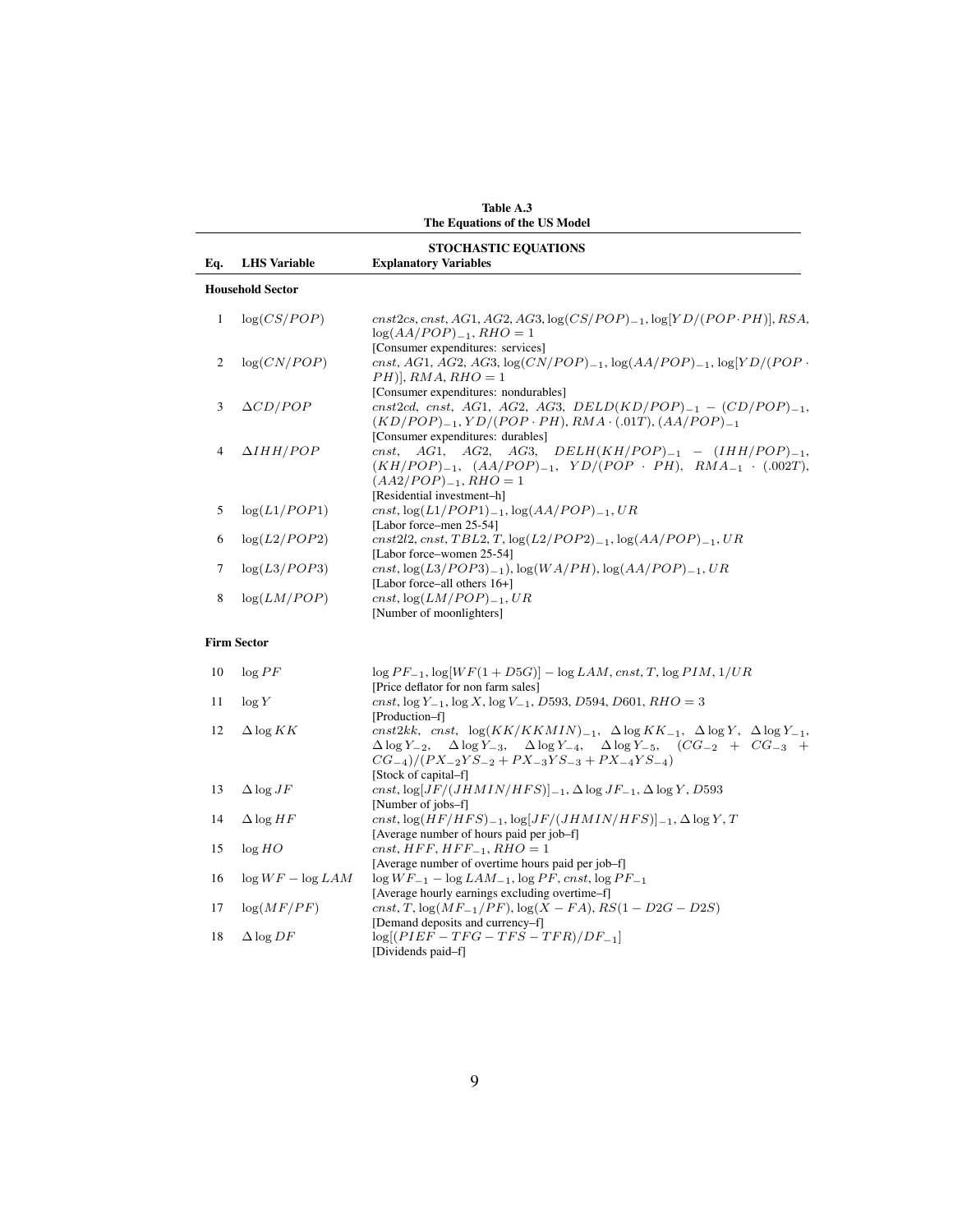|                |                         | The Equations of the US Model                                                                                                                                                                                                                                                                                           |
|----------------|-------------------------|-------------------------------------------------------------------------------------------------------------------------------------------------------------------------------------------------------------------------------------------------------------------------------------------------------------------------|
|                |                         | <b>STOCHASTIC EQUATIONS</b>                                                                                                                                                                                                                                                                                             |
| Eq.            | <b>LHS</b> Variable     | <b>Explanatory Variables</b>                                                                                                                                                                                                                                                                                            |
|                | <b>Household Sector</b> |                                                                                                                                                                                                                                                                                                                         |
| $\mathbf{1}$   | log(CS/POP)             | $cnst2cs, cnst, AG1, AG2, AG3, \log(CS/POP)_{-1}, \log[YD/(POP\cdot PH)], RSA,$<br>$log(AA/POP)_{-1}$ , RHO = 1<br>[Consumer expenditures: services]                                                                                                                                                                    |
| $\overline{c}$ | log(CN/POP)             | cnst, AG1, AG2, AG3, $log(CN/POP)_{-1}$ , $log(AA/POP)_{-1}$ , $log[YD/(POP \cdot$<br>$PH$ ], RMA, RHO = 1                                                                                                                                                                                                              |
| 3              | $\Delta CD/POP$         | [Consumer expenditures: nondurables]<br>cnst2cd, cnst, AG1, AG2, AG3, DELD(KD/POP) <sub>-1</sub> - $(CD/POP)_{-1}$ ,<br>$(KD/POP)_{-1}, YD/(POP\cdot PH), RMA\cdot (.01T), (AA/POP)_{-1}$                                                                                                                               |
| 4              | $\Delta IHH/POP$        | [Consumer expenditures: durables]<br>AG1, AG2, AG3, DELH $(KH/POP)_{-1}$ - $(HHH/POP)_{-1}$ ,<br>$cnst$ ,<br>$(KH/POP)_{-1}$ , $(AA/POP)_{-1}$ , $YD/(POP \cdot PH)$ , $RMA_{-1} \cdot (.002T)$ ,<br>$(AA2/POP)_{-1}$ , RHO = 1                                                                                         |
| 5              | log(L1/POP1)            | [Residential investment-h]<br>cnst, $log(L1/POP1)_{-1}$ , $log(AA/POP)_{-1}$ , $UR$<br>[Labor force-men 25-54]                                                                                                                                                                                                          |
| 6              | log(L2/POP2)            | $cnst2l2, cnst, TBL2, T, \log(L2/POP2)_{-1}, \log(AA/POP)_{-1}, UR$<br>[Labor force–women 25-54]                                                                                                                                                                                                                        |
| 7              | log(L3/POP3)            | cnst, $log(L3/POP3)_{-1}$ ), $log(WA/PH)$ , $log(AA/POP)_{-1}$ , $UR$<br>[Labor force-all others 16+]                                                                                                                                                                                                                   |
| 8              | log(LM/POP)             | cnst, $log(LM/POP)_{-1}$ , UR<br>[Number of moonlighters]                                                                                                                                                                                                                                                               |
|                | <b>Firm Sector</b>      |                                                                                                                                                                                                                                                                                                                         |
| 10             | $\log{PF}$              | $\log PF_{-1}$ , $\log[WF(1 + D5G)] - \log LAM$ , cnst, T, $\log PIM$ , $1/UR$<br>[Price deflator for non farm sales]                                                                                                                                                                                                   |
| 11             | log Y                   | cnst, $\log Y_{-1}$ , $\log X$ , $\log V_{-1}$ , D593, D594, D601, RHO = 3<br>[Production-f]                                                                                                                                                                                                                            |
| 12             | $\Delta \log KK$        | cnst2kk, cnst, $\log(KK/KKMIN)_{-1}$ , $\Delta \log KK_{-1}$ , $\Delta \log Y$ , $\Delta \log Y_{-1}$ ,<br>$\Delta \log Y_{-3}$ , $\Delta \log Y_{-4}$ , $\Delta \log Y_{-5}$ , $(CG_{-2} + CG_{-3} +$<br>$\Delta \log Y_{-2}$<br>$CG_{-4})/(PX_{-2}YS_{-2} + PX_{-3}YS_{-3} + PX_{-4}YS_{-4})$<br>[Stock of capital-f] |
| 13             | $\Delta \log JF$        | cnst, $\log[JF/(JHMIN/HFS)]_{-1}$ , $\Delta \log JF_{-1}$ , $\Delta \log Y$ , D593<br>[Number of jobs-f]                                                                                                                                                                                                                |
| 14             | $\Delta$ log HF         | cnst, $\log(HF/HFS)_{-1}$ , $\log[JF/(JHMIN/HFS)]_{-1}$ , $\Delta \log Y$ , T<br>[Average number of hours paid per job-f]                                                                                                                                                                                               |
| 15             | log HO                  | $cnst, HFF, HFF_{-1}, RHO = 1$<br>[Average number of overtime hours paid per job-f]                                                                                                                                                                                                                                     |
| 16             | $\log WF - \log LAM$    | $\log WF_{-1} - \log LAM_{-1}$ , $\log PF$ , cnst, $\log PF_{-1}$<br>[Average hourly earnings excluding overtime-f]                                                                                                                                                                                                     |
| 17             | log(MF/PF)              | cnst, T, $\log(MF_{-1}/PF)$ , $\log(X - FA)$ , $RS(1 - D2G - D2S)$<br>[Demand deposits and currency-f]                                                                                                                                                                                                                  |
| 18             | $\Delta \log DF$        | $log[(PIEF - TFG - TFS - TFR)/DF_{-1}]$<br>[Dividends paid-f]                                                                                                                                                                                                                                                           |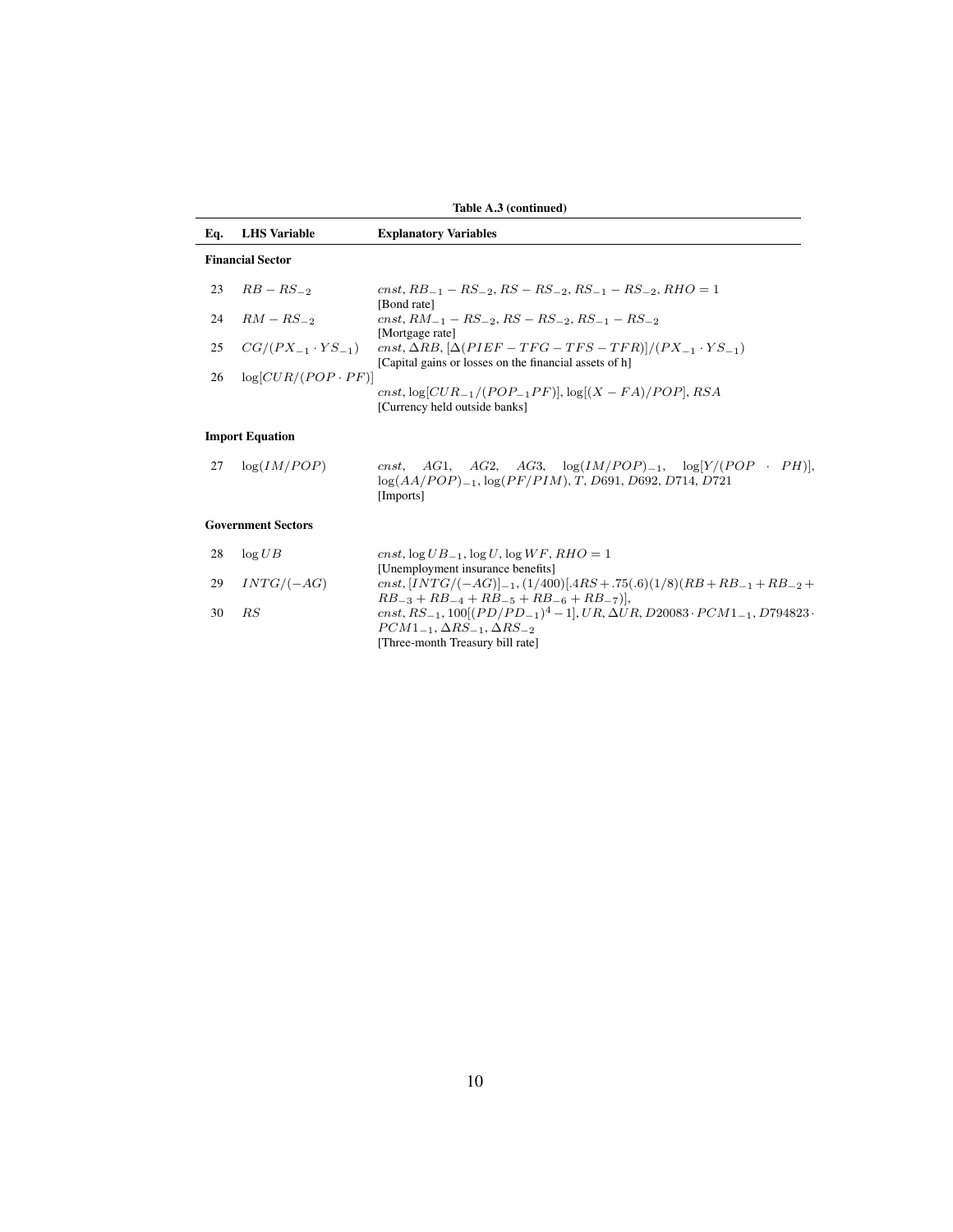|     |                              | Table A.3 (continued)                                                                                                                              |
|-----|------------------------------|----------------------------------------------------------------------------------------------------------------------------------------------------|
| Eq. | <b>LHS</b> Variable          | <b>Explanatory Variables</b>                                                                                                                       |
|     | <b>Financial Sector</b>      |                                                                                                                                                    |
| 23  | $RB - RS_{-2}$               | cnst, $RB_{-1} - RS_{-2}$ , $RS - RS_{-2}$ , $RS_{-1} - RS_{-2}$ , $RHO = 1$<br>[Bond rate]                                                        |
| 24  | $RM - RS_{-2}$               | $cnst, RM_{-1} - RS_{-2}, RS - RS_{-2}, RS_{-1} - RS_{-2}$<br>[Mortgage rate]                                                                      |
| 25  | $CG/(PX_{-1} \cdot YS_{-1})$ | cnst, $\Delta RB$ , $[\Delta(PIEF - TFG - TFS - TFR)]/(PX_{-1} \cdot YS_{-1})$<br>[Capital gains or losses on the financial assets of h]           |
| 26  | $log[CUR/(POP \cdot PF)]$    | cnst, $log[CUR_{-1}/(POP_{-1}PF)]$ , $log[(X - FA)/POP]$ , RSA<br>[Currency held outside banks]                                                    |
|     | <b>Import Equation</b>       |                                                                                                                                                    |
| 27  | log(IM/POP)                  | cnst, AG1, AG2, AG3, $log(IM/POP)_{-1}$ , $log[Y/(POP \cdot PH)]$ ,<br>$log(AA/POP)_{-1}$ , $log(PF/PIN)$ , T, D691, D692, D714, D721<br>[Imports] |
|     | <b>Government Sectors</b>    |                                                                                                                                                    |
| 28  | $\log UB$                    | cnst, $\log UB_{-1}$ , $\log U$ , $\log WF$ , RHO = 1                                                                                              |
| 29  | $INTG/(-AG)$                 | [Unemployment insurance benefits]<br>$cnst, [INTG/(-AG)]_{-1}, (1/400)[.4RS+.75(.6)(1/8)(RB+RB_{-1}+RB_{-2}+$                                      |

|    |                 | [Unemployment insurance benefits]                                                                           |
|----|-----------------|-------------------------------------------------------------------------------------------------------------|
|    | 29 $INTG/(-AG)$ | cnst, $[INTG/(-AG)]_{-1}$ , $(1/400)[.4RS + .75(.6)(1/8)(RB + RB_{-1} + RB_{-2} +$                          |
|    |                 | $RB_{-3} + RB_{-4} + RB_{-5} + RB_{-6} + RB_{-7}$ ),                                                        |
| 30 | - R.S           | cnst, $RS_{-1}$ , $100[(PD/PD_{-1})^4-1]$ , $UR$ , $\Delta UR$ , $D20083 \cdot PCM1_{-1}$ , $D794823 \cdot$ |
|    |                 | $PCM1_{-1}, \Delta RS_{-1}, \Delta RS_{-2}$                                                                 |
|    |                 | [Three-month Treasury bill rate]                                                                            |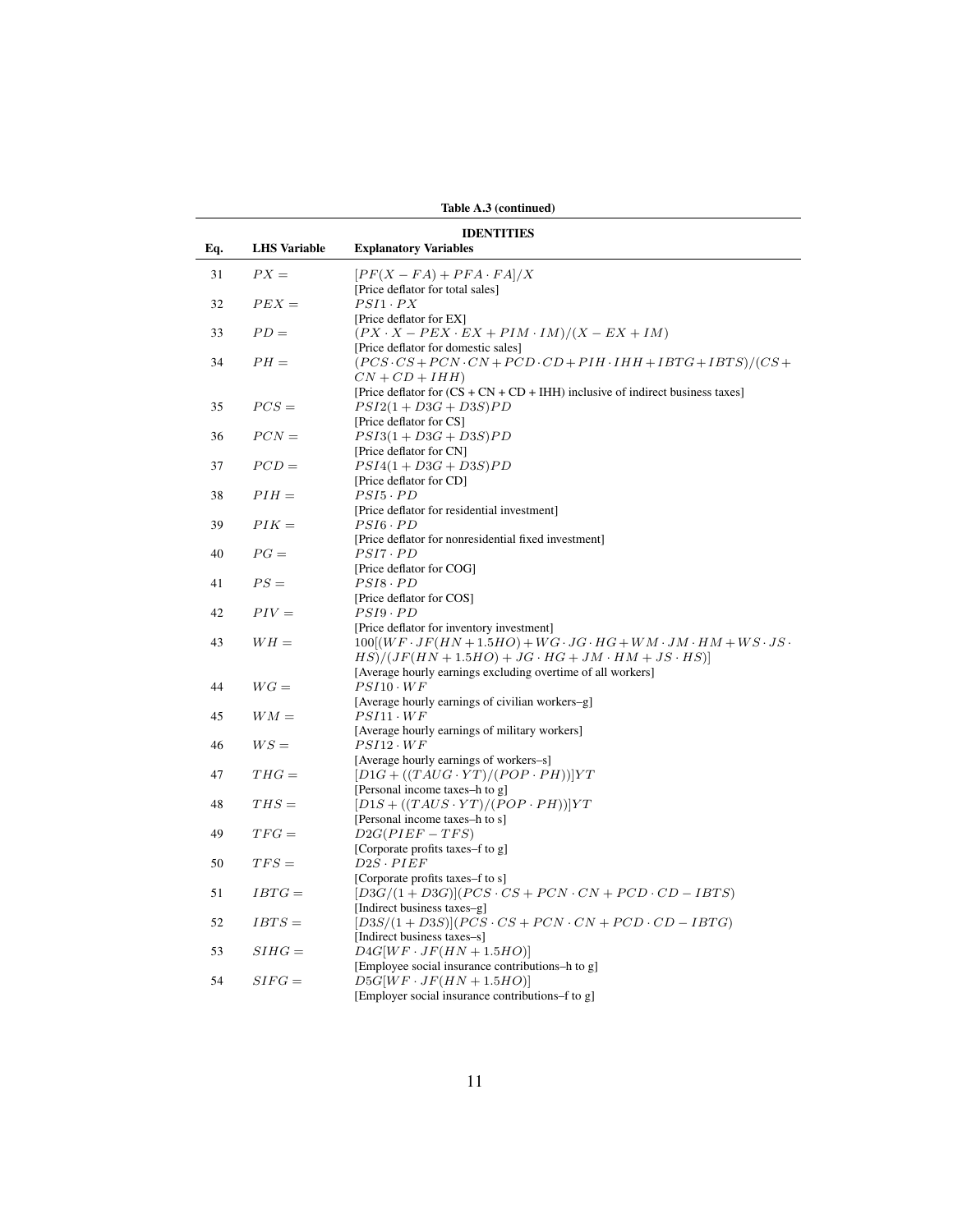| <b>IDENTITIES</b><br><b>LHS</b> Variable<br><b>Explanatory Variables</b><br>Eq.<br>31<br>$PX =$<br>$[PF(X - FA) + PFA \cdot FA]/X$<br>[Price deflator for total sales]<br>$PSI1 \cdot PX$<br>32<br>$PEX =$<br>[Price deflator for EX]<br>$PD =$<br>$(PX \cdot X - PEX \cdot EX + PIM \cdot IM)/(X - EX + IM)$<br>33<br>[Price deflator for domestic sales]<br>$PH =$<br>34<br>$(PCS \cdot CS + PCN \cdot CN + PCD \cdot CD + PIH \cdot IHH + IBTG + IBTS)/(CS +$<br>$CN + CD + IHH$<br>[Price deflator for $(CS + CN + CD + IHH)$ inclusive of indirect business taxes]<br>$PCS =$<br>$PSI2(1+D3G+D3S)PD$<br>35<br>[Price deflator for CS]<br>$PCN =$<br>$PSI3(1+D3G+D3S)PD$<br>36<br>[Price deflator for CN]<br>37<br>$PCD =$<br>$PSI4(1+D3G+D3S)PD$<br>[Price deflator for CD]<br>$PIH =$<br>38<br>$PSI5 \cdot PD$<br>[Price deflator for residential investment]<br>$PIK =$<br>39<br>$PSI6 \cdot PD$<br>[Price deflator for nonresidential fixed investment]<br>$PG =$<br>$PSI7 \cdot PD$<br>40<br>[Price deflator for COG]<br>$PS =$<br>$PSI8 \cdot PD$<br>41<br>[Price deflator for COS]<br>$PIV =$<br>42<br>$PSI9 \cdot PD$<br>[Price deflator for inventory investment]<br>$100[(WF \cdot JF(HN + 1.5HO) + WG \cdot JG \cdot HG + WM \cdot JM \cdot HM + WS \cdot JS \cdot$<br>43<br>$WH =$<br>$HS)/(JF(HN+1.5HO)+JG \cdot HG+JM \cdot HM+JS \cdot HS)$<br>[Average hourly earnings excluding overtime of all workers]<br>$WG =$<br>$PSI10 \cdot WF$<br>44<br>[Average hourly earnings of civilian workers-g]<br>45<br>$WM =$<br>$PSI11 \cdot WF$<br>[Average hourly earnings of military workers]<br>$WS =$<br>$PSI12 \cdot WF$<br>46<br>[Average hourly earnings of workers-s]<br>$THG =$<br>$[D1G + ((TAUG \cdot YT)/(POP \cdot PH))]YT$<br>47<br>[Personal income taxes-h to g]<br>$THS =$<br>$[D1S + ((TAUS \cdot YT)/(POP \cdot PH))]YT$<br>48<br>[Personal income taxes-h to s]<br>49<br>$TFG=$<br>$D2G(PIEF - TFS)$<br>[Corporate profits taxes–f to g]<br>$D2S\cdot PIEF$<br>$TFS =$<br>50<br>[Corporate profits taxes–f to s]<br>$[D3G/(1+D3G)](PCS \cdot CS + PCN \cdot CN + PCD \cdot CD - IBTS)$<br>51<br>$IBTG=$<br>[Indirect business taxes-g]<br>$IBTS =$<br>$[D3S/(1+D3S)](PCS \cdot CS + PCN \cdot CN + PCD \cdot CD - IBTG)$<br>52<br>[Indirect business taxes-s]<br>$D4G[WF \cdot JF(HN + 1.5HO)]$<br>53<br>$SHHG =$<br>[Employee social insurance contributions-h to g]<br>54<br>$SIFG =$<br>$D5G[WF \cdot JF(HN + 1.5HO)]$<br>[Employer social insurance contributions–f to g] |  | Table A.3 (continued) |
|-------------------------------------------------------------------------------------------------------------------------------------------------------------------------------------------------------------------------------------------------------------------------------------------------------------------------------------------------------------------------------------------------------------------------------------------------------------------------------------------------------------------------------------------------------------------------------------------------------------------------------------------------------------------------------------------------------------------------------------------------------------------------------------------------------------------------------------------------------------------------------------------------------------------------------------------------------------------------------------------------------------------------------------------------------------------------------------------------------------------------------------------------------------------------------------------------------------------------------------------------------------------------------------------------------------------------------------------------------------------------------------------------------------------------------------------------------------------------------------------------------------------------------------------------------------------------------------------------------------------------------------------------------------------------------------------------------------------------------------------------------------------------------------------------------------------------------------------------------------------------------------------------------------------------------------------------------------------------------------------------------------------------------------------------------------------------------------------------------------------------------------------------------------------------------------------------------------------------------------------------------------------------------------------------------------------------------------------------------------------------------------------------------------------------------------------------------------------------------------------------------------|--|-----------------------|
|                                                                                                                                                                                                                                                                                                                                                                                                                                                                                                                                                                                                                                                                                                                                                                                                                                                                                                                                                                                                                                                                                                                                                                                                                                                                                                                                                                                                                                                                                                                                                                                                                                                                                                                                                                                                                                                                                                                                                                                                                                                                                                                                                                                                                                                                                                                                                                                                                                                                                                             |  |                       |
|                                                                                                                                                                                                                                                                                                                                                                                                                                                                                                                                                                                                                                                                                                                                                                                                                                                                                                                                                                                                                                                                                                                                                                                                                                                                                                                                                                                                                                                                                                                                                                                                                                                                                                                                                                                                                                                                                                                                                                                                                                                                                                                                                                                                                                                                                                                                                                                                                                                                                                             |  |                       |
|                                                                                                                                                                                                                                                                                                                                                                                                                                                                                                                                                                                                                                                                                                                                                                                                                                                                                                                                                                                                                                                                                                                                                                                                                                                                                                                                                                                                                                                                                                                                                                                                                                                                                                                                                                                                                                                                                                                                                                                                                                                                                                                                                                                                                                                                                                                                                                                                                                                                                                             |  |                       |
|                                                                                                                                                                                                                                                                                                                                                                                                                                                                                                                                                                                                                                                                                                                                                                                                                                                                                                                                                                                                                                                                                                                                                                                                                                                                                                                                                                                                                                                                                                                                                                                                                                                                                                                                                                                                                                                                                                                                                                                                                                                                                                                                                                                                                                                                                                                                                                                                                                                                                                             |  |                       |
|                                                                                                                                                                                                                                                                                                                                                                                                                                                                                                                                                                                                                                                                                                                                                                                                                                                                                                                                                                                                                                                                                                                                                                                                                                                                                                                                                                                                                                                                                                                                                                                                                                                                                                                                                                                                                                                                                                                                                                                                                                                                                                                                                                                                                                                                                                                                                                                                                                                                                                             |  |                       |
|                                                                                                                                                                                                                                                                                                                                                                                                                                                                                                                                                                                                                                                                                                                                                                                                                                                                                                                                                                                                                                                                                                                                                                                                                                                                                                                                                                                                                                                                                                                                                                                                                                                                                                                                                                                                                                                                                                                                                                                                                                                                                                                                                                                                                                                                                                                                                                                                                                                                                                             |  |                       |
|                                                                                                                                                                                                                                                                                                                                                                                                                                                                                                                                                                                                                                                                                                                                                                                                                                                                                                                                                                                                                                                                                                                                                                                                                                                                                                                                                                                                                                                                                                                                                                                                                                                                                                                                                                                                                                                                                                                                                                                                                                                                                                                                                                                                                                                                                                                                                                                                                                                                                                             |  |                       |
|                                                                                                                                                                                                                                                                                                                                                                                                                                                                                                                                                                                                                                                                                                                                                                                                                                                                                                                                                                                                                                                                                                                                                                                                                                                                                                                                                                                                                                                                                                                                                                                                                                                                                                                                                                                                                                                                                                                                                                                                                                                                                                                                                                                                                                                                                                                                                                                                                                                                                                             |  |                       |
|                                                                                                                                                                                                                                                                                                                                                                                                                                                                                                                                                                                                                                                                                                                                                                                                                                                                                                                                                                                                                                                                                                                                                                                                                                                                                                                                                                                                                                                                                                                                                                                                                                                                                                                                                                                                                                                                                                                                                                                                                                                                                                                                                                                                                                                                                                                                                                                                                                                                                                             |  |                       |
|                                                                                                                                                                                                                                                                                                                                                                                                                                                                                                                                                                                                                                                                                                                                                                                                                                                                                                                                                                                                                                                                                                                                                                                                                                                                                                                                                                                                                                                                                                                                                                                                                                                                                                                                                                                                                                                                                                                                                                                                                                                                                                                                                                                                                                                                                                                                                                                                                                                                                                             |  |                       |
|                                                                                                                                                                                                                                                                                                                                                                                                                                                                                                                                                                                                                                                                                                                                                                                                                                                                                                                                                                                                                                                                                                                                                                                                                                                                                                                                                                                                                                                                                                                                                                                                                                                                                                                                                                                                                                                                                                                                                                                                                                                                                                                                                                                                                                                                                                                                                                                                                                                                                                             |  |                       |
|                                                                                                                                                                                                                                                                                                                                                                                                                                                                                                                                                                                                                                                                                                                                                                                                                                                                                                                                                                                                                                                                                                                                                                                                                                                                                                                                                                                                                                                                                                                                                                                                                                                                                                                                                                                                                                                                                                                                                                                                                                                                                                                                                                                                                                                                                                                                                                                                                                                                                                             |  |                       |
|                                                                                                                                                                                                                                                                                                                                                                                                                                                                                                                                                                                                                                                                                                                                                                                                                                                                                                                                                                                                                                                                                                                                                                                                                                                                                                                                                                                                                                                                                                                                                                                                                                                                                                                                                                                                                                                                                                                                                                                                                                                                                                                                                                                                                                                                                                                                                                                                                                                                                                             |  |                       |
|                                                                                                                                                                                                                                                                                                                                                                                                                                                                                                                                                                                                                                                                                                                                                                                                                                                                                                                                                                                                                                                                                                                                                                                                                                                                                                                                                                                                                                                                                                                                                                                                                                                                                                                                                                                                                                                                                                                                                                                                                                                                                                                                                                                                                                                                                                                                                                                                                                                                                                             |  |                       |
|                                                                                                                                                                                                                                                                                                                                                                                                                                                                                                                                                                                                                                                                                                                                                                                                                                                                                                                                                                                                                                                                                                                                                                                                                                                                                                                                                                                                                                                                                                                                                                                                                                                                                                                                                                                                                                                                                                                                                                                                                                                                                                                                                                                                                                                                                                                                                                                                                                                                                                             |  |                       |
|                                                                                                                                                                                                                                                                                                                                                                                                                                                                                                                                                                                                                                                                                                                                                                                                                                                                                                                                                                                                                                                                                                                                                                                                                                                                                                                                                                                                                                                                                                                                                                                                                                                                                                                                                                                                                                                                                                                                                                                                                                                                                                                                                                                                                                                                                                                                                                                                                                                                                                             |  |                       |
|                                                                                                                                                                                                                                                                                                                                                                                                                                                                                                                                                                                                                                                                                                                                                                                                                                                                                                                                                                                                                                                                                                                                                                                                                                                                                                                                                                                                                                                                                                                                                                                                                                                                                                                                                                                                                                                                                                                                                                                                                                                                                                                                                                                                                                                                                                                                                                                                                                                                                                             |  |                       |
|                                                                                                                                                                                                                                                                                                                                                                                                                                                                                                                                                                                                                                                                                                                                                                                                                                                                                                                                                                                                                                                                                                                                                                                                                                                                                                                                                                                                                                                                                                                                                                                                                                                                                                                                                                                                                                                                                                                                                                                                                                                                                                                                                                                                                                                                                                                                                                                                                                                                                                             |  |                       |
|                                                                                                                                                                                                                                                                                                                                                                                                                                                                                                                                                                                                                                                                                                                                                                                                                                                                                                                                                                                                                                                                                                                                                                                                                                                                                                                                                                                                                                                                                                                                                                                                                                                                                                                                                                                                                                                                                                                                                                                                                                                                                                                                                                                                                                                                                                                                                                                                                                                                                                             |  |                       |
|                                                                                                                                                                                                                                                                                                                                                                                                                                                                                                                                                                                                                                                                                                                                                                                                                                                                                                                                                                                                                                                                                                                                                                                                                                                                                                                                                                                                                                                                                                                                                                                                                                                                                                                                                                                                                                                                                                                                                                                                                                                                                                                                                                                                                                                                                                                                                                                                                                                                                                             |  |                       |
|                                                                                                                                                                                                                                                                                                                                                                                                                                                                                                                                                                                                                                                                                                                                                                                                                                                                                                                                                                                                                                                                                                                                                                                                                                                                                                                                                                                                                                                                                                                                                                                                                                                                                                                                                                                                                                                                                                                                                                                                                                                                                                                                                                                                                                                                                                                                                                                                                                                                                                             |  |                       |
|                                                                                                                                                                                                                                                                                                                                                                                                                                                                                                                                                                                                                                                                                                                                                                                                                                                                                                                                                                                                                                                                                                                                                                                                                                                                                                                                                                                                                                                                                                                                                                                                                                                                                                                                                                                                                                                                                                                                                                                                                                                                                                                                                                                                                                                                                                                                                                                                                                                                                                             |  |                       |
|                                                                                                                                                                                                                                                                                                                                                                                                                                                                                                                                                                                                                                                                                                                                                                                                                                                                                                                                                                                                                                                                                                                                                                                                                                                                                                                                                                                                                                                                                                                                                                                                                                                                                                                                                                                                                                                                                                                                                                                                                                                                                                                                                                                                                                                                                                                                                                                                                                                                                                             |  |                       |
|                                                                                                                                                                                                                                                                                                                                                                                                                                                                                                                                                                                                                                                                                                                                                                                                                                                                                                                                                                                                                                                                                                                                                                                                                                                                                                                                                                                                                                                                                                                                                                                                                                                                                                                                                                                                                                                                                                                                                                                                                                                                                                                                                                                                                                                                                                                                                                                                                                                                                                             |  |                       |
|                                                                                                                                                                                                                                                                                                                                                                                                                                                                                                                                                                                                                                                                                                                                                                                                                                                                                                                                                                                                                                                                                                                                                                                                                                                                                                                                                                                                                                                                                                                                                                                                                                                                                                                                                                                                                                                                                                                                                                                                                                                                                                                                                                                                                                                                                                                                                                                                                                                                                                             |  |                       |
|                                                                                                                                                                                                                                                                                                                                                                                                                                                                                                                                                                                                                                                                                                                                                                                                                                                                                                                                                                                                                                                                                                                                                                                                                                                                                                                                                                                                                                                                                                                                                                                                                                                                                                                                                                                                                                                                                                                                                                                                                                                                                                                                                                                                                                                                                                                                                                                                                                                                                                             |  |                       |
|                                                                                                                                                                                                                                                                                                                                                                                                                                                                                                                                                                                                                                                                                                                                                                                                                                                                                                                                                                                                                                                                                                                                                                                                                                                                                                                                                                                                                                                                                                                                                                                                                                                                                                                                                                                                                                                                                                                                                                                                                                                                                                                                                                                                                                                                                                                                                                                                                                                                                                             |  |                       |
|                                                                                                                                                                                                                                                                                                                                                                                                                                                                                                                                                                                                                                                                                                                                                                                                                                                                                                                                                                                                                                                                                                                                                                                                                                                                                                                                                                                                                                                                                                                                                                                                                                                                                                                                                                                                                                                                                                                                                                                                                                                                                                                                                                                                                                                                                                                                                                                                                                                                                                             |  |                       |
|                                                                                                                                                                                                                                                                                                                                                                                                                                                                                                                                                                                                                                                                                                                                                                                                                                                                                                                                                                                                                                                                                                                                                                                                                                                                                                                                                                                                                                                                                                                                                                                                                                                                                                                                                                                                                                                                                                                                                                                                                                                                                                                                                                                                                                                                                                                                                                                                                                                                                                             |  |                       |
|                                                                                                                                                                                                                                                                                                                                                                                                                                                                                                                                                                                                                                                                                                                                                                                                                                                                                                                                                                                                                                                                                                                                                                                                                                                                                                                                                                                                                                                                                                                                                                                                                                                                                                                                                                                                                                                                                                                                                                                                                                                                                                                                                                                                                                                                                                                                                                                                                                                                                                             |  |                       |
|                                                                                                                                                                                                                                                                                                                                                                                                                                                                                                                                                                                                                                                                                                                                                                                                                                                                                                                                                                                                                                                                                                                                                                                                                                                                                                                                                                                                                                                                                                                                                                                                                                                                                                                                                                                                                                                                                                                                                                                                                                                                                                                                                                                                                                                                                                                                                                                                                                                                                                             |  |                       |
|                                                                                                                                                                                                                                                                                                                                                                                                                                                                                                                                                                                                                                                                                                                                                                                                                                                                                                                                                                                                                                                                                                                                                                                                                                                                                                                                                                                                                                                                                                                                                                                                                                                                                                                                                                                                                                                                                                                                                                                                                                                                                                                                                                                                                                                                                                                                                                                                                                                                                                             |  |                       |
|                                                                                                                                                                                                                                                                                                                                                                                                                                                                                                                                                                                                                                                                                                                                                                                                                                                                                                                                                                                                                                                                                                                                                                                                                                                                                                                                                                                                                                                                                                                                                                                                                                                                                                                                                                                                                                                                                                                                                                                                                                                                                                                                                                                                                                                                                                                                                                                                                                                                                                             |  |                       |
|                                                                                                                                                                                                                                                                                                                                                                                                                                                                                                                                                                                                                                                                                                                                                                                                                                                                                                                                                                                                                                                                                                                                                                                                                                                                                                                                                                                                                                                                                                                                                                                                                                                                                                                                                                                                                                                                                                                                                                                                                                                                                                                                                                                                                                                                                                                                                                                                                                                                                                             |  |                       |
|                                                                                                                                                                                                                                                                                                                                                                                                                                                                                                                                                                                                                                                                                                                                                                                                                                                                                                                                                                                                                                                                                                                                                                                                                                                                                                                                                                                                                                                                                                                                                                                                                                                                                                                                                                                                                                                                                                                                                                                                                                                                                                                                                                                                                                                                                                                                                                                                                                                                                                             |  |                       |
|                                                                                                                                                                                                                                                                                                                                                                                                                                                                                                                                                                                                                                                                                                                                                                                                                                                                                                                                                                                                                                                                                                                                                                                                                                                                                                                                                                                                                                                                                                                                                                                                                                                                                                                                                                                                                                                                                                                                                                                                                                                                                                                                                                                                                                                                                                                                                                                                                                                                                                             |  |                       |
|                                                                                                                                                                                                                                                                                                                                                                                                                                                                                                                                                                                                                                                                                                                                                                                                                                                                                                                                                                                                                                                                                                                                                                                                                                                                                                                                                                                                                                                                                                                                                                                                                                                                                                                                                                                                                                                                                                                                                                                                                                                                                                                                                                                                                                                                                                                                                                                                                                                                                                             |  |                       |
|                                                                                                                                                                                                                                                                                                                                                                                                                                                                                                                                                                                                                                                                                                                                                                                                                                                                                                                                                                                                                                                                                                                                                                                                                                                                                                                                                                                                                                                                                                                                                                                                                                                                                                                                                                                                                                                                                                                                                                                                                                                                                                                                                                                                                                                                                                                                                                                                                                                                                                             |  |                       |
|                                                                                                                                                                                                                                                                                                                                                                                                                                                                                                                                                                                                                                                                                                                                                                                                                                                                                                                                                                                                                                                                                                                                                                                                                                                                                                                                                                                                                                                                                                                                                                                                                                                                                                                                                                                                                                                                                                                                                                                                                                                                                                                                                                                                                                                                                                                                                                                                                                                                                                             |  |                       |
|                                                                                                                                                                                                                                                                                                                                                                                                                                                                                                                                                                                                                                                                                                                                                                                                                                                                                                                                                                                                                                                                                                                                                                                                                                                                                                                                                                                                                                                                                                                                                                                                                                                                                                                                                                                                                                                                                                                                                                                                                                                                                                                                                                                                                                                                                                                                                                                                                                                                                                             |  |                       |
|                                                                                                                                                                                                                                                                                                                                                                                                                                                                                                                                                                                                                                                                                                                                                                                                                                                                                                                                                                                                                                                                                                                                                                                                                                                                                                                                                                                                                                                                                                                                                                                                                                                                                                                                                                                                                                                                                                                                                                                                                                                                                                                                                                                                                                                                                                                                                                                                                                                                                                             |  |                       |
|                                                                                                                                                                                                                                                                                                                                                                                                                                                                                                                                                                                                                                                                                                                                                                                                                                                                                                                                                                                                                                                                                                                                                                                                                                                                                                                                                                                                                                                                                                                                                                                                                                                                                                                                                                                                                                                                                                                                                                                                                                                                                                                                                                                                                                                                                                                                                                                                                                                                                                             |  |                       |
|                                                                                                                                                                                                                                                                                                                                                                                                                                                                                                                                                                                                                                                                                                                                                                                                                                                                                                                                                                                                                                                                                                                                                                                                                                                                                                                                                                                                                                                                                                                                                                                                                                                                                                                                                                                                                                                                                                                                                                                                                                                                                                                                                                                                                                                                                                                                                                                                                                                                                                             |  |                       |
|                                                                                                                                                                                                                                                                                                                                                                                                                                                                                                                                                                                                                                                                                                                                                                                                                                                                                                                                                                                                                                                                                                                                                                                                                                                                                                                                                                                                                                                                                                                                                                                                                                                                                                                                                                                                                                                                                                                                                                                                                                                                                                                                                                                                                                                                                                                                                                                                                                                                                                             |  |                       |
|                                                                                                                                                                                                                                                                                                                                                                                                                                                                                                                                                                                                                                                                                                                                                                                                                                                                                                                                                                                                                                                                                                                                                                                                                                                                                                                                                                                                                                                                                                                                                                                                                                                                                                                                                                                                                                                                                                                                                                                                                                                                                                                                                                                                                                                                                                                                                                                                                                                                                                             |  |                       |
|                                                                                                                                                                                                                                                                                                                                                                                                                                                                                                                                                                                                                                                                                                                                                                                                                                                                                                                                                                                                                                                                                                                                                                                                                                                                                                                                                                                                                                                                                                                                                                                                                                                                                                                                                                                                                                                                                                                                                                                                                                                                                                                                                                                                                                                                                                                                                                                                                                                                                                             |  |                       |
|                                                                                                                                                                                                                                                                                                                                                                                                                                                                                                                                                                                                                                                                                                                                                                                                                                                                                                                                                                                                                                                                                                                                                                                                                                                                                                                                                                                                                                                                                                                                                                                                                                                                                                                                                                                                                                                                                                                                                                                                                                                                                                                                                                                                                                                                                                                                                                                                                                                                                                             |  |                       |

Table A.3 (continued)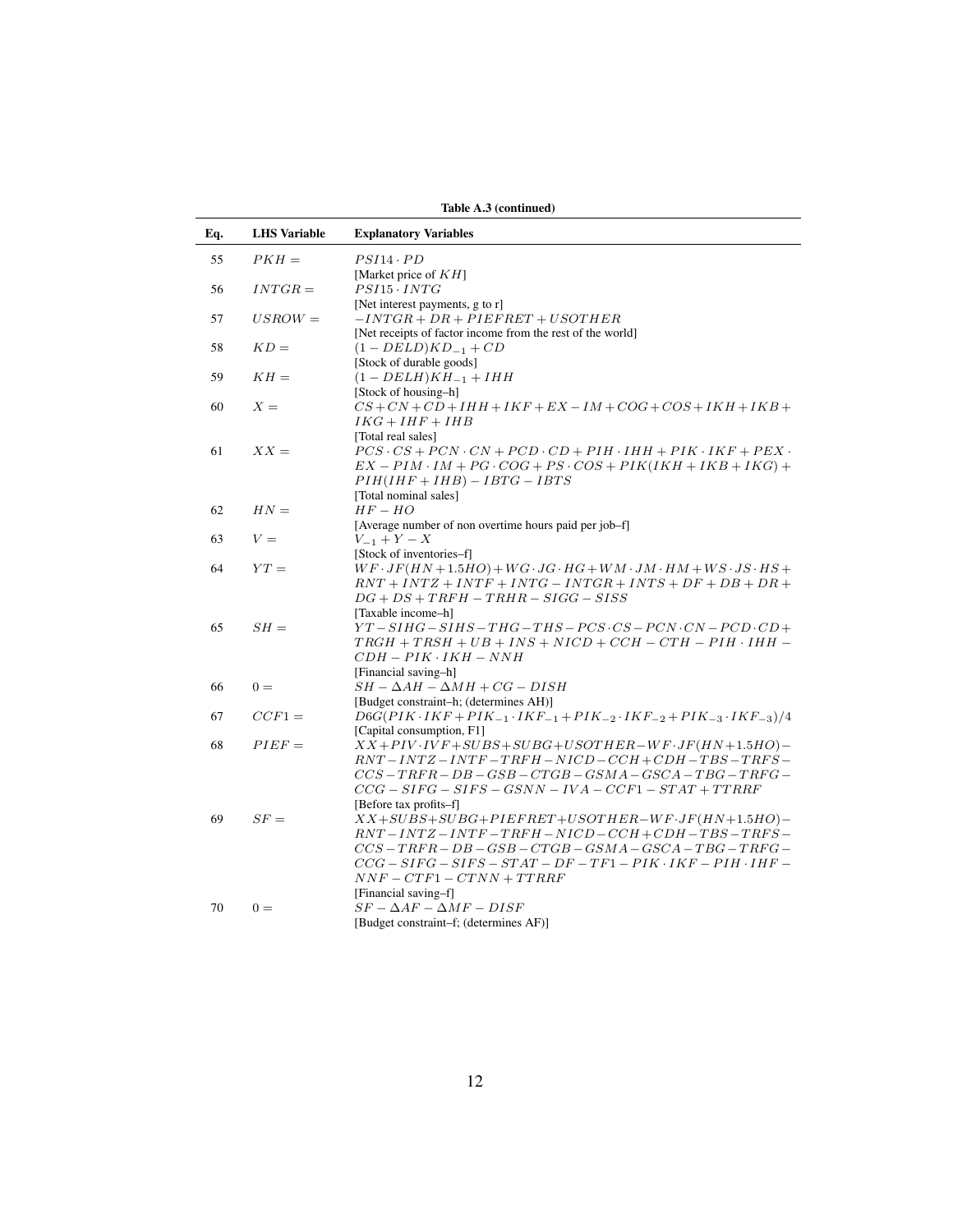|     |                     | Table A.3 (continued)                                                                                |
|-----|---------------------|------------------------------------------------------------------------------------------------------|
| Eq. | <b>LHS</b> Variable | <b>Explanatory Variables</b>                                                                         |
| 55  | $PKH =$             | $PSI14 \cdot PD$                                                                                     |
|     |                     | [Market price of $KH$ ]                                                                              |
| 56  | $INTGR =$           | $PSI15 \cdot INTG$                                                                                   |
|     |                     | [Net interest payments, $g$ to $r$ ]                                                                 |
| 57  | $USROW =$           | $-INTGR + DR + PIEFFRET + USOTHER$                                                                   |
|     |                     | [Net receipts of factor income from the rest of the world]                                           |
| 58  | $KD =$              | $(1 - DELD)KD_{-1} + CD$                                                                             |
|     |                     | [Stock of durable goods]                                                                             |
| 59  | $KH=$               | $(1 - DELH)KH_{-1} + IHH$                                                                            |
|     |                     | [Stock of housing-h]                                                                                 |
| 60  | $X =$               | $CS + CN + CD + IHH + IKF + EX - IM + COG + COS + IKH + IKB +$                                       |
|     |                     | $IKG + IHF + IHB$                                                                                    |
|     |                     | [Total real sales]                                                                                   |
| 61  | $XX =$              | $PCS \cdot CS + PCN \cdot CN + PCD \cdot CD + PH \cdot IHH + PIK \cdot IKF + PEX \cdot$              |
|     |                     | $EX-PIM$ · $IM+PG \cdot COG+PS \cdot COS+PIK (IKH+IKB+IKG) +$                                        |
|     |                     | $PIH(IHF + IHB) - IBTG - IBTS$                                                                       |
|     |                     | [Total nominal sales]                                                                                |
| 62  | $HN =$              | $HF-HO$                                                                                              |
|     |                     | [Average number of non overtime hours paid per job-f]                                                |
| 63  | $V =$               | $V_{-1} + Y - X$                                                                                     |
|     |                     | [Stock of inventories-f]                                                                             |
| 64  | $YT =$              | $WF \cdot JF(HN+1.5HO) + WG \cdot JG \cdot HG + WM \cdot JM \cdot HM + WS \cdot JS \cdot HS +$       |
|     |                     | $\label{eq:1} RNT + INTZ + INTF + INTG - INTGR + INTS + DF + DB + DR +$                              |
|     |                     | $DG + DS + TRFH - TRHR - SIGG - SISS$                                                                |
|     |                     | [Taxable income-h]                                                                                   |
| 65  | $SH =$              | $YT-SHIG-SIHS-THG-THS-PCS \cdot CS-PCN \cdot CN-PCD \cdot CD+$                                       |
|     |                     | $TRGH + TRSH + UB + INS + NICD + CCH - CTH - PH \cdot IHH -$                                         |
|     |                     | $CDH-PIK\cdot IKH-NNH$                                                                               |
|     |                     | [Financial saving-h]                                                                                 |
| 66  | $0 =$               | $SH - \Delta AH - \Delta MH + CG - DISH$                                                             |
|     |                     | [Budget constraint-h; (determines AH)]                                                               |
| 67  | $CCF1 =$            | $D6G(PIK \cdot IKF + PIK_{-1} \cdot IKF_{-1} + PIK_{-2} \cdot IKF_{-2} + PIK_{-3} \cdot IKF_{-3})/4$ |
|     |                     | [Capital consumption, F1]                                                                            |
| 68  | $PIEF =$            | $XX+PIV\cdot IVF+SUBS+SUBG+USOTHER-WF\cdot JF(HN+1.5HO)$                                             |
|     |                     | $RNT - INTZ - INTF - TRFH - NICD - CCH + CDH - TBS - TRFS -$                                         |
|     |                     | $CCS-TRFR-DB-GSB-CTGB-GSMA-GSCA-TBG-TRFG-$                                                           |
|     |                     | $CCG-SIFG-SIFS-GSNN-IVA-CCF1-STAT+TTRRF$                                                             |
|     |                     | [Before tax profits-f]                                                                               |
| 69  | $SF =$              | $XX+SUBS+SUBG+PIEFRET+USOTHER-WF\cdot JF(HN+1.5HO)$                                                  |
|     |                     | $RNT - INTZ - INTF - TRFH - NICD - CCH + CDH - TBS - TRFS -$                                         |
|     |                     | $CCS-TRFR-DB-GSB-CTGB-GSMA-GSCA-TBG-TRFG-$                                                           |
|     |                     | $CCG-SIFG-SIFS-TAT-DF-TF1-PIK \cdot IKF-PIH \cdot IHF-$                                              |
|     |                     | $NNF - CTF1 - C TNN + TTRRF$                                                                         |
|     |                     | [Financial saving-f]                                                                                 |
| 70  | $0 =$               | $SF - \Delta AF - \Delta MF - DISF$                                                                  |
|     |                     | [Budget constraint–f; (determines AF)]                                                               |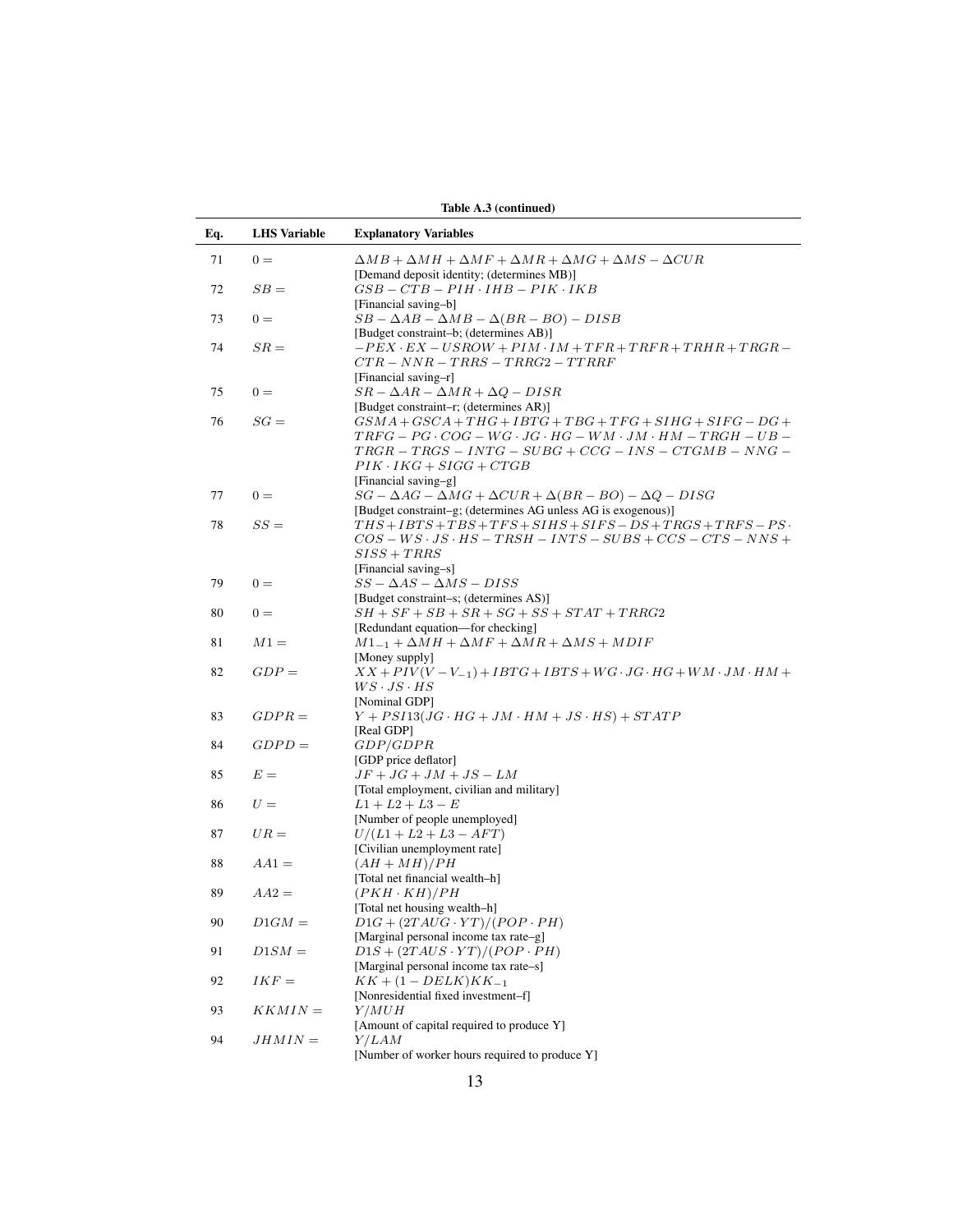|     | Table A.3 (continued) |                                                                                                                                         |  |  |  |  |  |  |  |
|-----|-----------------------|-----------------------------------------------------------------------------------------------------------------------------------------|--|--|--|--|--|--|--|
| Eq. | <b>LHS</b> Variable   | <b>Explanatory Variables</b>                                                                                                            |  |  |  |  |  |  |  |
| 71  | $0 =$                 | $\Delta MB + \Delta MH + \Delta MF + \Delta MR + \Delta MG + \Delta MS - \Delta CUR$                                                    |  |  |  |  |  |  |  |
|     |                       | [Demand deposit identity; (determines MB)]                                                                                              |  |  |  |  |  |  |  |
| 72  | $SB =$                | $GSB - CTB - PIH \cdot IHB - PIK \cdot IKB$                                                                                             |  |  |  |  |  |  |  |
|     |                       | [Financial saving-b]                                                                                                                    |  |  |  |  |  |  |  |
| 73  | $0 =$                 | $SB - \Delta AB - \Delta MB - \Delta(BR - BO) - DISB$                                                                                   |  |  |  |  |  |  |  |
|     |                       | [Budget constraint-b; (determines AB)]                                                                                                  |  |  |  |  |  |  |  |
| 74  | $SR =$                | $-PEX \cdot EX - USROW + PIM \cdot IM + TFR + TRFR + TRHR + TRGR -$                                                                     |  |  |  |  |  |  |  |
|     |                       | $CTR - NNR - TRRS - TRRG2 - TTRRF$                                                                                                      |  |  |  |  |  |  |  |
|     |                       | [Financial saving-r]                                                                                                                    |  |  |  |  |  |  |  |
| 75  | $0 =$                 | $SR - \Delta AR - \Delta MR + \Delta Q - DISR$                                                                                          |  |  |  |  |  |  |  |
|     |                       | [Budget constraint-r; (determines AR)]                                                                                                  |  |  |  |  |  |  |  |
| 76  | $SG =$                | $GSMA + GSCA + THG + IBTG + TBG + TFG + SIHG + SIFG - DG +$                                                                             |  |  |  |  |  |  |  |
|     |                       | $TRFG-PG \cdot COG-WG \cdot JG \cdot HG-WM \cdot JM \cdot HM-TRGH-UB-$                                                                  |  |  |  |  |  |  |  |
|     |                       | $TRGR - TRGS - INTG - SUBG + CCG - INS - CTGMB - NNG -$                                                                                 |  |  |  |  |  |  |  |
|     |                       | $PIK \cdot IKG + SIGG + CTGB$                                                                                                           |  |  |  |  |  |  |  |
|     |                       | [Financial saving-g]                                                                                                                    |  |  |  |  |  |  |  |
| 77  | $0 =$                 | $SG - \Delta AG - \Delta MG + \Delta CUR + \Delta (BR - BO) - \Delta Q - DISG$                                                          |  |  |  |  |  |  |  |
|     | $SS =$                | [Budget constraint-g; (determines AG unless AG is exogenous)]                                                                           |  |  |  |  |  |  |  |
| 78  |                       | $THS + IBTS + TBS + TFS + SIHS + SIFS - DS + TRGS + TRFS - PS$<br>$COS - WS \cdot JS \cdot HS - TRSH - INTS - SUBS + CCS - CTS - NNS +$ |  |  |  |  |  |  |  |
|     |                       | $SISS + TRRS$                                                                                                                           |  |  |  |  |  |  |  |
|     |                       | [Financial saving-s]                                                                                                                    |  |  |  |  |  |  |  |
| 79  | $0 =$                 | $SS - \Delta AS - \Delta MS - DISS$                                                                                                     |  |  |  |  |  |  |  |
|     |                       | [Budget constraint-s; (determines AS)]                                                                                                  |  |  |  |  |  |  |  |
| 80  | $0 =$                 | $SH + SF + SB + SR + SG + SS + STAT + TRRG2$                                                                                            |  |  |  |  |  |  |  |
|     |                       | [Redundant equation—for checking]                                                                                                       |  |  |  |  |  |  |  |
| 81  | $M1 =$                | $M1_{-1} + \Delta M H + \Delta M F + \Delta M R + \Delta M S + M D I F$                                                                 |  |  |  |  |  |  |  |
|     |                       | [Money supply]                                                                                                                          |  |  |  |  |  |  |  |
| 82  | $GDP =$               | $XX + PIV(V - V_{-1}) + IBTG + IBTS + WG \cdot JG \cdot HG + WM \cdot JM \cdot HM +$                                                    |  |  |  |  |  |  |  |
|     |                       | $WS \cdot JS \cdot HS$                                                                                                                  |  |  |  |  |  |  |  |
|     |                       | [Nominal GDP]                                                                                                                           |  |  |  |  |  |  |  |
| 83  | $GDPR =$              | $Y + PSI13(JG \cdot HG + JM \cdot HM + JS \cdot HS) + STATE$                                                                            |  |  |  |  |  |  |  |
|     |                       | [Real GDP]                                                                                                                              |  |  |  |  |  |  |  |
| 84  | $GDPD =$              | <i>GDP/GDPR</i>                                                                                                                         |  |  |  |  |  |  |  |
|     |                       | [GDP price deflator]                                                                                                                    |  |  |  |  |  |  |  |
| 85  | $E =$                 | $JF+JG+JM+JS-LM$                                                                                                                        |  |  |  |  |  |  |  |
|     |                       | [Total employment, civilian and military]                                                                                               |  |  |  |  |  |  |  |
| 86  | $U =$                 | $L1 + L2 + L3 - E$                                                                                                                      |  |  |  |  |  |  |  |
|     |                       | [Number of people unemployed]                                                                                                           |  |  |  |  |  |  |  |
| 87  | $UR =$                | $U/(L1 + L2 + L3 - AFT)$                                                                                                                |  |  |  |  |  |  |  |
| 88  | $AA1 =$               | [Civilian unemployment rate]<br>$(AH+MH)/PH$                                                                                            |  |  |  |  |  |  |  |
|     |                       | [Total net financial wealth-h]                                                                                                          |  |  |  |  |  |  |  |
| 89  | $AA2 =$               | $(PKH \cdot KH)/PH$                                                                                                                     |  |  |  |  |  |  |  |
|     |                       | [Total net housing wealth-h]                                                                                                            |  |  |  |  |  |  |  |
| 90  | $D1GM =$              | $D1G + (2TAUG \cdot \overline{YT})/(POP \cdot PH)$                                                                                      |  |  |  |  |  |  |  |
|     |                       | [Marginal personal income tax rate-g]                                                                                                   |  |  |  |  |  |  |  |
| 91  | $D1SM =$              | $D1S + (2TAUS \cdot YT)/(POP \cdot PH)$                                                                                                 |  |  |  |  |  |  |  |
|     |                       | [Marginal personal income tax rate-s]                                                                                                   |  |  |  |  |  |  |  |
| 92  | $IKF =$               | $KK + (1 - DELK)KK_{-1}$                                                                                                                |  |  |  |  |  |  |  |
|     |                       | [Nonresidential fixed investment-f]                                                                                                     |  |  |  |  |  |  |  |
| 93  | $KKMIN =$             | Y/MUH                                                                                                                                   |  |  |  |  |  |  |  |
|     |                       | [Amount of capital required to produce Y]                                                                                               |  |  |  |  |  |  |  |
| 94  | $JHMIN =$             | <i>Y/LAM</i>                                                                                                                            |  |  |  |  |  |  |  |
|     |                       | [Number of worker hours required to produce Y]                                                                                          |  |  |  |  |  |  |  |
|     |                       |                                                                                                                                         |  |  |  |  |  |  |  |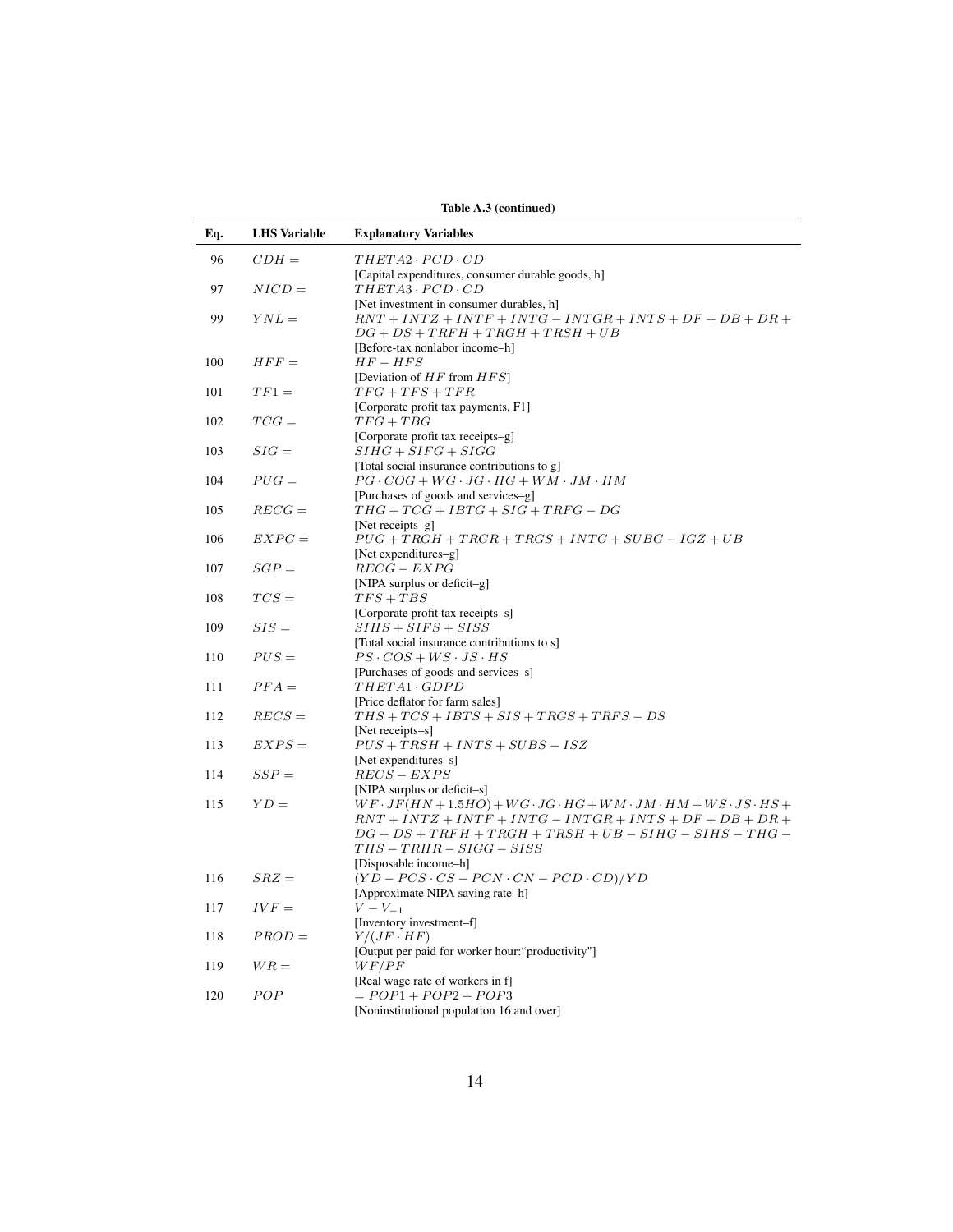|     |                     | Table A.3 (continued)                                                                                                                                                                                                                                     |
|-----|---------------------|-----------------------------------------------------------------------------------------------------------------------------------------------------------------------------------------------------------------------------------------------------------|
| Eq. | <b>LHS</b> Variable | <b>Explanatory Variables</b>                                                                                                                                                                                                                              |
| 96  | $CDH =$             | $THETA2 \cdot PCD \cdot CD$                                                                                                                                                                                                                               |
| 97  | $NICD =$            | [Capital expenditures, consumer durable goods, h]<br>$THETA3 \cdot PCD \cdot CD$                                                                                                                                                                          |
| 99  | $YNL =$             | [Net investment in consumer durables, h]<br>$RNT + INTZ + INTF + INTG - INTGR + INTS + DF + DB + DR +$<br>$DG + DS + TRFH + TRGH + TRSH + UB$                                                                                                             |
| 100 | $HFF =$             | [Before-tax nonlabor income-h]<br>$HF-HFS$<br>[Deviation of $HF$ from $HFS$ ]                                                                                                                                                                             |
| 101 | $TF1 =$             | $TFG + TFS + TFR$                                                                                                                                                                                                                                         |
| 102 | $TCG =$             | [Corporate profit tax payments, F1]<br>$TFG + TBG$<br>[Corporate profit tax receipts-g]                                                                                                                                                                   |
| 103 | $SIG =$             | $SHFG + SIFG + SIGG$<br>[Total social insurance contributions to g]                                                                                                                                                                                       |
| 104 | $PUG =$             | $PG \cdot COG + WG \cdot JG \cdot HG + WM \cdot JM \cdot HM$                                                                                                                                                                                              |
| 105 | $REG =$             | [Purchases of goods and services-g]<br>$THG + TCG + IBTG + SIG + TRFG - DG$<br>[Net receipts-g]                                                                                                                                                           |
| 106 | $EXPG =$            | $PUG + TRGH + TRGR + TRGS + INTG + SUBG - IGZ + UB$                                                                                                                                                                                                       |
| 107 | $SGP =$             | [Net expenditures-g]<br>$REG - EXPG$<br>[NIPA surplus or deficit-g]                                                                                                                                                                                       |
| 108 | $TCS =$             | $TFS + TBS$                                                                                                                                                                                                                                               |
| 109 | $SIS =$             | [Corporate profit tax receipts-s]<br>$SIHS + SIFS + SISS$                                                                                                                                                                                                 |
| 110 | $PUS =$             | [Total social insurance contributions to s]<br>$PS \cdot COS + WS \cdot JS \cdot HS$                                                                                                                                                                      |
| 111 | $PFA=$              | [Purchases of goods and services-s]<br>THETA1 · GDPD                                                                                                                                                                                                      |
| 112 | $RECS =$            | [Price deflator for farm sales]<br>$THS + TCS + IBTS + SIS + TRGS + TRFS - DS$<br>[Net receipts-s]                                                                                                                                                        |
| 113 | $EXPS =$            | $PUS + TRSH + INTS + SUBS - ISZ$<br>[Net expenditures-s]                                                                                                                                                                                                  |
| 114 | $SSP =$             | $RECS - EXPS$<br>[NIPA surplus or deficit-s]                                                                                                                                                                                                              |
| 115 | $YD =$              | $WF \cdot JF(HN + 1.5HO) + WG \cdot JG \cdot HG + WM \cdot JM \cdot HM + WS \cdot JS \cdot HS +$<br>$RNT + INTZ + INTF + INTG - INTGR + INTS + DF + DB + DR +$<br>$DG + DS + TRFH + TRGH + TRSH + UB - SHHG - SIHS - THG -$<br>$THS - TRHR - SIGG - SISS$ |
|     |                     | [Disposable income-h]                                                                                                                                                                                                                                     |
| 116 | $SRZ =$             | $(YD - PCs \cdot CS - PCN \cdot CN - PCD \cdot CD)/YD$<br>[Approximate NIPA saving rate-h]                                                                                                                                                                |
| 117 | $IVF =$             | $V - V_{-1}$<br>[Inventory investment-f]                                                                                                                                                                                                                  |
| 118 | $PROD =$            | $Y/(JF \cdot HF)$                                                                                                                                                                                                                                         |
| 119 | $WR =$              | [Output per paid for worker hour:"productivity"]<br>WF/PF                                                                                                                                                                                                 |
| 120 | POP                 | [Real wage rate of workers in f]<br>$= POP1 + POP2 + POP3$<br>[Noninstitutional population 16 and over]                                                                                                                                                   |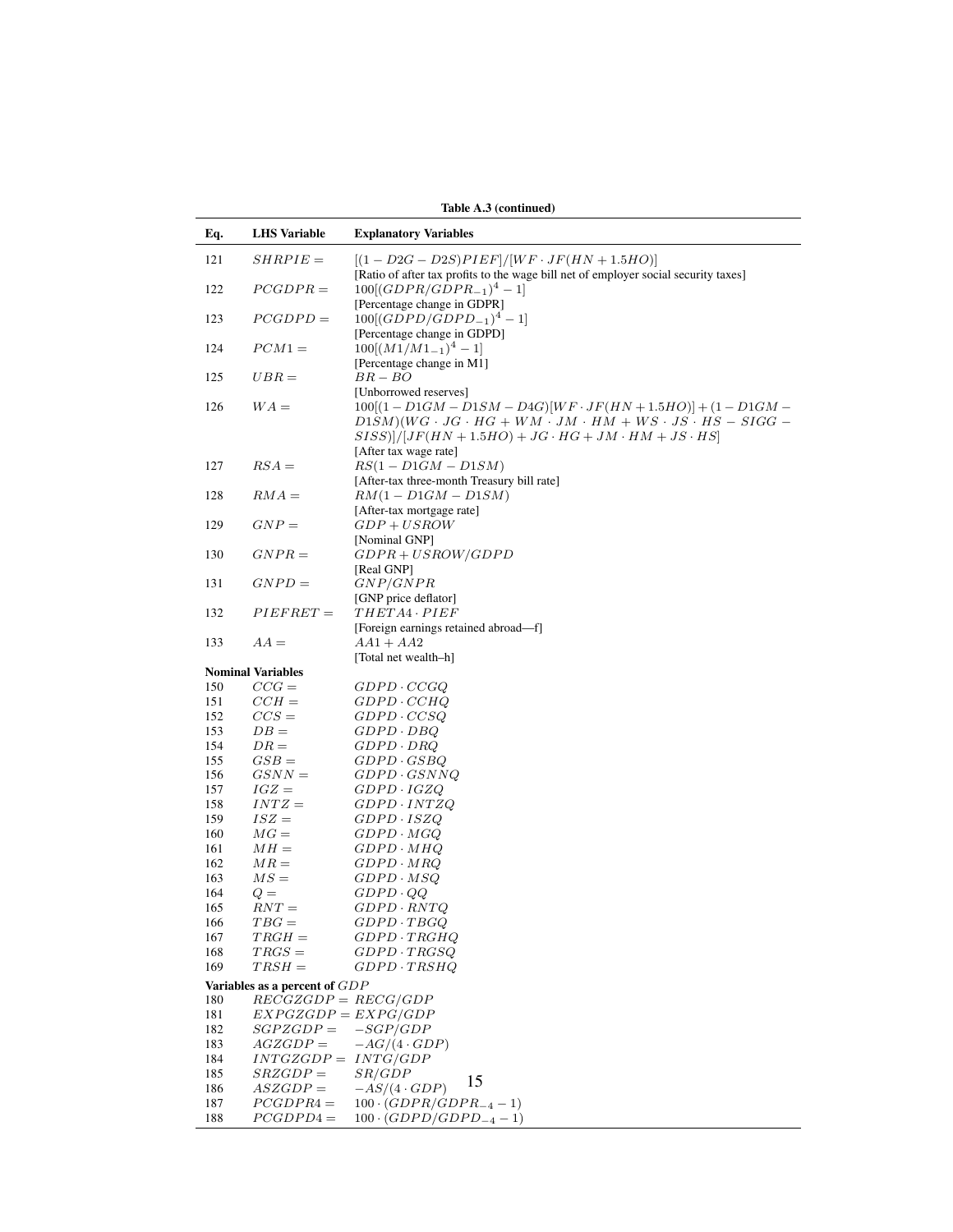|     | Table A.3 (continued)                                                                                                                                           |                                                                                                                                                                                                                                                      |  |  |  |  |  |  |
|-----|-----------------------------------------------------------------------------------------------------------------------------------------------------------------|------------------------------------------------------------------------------------------------------------------------------------------------------------------------------------------------------------------------------------------------------|--|--|--|--|--|--|
| Eq. | <b>LHS</b> Variable                                                                                                                                             | <b>Explanatory Variables</b>                                                                                                                                                                                                                         |  |  |  |  |  |  |
| 121 | $SHRPIE =$                                                                                                                                                      | $[(1 - D2G - D2S)PIEF]/[WF \cdot JF(HN + 1.5HO)]$<br>[Ratio of after tax profits to the wage bill net of employer social security taxes]                                                                                                             |  |  |  |  |  |  |
| 122 | $PCGDPR =$                                                                                                                                                      | $100[(GDPR/GDPR_{-1})^4-1]$<br>[Percentage change in GDPR]                                                                                                                                                                                           |  |  |  |  |  |  |
| 123 | $PCGDPD =$                                                                                                                                                      | $100[(GDPD/GDPD_{-1})^4-1]$<br>[Percentage change in GDPD]                                                                                                                                                                                           |  |  |  |  |  |  |
| 124 | $PCM1 =$                                                                                                                                                        | $100[(M1/M1_{-1})^4 - 1]$<br>[Percentage change in M1]                                                                                                                                                                                               |  |  |  |  |  |  |
| 125 | $UBR =$                                                                                                                                                         | $BR-BO$                                                                                                                                                                                                                                              |  |  |  |  |  |  |
| 126 | $WA =$                                                                                                                                                          | [Unborrowed reserves]<br>$100[(1-D1GM-D1SM-D4G)[WF \cdot JF(HN+1.5HO)] + (1-D1GM -$<br>$D1SM)(WG \cdot JG \cdot HG + WM \cdot JM \cdot HM + WS \cdot JS \cdot HS - SIGG -$<br>$SISS$ ]]/[ $JF(HN+1.5HO) + JG \cdot HG + JM \cdot HM + JS \cdot HS$ ] |  |  |  |  |  |  |
| 127 | $RSA =$                                                                                                                                                         | [After tax wage rate]<br>$RS(1-D1GM-D1SM)$<br>[After-tax three-month Treasury bill rate]                                                                                                                                                             |  |  |  |  |  |  |
| 128 | $RMA =$                                                                                                                                                         | $RM(1-D1GM-D1SM)$<br>[After-tax mortgage rate]                                                                                                                                                                                                       |  |  |  |  |  |  |
| 129 | $GNP =$                                                                                                                                                         | $GDP + USROW$<br>[Nominal GNP]                                                                                                                                                                                                                       |  |  |  |  |  |  |
| 130 | $GNPR =$                                                                                                                                                        | $GDPR + USROW/GDPD$<br>[Real GNP]                                                                                                                                                                                                                    |  |  |  |  |  |  |
| 131 | $GNPD =$                                                                                                                                                        | GNP/GNPR<br>[GNP price deflator]                                                                                                                                                                                                                     |  |  |  |  |  |  |
| 132 | $PIEFRET =$                                                                                                                                                     | $THETA4 \cdot PIEF$<br>[Foreign earnings retained abroad-f]                                                                                                                                                                                          |  |  |  |  |  |  |
| 133 | $AA =$                                                                                                                                                          | $AA1 + AA2$<br>[Total net wealth-h]                                                                                                                                                                                                                  |  |  |  |  |  |  |
|     | <b>Nominal Variables</b>                                                                                                                                        |                                                                                                                                                                                                                                                      |  |  |  |  |  |  |
| 150 | $CCG =$                                                                                                                                                         | $GDPD \cdot CCGQ$                                                                                                                                                                                                                                    |  |  |  |  |  |  |
| 151 | $CCH =$                                                                                                                                                         | $GDPD \cdot CCHQ$                                                                                                                                                                                                                                    |  |  |  |  |  |  |
| 152 | $CCS =$                                                                                                                                                         | $GDPD \cdot CCSQ$                                                                                                                                                                                                                                    |  |  |  |  |  |  |
| 153 | $DB =$                                                                                                                                                          | $GDPD \cdot DBQ$                                                                                                                                                                                                                                     |  |  |  |  |  |  |
| 154 | $DR =$                                                                                                                                                          | $GDPD \cdot DRQ$                                                                                                                                                                                                                                     |  |  |  |  |  |  |
| 155 | $GSB =$                                                                                                                                                         | $GDPD \cdot GSBQ$                                                                                                                                                                                                                                    |  |  |  |  |  |  |
| 156 | $GSNN =$                                                                                                                                                        | $GDPD \cdot GSNNQ$                                                                                                                                                                                                                                   |  |  |  |  |  |  |
| 157 | $IGZ =$                                                                                                                                                         | GDPD · IGZQ                                                                                                                                                                                                                                          |  |  |  |  |  |  |
| 158 | $INTZ =$                                                                                                                                                        | $GDPD \cdot INTZQ$                                                                                                                                                                                                                                   |  |  |  |  |  |  |
| 159 | $ISZ =$                                                                                                                                                         | $GDPD \cdot ISZQ$                                                                                                                                                                                                                                    |  |  |  |  |  |  |
| 160 | $MG =$                                                                                                                                                          | $GDPD \cdot MGQ$                                                                                                                                                                                                                                     |  |  |  |  |  |  |
| 161 | $MH =$                                                                                                                                                          | GDPD · MHQ                                                                                                                                                                                                                                           |  |  |  |  |  |  |
| 162 | $MR =$                                                                                                                                                          | $GDPD \cdot MRQ$                                                                                                                                                                                                                                     |  |  |  |  |  |  |
| 163 | $MS =$                                                                                                                                                          | GDPD · MSQ                                                                                                                                                                                                                                           |  |  |  |  |  |  |
| 164 | $Q =$                                                                                                                                                           | $GDPD\cdot QQ$                                                                                                                                                                                                                                       |  |  |  |  |  |  |
| 165 | $RNT =$                                                                                                                                                         | $GDPD \cdot RNTQ$                                                                                                                                                                                                                                    |  |  |  |  |  |  |
| 166 | $TBG =$                                                                                                                                                         | $GDPD \cdot TBGQ$                                                                                                                                                                                                                                    |  |  |  |  |  |  |
| 167 | $TRGH =$                                                                                                                                                        | $GDPD \cdot TRGHQ$                                                                                                                                                                                                                                   |  |  |  |  |  |  |
| 168 | $TRGS =$                                                                                                                                                        | $GDPD \cdot TRGSO$                                                                                                                                                                                                                                   |  |  |  |  |  |  |
| 169 | $TRSH =$                                                                                                                                                        | $GDPD \cdot TRSHQ$                                                                                                                                                                                                                                   |  |  |  |  |  |  |
|     | Variables as a percent of GDP                                                                                                                                   |                                                                                                                                                                                                                                                      |  |  |  |  |  |  |
| 180 | $RECGZGDP = RECG/GDP$                                                                                                                                           |                                                                                                                                                                                                                                                      |  |  |  |  |  |  |
| 181 | $EXPGZGDP = EXPG/GDP$                                                                                                                                           |                                                                                                                                                                                                                                                      |  |  |  |  |  |  |
| 182 | $SGPZGDP =$                                                                                                                                                     | $-SGP/GDP$                                                                                                                                                                                                                                           |  |  |  |  |  |  |
| 183 | $AGZGDP =$                                                                                                                                                      | $-AG/(4 \cdot GDP)$                                                                                                                                                                                                                                  |  |  |  |  |  |  |
| 184 | $INTGZGDP =$                                                                                                                                                    | INTG/GDP                                                                                                                                                                                                                                             |  |  |  |  |  |  |
| 185 | $SRZGDP = % \begin{cases} \sum_{i=1}^n \Pr\left[\frac{1}{n} \right] & \leq n \leq n, \\ \sum_{i=1}^n \Pr\left[\frac{1}{n} \right] & \leq n \leq n. \end{cases}$ | SR/GDP                                                                                                                                                                                                                                               |  |  |  |  |  |  |
| 186 | $ASZGDP =$                                                                                                                                                      | 15<br>$-AS/(4 \cdot GDP)$                                                                                                                                                                                                                            |  |  |  |  |  |  |
| 187 | $PCGDPR4 =$                                                                                                                                                     | $100 \cdot (GDPR/GDPR_{-4} - 1)$                                                                                                                                                                                                                     |  |  |  |  |  |  |
| 188 | $PCGDPD4 =$                                                                                                                                                     | $100 \cdot (GDPD/GDPD_{-4} - 1)$                                                                                                                                                                                                                     |  |  |  |  |  |  |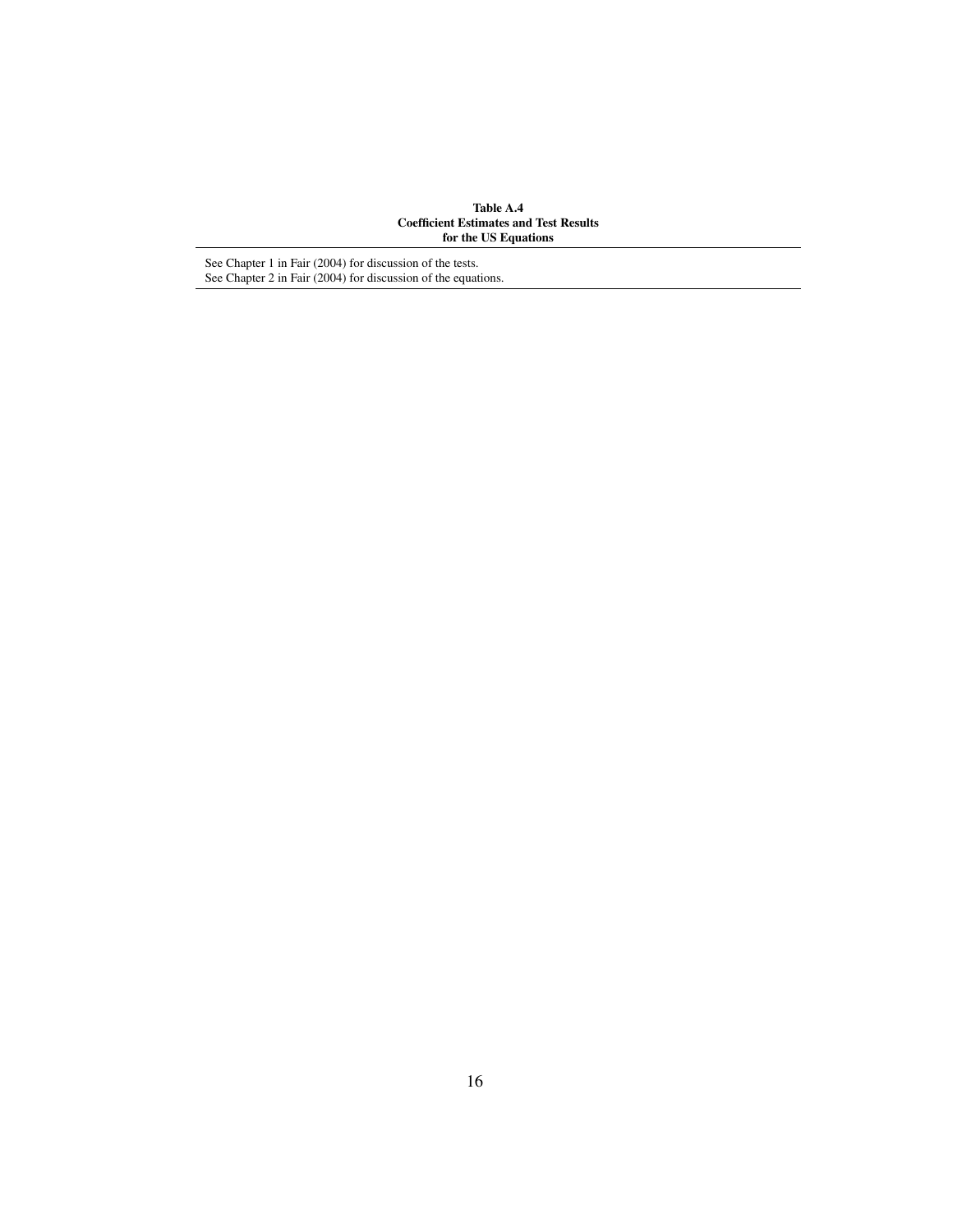Table A.4 Coefficient Estimates and Test Results for the US Equations

See Chapter 1 in Fair (2004) for discussion of the tests. See Chapter 2 in Fair (2004) for discussion of the equations.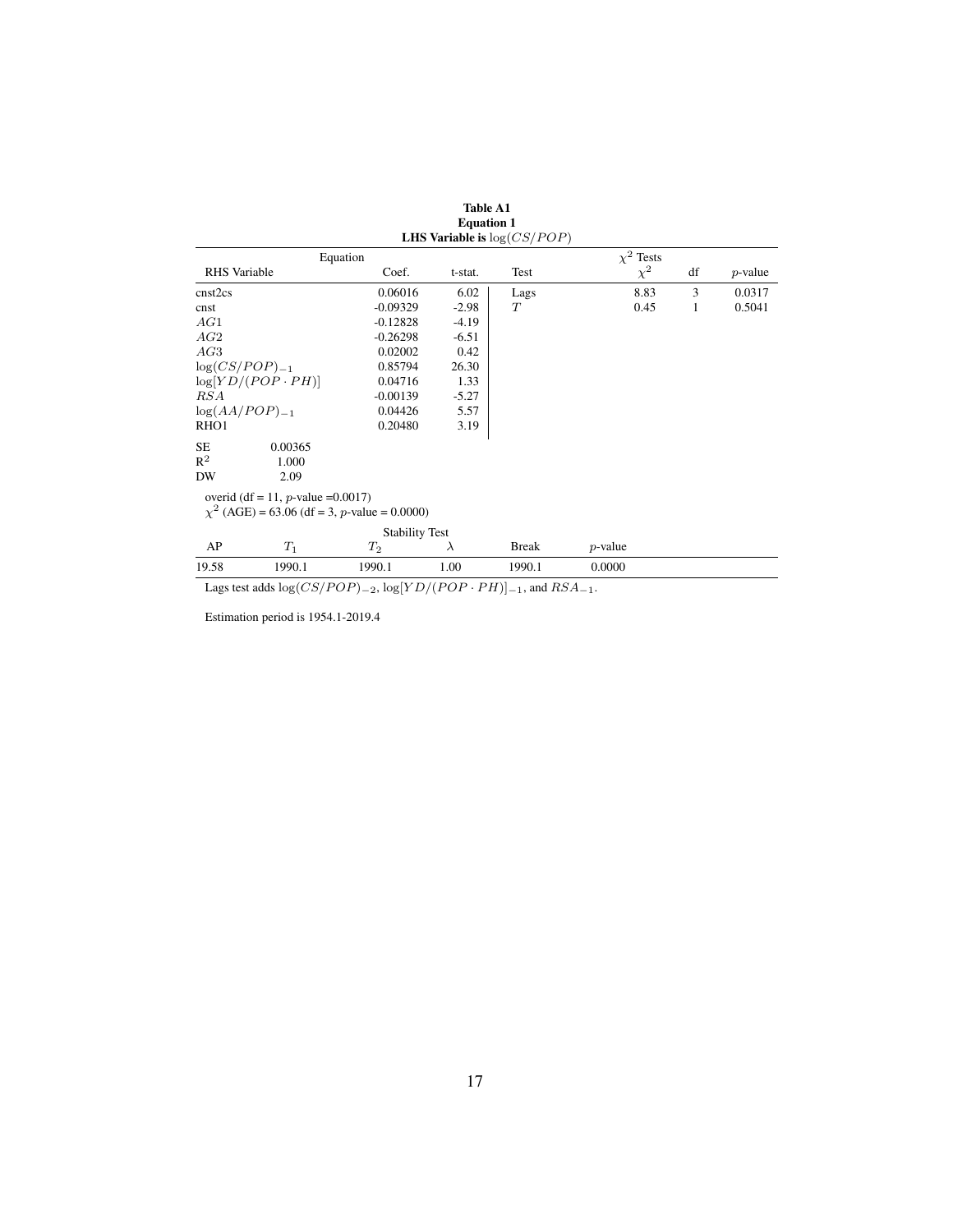| <b>RHS</b> Variable | Coef.                    | t-stat.                                           | Test                                                                       | $\chi^2$   | df                                                      | $p$ -value |
|---------------------|--------------------------|---------------------------------------------------|----------------------------------------------------------------------------|------------|---------------------------------------------------------|------------|
|                     | 0.06016                  | 6.02                                              | Lags                                                                       | 8.83       | 3                                                       | 0.0317     |
|                     | $-0.09329$               | $-2.98$                                           | T                                                                          | 0.45       | 1                                                       | 0.5041     |
|                     | $-0.12828$               | $-4.19$                                           |                                                                            |            |                                                         |            |
|                     | $-0.26298$               | $-6.51$                                           |                                                                            |            |                                                         |            |
|                     | 0.02002                  | 0.42                                              |                                                                            |            |                                                         |            |
| $log(CS/POP)_{-1}$  | 0.85794                  | 26.30                                             |                                                                            |            |                                                         |            |
|                     | 0.04716                  | 1.33                                              |                                                                            |            |                                                         |            |
|                     | $-0.00139$               | $-5.27$                                           |                                                                            |            |                                                         |            |
| $log(AA/POP)_{-1}$  | 0.04426                  | 5.57                                              |                                                                            |            |                                                         |            |
|                     | 0.20480                  | 3.19                                              |                                                                            |            |                                                         |            |
| 0.00365             |                          |                                                   |                                                                            |            |                                                         |            |
| 1.000               |                          |                                                   |                                                                            |            |                                                         |            |
| 2.09                |                          |                                                   |                                                                            |            |                                                         |            |
|                     |                          |                                                   |                                                                            |            |                                                         |            |
|                     |                          |                                                   |                                                                            |            |                                                         |            |
|                     |                          |                                                   |                                                                            |            |                                                         |            |
| $T_1$               | $T_2$                    | $\lambda$                                         | <b>Break</b>                                                               | $p$ -value |                                                         |            |
| 1990.1              | 1990.1                   | 1.00                                              | 1990.1                                                                     | 0.0000     |                                                         |            |
|                     | $log[YD/(POP \cdot PH)]$ | Equation<br>overid (df = 11, p-value = $0.0017$ ) | $\chi^2$ (AGE) = 63.06 (df = 3, p-value = 0.0000)<br><b>Stability Test</b> |            | <b>LHS Variable is </b> $log(CS/POP)$<br>$\chi^2$ Tests |            |

Table A1 Equation 1

Lags test adds  $\log(CS/POP)_{-2}$ ,  $\log[YD/(POP\cdot PH)]_{-1}$ , and  $RSA_{-1}$ .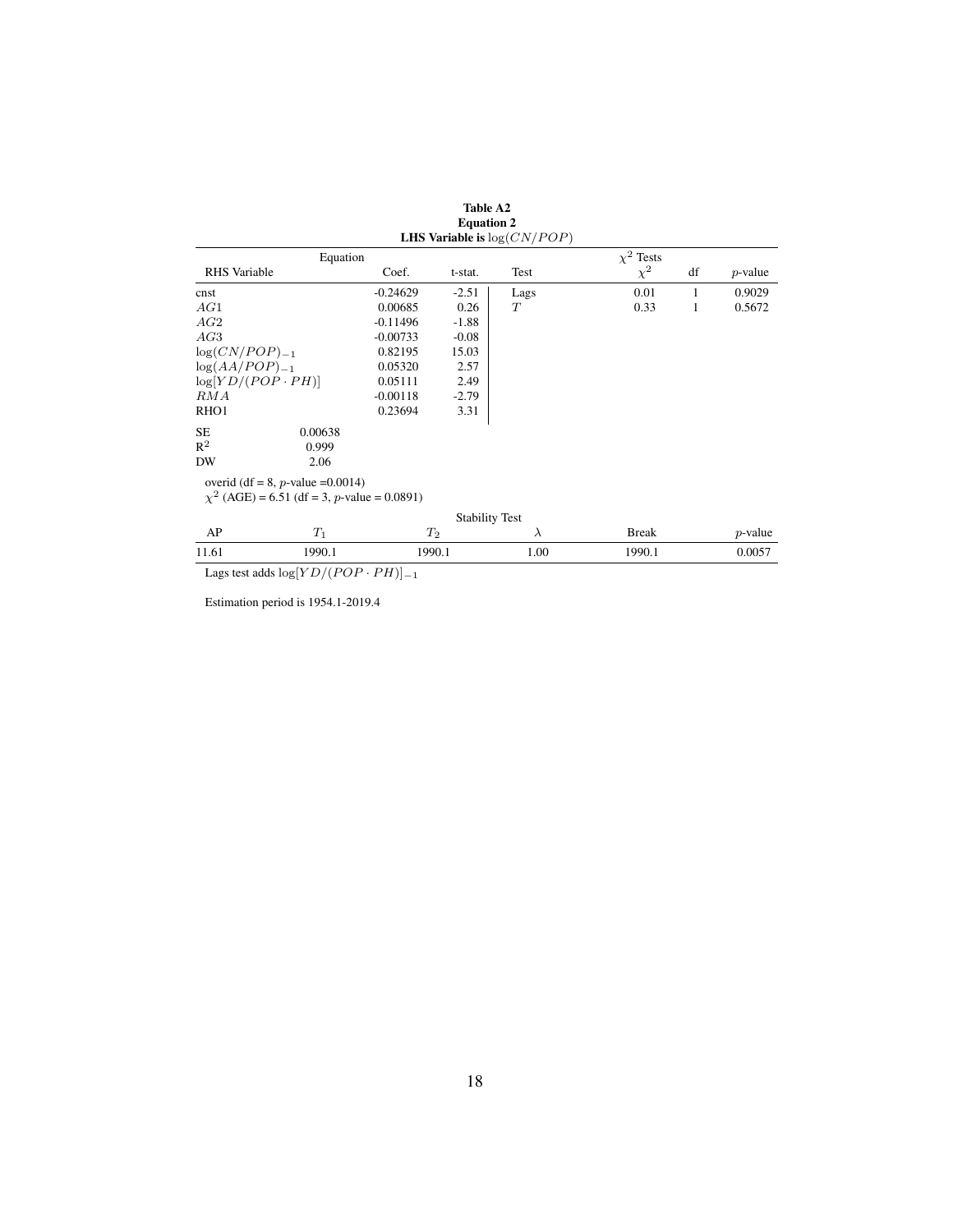|                          |                                                  |            |                       | <b>LHS Variable is</b> $log(CN/POP)$ |                |    |            |
|--------------------------|--------------------------------------------------|------------|-----------------------|--------------------------------------|----------------|----|------------|
|                          | Equation                                         |            |                       |                                      | $\chi^2$ Tests |    |            |
| RHS Variable             |                                                  | Coef.      | t-stat.               | Test                                 | $\chi^2$       | df | $p$ -value |
| cnst                     |                                                  | $-0.24629$ | $-2.51$               | Lags                                 | 0.01           | 1  | 0.9029     |
| AG1                      |                                                  | 0.00685    | 0.26                  | T                                    | 0.33           | 1  | 0.5672     |
| AG2                      |                                                  | $-0.11496$ | $-1.88$               |                                      |                |    |            |
| AG3                      |                                                  | $-0.00733$ | $-0.08$               |                                      |                |    |            |
| $log(CN/POP)_{-1}$       |                                                  | 0.82195    | 15.03                 |                                      |                |    |            |
| $log(AA/POP)_{-1}$       |                                                  | 0.05320    | 2.57                  |                                      |                |    |            |
| $log[YD/(POP \cdot PH)]$ |                                                  | 0.05111    | 2.49                  |                                      |                |    |            |
| RMA                      |                                                  | $-0.00118$ | $-2.79$               |                                      |                |    |            |
| RHO <sub>1</sub>         |                                                  | 0.23694    | 3.31                  |                                      |                |    |            |
| SE                       | 0.00638                                          |            |                       |                                      |                |    |            |
| $R^2$                    | 0.999                                            |            |                       |                                      |                |    |            |
| DW                       | 2.06                                             |            |                       |                                      |                |    |            |
|                          | overid (df = 8, p-value = $0.0014$ )             |            |                       |                                      |                |    |            |
|                          | $\chi^2$ (AGE) = 6.51 (df = 3, p-value = 0.0891) |            |                       |                                      |                |    |            |
|                          |                                                  |            | <b>Stability Test</b> |                                      |                |    |            |
| AP                       | $T_1$                                            | $T_2$      |                       | $\lambda$                            | <b>Break</b>   |    | $p$ -value |
| 11.61                    | 1990.1                                           | 1990.1     |                       | 1.00                                 | 1990.1         |    | 0.0057     |

Table A2 Equation 2

Lags test adds log[ $YD/(POP\cdot PH) ]_{-1}$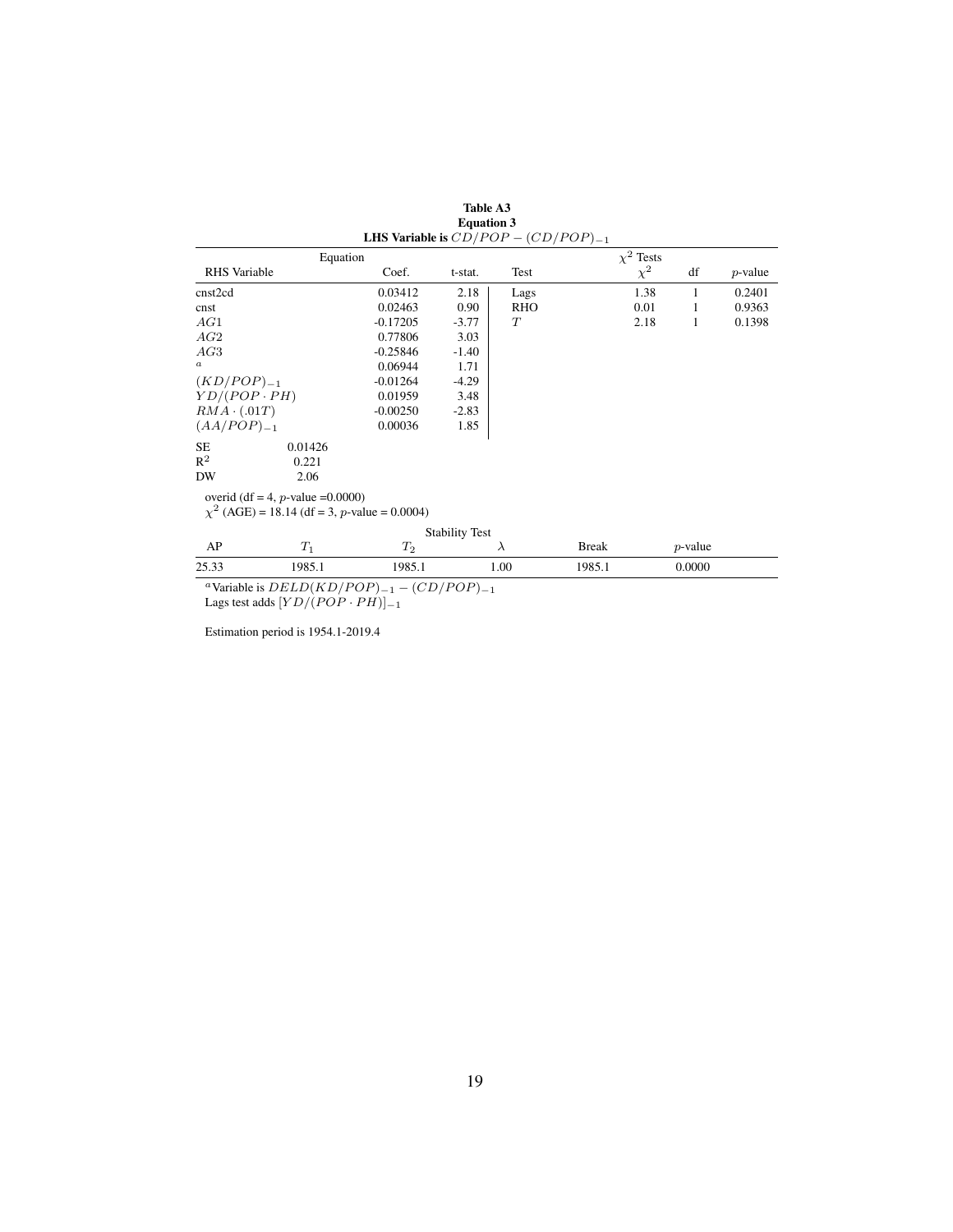|                                                                                           | LHS Variable is $CD/POP - (CD/POP)_{-1}$ |                       |            |                |            |            |
|-------------------------------------------------------------------------------------------|------------------------------------------|-----------------------|------------|----------------|------------|------------|
| Equation                                                                                  |                                          |                       |            | $\chi^2$ Tests |            |            |
| <b>RHS</b> Variable                                                                       | Coef.                                    | t-stat.               | Test       | $\chi^2$       | df         | $p$ -value |
| cnst2cd                                                                                   | 0.03412                                  | 2.18                  | Lags       | 1.38           | 1          | 0.2401     |
| cnst                                                                                      | 0.02463                                  | 0.90                  | <b>RHO</b> | 0.01           | 1          | 0.9363     |
| AG1                                                                                       | $-0.17205$                               | $-3.77$               | T          | 2.18           | 1          | 0.1398     |
| AG2                                                                                       | 0.77806                                  | 3.03                  |            |                |            |            |
| AG3                                                                                       | $-0.25846$                               | $-1.40$               |            |                |            |            |
| $\boldsymbol{a}$                                                                          | 0.06944                                  | 1.71                  |            |                |            |            |
| $(KD/POP)_{-1}$                                                                           | $-0.01264$                               | $-4.29$               |            |                |            |            |
| $YD/(POP \cdot PH)$                                                                       | 0.01959                                  | 3.48                  |            |                |            |            |
| $RMA \cdot (.01T)$                                                                        | $-0.00250$                               | $-2.83$               |            |                |            |            |
| $(AA/POP)_{-1}$                                                                           | 0.00036                                  | 1.85                  |            |                |            |            |
| SE.<br>0.01426                                                                            |                                          |                       |            |                |            |            |
| $R^2$<br>0.221                                                                            |                                          |                       |            |                |            |            |
| DW<br>2.06                                                                                |                                          |                       |            |                |            |            |
| overid (df = 4, p-value = $0.0000$ )<br>$\chi^2$ (AGE) = 18.14 (df = 3, p-value = 0.0004) |                                          |                       |            |                |            |            |
|                                                                                           |                                          | <b>Stability Test</b> |            |                |            |            |
| AP<br>$T_1$                                                                               | $T_2$                                    |                       | λ          | <b>Break</b>   | $p$ -value |            |

Table A3 Equation 3

25.33 1985.1 1985.1 1.00 1985.1 0.0000 <sup>a</sup>Variable is  $DELD(KD/POP)_{-1} - (CD/POP)_{-1}$ 

Lags test adds  $[YD/(POP \cdot PH)]_{-1}$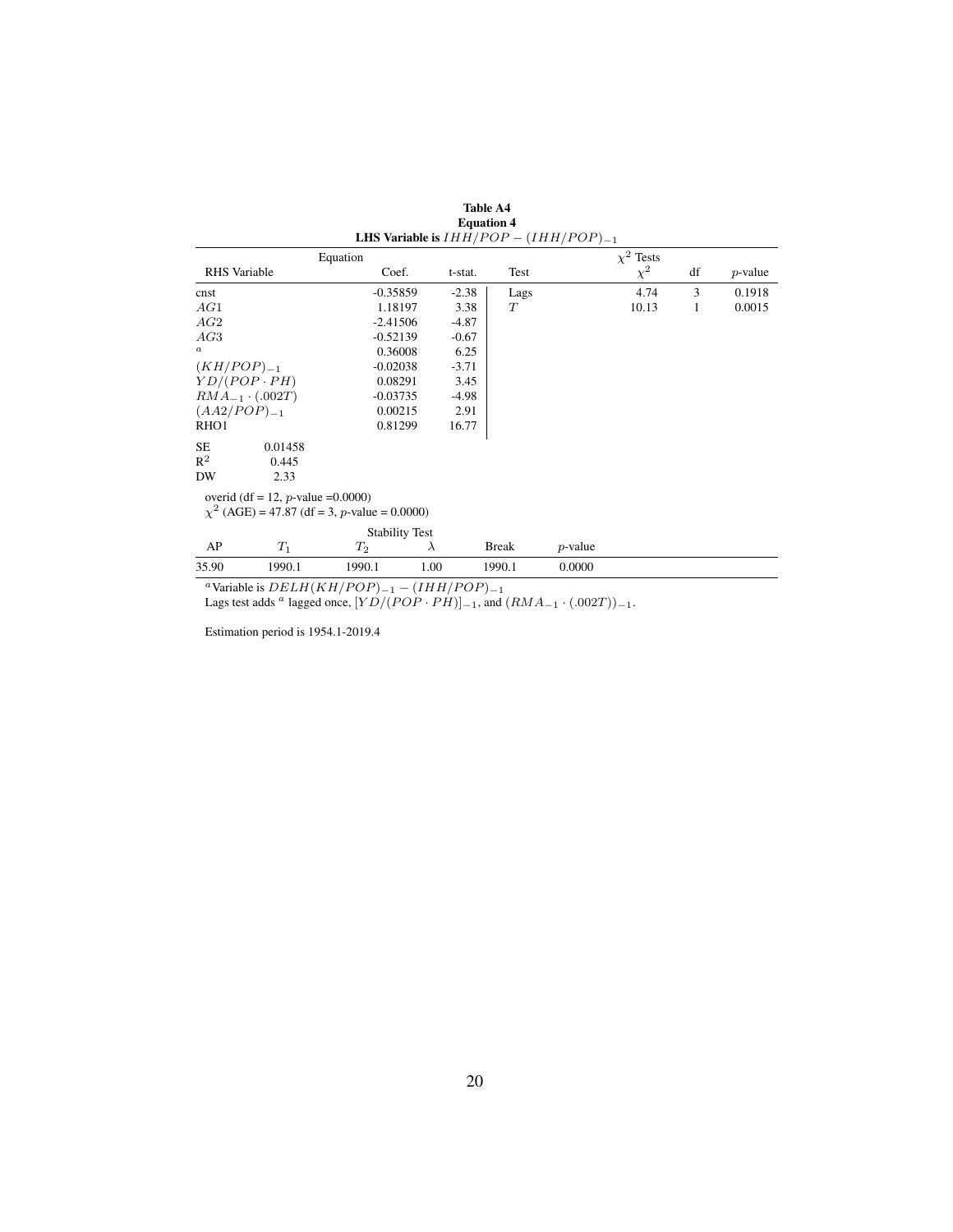| <b>RHS</b> Variable      |                  |                                                        |                                                                                                                                                                                                                  | Test                                              |                                             | $\chi^2$ | df                                                           | $p$ -value |
|--------------------------|------------------|--------------------------------------------------------|------------------------------------------------------------------------------------------------------------------------------------------------------------------------------------------------------------------|---------------------------------------------------|---------------------------------------------|----------|--------------------------------------------------------------|------------|
|                          |                  |                                                        |                                                                                                                                                                                                                  | Lags                                              |                                             | 4.74     | 3                                                            | 0.1918     |
|                          |                  |                                                        | 3.38                                                                                                                                                                                                             | T                                                 |                                             | 10.13    | 1                                                            | 0.0015     |
|                          |                  |                                                        |                                                                                                                                                                                                                  |                                                   |                                             |          |                                                              |            |
|                          |                  |                                                        | $-0.67$                                                                                                                                                                                                          |                                                   |                                             |          |                                                              |            |
|                          |                  |                                                        | 6.25                                                                                                                                                                                                             |                                                   |                                             |          |                                                              |            |
| $(KH/POP)_{-1}$          |                  |                                                        |                                                                                                                                                                                                                  |                                                   |                                             |          |                                                              |            |
| $YD/(POP \cdot PH)$      |                  |                                                        | 3.45                                                                                                                                                                                                             |                                                   |                                             |          |                                                              |            |
| $RMA_{-1} \cdot (.002T)$ |                  |                                                        | $-4.98$                                                                                                                                                                                                          |                                                   |                                             |          |                                                              |            |
|                          |                  |                                                        | 2.91                                                                                                                                                                                                             |                                                   |                                             |          |                                                              |            |
|                          |                  |                                                        |                                                                                                                                                                                                                  |                                                   |                                             |          |                                                              |            |
| 0.01458                  |                  |                                                        |                                                                                                                                                                                                                  |                                                   |                                             |          |                                                              |            |
| 0.445                    |                  |                                                        |                                                                                                                                                                                                                  |                                                   |                                             |          |                                                              |            |
| 2.33                     |                  |                                                        |                                                                                                                                                                                                                  |                                                   |                                             |          |                                                              |            |
|                          |                  |                                                        |                                                                                                                                                                                                                  |                                                   |                                             |          |                                                              |            |
|                          |                  |                                                        |                                                                                                                                                                                                                  |                                                   |                                             |          |                                                              |            |
|                          |                  |                                                        |                                                                                                                                                                                                                  |                                                   |                                             |          |                                                              |            |
| $T_1$                    | $T_2$            | $\lambda$                                              |                                                                                                                                                                                                                  |                                                   | $p$ -value                                  |          |                                                              |            |
| 1990.1                   | 1990.1           | 1.00                                                   |                                                                                                                                                                                                                  |                                                   | 0.0000                                      |          |                                                              |            |
|                          | $(AA2/POP)_{-1}$ | Equation<br>overid (df = 12, <i>p</i> -value = 0.0000) | Coef.<br>$-0.35859$<br>1.18197<br>$-2.41506$<br>$-0.52139$<br>0.36008<br>$-0.02038$<br>0.08291<br>$-0.03735$<br>0.00215<br>0.81299<br>$\chi^2$ (AGE) = 47.87 (df = 3, p-value = 0.0000)<br><b>Stability Test</b> | t-stat.<br>$-2.38$<br>$-4.87$<br>$-3.71$<br>16.77 | <b>Equation 4</b><br><b>Break</b><br>1990.1 |          | LHS Variable is $IHH/POP - (IHH/POP)_{-1}$<br>$\chi^2$ Tests |            |

<sup>a</sup>Variable is  $DELH(KH/POP)_{-1} - (IHH/POP)_{-1}$ 

Lags test adds <sup>a</sup> lagged once,  $[YD/(POP \cdot PH)]_{-1}$ , and  $(RMA_{-1} \cdot (.002T))_{-1}$ .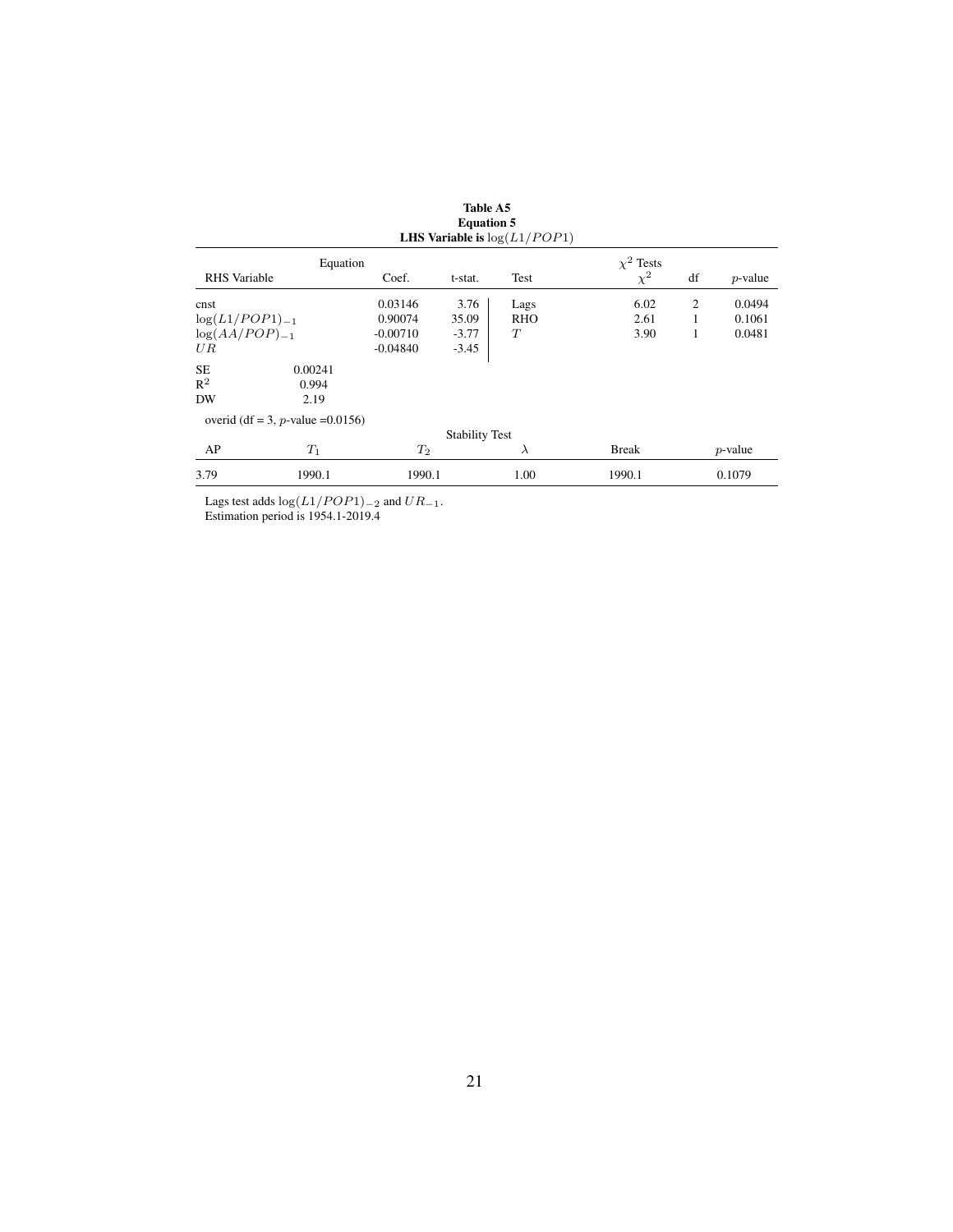|                     |                                      |            | вичаной э             | <b>LHS Variable is</b> $log(L1/POP1)$ |                |    |            |
|---------------------|--------------------------------------|------------|-----------------------|---------------------------------------|----------------|----|------------|
|                     | Equation                             |            |                       |                                       | $\chi^2$ Tests |    |            |
| <b>RHS</b> Variable |                                      | Coef.      | t-stat.               | Test                                  | $\chi^2$       | df | $p$ -value |
| cnst                |                                      | 0.03146    | 3.76                  | Lags                                  | 6.02           | 2  | 0.0494     |
| $log(L1/POP1)_{-1}$ |                                      | 0.90074    | 35.09                 | <b>RHO</b>                            | 2.61           |    | 0.1061     |
| $log(AA/POP)_{-1}$  |                                      | $-0.00710$ | $-3.77$               | T                                     | 3.90           | 1  | 0.0481     |
| UR                  |                                      | $-0.04840$ | $-3.45$               |                                       |                |    |            |
| SE.                 | 0.00241                              |            |                       |                                       |                |    |            |
| $\mathsf{R}^2$      | 0.994                                |            |                       |                                       |                |    |            |
| DW                  | 2.19                                 |            |                       |                                       |                |    |            |
|                     | overid (df = 3, p-value = $0.0156$ ) |            |                       |                                       |                |    |            |
|                     |                                      |            | <b>Stability Test</b> |                                       |                |    |            |
| AP                  | $T_1$                                | $T_2$      |                       | $\lambda$                             | <b>Break</b>   |    | $p$ -value |
| 3.79                | 1990.1                               | 1990.1     |                       | 1.00                                  | 1990.1         |    | 0.1079     |

Table A5 Equation 5

Lags test adds  $\log(L1/POP1)_{-2}$  and  $UR_{-1}$ . Estimation period is 1954.1-2019.4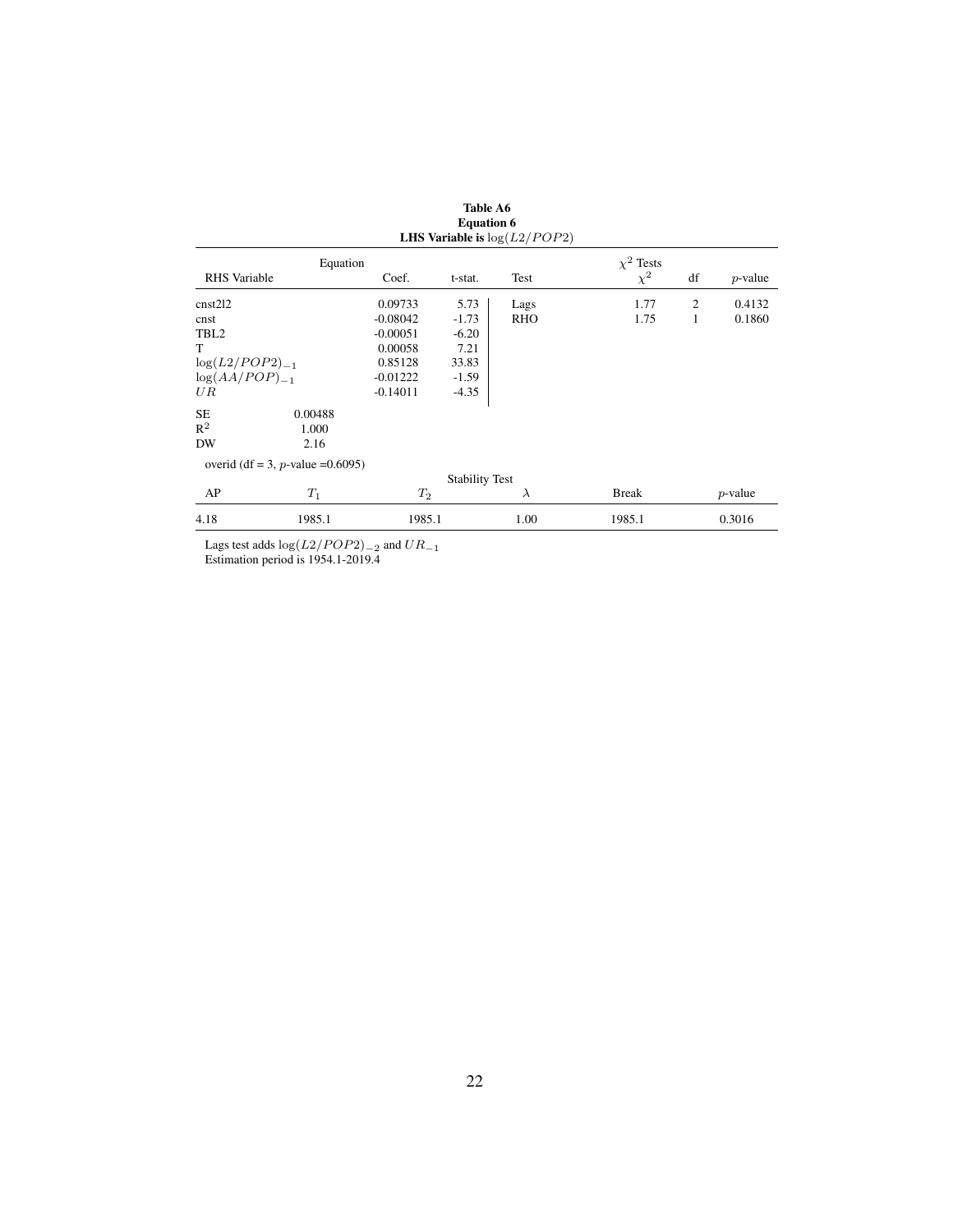|                     | едиации о<br>LHS Variable is $log(L2/POP2)$ |            |                       |            |                |    |            |  |  |  |  |
|---------------------|---------------------------------------------|------------|-----------------------|------------|----------------|----|------------|--|--|--|--|
|                     | Equation                                    |            |                       |            | $\chi^2$ Tests |    |            |  |  |  |  |
| RHS Variable        |                                             | Coef.      | t-stat.               | Test       | $\chi^2$       | df | $p$ -value |  |  |  |  |
| cnst212             |                                             | 0.09733    | 5.73                  | Lags       | 1.77           | 2  | 0.4132     |  |  |  |  |
| cnst                |                                             | $-0.08042$ | $-1.73$               | <b>RHO</b> | 1.75           | 1  | 0.1860     |  |  |  |  |
| TBL <sub>2</sub>    |                                             | $-0.00051$ | $-6.20$               |            |                |    |            |  |  |  |  |
| T                   |                                             | 0.00058    | 7.21                  |            |                |    |            |  |  |  |  |
| $log(L2/POP2)_{-1}$ |                                             | 0.85128    | 33.83                 |            |                |    |            |  |  |  |  |
| $log(AA/POP)_{-1}$  |                                             | $-0.01222$ | $-1.59$               |            |                |    |            |  |  |  |  |
| UR                  |                                             | $-0.14011$ | $-4.35$               |            |                |    |            |  |  |  |  |
| <b>SE</b>           | 0.00488                                     |            |                       |            |                |    |            |  |  |  |  |
| $R^2$               | 1.000                                       |            |                       |            |                |    |            |  |  |  |  |
| DW                  | 2.16                                        |            |                       |            |                |    |            |  |  |  |  |
|                     | overid (df = 3, p-value = $0.6095$ )        |            |                       |            |                |    |            |  |  |  |  |
|                     |                                             |            | <b>Stability Test</b> |            |                |    |            |  |  |  |  |
| AP                  | $T_1$                                       | $T_2$      |                       | $\lambda$  | <b>Break</b>   |    | $p$ -value |  |  |  |  |
| 4.18                | 1985.1                                      | 1985.1     |                       | 1.00       | 1985.1         |    | 0.3016     |  |  |  |  |

Table A6 Equation 6

Lags test adds  $\log(L2/POP2)_{-2}$  and  $UR_{-1}$ Estimation period is 1954.1-2019.4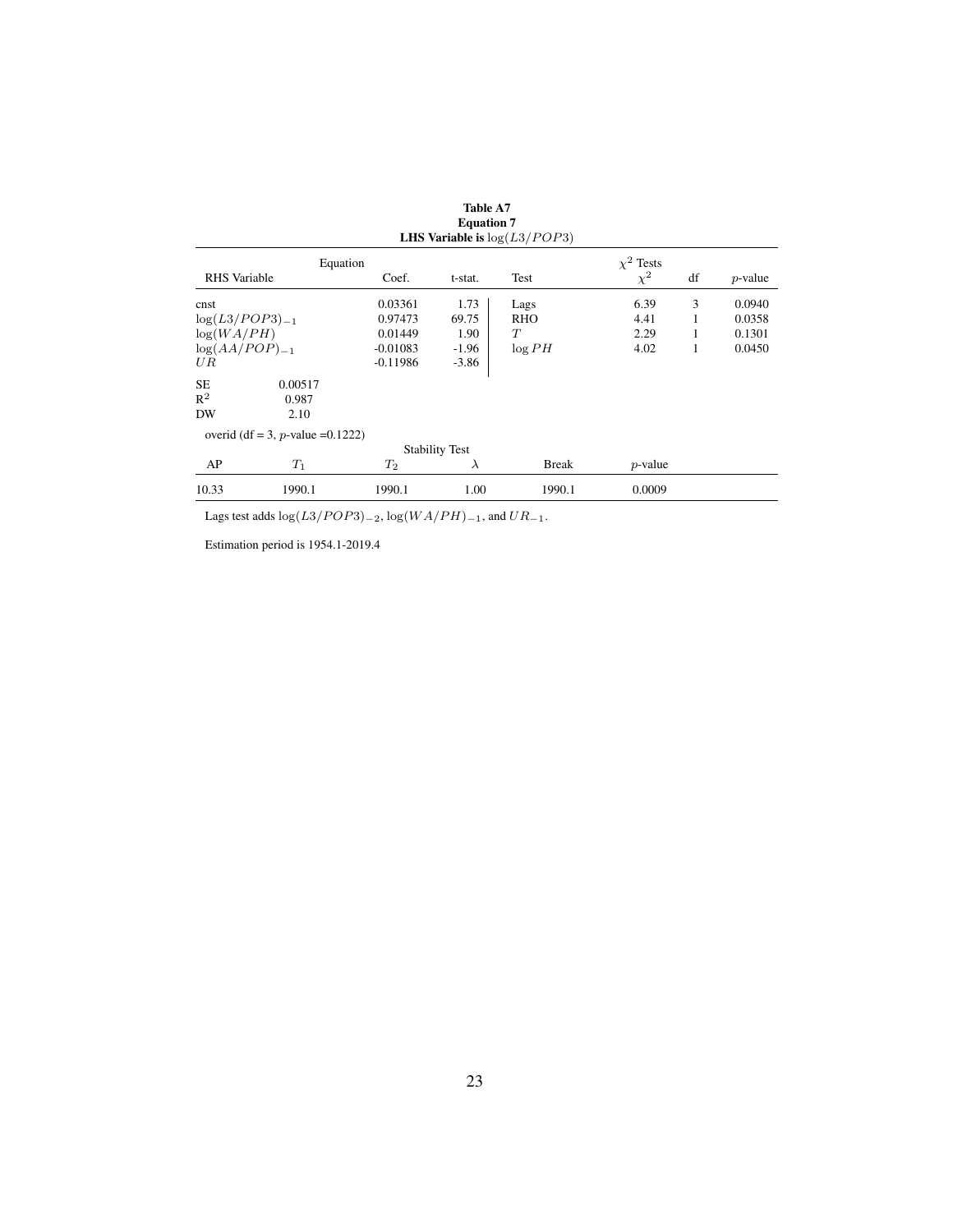|                     |                                      |            | <b>Equation 7</b>     | <b>LHS Variable is</b> $log(L3/POP3)$ |                |    |            |
|---------------------|--------------------------------------|------------|-----------------------|---------------------------------------|----------------|----|------------|
|                     | Equation                             |            |                       |                                       | $\chi^2$ Tests |    |            |
| <b>RHS</b> Variable |                                      | Coef.      | t-stat.               | Test                                  | $\chi^2$       | df | $p$ -value |
| cnst                |                                      | 0.03361    | 1.73                  | Lags                                  | 6.39           | 3  | 0.0940     |
| $log(L3/POP3)_{-1}$ |                                      | 0.97473    | 69.75                 | RHO                                   | 4.41           | 1  | 0.0358     |
| log(WA/PH)          |                                      | 0.01449    | 1.90                  | T                                     | 2.29           | 1  | 0.1301     |
| $log(AA/POP)_{-1}$  |                                      | $-0.01083$ | $-1.96$               | log PH                                | 4.02           | 1  | 0.0450     |
| UR                  |                                      | $-0.11986$ | $-3.86$               |                                       |                |    |            |
| <b>SE</b>           | 0.00517                              |            |                       |                                       |                |    |            |
| $R^2$               | 0.987                                |            |                       |                                       |                |    |            |
| DW                  | 2.10                                 |            |                       |                                       |                |    |            |
|                     | overid (df = 3, p-value = $0.1222$ ) |            |                       |                                       |                |    |            |
|                     |                                      |            | <b>Stability Test</b> |                                       |                |    |            |
| AP                  | $T_1$                                | $T_2$      | $\lambda$             | <b>Break</b>                          | $p$ -value     |    |            |
| 10.33               | 1990.1                               | 1990.1     | 1.00                  | 1990.1                                | 0.0009         |    |            |

Table A7 Equation 7

Lags test adds  $log(L3/POP3)_{-2}$ ,  $log(WA/PH)_{-1}$ , and  $UR_{-1}$ .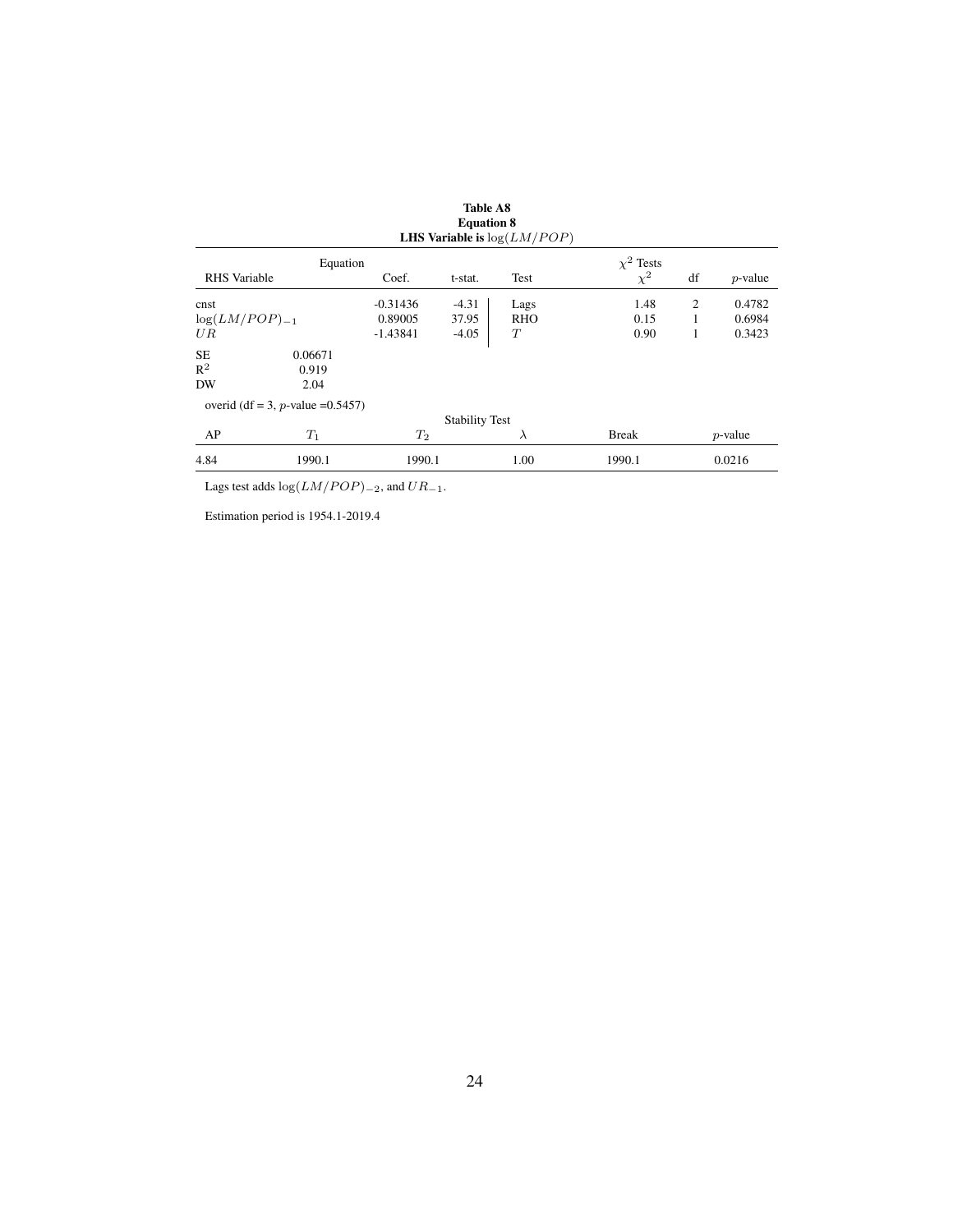|                     |                                      |            | <b>Equation 8</b>     | <b>LHS Variable is</b> $log(LM/POP)$ |                |    |            |
|---------------------|--------------------------------------|------------|-----------------------|--------------------------------------|----------------|----|------------|
|                     | Equation                             |            |                       |                                      | $\chi^2$ Tests |    |            |
| <b>RHS</b> Variable |                                      | Coef.      | t-stat.               | Test                                 | $\chi^2$       | df | $p$ -value |
| cnst                |                                      | $-0.31436$ | $-4.31$               | Lags                                 | 1.48           | 2  | 0.4782     |
| $log(LM/POP)_{-1}$  |                                      | 0.89005    | 37.95                 | <b>RHO</b>                           | 0.15           |    | 0.6984     |
| UR                  |                                      | $-1.43841$ | $-4.05$               | T                                    | 0.90           | 1  | 0.3423     |
| <b>SE</b>           | 0.06671                              |            |                       |                                      |                |    |            |
| $R^2$               | 0.919                                |            |                       |                                      |                |    |            |
| DW                  | 2.04                                 |            |                       |                                      |                |    |            |
|                     | overid (df = 3, p-value = $0.5457$ ) |            |                       |                                      |                |    |            |
|                     |                                      |            | <b>Stability Test</b> |                                      |                |    |            |
| AP                  | $T_1$                                | $T_2$      |                       | $\lambda$                            | <b>Break</b>   |    | $p$ -value |
| 4.84                | 1990.1                               | 1990.1     |                       | 1.00                                 | 1990.1         |    | 0.0216     |

Lags test adds  $log(LM/POP)_{-2}$ , and  $UR_{-1}$ .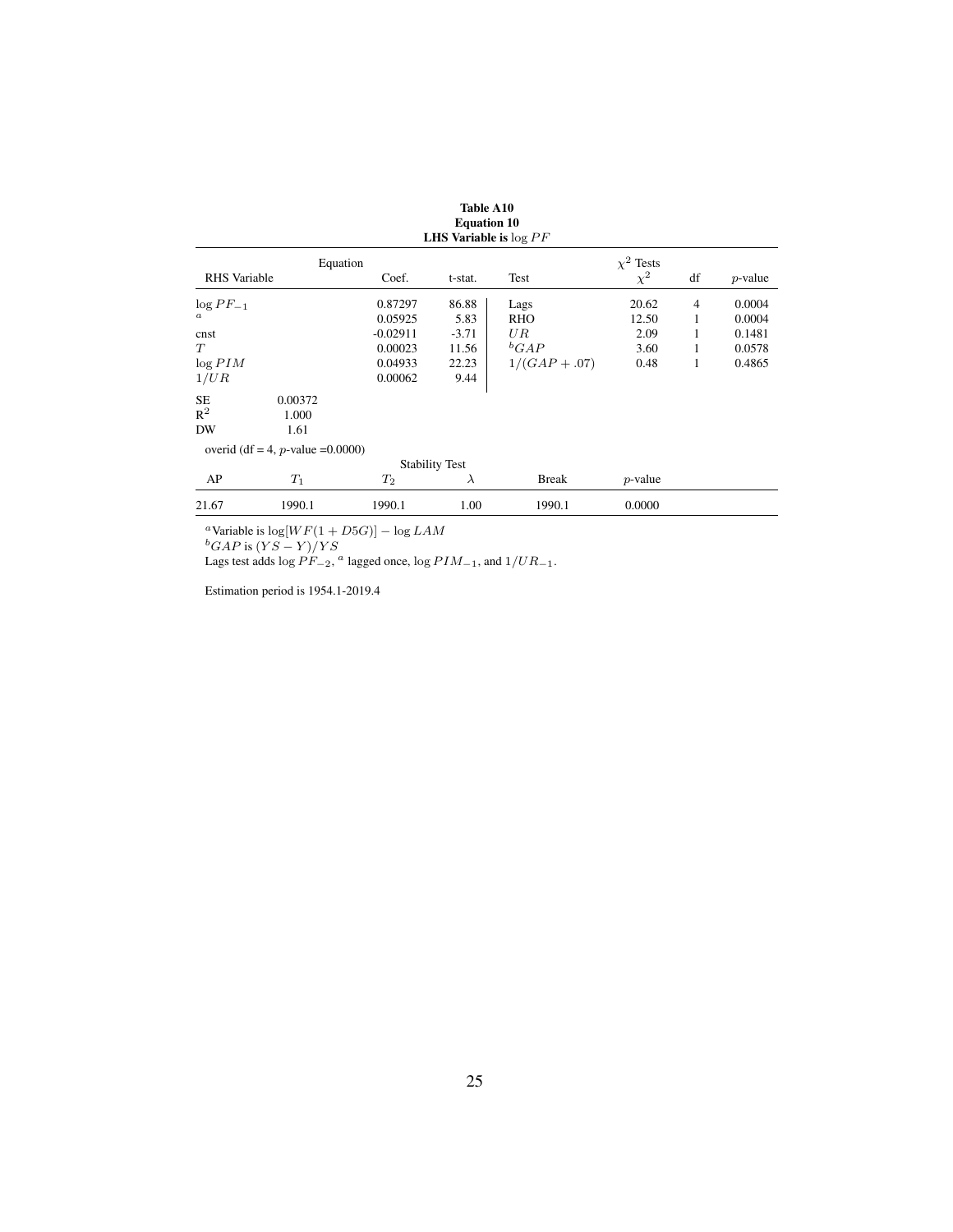|                     |                                      |                    | <b>LHS Variable is <math>\log PF</math></b> |                 |                |                |            |
|---------------------|--------------------------------------|--------------------|---------------------------------------------|-----------------|----------------|----------------|------------|
|                     | Equation                             |                    |                                             |                 | $\chi^2$ Tests |                |            |
| <b>RHS</b> Variable |                                      | Coef.              | t-stat.                                     | Test            | $\chi^2$       | df             | $p$ -value |
| $\log PF_{-1}$      |                                      | 0.87297            | 86.88                                       | Lags            | 20.62          | $\overline{4}$ | 0.0004     |
| $\boldsymbol{a}$    |                                      | 0.05925            | 5.83                                        | RHO             | 12.50          | 1              | 0.0004     |
| cnst                |                                      | $-0.02911$         | $-3.71$                                     | UR              | 2.09           | 1              | 0.1481     |
| T                   |                                      | 0.00023            | 11.56                                       | ${}^bGAP$       | 3.60           | 1              | 0.0578     |
| $\log PIM$          |                                      | 0.04933            | 22.23                                       | $1/(GAP + .07)$ | 0.48           | 1              | 0.4865     |
| 1/UR                |                                      | 0.00062            | 9.44                                        |                 |                |                |            |
| <b>SE</b>           | 0.00372                              |                    |                                             |                 |                |                |            |
| $R^2$               | 1.000                                |                    |                                             |                 |                |                |            |
| DW                  | 1.61                                 |                    |                                             |                 |                |                |            |
|                     | overid (df = 4, p-value = $0.0000$ ) |                    |                                             |                 |                |                |            |
|                     |                                      |                    | <b>Stability Test</b>                       |                 |                |                |            |
| AP                  | $T_1$                                | $\scriptstyle T_2$ | $\lambda$                                   | <b>Break</b>    | $p$ -value     |                |            |
| 21.67               | 1990.1                               | 1990.1             | 1.00                                        | 1990.1          | 0.0000         |                |            |

Table A10 Equation 10

<sup>a</sup>Variable is  $\log[WF(1 + D5G)] - \log LAM$ 

 ${}^{b}GAP$  is  $(YS - Y)/YS$ 

Lags test adds  $\log PF_{-2}$ , <sup>a</sup> lagged once,  $\log PIM_{-1}$ , and  $1/UR_{-1}$ .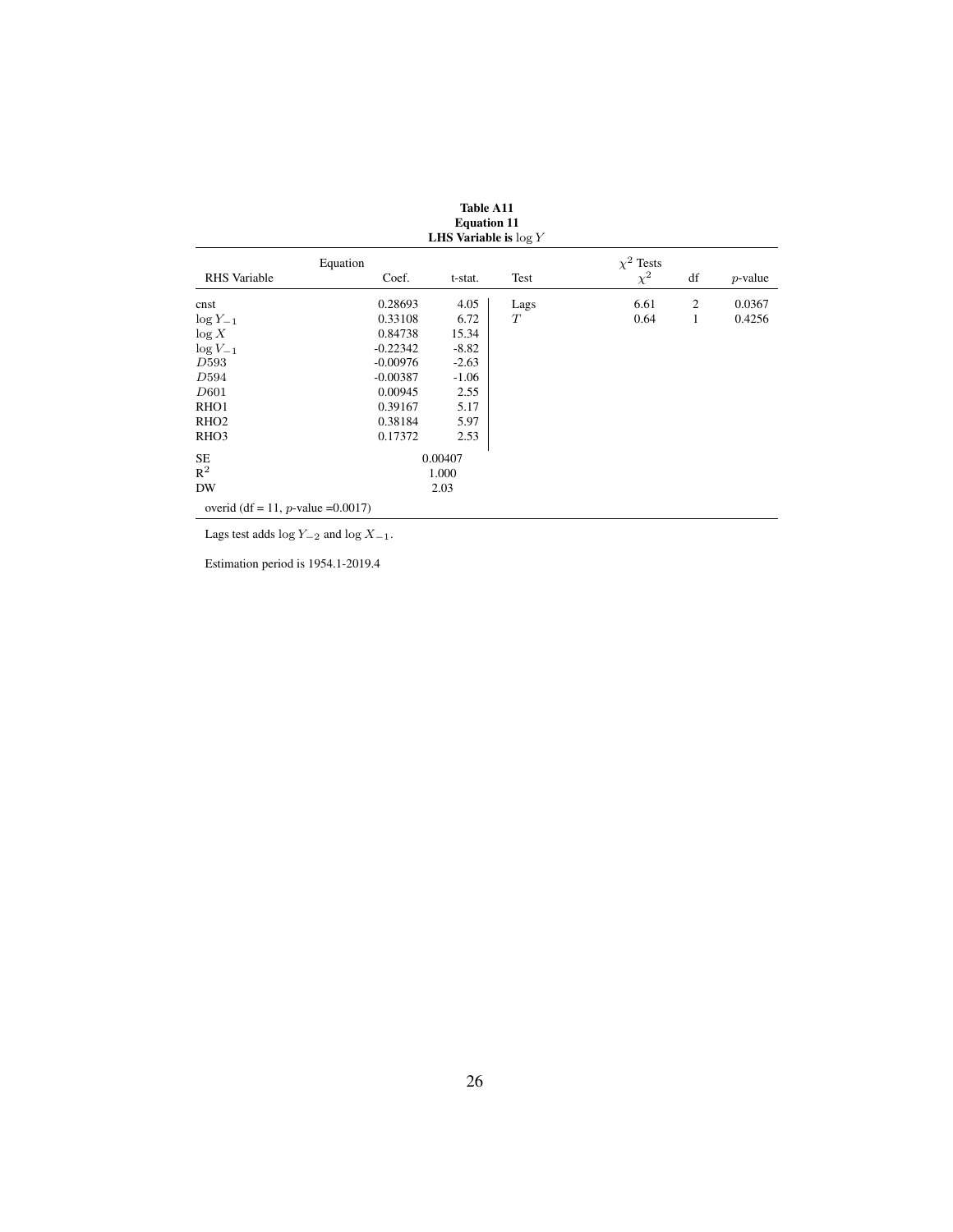|                                       | Lyuunvii 11<br><b>LHS Variable is <math>\log Y</math></b> |         |      |                            |    |            |  |  |
|---------------------------------------|-----------------------------------------------------------|---------|------|----------------------------|----|------------|--|--|
| <b>RHS</b> Variable                   | Equation<br>Coef.                                         | t-stat. | Test | $\chi^2$ Tests<br>$\chi^2$ | df | $p$ -value |  |  |
| cnst                                  | 0.28693                                                   | 4.05    | Lags | 6.61                       | 2  | 0.0367     |  |  |
| $log Y_{-1}$                          | 0.33108                                                   | 6.72    | T    | 0.64                       | 1  | 0.4256     |  |  |
| log X                                 | 0.84738                                                   | 15.34   |      |                            |    |            |  |  |
| $\log V_{-1}$                         | $-0.22342$                                                | $-8.82$ |      |                            |    |            |  |  |
| D593                                  | $-0.00976$                                                | $-2.63$ |      |                            |    |            |  |  |
| D594                                  | $-0.00387$                                                | $-1.06$ |      |                            |    |            |  |  |
| D601                                  | 0.00945                                                   | 2.55    |      |                            |    |            |  |  |
| RHO <sub>1</sub>                      | 0.39167                                                   | 5.17    |      |                            |    |            |  |  |
| RHO <sub>2</sub>                      | 0.38184                                                   | 5.97    |      |                            |    |            |  |  |
| RHO <sub>3</sub>                      | 0.17372                                                   | 2.53    |      |                            |    |            |  |  |
| SE.                                   |                                                           | 0.00407 |      |                            |    |            |  |  |
| $R^2$                                 |                                                           | 1.000   |      |                            |    |            |  |  |
| DW                                    |                                                           | 2.03    |      |                            |    |            |  |  |
| overid (df = 11, p-value = $0.0017$ ) |                                                           |         |      |                            |    |            |  |  |

| <b>Table A11</b>             |  |
|------------------------------|--|
| <b>Equation 11</b>           |  |
| <b>LITE Voutable to last</b> |  |

Lags test adds  $\log Y_{-2}$  and  $\log X_{-1}$ .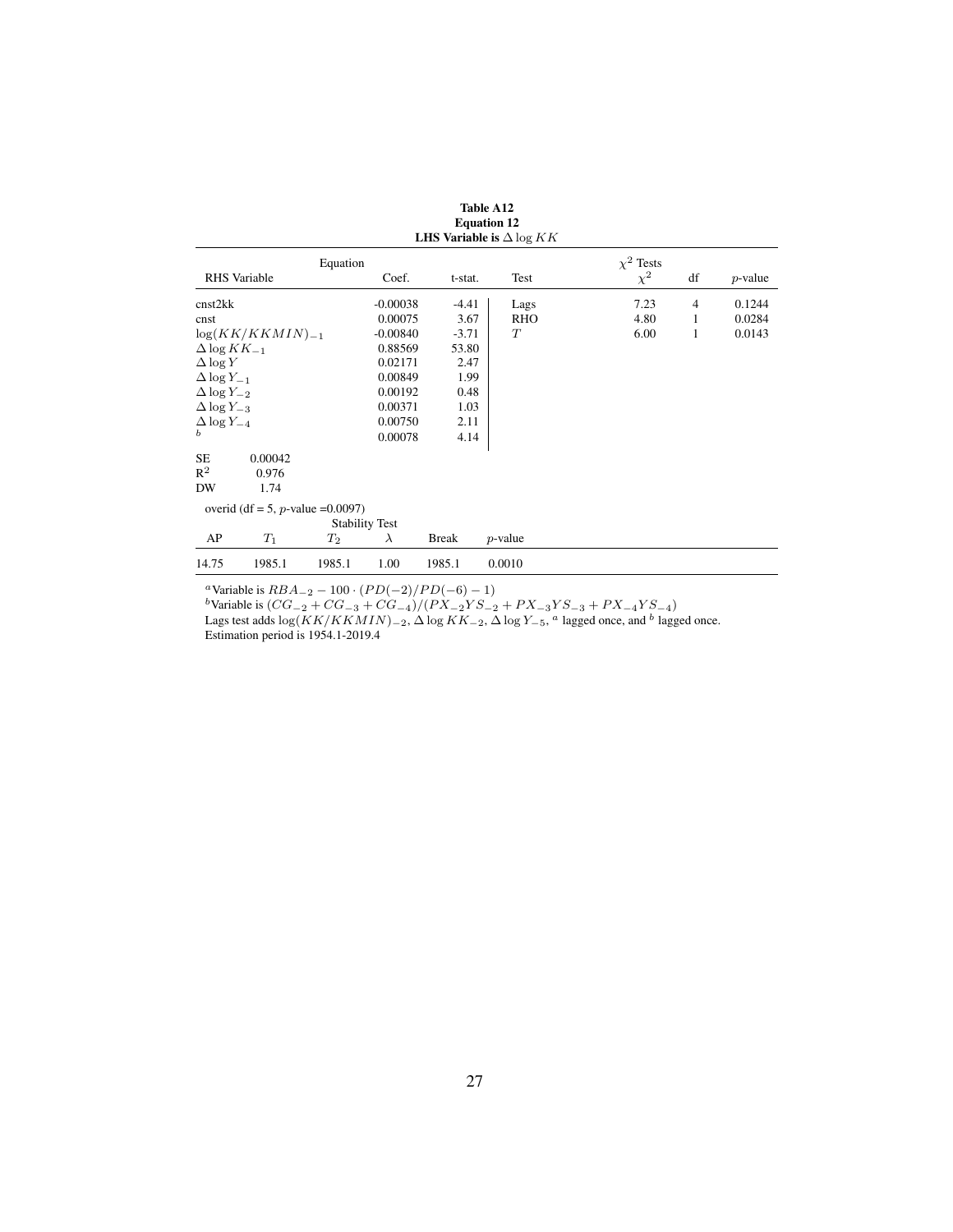|                        |                                      |                       |            |              | <b>LHS Variable is</b> $\Delta \log KK$ |                |                |            |
|------------------------|--------------------------------------|-----------------------|------------|--------------|-----------------------------------------|----------------|----------------|------------|
|                        |                                      | Equation              |            |              |                                         | $\chi^2$ Tests |                |            |
|                        | <b>RHS</b> Variable                  |                       | Coef.      | t-stat.      | Test                                    | $\chi^2$       | df             | $p$ -value |
| cnst2kk                |                                      |                       | $-0.00038$ | $-4.41$      | Lags                                    | 7.23           | $\overline{4}$ | 0.1244     |
| cnst                   |                                      |                       | 0.00075    | 3.67         | <b>RHO</b>                              | 4.80           | 1              | 0.0284     |
|                        | $log(KK/KKMIN)_{-1}$                 |                       | $-0.00840$ | $-3.71$      | T                                       | 6.00           | 1              | 0.0143     |
| $\Delta$ log $KK_{-1}$ |                                      |                       | 0.88569    | 53.80        |                                         |                |                |            |
| $\Delta \log Y$        |                                      |                       | 0.02171    | 2.47         |                                         |                |                |            |
| $\Delta \log Y_{-1}$   |                                      |                       | 0.00849    | 1.99         |                                         |                |                |            |
| $\Delta \log Y_{-2}$   |                                      |                       | 0.00192    | 0.48         |                                         |                |                |            |
| $\Delta$ log $Y_{-3}$  |                                      |                       | 0.00371    | 1.03         |                                         |                |                |            |
| $\Delta$ log $Y_{-4}$  |                                      |                       | 0.00750    | 2.11         |                                         |                |                |            |
| b                      |                                      |                       | 0.00078    | 4.14         |                                         |                |                |            |
| SE                     | 0.00042                              |                       |            |              |                                         |                |                |            |
| $R^2$                  | 0.976                                |                       |            |              |                                         |                |                |            |
| DW                     | 1.74                                 |                       |            |              |                                         |                |                |            |
|                        | overid (df = 5, p-value = $0.0097$ ) |                       |            |              |                                         |                |                |            |
|                        |                                      | <b>Stability Test</b> |            |              |                                         |                |                |            |
| AP                     | $T_1$                                | $\scriptstyle T_2$    | $\lambda$  | <b>Break</b> | $p$ -value                              |                |                |            |
| 14.75                  | 1985.1                               | 1985.1                | 1.00       | 1985.1       | 0.0010                                  |                |                |            |

| Table A12                               |
|-----------------------------------------|
| <b>Equation 12</b>                      |
| I HK Variable is $\Lambda$ less $V$ $V$ |

<sup>a</sup>Variable is  $RBA_{-2} - 100 \cdot (PD(-2)/PD(-6) - 1)$ 

<sup>b</sup>Variable is  $(CG_{-2} + CG_{-3} + CG_{-4})/(PX_{-2}YS_{-2} + PX_{-3}YS_{-3} + PX_{-4}YS_{-4})$ 

Lags test adds  $\log(KK/KKMIN)_{-2}$ ,  $\Delta \log KK_{-2}$ ,  $\Delta \log Y_{-5}$ , <sup>a</sup> lagged once, and <sup>b</sup> lagged once.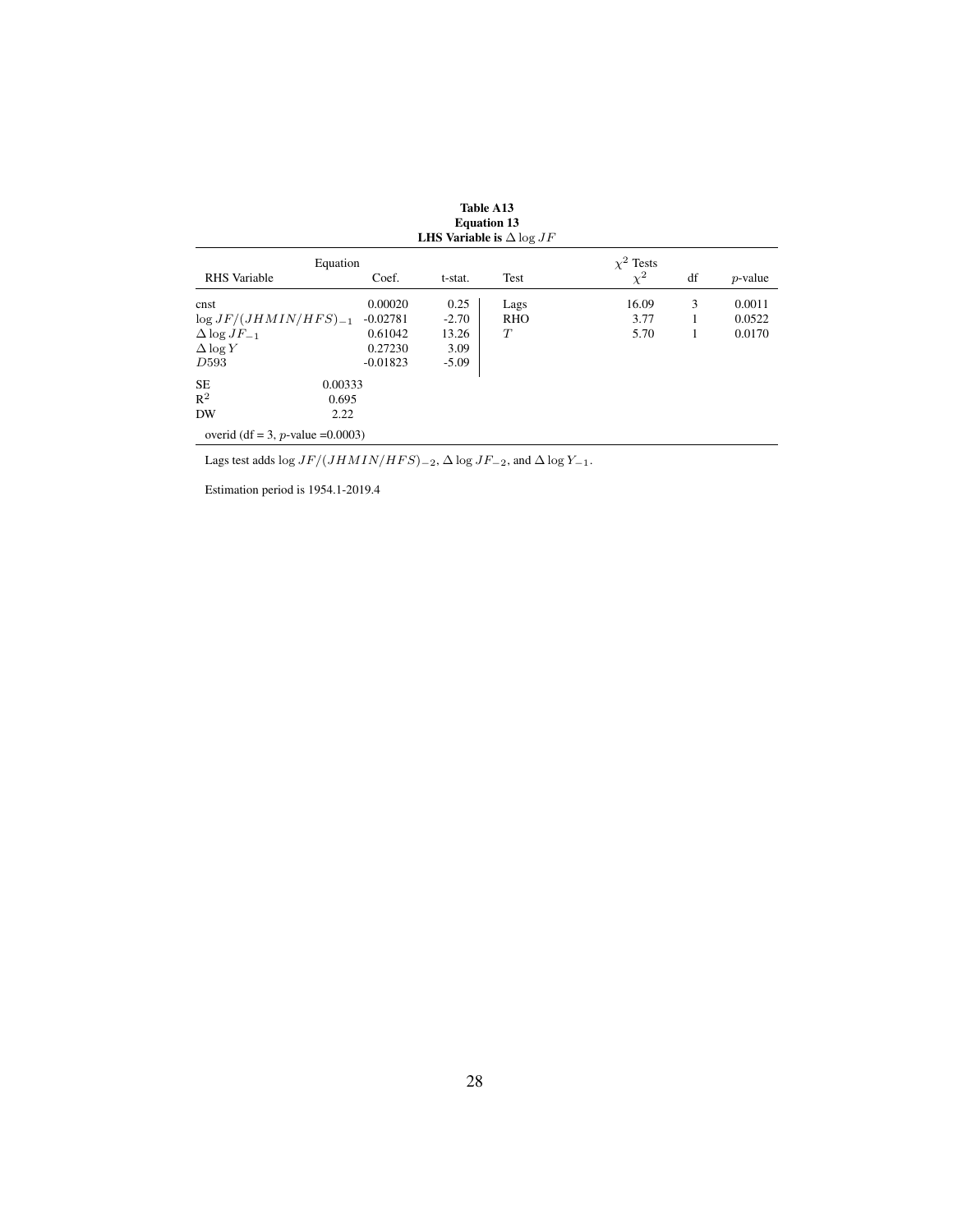|                                      |            |         | LHS Variable is $\Delta \log JF$ |                            |    |            |
|--------------------------------------|------------|---------|----------------------------------|----------------------------|----|------------|
| Equation<br><b>RHS</b> Variable      | Coef.      | t-stat. | <b>Test</b>                      | $\chi^2$ Tests<br>$\chi^2$ | df | $p$ -value |
| cnst                                 | 0.00020    | 0.25    | Lags                             | 16.09                      | 3  | 0.0011     |
| $\log JF/(JHMIN/HFS)_{-1}$           | $-0.02781$ | $-2.70$ | <b>RHO</b>                       | 3.77                       |    | 0.0522     |
| $\Delta$ log $JF_{-1}$               | 0.61042    | 13.26   | T                                | 5.70                       | 1  | 0.0170     |
| $\Delta \log Y$                      | 0.27230    | 3.09    |                                  |                            |    |            |
| D <sub>593</sub>                     | $-0.01823$ | $-5.09$ |                                  |                            |    |            |
| <b>SE</b><br>0.00333                 |            |         |                                  |                            |    |            |
| $R^2$<br>0.695                       |            |         |                                  |                            |    |            |
| DW<br>2.22                           |            |         |                                  |                            |    |            |
| overid (df = 3, p-value = $0.0003$ ) |            |         |                                  |                            |    |            |

Table A13 Equation 13

Lags test adds log  $JF/(JHMIN/HFS)_{-2}$ ,  $\Delta$ log  $JF_{-2}$ , and  $\Delta$ log  $Y_{-1}.$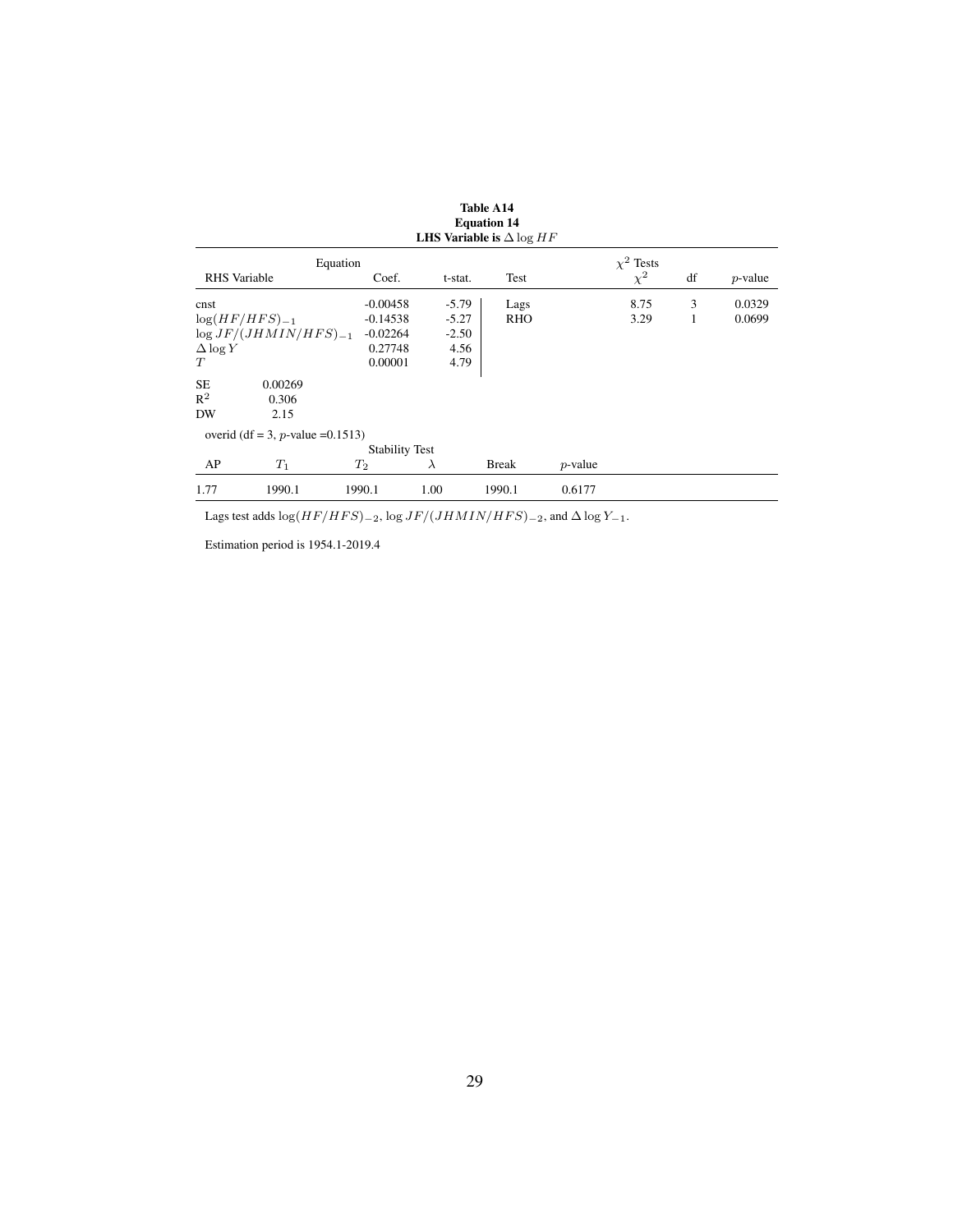|                          |                                                  |                                        |                               | <b>Equation 14</b><br><b>LHS Variable is</b> $\Delta \log HF$ |            |                            |        |                  |
|--------------------------|--------------------------------------------------|----------------------------------------|-------------------------------|---------------------------------------------------------------|------------|----------------------------|--------|------------------|
| <b>RHS</b> Variable      |                                                  | Equation<br>Coef.                      | t-stat.                       | Test                                                          |            | $\chi^2$ Tests<br>$\chi^2$ | df     | $p$ -value       |
| cnst                     | $log(HF/HFS)_{-1}$<br>$\log JF/(JHMIN/HFS)_{-1}$ | $-0.00458$<br>$-0.14538$<br>$-0.02264$ | $-5.79$<br>$-5.27$<br>$-2.50$ | Lags<br><b>RHO</b>                                            |            | 8.75<br>3.29               | 3<br>1 | 0.0329<br>0.0699 |
| $\Delta \log Y$<br>T     |                                                  | 0.27748<br>0.00001                     | 4.56<br>4.79                  |                                                               |            |                            |        |                  |
| <b>SE</b><br>$R^2$<br>DW | 0.00269<br>0.306<br>2.15                         |                                        |                               |                                                               |            |                            |        |                  |
|                          | overid (df = 3, p-value = $0.1513$ )             |                                        |                               |                                                               |            |                            |        |                  |
| AP                       | $T_1$                                            | <b>Stability Test</b><br>$T_2$         | $\lambda$                     | <b>Break</b>                                                  | $p$ -value |                            |        |                  |
| 1.77                     | 1990.1                                           | 1990.1                                 | 1.00                          | 1990.1                                                        | 0.6177     |                            |        |                  |

Lags test adds  $\log(HF/HFS)_{-2}$ ,  $\log JF/(JHMIN/HFS)_{-2}$ , and  $\Delta \log Y_{-1}$ .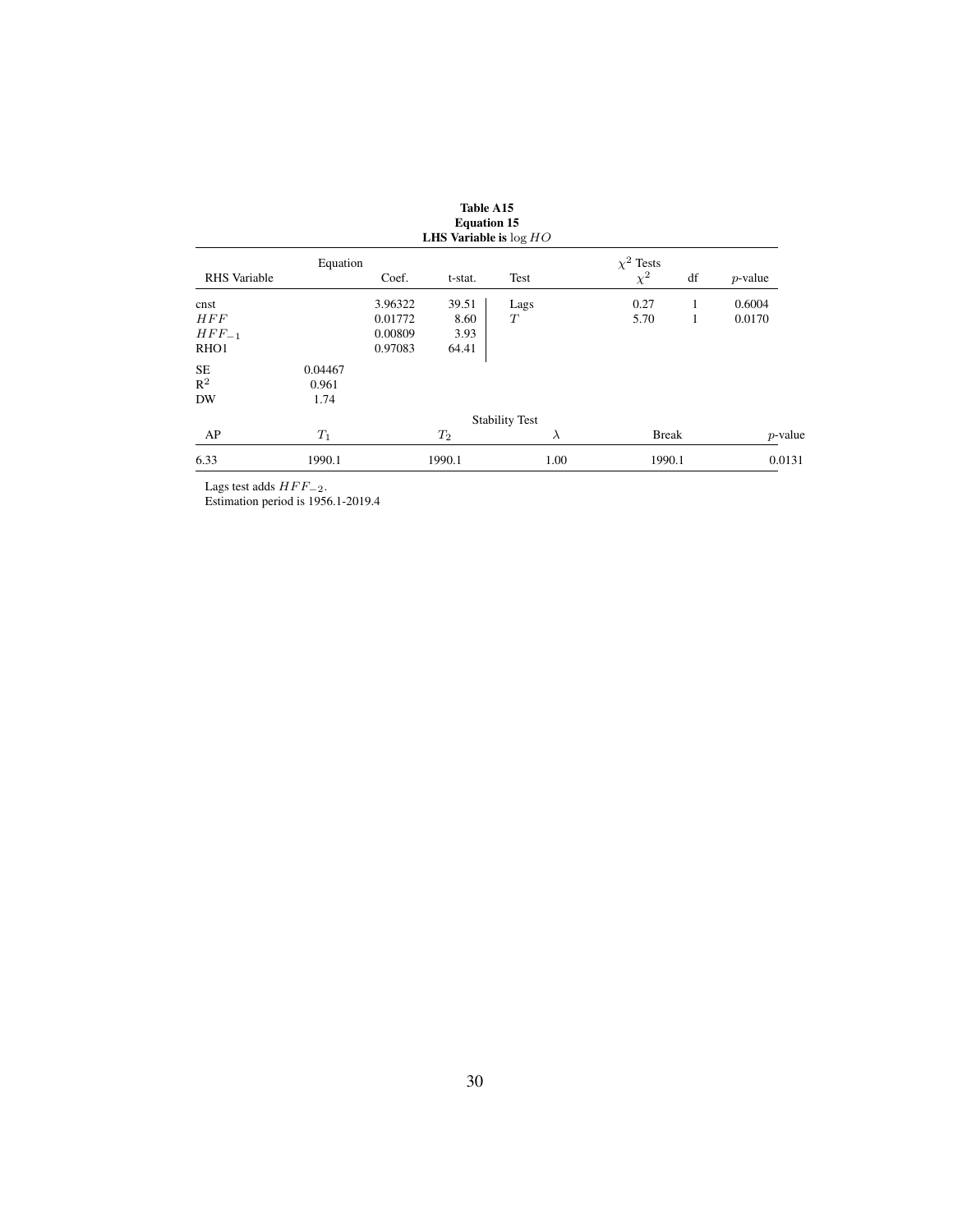|                  |          |         | <b>Equation 15</b><br>LHS Variable is $log HO$ |                       |           |                |    |            |
|------------------|----------|---------|------------------------------------------------|-----------------------|-----------|----------------|----|------------|
|                  | Equation |         |                                                |                       |           | $\chi^2$ Tests |    |            |
| RHS Variable     |          | Coef.   | t-stat.                                        | Test                  |           | $\chi^2$       | df | $p$ -value |
| cnst             |          | 3.96322 | 39.51                                          | Lags                  |           | 0.27           | 1  | 0.6004     |
| <b>HFF</b>       |          | 0.01772 | 8.60                                           | T                     |           | 5.70           | 1  | 0.0170     |
| $HFF_{-1}$       |          | 0.00809 | 3.93                                           |                       |           |                |    |            |
| RHO <sub>1</sub> |          | 0.97083 | 64.41                                          |                       |           |                |    |            |
| <b>SE</b>        | 0.04467  |         |                                                |                       |           |                |    |            |
| $R^2$            | 0.961    |         |                                                |                       |           |                |    |            |
| <b>DW</b>        | 1.74     |         |                                                |                       |           |                |    |            |
|                  |          |         |                                                | <b>Stability Test</b> |           |                |    |            |
| AP               | $T_1$    |         | $T_2$                                          |                       | $\lambda$ | <b>Break</b>   |    | $p$ -value |
| 6.33             | 1990.1   |         | 1990.1                                         |                       | 1.00      | 1990.1         |    | 0.0131     |

Lags test adds  $HFF_{-2}$ .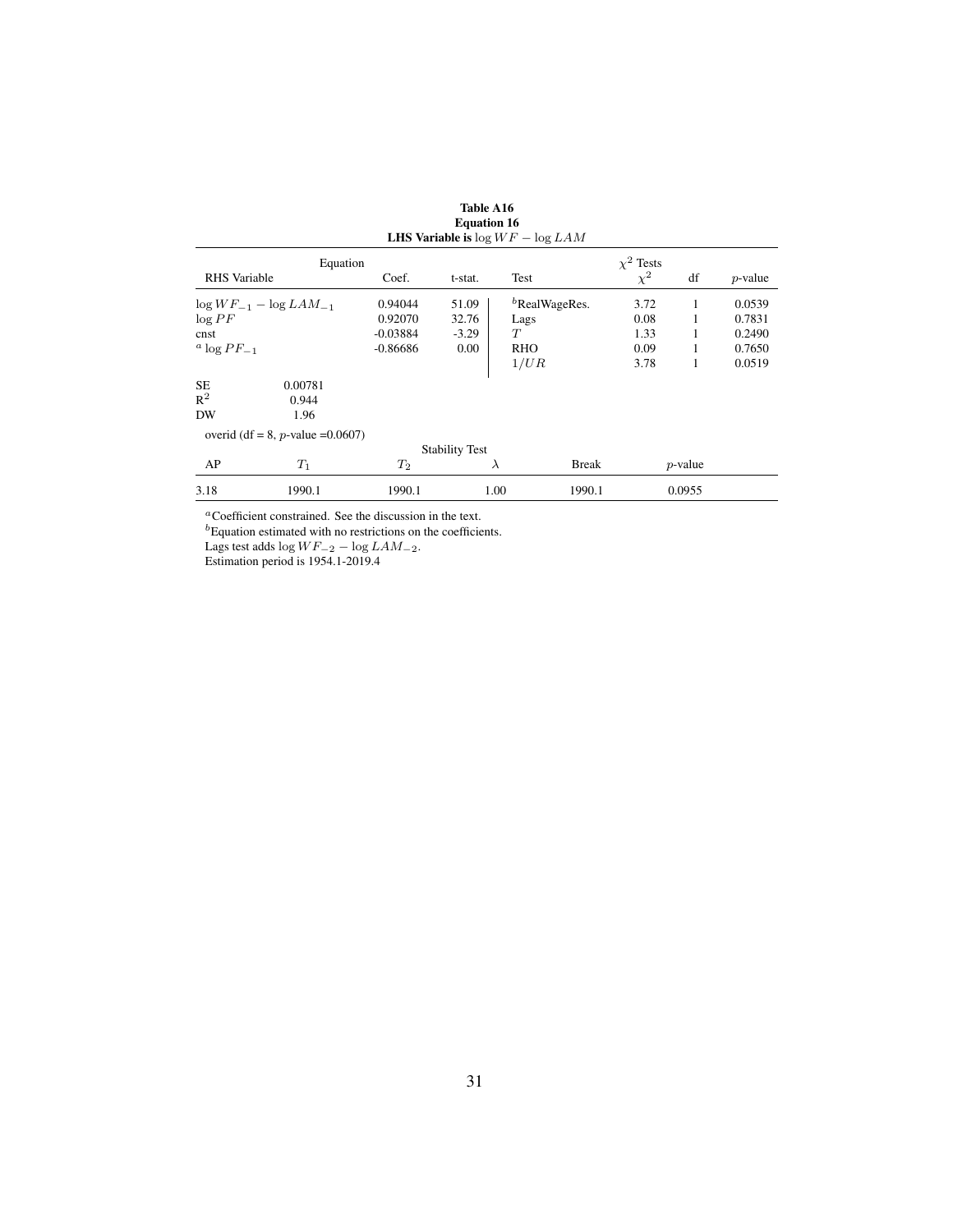|                                    |                                      |            |                       | <b>LHS Variable is</b> $\log WF - \log LAM$ |                |            |            |
|------------------------------------|--------------------------------------|------------|-----------------------|---------------------------------------------|----------------|------------|------------|
|                                    | Equation                             |            |                       |                                             | $\chi^2$ Tests |            |            |
| <b>RHS</b> Variable                |                                      | Coef.      | t-stat.               | Test                                        | $\chi^2$       | df         | $p$ -value |
|                                    | $\log WF_{-1} - \log LAM_{-1}$       | 0.94044    | 51.09                 | $b$ RealWageRes.                            | 3.72           | 1          | 0.0539     |
| $\log PF$                          |                                      | 0.92070    | 32.76                 | Lags                                        | 0.08           | 1          | 0.7831     |
| cnst                               |                                      | $-0.03884$ | $-3.29$               | T                                           | 1.33           | 1          | 0.2490     |
| <sup><i>a</i></sup> $\log PF_{-1}$ |                                      | $-0.86686$ | 0.00                  | <b>RHO</b>                                  | 0.09           | 1          | 0.7650     |
|                                    |                                      |            |                       | 1/UR                                        | 3.78           | 1          | 0.0519     |
| <b>SE</b>                          | 0.00781                              |            |                       |                                             |                |            |            |
| $R^2$                              | 0.944                                |            |                       |                                             |                |            |            |
| DW                                 | 1.96                                 |            |                       |                                             |                |            |            |
|                                    | overid (df = 8, p-value = $0.0607$ ) |            |                       |                                             |                |            |            |
|                                    |                                      |            | <b>Stability Test</b> |                                             |                |            |            |
| AP                                 | $T_1$                                | $T_2$      |                       | <b>Break</b><br>$\lambda$                   |                | $p$ -value |            |
| 3.18                               | 1990.1                               | 1990.1     |                       | 1.00<br>1990.1                              |                | 0.0955     |            |

| Table A16                           |  |
|-------------------------------------|--|
| <b>Equation 16</b>                  |  |
| HS Variable is $\log WF - \log LAM$ |  |

<sup>a</sup>Coefficient constrained. See the discussion in the text.

 ${}^{b}$ Equation estimated with no restrictions on the coefficients.

Lags test adds  $\log WF_{-2} - \log LAM_{-2}$ .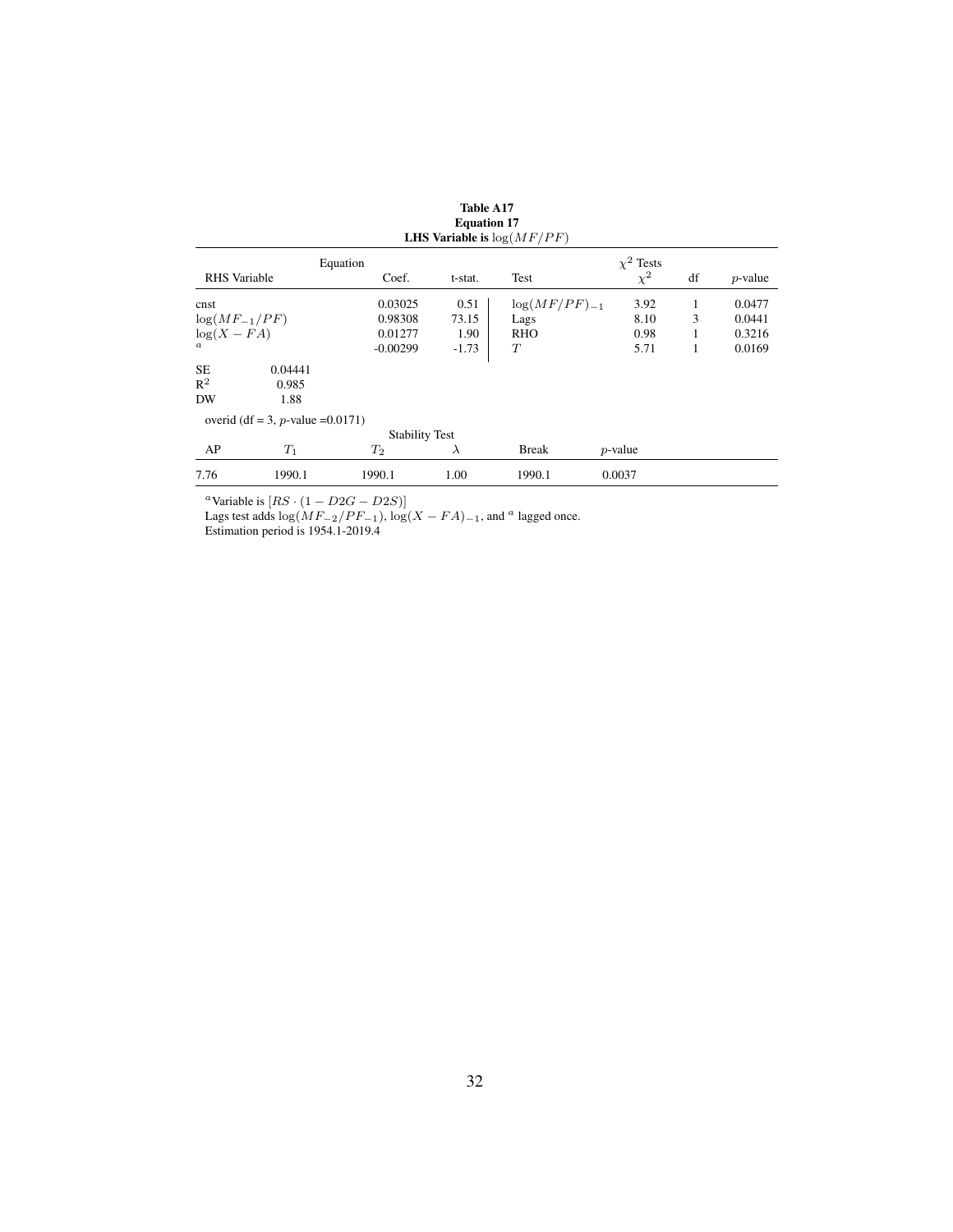|                     |                                      |                       |           | <b>LHS Variable is</b> $log(MF/PF)$ |                |    |            |
|---------------------|--------------------------------------|-----------------------|-----------|-------------------------------------|----------------|----|------------|
|                     |                                      | Equation              |           |                                     | $\chi^2$ Tests |    |            |
| <b>RHS</b> Variable |                                      | Coef.                 | t-stat.   | Test                                | $\chi^2$       | df | $p$ -value |
| cnst                |                                      | 0.03025               | 0.51      | $\log(MF/PF)_{-1}$                  | 3.92           | 1  | 0.0477     |
| $log(MF_{-1}/PF)$   |                                      | 0.98308               | 73.15     | Lags                                | 8.10           | 3  | 0.0441     |
| $log(X - FA)$       |                                      | 0.01277               | 1.90      | RHO                                 | 0.98           | 1  | 0.3216     |
| $\boldsymbol{a}$    |                                      | $-0.00299$            | $-1.73$   | T                                   | 5.71           | 1  | 0.0169     |
| SE                  | 0.04441                              |                       |           |                                     |                |    |            |
| $R^2$               | 0.985                                |                       |           |                                     |                |    |            |
| DW                  | 1.88                                 |                       |           |                                     |                |    |            |
|                     | overid (df = 3, p-value = $0.0171$ ) |                       |           |                                     |                |    |            |
|                     |                                      | <b>Stability Test</b> |           |                                     |                |    |            |
| AP                  | $T_1$                                | $T_2$                 | $\lambda$ | <b>Break</b>                        | $p$ -value     |    |            |
| 7.76                | 1990.1                               | 1990.1                | 1.00      | 1990.1                              | 0.0037         |    |            |

Table A17 Equation 17

<sup>a</sup>Variable is  $[RS \cdot (1 - D2G - D2S)]$ 

Lags test adds  $\log(MF_{-2}/PF_{-1})$ ,  $\log(X - FA)_{-1}$ , and <sup>a</sup> lagged once.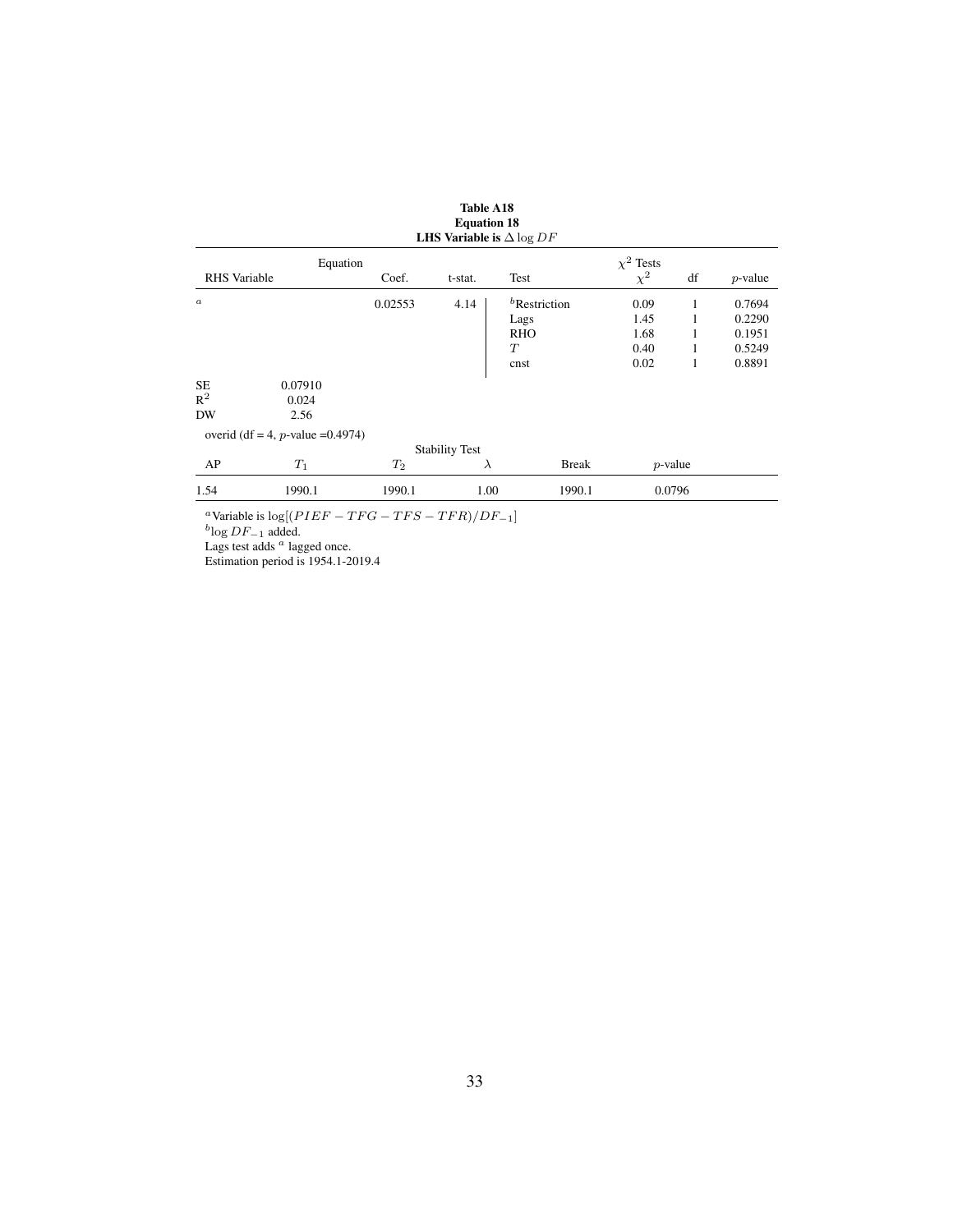|                     |                                      |         | <b>LHS Variable is</b> $\Delta \log DF$ |                 |                |            |            |
|---------------------|--------------------------------------|---------|-----------------------------------------|-----------------|----------------|------------|------------|
|                     | Equation                             |         |                                         |                 | $\chi^2$ Tests |            |            |
| <b>RHS</b> Variable |                                      | Coef.   | t-stat.                                 | Test            | $\chi^2$       | df         | $p$ -value |
| $\boldsymbol{a}$    |                                      | 0.02553 | 4.14                                    | $b$ Restriction | 0.09           | 1          | 0.7694     |
|                     |                                      |         |                                         | Lags            | 1.45           |            | 0.2290     |
|                     |                                      |         |                                         | <b>RHO</b>      | 1.68           |            | 0.1951     |
|                     |                                      |         |                                         | T               | 0.40           |            | 0.5249     |
|                     |                                      |         |                                         | cnst            | 0.02           | 1          | 0.8891     |
| <b>SE</b>           | 0.07910                              |         |                                         |                 |                |            |            |
| $R^2$               | 0.024                                |         |                                         |                 |                |            |            |
| DW                  | 2.56                                 |         |                                         |                 |                |            |            |
|                     | overid (df = 4, p-value = $0.4974$ ) |         |                                         |                 |                |            |            |
|                     |                                      |         | <b>Stability Test</b>                   |                 |                |            |            |
| AP                  | $T_1$                                | $T_2$   | $\lambda$                               | <b>Break</b>    |                | $p$ -value |            |
| 1.54                | 1990.1                               | 1990.1  | 1.00                                    | 1990.1          |                | 0.0796     |            |

| <b>Table A18</b>                    |
|-------------------------------------|
| <b>Equation 18</b>                  |
| I HR Variabla is $\Lambda$ log $DE$ |

<sup>a</sup>Variable is log[( $PIEF - TFG - TFS - TFR$ )/ $DF_{-1}$ ]<br><sup>b</sup>log  $DF_{-1}$  added.

Lags test adds  $a$  lagged once.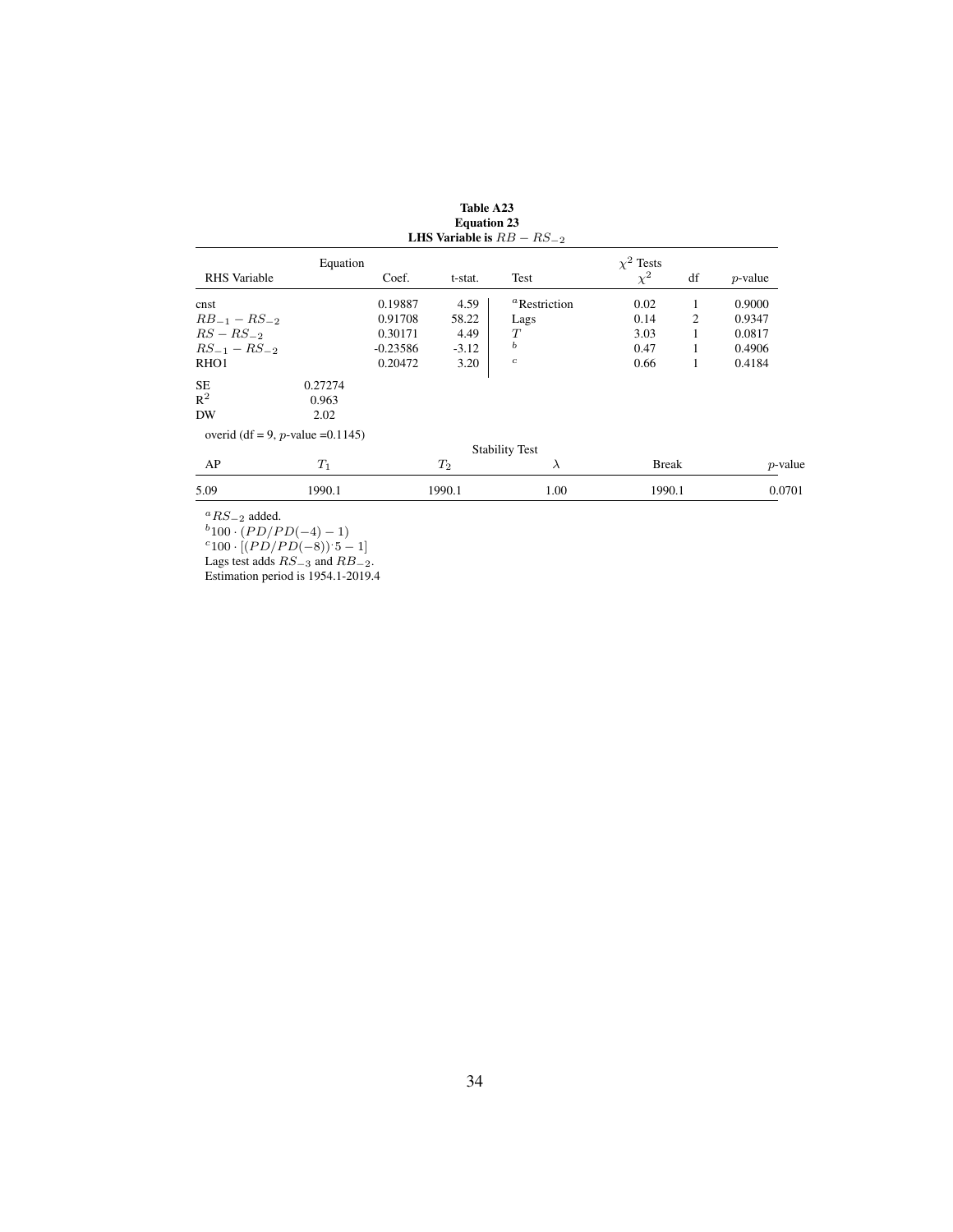|                                   |          |            |         | LHS Variable is $RB - RS_{-2}$  |                |    |            |
|-----------------------------------|----------|------------|---------|---------------------------------|----------------|----|------------|
|                                   | Equation |            |         |                                 | $\chi^2$ Tests |    |            |
| <b>RHS</b> Variable               |          | Coef.      | t-stat. | Test                            | $\chi^2$       | df | $p$ -value |
| cnst                              |          | 0.19887    | 4.59    | <sup><i>a</i></sup> Restriction | 0.02           | 1  | 0.9000     |
| $RB_{-1} - RS_{-2}$               |          | 0.91708    | 58.22   | Lags                            | 0.14           | 2  | 0.9347     |
| $RS - RS_{-2}$                    |          | 0.30171    | 4.49    | Т                               | 3.03           | 1  | 0.0817     |
| $RS_{-1} - RS_{-2}$               |          | $-0.23586$ | $-3.12$ | ь                               | 0.47           | 1  | 0.4906     |
| RHO <sub>1</sub>                  |          | 0.20472    | 3.20    | $\boldsymbol{c}$                | 0.66           | 1  | 0.4184     |
| <b>SE</b>                         | 0.27274  |            |         |                                 |                |    |            |
| $R^2$                             | 0.963    |            |         |                                 |                |    |            |
| DW                                | 2.02     |            |         |                                 |                |    |            |
| overid (df = 9, p-value = 0.1145) |          |            |         |                                 |                |    |            |
|                                   |          |            |         | <b>Stability Test</b>           |                |    |            |
| AP                                | $T_1$    |            | $T_2$   | $\lambda$                       | <b>Break</b>   |    | $p$ -value |
| 5.09                              | 1990.1   |            | 1990.1  | 1.00                            | 1990.1         |    | 0.0701     |
|                                   |          |            |         |                                 |                |    |            |

Table A23 Equation 23

 ${}^aRS_{-2}$  added.

 $b_{100} \cdot (PD/PD(-4)-1)$ 

 $c_{100} \cdot [(PD/PD(-8)) \cdot 5 - 1]$ 

Lags test adds  $RS_{-3}$  and  $RB_{-2}$ .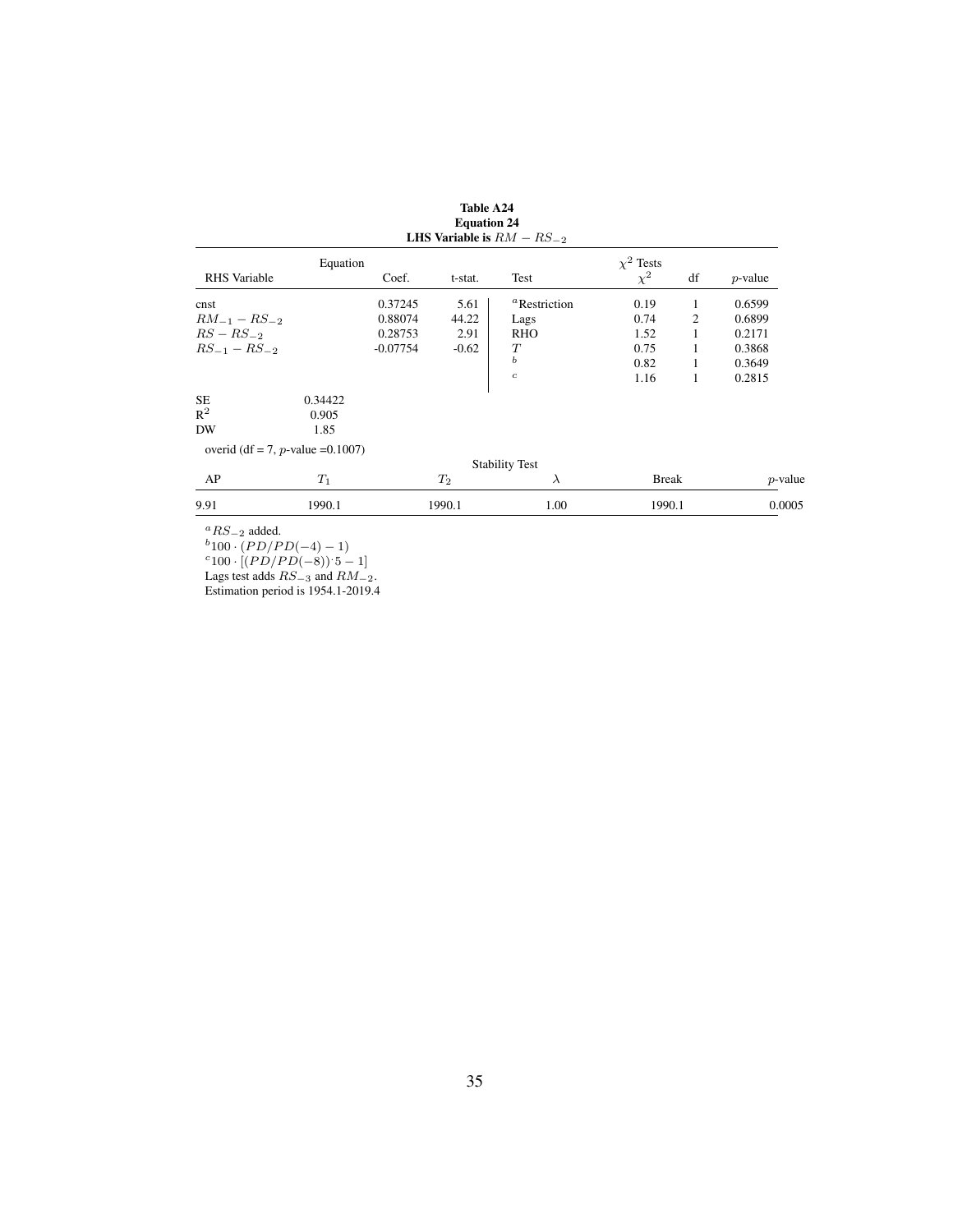|                     |                                   |            |         | LHS Variable is $RM - RS_{-2}$  |                |                |            |
|---------------------|-----------------------------------|------------|---------|---------------------------------|----------------|----------------|------------|
|                     | Equation                          |            |         |                                 | $\chi^2$ Tests |                |            |
| RHS Variable        |                                   | Coef.      | t-stat. | Test                            | $\chi^2$       | df             | $p$ -value |
| cnst                |                                   | 0.37245    | 5.61    | <sup><i>a</i></sup> Restriction | 0.19           | 1              | 0.6599     |
| $RM_{-1} - RS_{-2}$ |                                   | 0.88074    | 44.22   | Lags                            | 0.74           | $\overline{2}$ | 0.6899     |
| $RS - RS_{-2}$      |                                   | 0.28753    | 2.91    | <b>RHO</b>                      | 1.52           | 1              | 0.2171     |
| $RS_{-1} - RS_{-2}$ |                                   | $-0.07754$ | $-0.62$ | T                               | 0.75           | 1              | 0.3868     |
|                     |                                   |            |         | $\boldsymbol{b}$                | 0.82           | 1              | 0.3649     |
|                     |                                   |            |         | $\mathfrak{c}$                  | 1.16           | 1              | 0.2815     |
| SE                  | 0.34422                           |            |         |                                 |                |                |            |
| $\mathsf{R}^2$      | 0.905                             |            |         |                                 |                |                |            |
| DW                  | 1.85                              |            |         |                                 |                |                |            |
|                     | overid (df = 7, p-value = 0.1007) |            |         |                                 |                |                |            |
|                     |                                   |            |         | <b>Stability Test</b>           |                |                |            |
| AP                  | $T_1$                             |            | $T_2$   | $\lambda$                       | <b>Break</b>   |                | $p$ -value |
| 9.91                | 1990.1                            |            | 1990.1  | 1.00                            | 1990.1         |                | 0.0005     |

Table A24 Equation 24

 ${}^{a}RS_{-2}$  added.

 $b_{100} \cdot (PD/PD(-4)-1)$ 

 $c_{100} \cdot [(PD/PD(-8)) \cdot 5 - 1]$ 

Lags test adds  $RS_{-3}$  and  $RM_{-2}$ .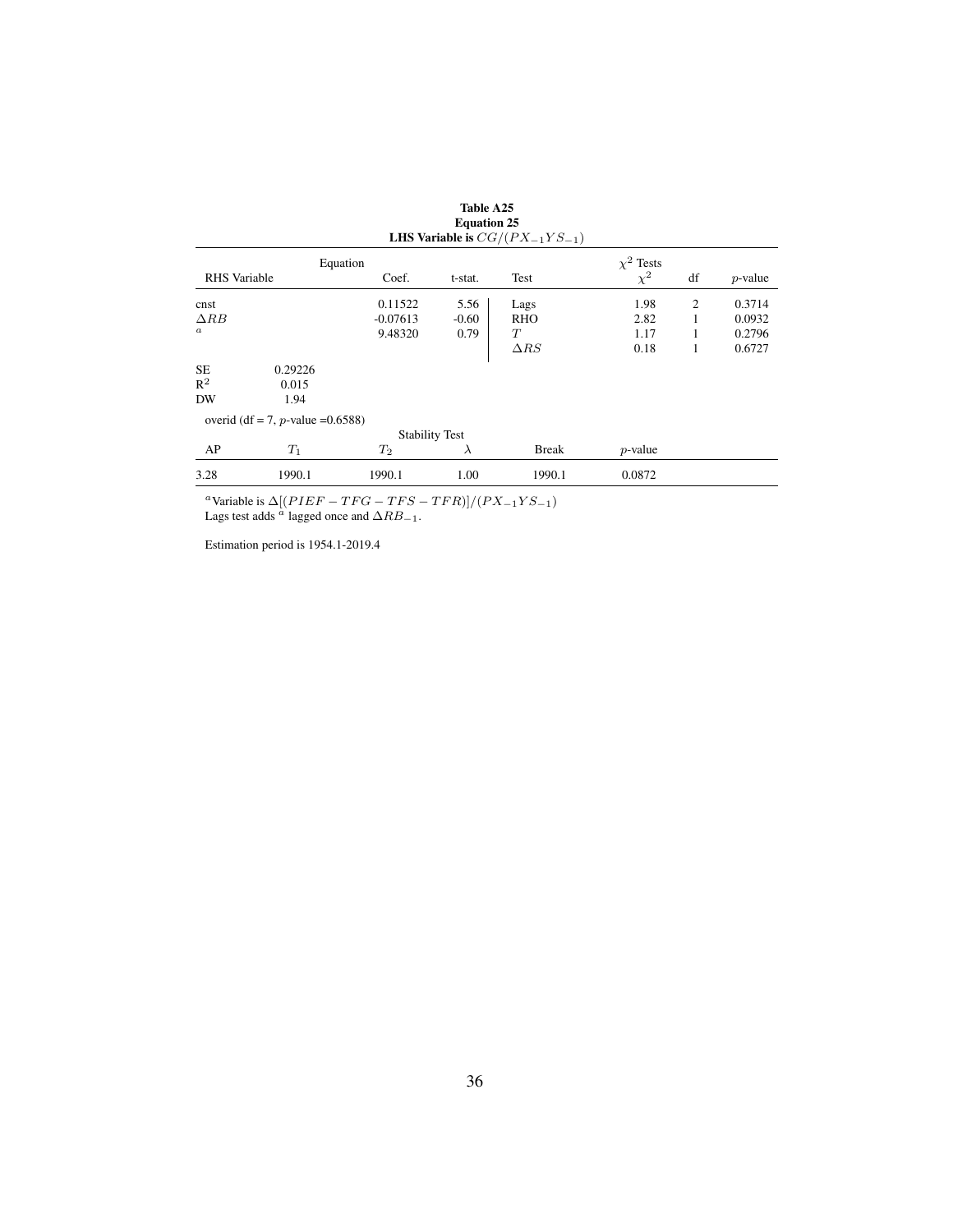|                  |                                      |                       |           | <b>LHS Variable is</b> $CG/(PX_{-1}YS_{-1})$ |                            |    |            |
|------------------|--------------------------------------|-----------------------|-----------|----------------------------------------------|----------------------------|----|------------|
| RHS Variable     |                                      | Equation              |           |                                              | $\chi^2$ Tests<br>$\chi^2$ | df |            |
|                  |                                      | Coef.                 | t-stat.   | Test                                         |                            |    | $p$ -value |
| cnst             |                                      | 0.11522               | 5.56      | Lags                                         | 1.98                       | 2  | 0.3714     |
| $\triangle RB$   |                                      | $-0.07613$            | $-0.60$   | <b>RHO</b>                                   | 2.82                       | 1  | 0.0932     |
| $\boldsymbol{a}$ |                                      | 9.48320               | 0.79      | T                                            | 1.17                       | 1  | 0.2796     |
|                  |                                      |                       |           | $\Delta RS$                                  | 0.18                       | 1  | 0.6727     |
| <b>SE</b>        | 0.29226                              |                       |           |                                              |                            |    |            |
| $R^2$            | 0.015                                |                       |           |                                              |                            |    |            |
| <b>DW</b>        | 1.94                                 |                       |           |                                              |                            |    |            |
|                  | overid (df = 7, p-value = $0.6588$ ) |                       |           |                                              |                            |    |            |
|                  |                                      | <b>Stability Test</b> |           |                                              |                            |    |            |
| AP               | $T_1$                                | $T_2$                 | $\lambda$ | <b>Break</b>                                 | $p$ -value                 |    |            |
| 3.28             | 1990.1                               | 1990.1                | 1.00      | 1990.1                                       | 0.0872                     |    |            |

Table A25 Equation 25

<sup>a</sup>Variable is  $\Delta[(PIEF - TFG - TFS - TFR)]/(PX_{-1}YS_{-1})$ Lags test adds  $\alpha$  lagged once and  $\Delta RB_{-1}$ .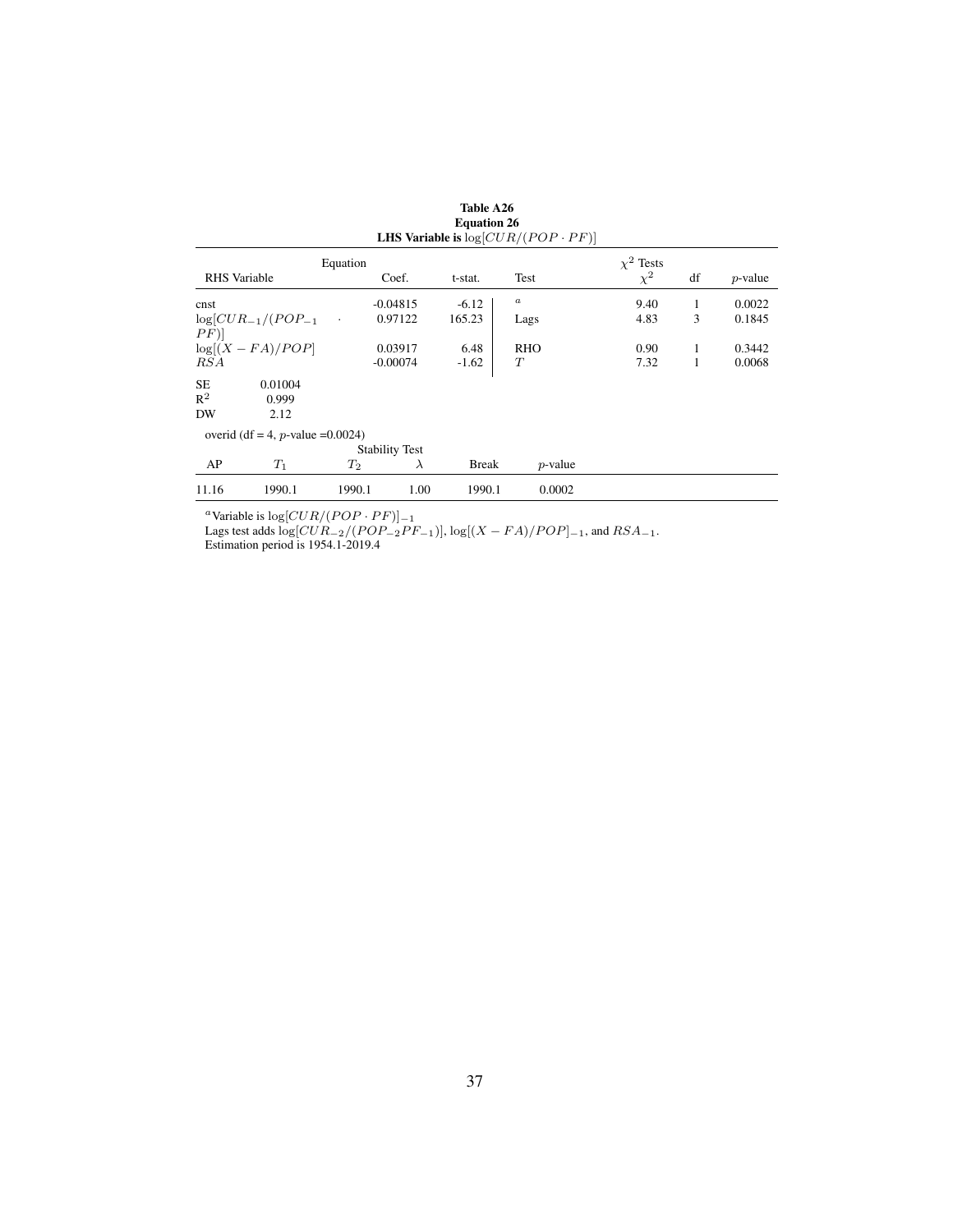|                            |                                      |         |                       | <b>Equation 20</b> | <b>LHS Variable is</b> $log[CUR/(POP \cdot PF)]$ |          |    |            |  |  |
|----------------------------|--------------------------------------|---------|-----------------------|--------------------|--------------------------------------------------|----------|----|------------|--|--|
| $\chi^2$ Tests<br>Equation |                                      |         |                       |                    |                                                  |          |    |            |  |  |
| <b>RHS</b> Variable        |                                      |         | Coef.                 | t-stat.            | Test                                             | $\chi^2$ | df | $p$ -value |  |  |
| cnst                       |                                      |         | $-0.04815$            | $-6.12$            | $\boldsymbol{a}$                                 | 9.40     | 1  | 0.0022     |  |  |
| $\left[PF\right)$          | $log[CUR_{-1}/(POP_{-1}]$            | $\cdot$ | 0.97122               | 165.23             | Lags                                             | 4.83     | 3  | 0.1845     |  |  |
|                            | $log[(X - FA)/POP]$                  |         | 0.03917               | 6.48               | <b>RHO</b>                                       | 0.90     | 1  | 0.3442     |  |  |
| <i>RSA</i>                 |                                      |         | $-0.00074$            | $-1.62$            | T                                                | 7.32     | 1  | 0.0068     |  |  |
| SE.                        | 0.01004                              |         |                       |                    |                                                  |          |    |            |  |  |
| $R^2$                      | 0.999                                |         |                       |                    |                                                  |          |    |            |  |  |
| DW                         | 2.12                                 |         |                       |                    |                                                  |          |    |            |  |  |
|                            | overid (df = 4, p-value = $0.0024$ ) |         |                       |                    |                                                  |          |    |            |  |  |
|                            |                                      |         | <b>Stability Test</b> |                    |                                                  |          |    |            |  |  |
| AP                         | $T_1$                                | $T_2$   | $\lambda$             | <b>Break</b>       | $p$ -value                                       |          |    |            |  |  |
| 11.16                      | 1990.1                               | 1990.1  | 1.00                  | 1990.1             | 0.0002                                           |          |    |            |  |  |

Table A26 Equation 26

<sup>a</sup>Variable is log[ $CUR/(POP \cdot PF)$ ]<sub>−1</sub>

Lags test adds  $\log[CUR_{-2}/(POP_{-2}PF_{-1})], \log[(X - FA)/POP]_{-1}$ , and  $RSA_{-1}$ .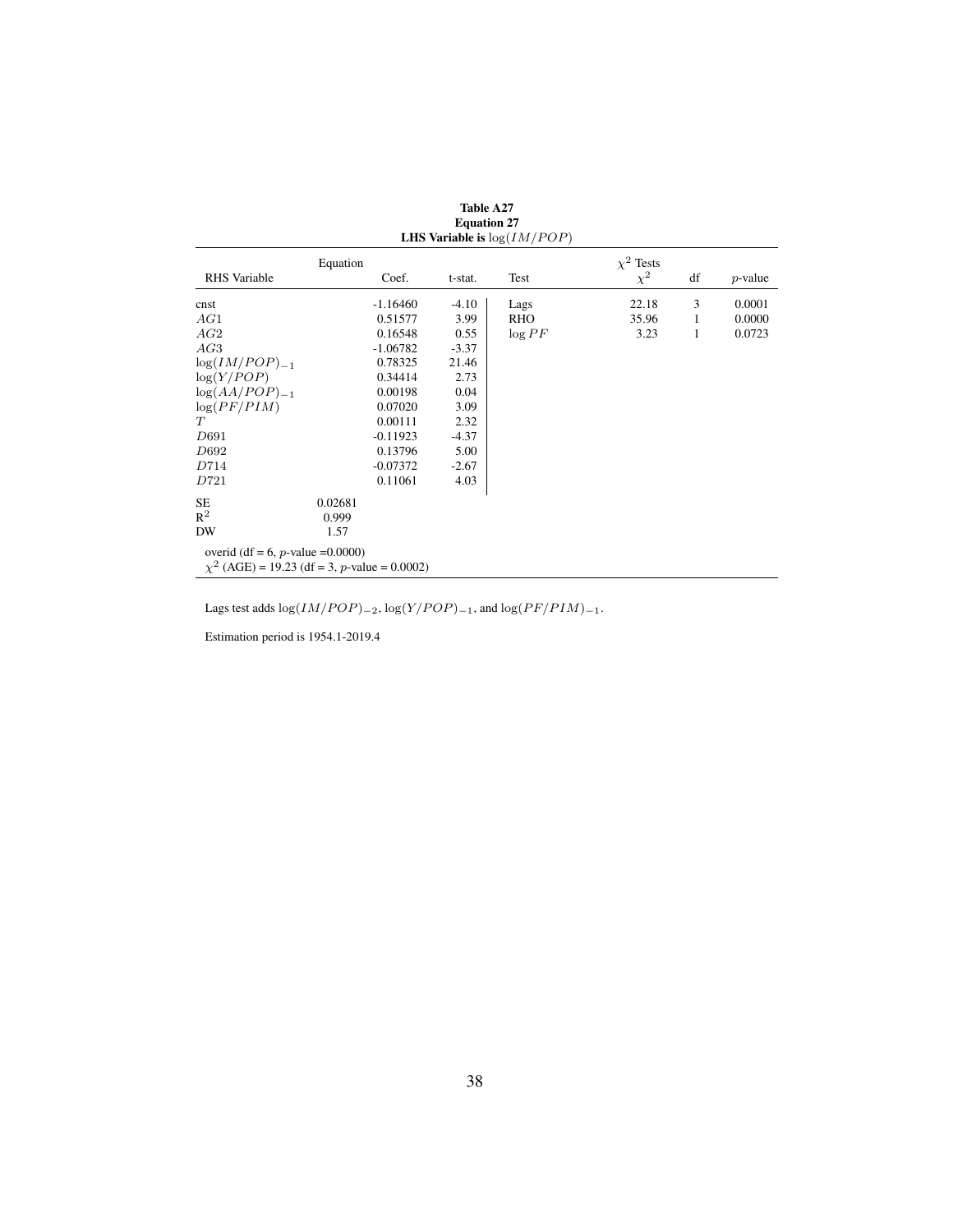| <b>LHS Variable is</b> $log(IM/POP)$                                                      |                   |  |         |            |                            |    |            |  |  |
|-------------------------------------------------------------------------------------------|-------------------|--|---------|------------|----------------------------|----|------------|--|--|
| <b>RHS</b> Variable                                                                       | Equation<br>Coef. |  | t-stat. | Test       | $\chi^2$ Tests<br>$\chi^2$ | df | $p$ -value |  |  |
| cnst                                                                                      | $-1.16460$        |  | $-4.10$ | Lags       | 22.18                      | 3  | 0.0001     |  |  |
| AG1                                                                                       | 0.51577           |  | 3.99    | <b>RHO</b> | 35.96                      | 1  | 0.0000     |  |  |
| AG2                                                                                       | 0.16548           |  | 0.55    | $\log PF$  | 3.23                       | 1  | 0.0723     |  |  |
| AG3                                                                                       | $-1.06782$        |  | $-3.37$ |            |                            |    |            |  |  |
| $log(IM/POP)_{-1}$                                                                        | 0.78325           |  | 21.46   |            |                            |    |            |  |  |
| log(Y/POP)                                                                                | 0.34414           |  | 2.73    |            |                            |    |            |  |  |
| $log(AA/POP)_{-1}$                                                                        | 0.00198           |  | 0.04    |            |                            |    |            |  |  |
| log(PF/PIM)                                                                               | 0.07020           |  | 3.09    |            |                            |    |            |  |  |
| T                                                                                         | 0.00111           |  | 2.32    |            |                            |    |            |  |  |
| D691                                                                                      | $-0.11923$        |  | $-4.37$ |            |                            |    |            |  |  |
| D692                                                                                      | 0.13796           |  | 5.00    |            |                            |    |            |  |  |
| D714                                                                                      | $-0.07372$        |  | $-2.67$ |            |                            |    |            |  |  |
| D721                                                                                      | 0.11061           |  | 4.03    |            |                            |    |            |  |  |
| <b>SE</b>                                                                                 | 0.02681           |  |         |            |                            |    |            |  |  |
| $R^2$                                                                                     | 0.999             |  |         |            |                            |    |            |  |  |
| <b>DW</b>                                                                                 | 1.57              |  |         |            |                            |    |            |  |  |
| overid (df = 6, $p$ -value = 0.0000)<br>$\chi^2$ (AGE) = 19.23 (df = 3, p-value = 0.0002) |                   |  |         |            |                            |    |            |  |  |

Table A27 Equation 27

Lags test adds  $\log (IM/POP)_{-2}$ ,  $\log (Y/POP)_{-1}$ , and  $\log (PF/PIM)_{-1}$ .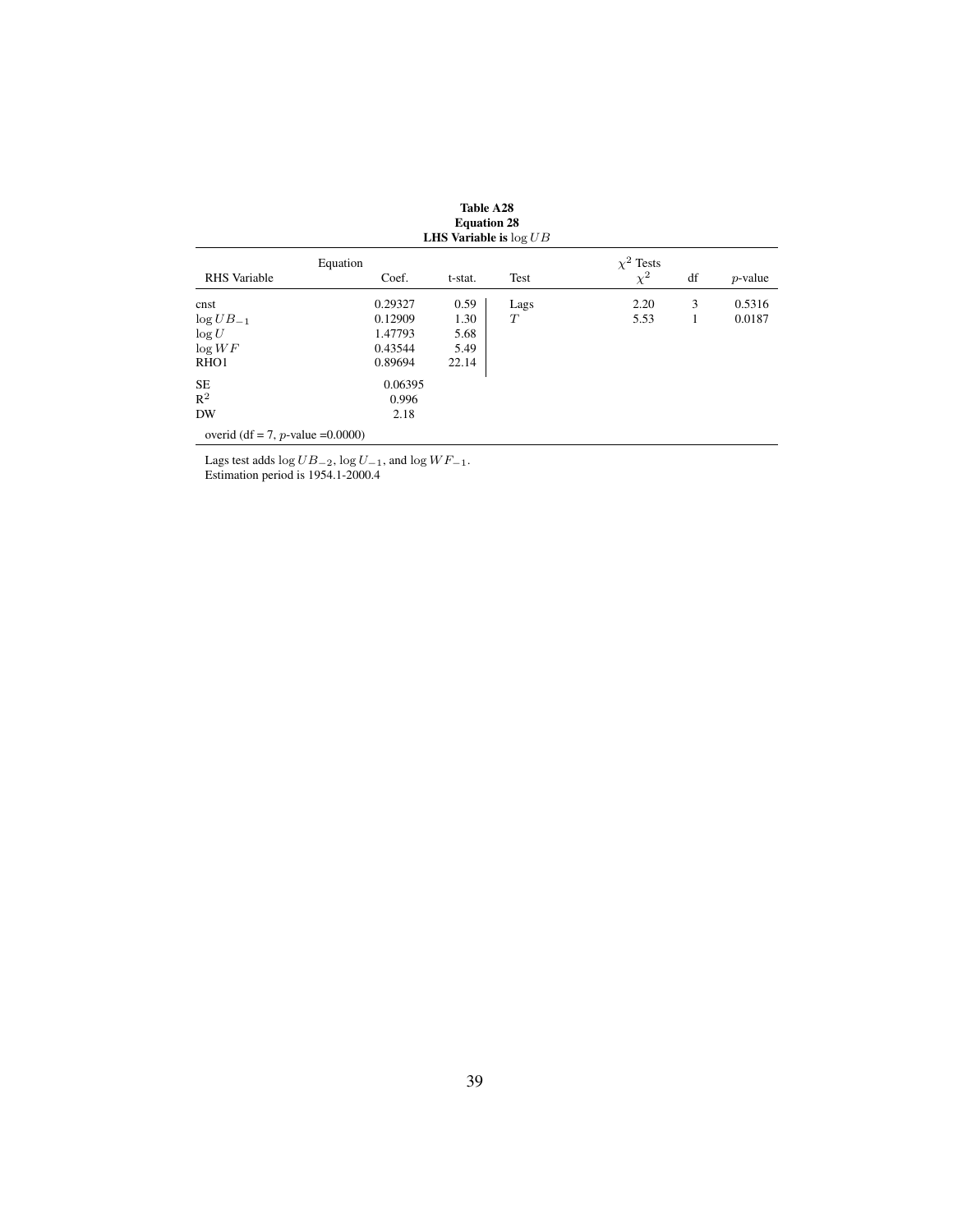| <b>Equation 28</b><br><b>LHS Variable is</b> $\log UB$ |                   |         |      |                            |    |            |  |  |
|--------------------------------------------------------|-------------------|---------|------|----------------------------|----|------------|--|--|
| <b>RHS</b> Variable                                    | Equation<br>Coef. | t-stat. | Test | $\chi^2$ Tests<br>$\chi^2$ | df | $p$ -value |  |  |
|                                                        |                   |         |      |                            |    |            |  |  |
| cnst                                                   | 0.29327           | 0.59    | Lags | 2.20                       | 3  | 0.5316     |  |  |
| $\log UB_{-1}$                                         | 0.12909           | 1.30    | T    | 5.53                       | 1  | 0.0187     |  |  |
| $\log U$                                               | 1.47793           | 5.68    |      |                            |    |            |  |  |
| $\log WF$                                              | 0.43544           | 5.49    |      |                            |    |            |  |  |
| RHO <sub>1</sub>                                       | 0.89694           | 22.14   |      |                            |    |            |  |  |
| <b>SE</b>                                              | 0.06395           |         |      |                            |    |            |  |  |
| $R^2$                                                  | 0.996             |         |      |                            |    |            |  |  |
| <b>DW</b>                                              | 2.18              |         |      |                            |    |            |  |  |
| overid (df = 7, p-value = $0.0000$ )                   |                   |         |      |                            |    |            |  |  |

overid (df = 7,  $p$ -value = 0.0000)

Lags test adds  $\log UB_{-2}$ ,  $\log U_{-1}$ , and  $\log WF_{-1}$ .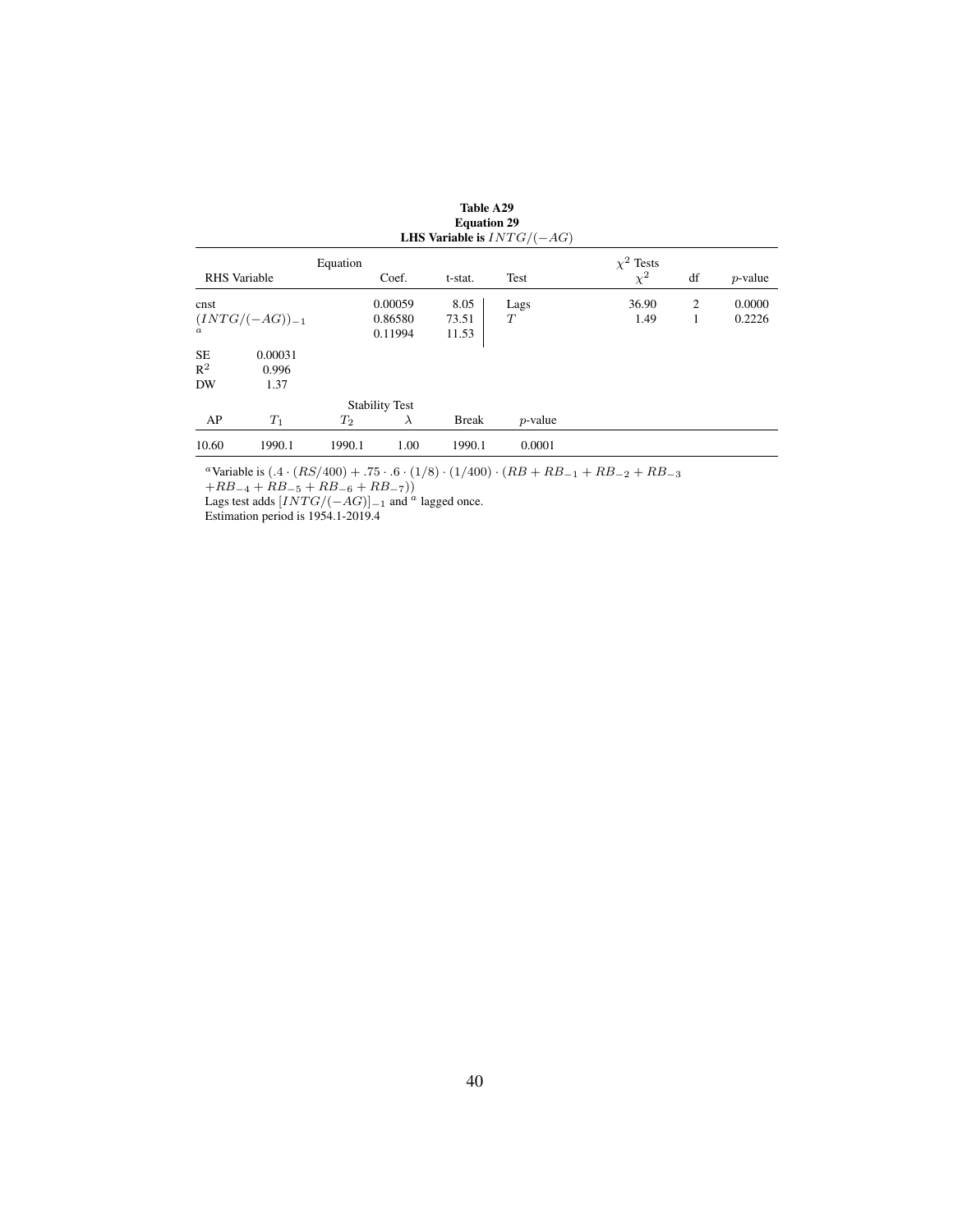| <b>Equation 29</b><br>LHS Variable is $INTG/(-AG)$ |                     |          |                       |              |            |                |                |            |  |  |
|----------------------------------------------------|---------------------|----------|-----------------------|--------------|------------|----------------|----------------|------------|--|--|
|                                                    |                     | Equation |                       |              |            | $\chi^2$ Tests |                |            |  |  |
|                                                    | <b>RHS</b> Variable | Coef.    |                       | t-stat.      | Test       | $\chi^2$       | df             | $p$ -value |  |  |
| cnst                                               |                     |          | 0.00059               | 8.05         | Lags       | 36.90          | $\overline{2}$ | 0.0000     |  |  |
| $(INTG/(-AG))_{-1}$                                |                     |          | 0.86580               | 73.51        | T          | 1.49           | 1              | 0.2226     |  |  |
| $\alpha$                                           |                     |          | 0.11994               | 11.53        |            |                |                |            |  |  |
| <b>SE</b>                                          | 0.00031             |          |                       |              |            |                |                |            |  |  |
| $R^2$                                              | 0.996               |          |                       |              |            |                |                |            |  |  |
| <b>DW</b>                                          | 1.37                |          |                       |              |            |                |                |            |  |  |
|                                                    |                     |          | <b>Stability Test</b> |              |            |                |                |            |  |  |
| AP                                                 | $T_1$               | $T_2$    | $\lambda$             | <b>Break</b> | $p$ -value |                |                |            |  |  |
| 10.60                                              | 1990.1              | 1990.1   | 1.00                  | 1990.1       | 0.0001     |                |                |            |  |  |

<sup>a</sup>Variable is  $(.4 \cdot (RS/400) + .75 \cdot .6 \cdot (1/8) \cdot (1/400) \cdot (RB + RB<sub>-1</sub> + RB<sub>-2</sub> + RB<sub>-3</sub>$  $+RB_{-4} + RB_{-5} + RB_{-6} + RB_{-7})$ 

Lags test adds  $[INTG/(-AG)]_{-1}$  and <sup>a</sup> lagged once.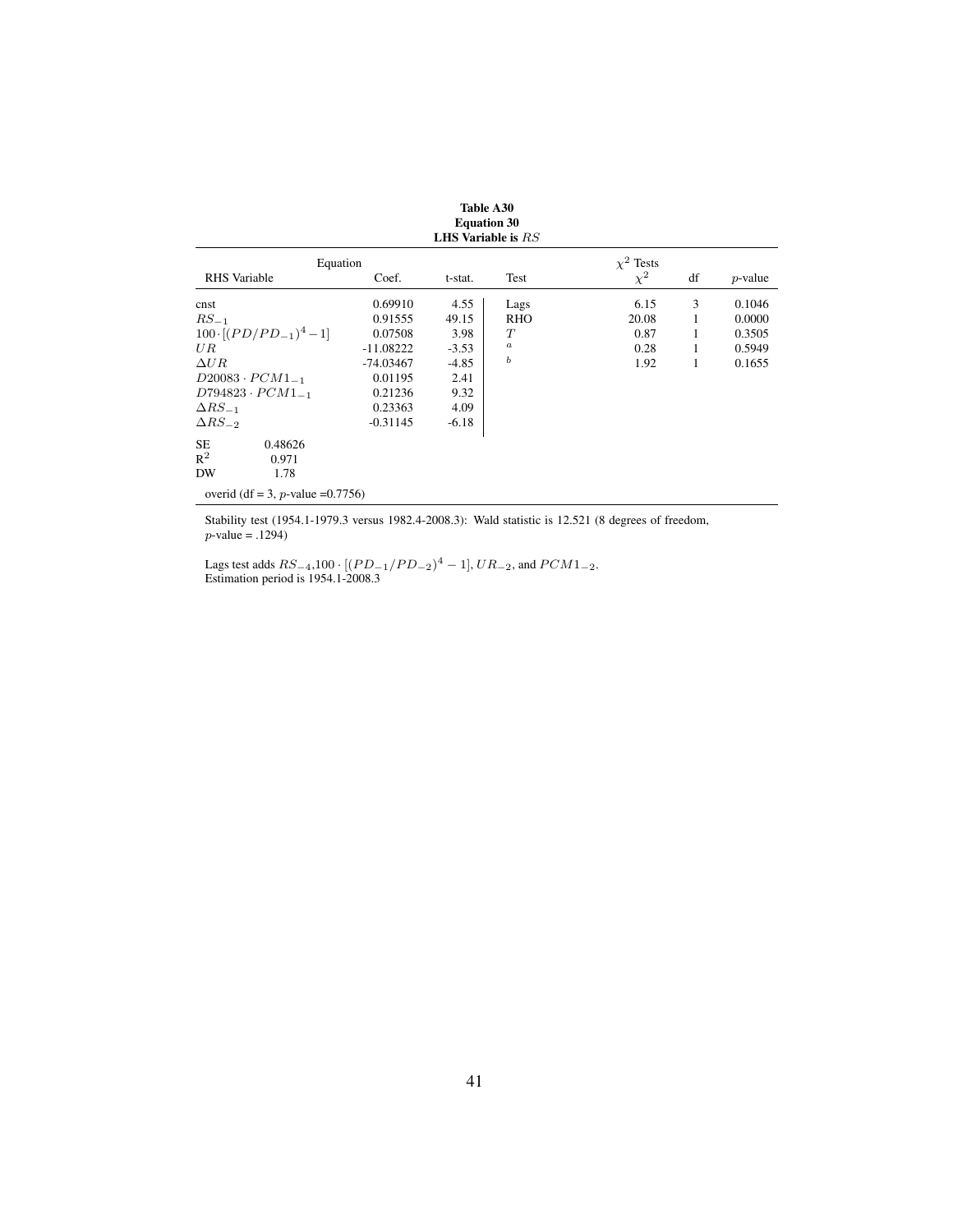|                                      |             | <b>Equation 30</b><br>LHS Variable is $RS$ |            |                |    |            |
|--------------------------------------|-------------|--------------------------------------------|------------|----------------|----|------------|
| Equation                             |             |                                            |            | $\chi^2$ Tests |    |            |
| <b>RHS</b> Variable                  | Coef.       | t-stat.                                    | Test       | $\chi^2$       | df | $p$ -value |
| cnst                                 | 0.69910     | 4.55                                       | Lags       | 6.15           | 3  | 0.1046     |
| $RS_{-1}$                            | 0.91555     | 49.15                                      | <b>RHO</b> | 20.08          |    | 0.0000     |
| $100 \cdot [(PD/PD_{-1})^4 - 1]$     | 0.07508     | 3.98                                       | T          | 0.87           |    | 0.3505     |
| UR                                   | $-11.08222$ | $-3.53$                                    | $\it a$    | 0.28           | 1  | 0.5949     |
| $\Delta UR$                          | $-74.03467$ | $-4.85$                                    | ь          | 1.92           | 1  | 0.1655     |
| $D20083 \cdot PCM1_{-1}$             | 0.01195     | 2.41                                       |            |                |    |            |
| $D794823 \cdot PCM1_{-1}$            | 0.21236     | 9.32                                       |            |                |    |            |
| $\Delta RS_{-1}$                     | 0.23363     | 4.09                                       |            |                |    |            |
| $\Delta RS_{-2}$                     | $-0.31145$  | $-6.18$                                    |            |                |    |            |
| <b>SE</b><br>0.48626                 |             |                                            |            |                |    |            |
| $R^2$<br>0.971                       |             |                                            |            |                |    |            |
| DW<br>1.78                           |             |                                            |            |                |    |            |
| overid (df = 3, p-value = $0.7756$ ) |             |                                            |            |                |    |            |

Stability test (1954.1-1979.3 versus 1982.4-2008.3): Wald statistic is 12.521 (8 degrees of freedom,  $p$ -value = .1294)

Lags test adds  $RS_{-4}$ ,100 · [( $PD_{-1}/PD_{-2}$ )<sup>4</sup> – 1],  $UR_{-2}$ , and  $PCM1_{-2}$ . Estimation period is 1954.1-2008.3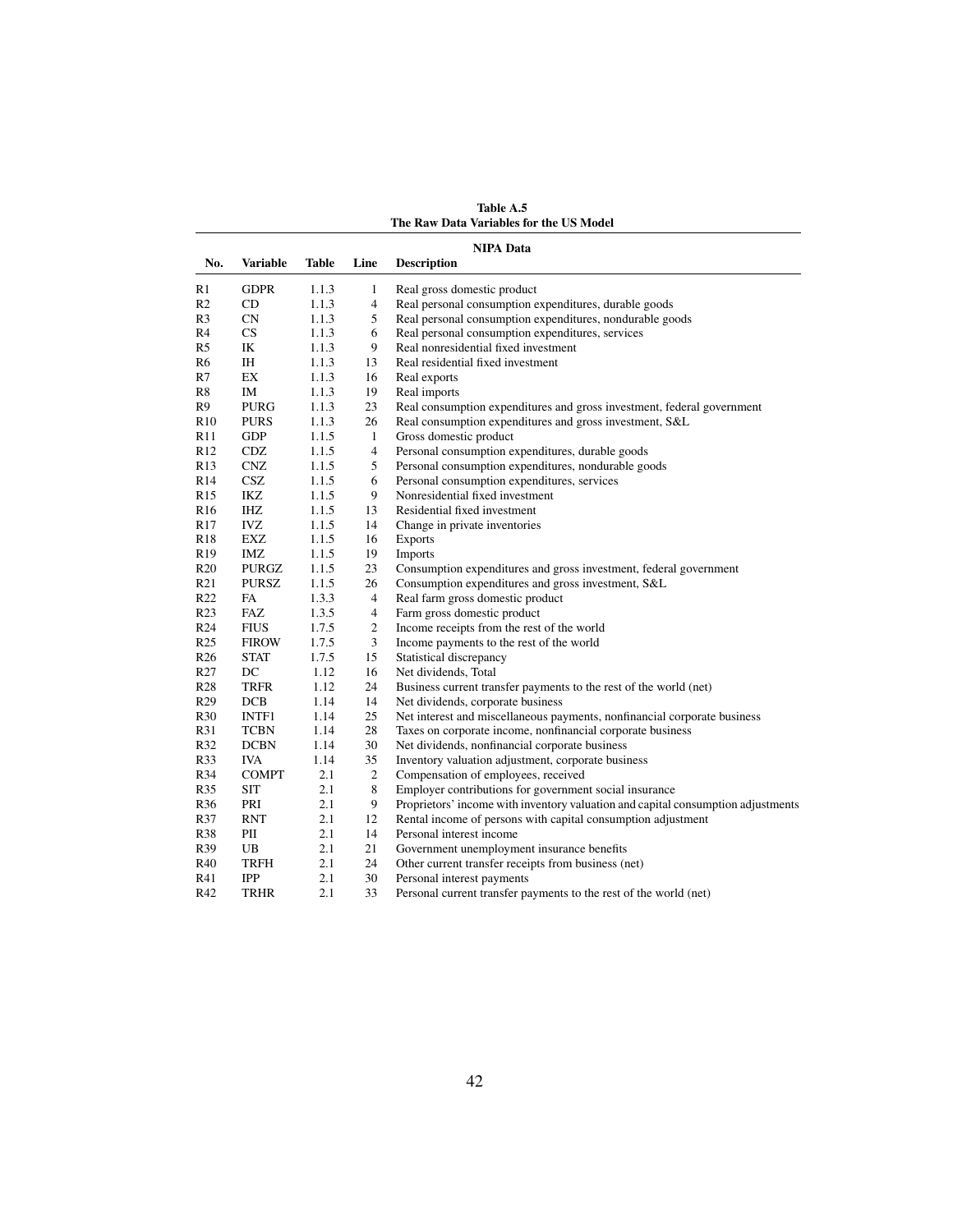Table A.5 The Raw Data Variables for the US Model

| No.             | <b>Variable</b> | Table | Line                     | <b>NIPA Data</b><br><b>Description</b>                                           |
|-----------------|-----------------|-------|--------------------------|----------------------------------------------------------------------------------|
|                 |                 |       |                          |                                                                                  |
| R1              | <b>GDPR</b>     | 1.1.3 | 1                        | Real gross domestic product                                                      |
| R2              | CD              | 1.1.3 | $\overline{4}$           | Real personal consumption expenditures, durable goods                            |
| R3              | <b>CN</b>       | 1.1.3 | 5                        | Real personal consumption expenditures, nondurable goods                         |
| R4              | CS.             | 1.1.3 | 6                        | Real personal consumption expenditures, services                                 |
| R5              | IK              | 1.1.3 | 9                        | Real nonresidential fixed investment                                             |
| R6              | IH              | 1.1.3 | 13                       | Real residential fixed investment                                                |
| R7              | EX              | 1.1.3 | 16                       | Real exports                                                                     |
| R8              | IM              | 1.1.3 | 19                       | Real imports                                                                     |
| R9              | <b>PURG</b>     | 1.1.3 | 23                       | Real consumption expenditures and gross investment, federal government           |
| R10             | <b>PURS</b>     | 1.1.3 | 26                       | Real consumption expenditures and gross investment, S&L                          |
| R11             | <b>GDP</b>      | 1.1.5 | $\mathbf{1}$             | Gross domestic product                                                           |
| R <sub>12</sub> | CDZ             | 1.1.5 | 4                        | Personal consumption expenditures, durable goods                                 |
| R <sub>13</sub> | <b>CNZ</b>      | 1.1.5 | 5                        | Personal consumption expenditures, nondurable goods                              |
| R14             | <b>CSZ</b>      | 1.1.5 | 6                        | Personal consumption expenditures, services                                      |
| R15             | IKZ             | 1.1.5 | 9                        | Nonresidential fixed investment                                                  |
| R <sub>16</sub> | IHZ             | 1.1.5 | 13                       | Residential fixed investment                                                     |
| R17             | <b>IVZ</b>      | 1.1.5 | 14                       | Change in private inventories                                                    |
| R18             | EXZ             | 1.1.5 | 16                       | <b>Exports</b>                                                                   |
| R <sub>19</sub> | IMZ             | 1.1.5 | 19                       | Imports                                                                          |
| R <sub>20</sub> | <b>PURGZ</b>    | 1.1.5 | 23                       | Consumption expenditures and gross investment, federal government                |
| R21             | <b>PURSZ</b>    | 1.1.5 | 26                       | Consumption expenditures and gross investment, S&L                               |
| R22             | FA              | 1.3.3 | $\overline{\mathcal{A}}$ | Real farm gross domestic product                                                 |
| R <sub>23</sub> | <b>FAZ</b>      | 1.3.5 | 4                        | Farm gross domestic product                                                      |
| R <sub>24</sub> | <b>FIUS</b>     | 1.7.5 | 2                        | Income receipts from the rest of the world                                       |
| R <sub>25</sub> | <b>FIROW</b>    | 1.7.5 | 3                        | Income payments to the rest of the world                                         |
| R <sub>26</sub> | <b>STAT</b>     | 1.7.5 | 15                       | Statistical discrepancy                                                          |
| R <sub>27</sub> | DC              | 1.12  | 16                       | Net dividends, Total                                                             |
| R28             | <b>TRFR</b>     | 1.12  | 24                       | Business current transfer payments to the rest of the world (net)                |
| R <sub>29</sub> | DCB             | 1.14  | 14                       | Net dividends, corporate business                                                |
| R30             | INTF1           | 1.14  | 25                       | Net interest and miscellaneous payments, nonfinancial corporate business         |
| R31             | <b>TCBN</b>     | 1.14  | 28                       | Taxes on corporate income, nonfinancial corporate business                       |
| R32             | <b>DCBN</b>     | 1.14  | 30                       | Net dividends, nonfinancial corporate business                                   |
| R33             | <b>IVA</b>      | 1.14  | 35                       | Inventory valuation adjustment, corporate business                               |
| R34             | <b>COMPT</b>    | 2.1   | $\overline{c}$           | Compensation of employees, received                                              |
| R35             | <b>SIT</b>      | 2.1   | 8                        | Employer contributions for government social insurance                           |
| R36             | PRI             | 2.1   | 9                        | Proprietors' income with inventory valuation and capital consumption adjustments |
| R37             | <b>RNT</b>      | 2.1   | 12                       | Rental income of persons with capital consumption adjustment                     |
| R38             | PII             | 2.1   | 14                       | Personal interest income                                                         |
| R39             | UB              | 2.1   | 21                       | Government unemployment insurance benefits                                       |
| R40             | <b>TRFH</b>     | 2.1   | 24                       | Other current transfer receipts from business (net)                              |
| R41             | <b>IPP</b>      | 2.1   | 30                       | Personal interest payments                                                       |
| R42             | <b>TRHR</b>     | 2.1   | 33                       | Personal current transfer payments to the rest of the world (net)                |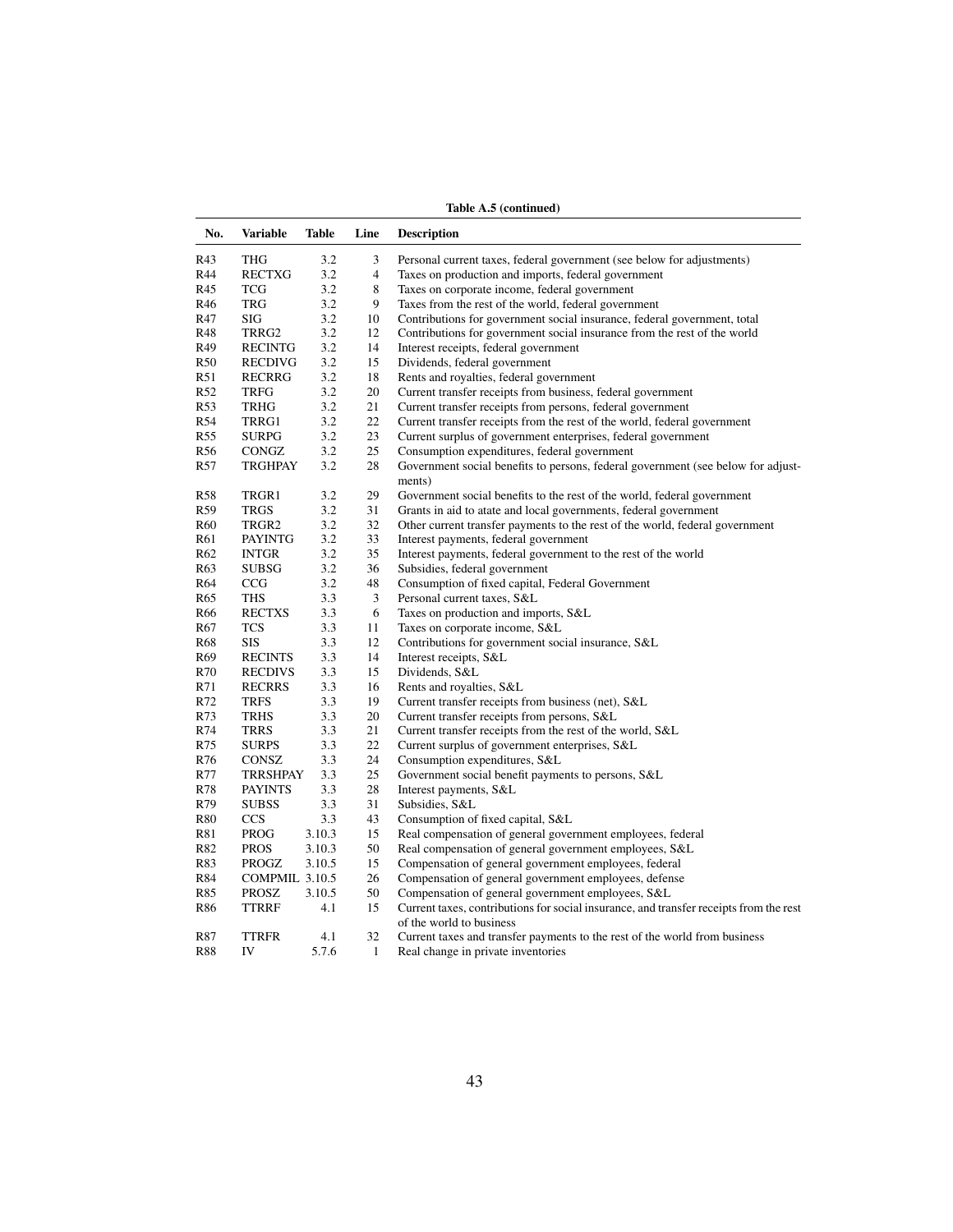Table A.5 (continued)

| No.             | <b>Variable</b> | <b>Table</b> | Line           | <b>Description</b>                                                                                                 |
|-----------------|-----------------|--------------|----------------|--------------------------------------------------------------------------------------------------------------------|
| R43             | THG             | 3.2          | 3              | Personal current taxes, federal government (see below for adjustments)                                             |
| R44             | <b>RECTXG</b>   | 3.2          | $\overline{4}$ | Taxes on production and imports, federal government                                                                |
| R45             | TCG             | 3.2          | 8              | Taxes on corporate income, federal government                                                                      |
| R46             | TRG             | 3.2          | 9              | Taxes from the rest of the world, federal government                                                               |
| R47             | SIG             | 3.2          | 10             | Contributions for government social insurance, federal government, total                                           |
| R48             | TRRG2           | 3.2          | 12             | Contributions for government social insurance from the rest of the world                                           |
| R49             | <b>RECINTG</b>  | 3.2          | 14             | Interest receipts, federal government                                                                              |
| R50             | <b>RECDIVG</b>  | 3.2          | 15             | Dividends, federal government                                                                                      |
| R51             | RECRRG          | 3.2          | 18             | Rents and royalties, federal government                                                                            |
| R52             | <b>TRFG</b>     | 3.2          | 20             | Current transfer receipts from business, federal government                                                        |
| R <sub>53</sub> | <b>TRHG</b>     | 3.2          | 21             | Current transfer receipts from persons, federal government                                                         |
| R54             | TRRG1           | 3.2          | 22             | Current transfer receipts from the rest of the world, federal government                                           |
| R55             | SURPG           | 3.2          | 23             | Current surplus of government enterprises, federal government                                                      |
| R <sub>56</sub> | CONGZ           | 3.2          | 25             | Consumption expenditures, federal government                                                                       |
| R <sub>57</sub> | <b>TRGHPAY</b>  | 3.2          | 28             | Government social benefits to persons, federal government (see below for adjust-                                   |
|                 |                 |              |                | ments)                                                                                                             |
| R58             | TRGR1           | 3.2          | 29             | Government social benefits to the rest of the world, federal government                                            |
| R <sub>59</sub> | <b>TRGS</b>     | 3.2          | 31             | Grants in aid to atate and local governments, federal government                                                   |
| R60             | TRGR2           | 3.2          | 32             | Other current transfer payments to the rest of the world, federal government                                       |
| R61             | <b>PAYINTG</b>  | 3.2          | 33             | Interest payments, federal government                                                                              |
| R <sub>62</sub> | <b>INTGR</b>    | 3.2          | 35             | Interest payments, federal government to the rest of the world                                                     |
| R <sub>63</sub> | SUBSG           | 3.2          | 36             | Subsidies, federal government                                                                                      |
| R64             | CCG             | 3.2          | 48             | Consumption of fixed capital, Federal Government                                                                   |
| R <sub>65</sub> | <b>THS</b>      | 3.3          | 3              | Personal current taxes, S&L                                                                                        |
| R66             | <b>RECTXS</b>   | 3.3          | 6              | Taxes on production and imports, S&L                                                                               |
| R67             | TCS             | 3.3          | 11             | Taxes on corporate income, S&L                                                                                     |
| R <sub>68</sub> | <b>SIS</b>      | 3.3          | 12             | Contributions for government social insurance, S&L                                                                 |
| R69             | <b>RECINTS</b>  | 3.3          | 14             | Interest receipts, S&L                                                                                             |
| R70             | <b>RECDIVS</b>  | 3.3          | 15             | Dividends, S&L                                                                                                     |
| R71             | <b>RECRRS</b>   | 3.3          | 16             | Rents and royalties, S&L                                                                                           |
| R72             | <b>TRFS</b>     | 3.3          | 19             | Current transfer receipts from business (net), S&L                                                                 |
| R73             | <b>TRHS</b>     | 3.3          | 20             | Current transfer receipts from persons, S&L                                                                        |
| R74             | <b>TRRS</b>     | 3.3          | 21             | Current transfer receipts from the rest of the world, S&L                                                          |
| R75             | <b>SURPS</b>    | 3.3          | 22             | Current surplus of government enterprises, S&L                                                                     |
| R76             | <b>CONSZ</b>    | 3.3          | 24             | Consumption expenditures, S&L                                                                                      |
| R77             | <b>TRRSHPAY</b> | 3.3          | 25             | Government social benefit payments to persons, S&L                                                                 |
| R78             | <b>PAYINTS</b>  | 3.3          | 28             | Interest payments, S&L                                                                                             |
| R79             | <b>SUBSS</b>    | 3.3          | 31             | Subsidies, S&L                                                                                                     |
| <b>R80</b>      | <b>CCS</b>      | 3.3          | 43             | Consumption of fixed capital, S&L                                                                                  |
| R81             | PROG            | 3.10.3       | 15             | Real compensation of general government employees, federal                                                         |
| R82             | <b>PROS</b>     | 3.10.3       | 50             | Real compensation of general government employees, S&L                                                             |
| R83             | PROGZ           | 3.10.5       | 15             | Compensation of general government employees, federal                                                              |
| R84             | COMPMIL 3.10.5  |              | 26             | Compensation of general government employees, defense                                                              |
| R85             | PROSZ           | 3.10.5       | 50             | Compensation of general government employees, S&L                                                                  |
| R86             | TTRRF           | 4.1          | 15             | Current taxes, contributions for social insurance, and transfer receipts from the rest<br>of the world to business |
| R87             | <b>TTRFR</b>    | 4.1          | 32             | Current taxes and transfer payments to the rest of the world from business                                         |
| <b>R88</b>      | IV              | 5.7.6        | $\mathbf{1}$   | Real change in private inventories                                                                                 |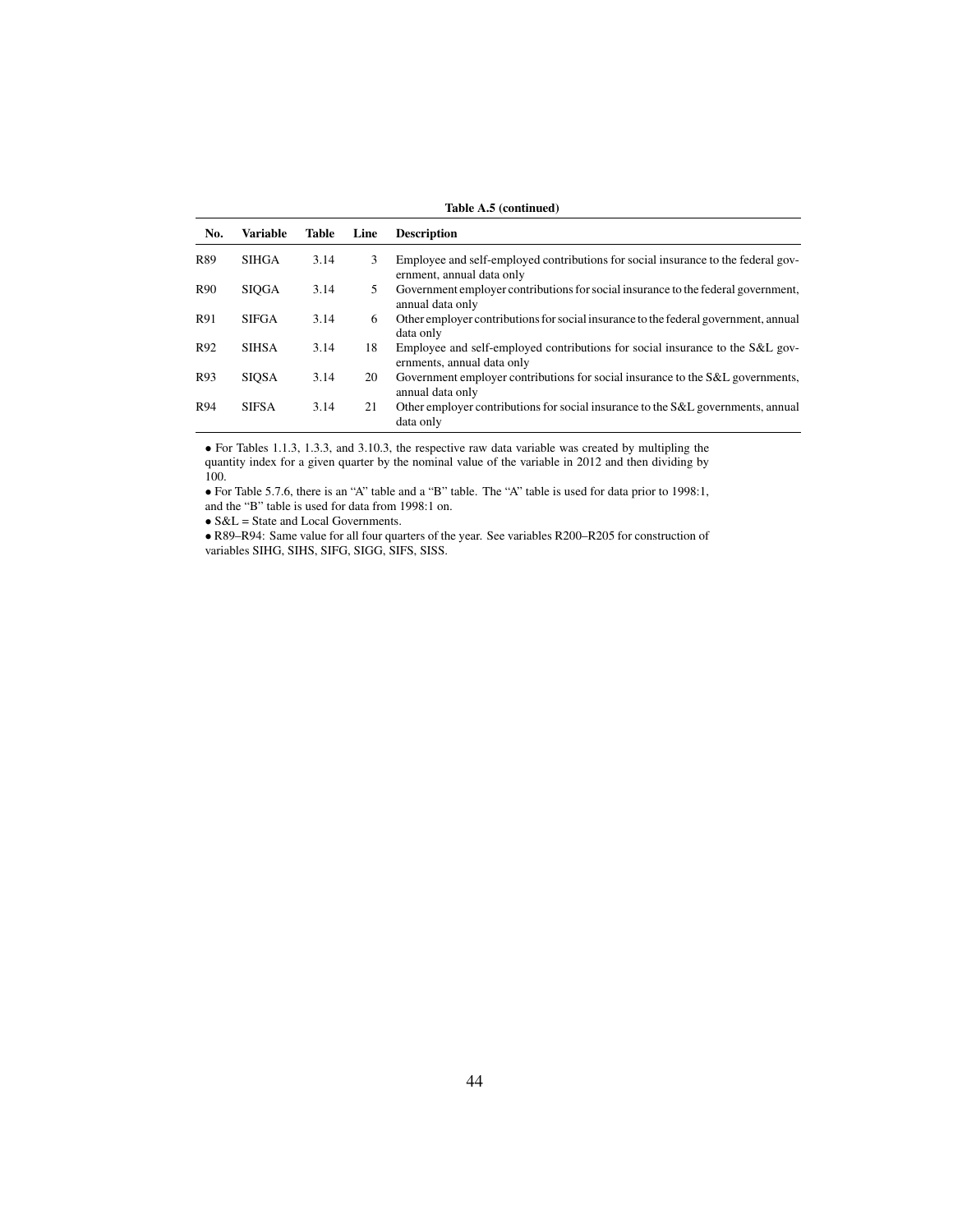| Table A.5 (continued) |                 |              |      |                                                                                                                |  |  |  |  |  |
|-----------------------|-----------------|--------------|------|----------------------------------------------------------------------------------------------------------------|--|--|--|--|--|
| No.                   | <b>Variable</b> | <b>Table</b> | Line | <b>Description</b>                                                                                             |  |  |  |  |  |
| R89                   | <b>SIHGA</b>    | 3.14         | 3    | Employee and self-employed contributions for social insurance to the federal gov-<br>ernment, annual data only |  |  |  |  |  |
| R <sub>90</sub>       | <b>SIOGA</b>    | 3.14         | 5    | Government employer contributions for social insurance to the federal government,<br>annual data only          |  |  |  |  |  |
| R91                   | <b>SIFGA</b>    | 3.14         | 6    | Other employer contributions for social insurance to the federal government, annual<br>data only               |  |  |  |  |  |
| R92                   | <b>SIHSA</b>    | 3.14         | 18   | Employee and self-employed contributions for social insurance to the S&L gov-<br>ernments, annual data only    |  |  |  |  |  |
| R93                   | <b>SIOSA</b>    | 3.14         | 20   | Government employer contributions for social insurance to the S&L governments,<br>annual data only             |  |  |  |  |  |
| R94                   | <b>SIFSA</b>    | 3.14         | 21   | Other employer contributions for social insurance to the S&L governments, annual<br>data only                  |  |  |  |  |  |

• For Tables 1.1.3, 1.3.3, and 3.10.3, the respective raw data variable was created by multipling the quantity index for a given quarter by the nominal value of the variable in 2012 and then dividing by 100.

• For Table 5.7.6, there is an "A" table and a "B" table. The "A" table is used for data prior to 1998:1, and the "B" table is used for data from 1998:1 on.

• S&L = State and Local Governments.

• R89–R94: Same value for all four quarters of the year. See variables R200–R205 for construction of variables SIHG, SIHS, SIFG, SIGG, SIFS, SISS.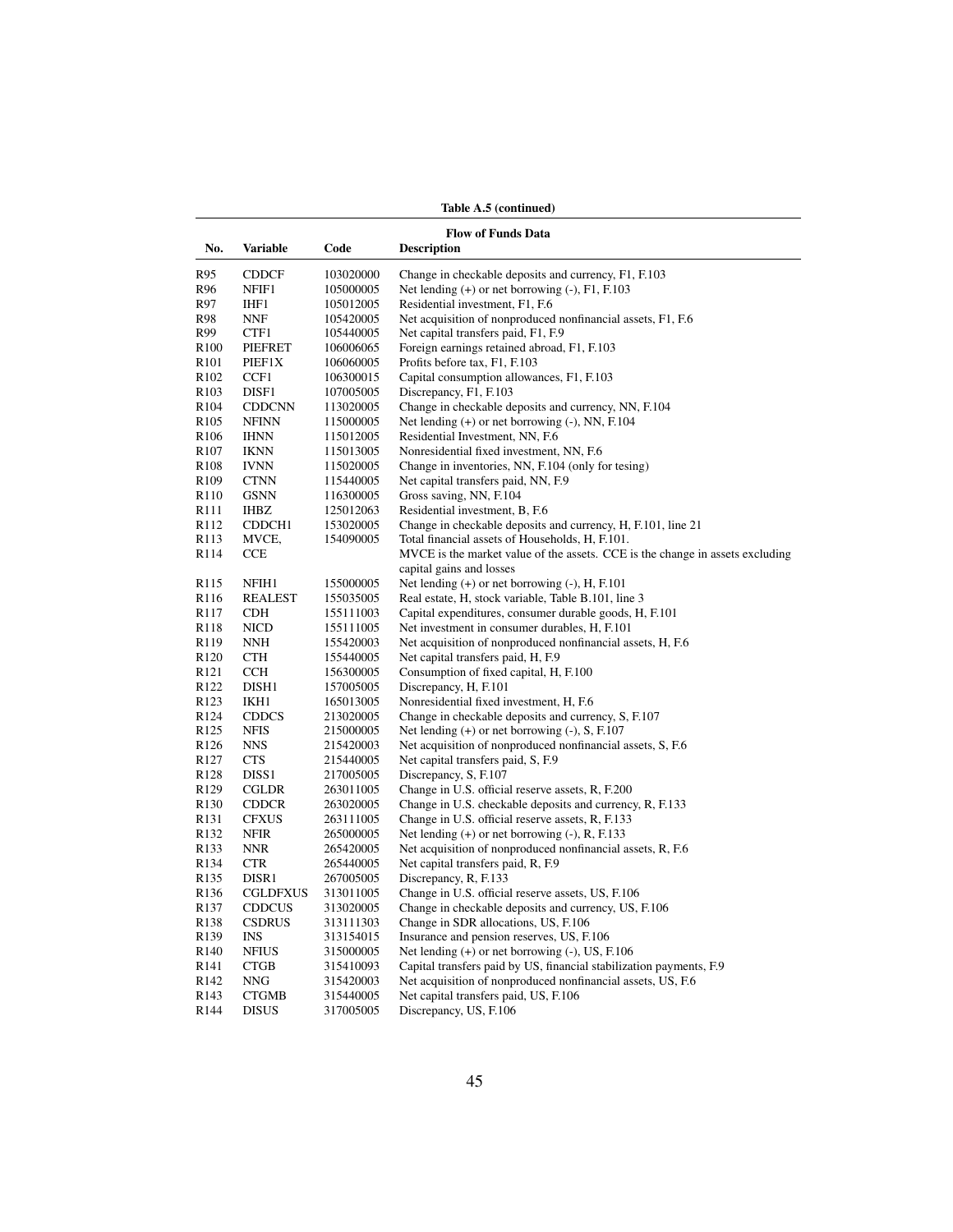Table A.5 (continued)

|                                      | <b>Flow of Funds Data</b> |                        |                                                                                                |  |  |  |  |  |
|--------------------------------------|---------------------------|------------------------|------------------------------------------------------------------------------------------------|--|--|--|--|--|
| No.                                  | Variable                  | Code                   | <b>Description</b>                                                                             |  |  |  |  |  |
| R95                                  | <b>CDDCF</b>              | 103020000              | Change in checkable deposits and currency, F1, F.103                                           |  |  |  |  |  |
| R96                                  | NFIF1                     | 105000005              | Net lending $(+)$ or net borrowing $(-)$ , $F1$ , $F.103$                                      |  |  |  |  |  |
| R97                                  | IHF1                      | 105012005              | Residential investment, F1, F.6                                                                |  |  |  |  |  |
| R98                                  | NNF                       | 105420005              | Net acquisition of nonproduced nonfinancial assets, F1, F.6                                    |  |  |  |  |  |
| R99                                  | CTF1                      | 105440005              | Net capital transfers paid, F1, F.9                                                            |  |  |  |  |  |
| R <sub>100</sub>                     | <b>PIEFRET</b>            | 106006065              | Foreign earnings retained abroad, F1, F.103                                                    |  |  |  |  |  |
| R <sub>101</sub>                     | PIEF1X                    | 106060005              | Profits before tax, F1, F.103                                                                  |  |  |  |  |  |
| R <sub>102</sub>                     | CCF1                      | 106300015              | Capital consumption allowances, F1, F.103                                                      |  |  |  |  |  |
| R <sub>103</sub>                     | DISF1                     | 107005005              | Discrepancy, F1, F.103                                                                         |  |  |  |  |  |
| R104                                 | <b>CDDCNN</b>             | 113020005              | Change in checkable deposits and currency, NN, F.104                                           |  |  |  |  |  |
| R <sub>105</sub>                     | <b>NFINN</b>              | 115000005              | Net lending $(+)$ or net borrowing $(-)$ , NN, F.104                                           |  |  |  |  |  |
| R <sub>106</sub>                     | <b>IHNN</b>               | 115012005              | Residential Investment, NN, F.6                                                                |  |  |  |  |  |
| R <sub>107</sub>                     | <b>IKNN</b>               | 115013005              | Nonresidential fixed investment, NN, F.6                                                       |  |  |  |  |  |
| R <sub>108</sub>                     | <b>IVNN</b>               | 115020005              | Change in inventories, NN, F.104 (only for tesing)                                             |  |  |  |  |  |
| R <sub>109</sub>                     | <b>CTNN</b>               | 115440005              | Net capital transfers paid, NN, F.9                                                            |  |  |  |  |  |
| R110                                 | <b>GSNN</b>               | 116300005              | Gross saving, NN, F.104                                                                        |  |  |  |  |  |
| R <sub>111</sub>                     | <b>IHBZ</b>               | 125012063              | Residential investment, B, F.6                                                                 |  |  |  |  |  |
| R112                                 | CDDCH <sub>1</sub>        | 153020005              | Change in checkable deposits and currency, H, F.101, line 21                                   |  |  |  |  |  |
| R <sub>113</sub>                     | MVCE,                     | 154090005              | Total financial assets of Households, H, F.101.                                                |  |  |  |  |  |
| R <sub>114</sub>                     | CCE                       |                        | MVCE is the market value of the assets. CCE is the change in assets excluding                  |  |  |  |  |  |
|                                      |                           |                        | capital gains and losses                                                                       |  |  |  |  |  |
| R <sub>115</sub>                     | NFIH1                     | 155000005              | Net lending $(+)$ or net borrowing $(-)$ , H, F.101                                            |  |  |  |  |  |
| R <sub>116</sub>                     | <b>REALEST</b>            | 155035005              | Real estate, H, stock variable, Table B.101, line 3                                            |  |  |  |  |  |
| R <sub>117</sub>                     | <b>CDH</b>                | 155111003              | Capital expenditures, consumer durable goods, H, F.101                                         |  |  |  |  |  |
| R118                                 | <b>NICD</b>               | 155111005              | Net investment in consumer durables, H, F.101                                                  |  |  |  |  |  |
| R119                                 | <b>NNH</b>                | 155420003              | Net acquisition of nonproduced nonfinancial assets, H, F.6                                     |  |  |  |  |  |
| R <sub>120</sub>                     | <b>CTH</b>                | 155440005              | Net capital transfers paid, H, F.9                                                             |  |  |  |  |  |
| R <sub>121</sub><br>R <sub>122</sub> | <b>CCH</b><br>DISH1       | 156300005              | Consumption of fixed capital, H, F.100                                                         |  |  |  |  |  |
|                                      |                           | 157005005              | Discrepancy, H, F.101                                                                          |  |  |  |  |  |
| R <sub>123</sub><br>R <sub>124</sub> | IKH1<br><b>CDDCS</b>      | 165013005<br>213020005 | Nonresidential fixed investment, H, F.6<br>Change in checkable deposits and currency, S, F.107 |  |  |  |  |  |
| R125                                 | <b>NFIS</b>               | 215000005              | Net lending $(+)$ or net borrowing $(-)$ , S, F.107                                            |  |  |  |  |  |
| R <sub>126</sub>                     | NNS                       | 215420003              | Net acquisition of nonproduced nonfinancial assets, S, F.6                                     |  |  |  |  |  |
| R <sub>127</sub>                     | <b>CTS</b>                | 215440005              | Net capital transfers paid, S, F.9                                                             |  |  |  |  |  |
| R <sub>128</sub>                     | DISS <sub>1</sub>         | 217005005              | Discrepancy, S. F.107                                                                          |  |  |  |  |  |
| R <sub>129</sub>                     | <b>CGLDR</b>              | 263011005              | Change in U.S. official reserve assets, R, F.200                                               |  |  |  |  |  |
| R <sub>130</sub>                     | <b>CDDCR</b>              | 263020005              | Change in U.S. checkable deposits and currency, R, F.133                                       |  |  |  |  |  |
| R <sub>131</sub>                     | <b>CFXUS</b>              | 263111005              | Change in U.S. official reserve assets, R, F.133                                               |  |  |  |  |  |
| R <sub>132</sub>                     | <b>NFIR</b>               | 265000005              | Net lending $(+)$ or net borrowing $(-)$ , R, F.133                                            |  |  |  |  |  |
| R <sub>133</sub>                     | <b>NNR</b>                | 265420005              | Net acquisition of nonproduced nonfinancial assets, R, F.6                                     |  |  |  |  |  |
| R134                                 | <b>CTR</b>                | 265440005              | Net capital transfers paid, R, F.9                                                             |  |  |  |  |  |
| R <sub>135</sub>                     | DISR1                     | 267005005              | Discrepancy, R, F.133                                                                          |  |  |  |  |  |
| R136                                 | <b>CGLDFXUS</b>           | 313011005              | Change in U.S. official reserve assets, US, F.106                                              |  |  |  |  |  |
| R <sub>137</sub>                     | <b>CDDCUS</b>             | 313020005              | Change in checkable deposits and currency, US, F.106                                           |  |  |  |  |  |
| R138                                 | <b>CSDRUS</b>             | 313111303              | Change in SDR allocations, US, F.106                                                           |  |  |  |  |  |
| R <sub>139</sub>                     | <b>INS</b>                | 313154015              | Insurance and pension reserves, US, F.106                                                      |  |  |  |  |  |
| R <sub>140</sub>                     | <b>NFIUS</b>              | 315000005              | Net lending $(+)$ or net borrowing $(-)$ , US, F.106                                           |  |  |  |  |  |
| R <sub>141</sub>                     | <b>CTGB</b>               | 315410093              | Capital transfers paid by US, financial stabilization payments, F.9                            |  |  |  |  |  |
| R <sub>142</sub>                     | <b>NNG</b>                | 315420003              | Net acquisition of nonproduced nonfinancial assets, US, F.6                                    |  |  |  |  |  |
| R <sub>143</sub>                     | <b>CTGMB</b>              | 315440005              | Net capital transfers paid, US, F.106                                                          |  |  |  |  |  |
| R144                                 | <b>DISUS</b>              | 317005005              | Discrepancy, US, F.106                                                                         |  |  |  |  |  |
|                                      |                           |                        |                                                                                                |  |  |  |  |  |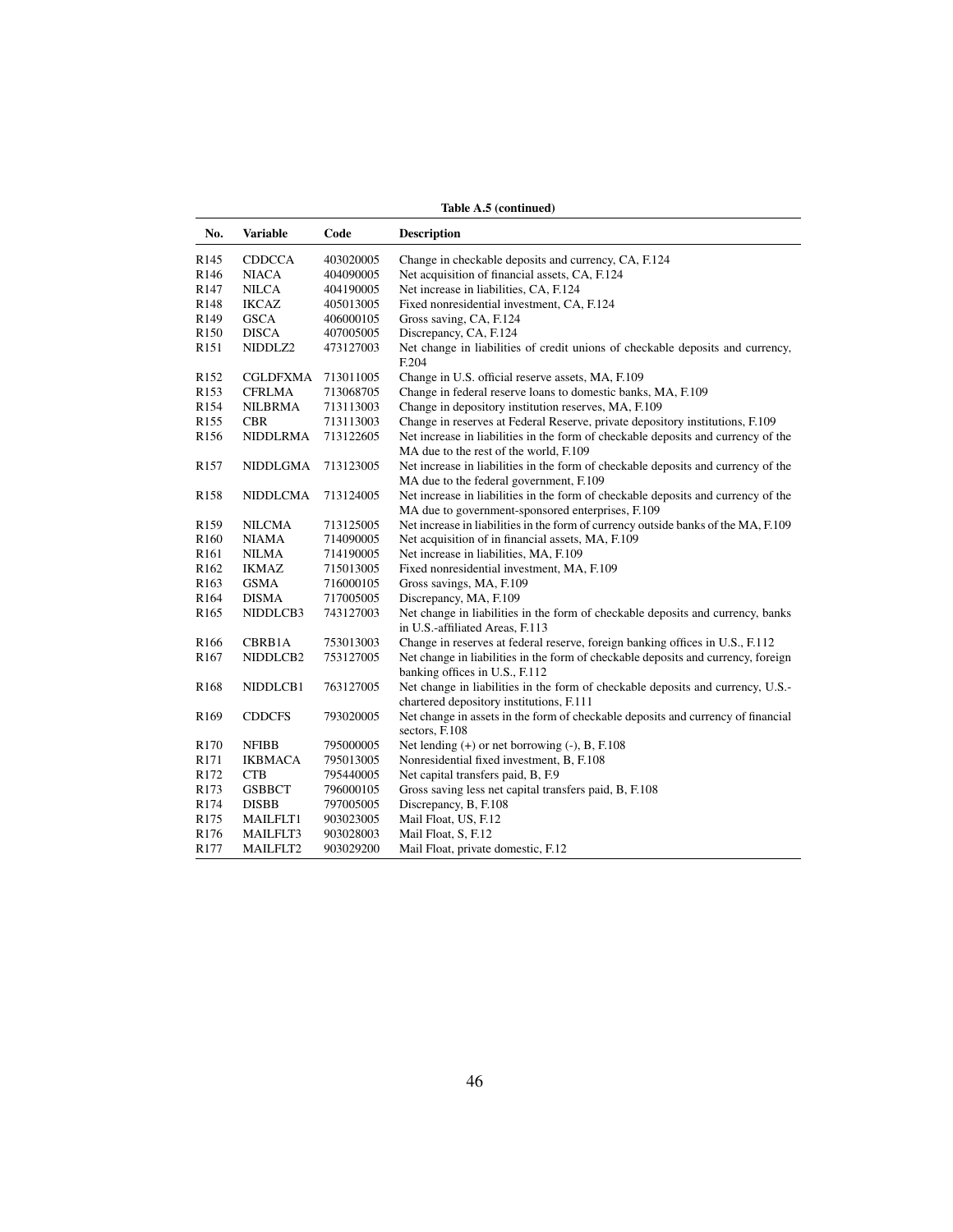|                  | Table A.5 (continued) |           |                                                                                                                              |  |  |
|------------------|-----------------------|-----------|------------------------------------------------------------------------------------------------------------------------------|--|--|
| No.              | <b>Variable</b>       | Code      | <b>Description</b>                                                                                                           |  |  |
| R <sub>145</sub> | <b>CDDCCA</b>         | 403020005 | Change in checkable deposits and currency, CA, F.124                                                                         |  |  |
| R <sub>146</sub> | <b>NIACA</b>          | 404090005 | Net acquisition of financial assets, CA, F.124                                                                               |  |  |
| R147             | <b>NILCA</b>          | 404190005 | Net increase in liabilities, CA, F.124                                                                                       |  |  |
| R148             | IKCAZ                 | 405013005 | Fixed nonresidential investment, CA, F.124                                                                                   |  |  |
| R149             | <b>GSCA</b>           | 406000105 | Gross saving, CA, F.124                                                                                                      |  |  |
| R150             | <b>DISCA</b>          | 407005005 | Discrepancy, CA, F.124                                                                                                       |  |  |
| R <sub>151</sub> | NIDDLZ2               | 473127003 | Net change in liabilities of credit unions of checkable deposits and currency,<br>F.204                                      |  |  |
| R <sub>152</sub> | CGLDFXMA              | 713011005 | Change in U.S. official reserve assets, MA, F.109                                                                            |  |  |
| R <sub>153</sub> | CFRLMA                | 713068705 | Change in federal reserve loans to domestic banks, MA, F.109                                                                 |  |  |
| R154             | <b>NILBRMA</b>        | 713113003 | Change in depository institution reserves, MA, F.109                                                                         |  |  |
| R <sub>155</sub> | <b>CBR</b>            | 713113003 | Change in reserves at Federal Reserve, private depository institutions, F.109                                                |  |  |
| R <sub>156</sub> | NIDDLRMA              | 713122605 | Net increase in liabilities in the form of checkable deposits and currency of the<br>MA due to the rest of the world, F.109  |  |  |
| R <sub>157</sub> | NIDDLGMA              | 713123005 | Net increase in liabilities in the form of checkable deposits and currency of the<br>MA due to the federal government, F.109 |  |  |
| R <sub>158</sub> | NIDDLCMA              | 713124005 | Net increase in liabilities in the form of checkable deposits and currency of the                                            |  |  |
|                  |                       |           | MA due to government-sponsored enterprises, F.109                                                                            |  |  |
| R159             | NILCMA                | 713125005 | Net increase in liabilities in the form of currency outside banks of the MA, F.109                                           |  |  |
| R <sub>160</sub> | <b>NIAMA</b>          | 714090005 | Net acquisition of in financial assets, MA, F.109                                                                            |  |  |
| R <sub>161</sub> | NILMA                 | 714190005 | Net increase in liabilities, MA, F.109                                                                                       |  |  |
| R <sub>162</sub> | <b>IKMAZ</b>          | 715013005 | Fixed nonresidential investment, MA, F.109                                                                                   |  |  |
| R <sub>163</sub> | <b>GSMA</b>           | 716000105 | Gross savings, MA, F.109                                                                                                     |  |  |
| R <sub>164</sub> | <b>DISMA</b>          | 717005005 | Discrepancy, MA, F.109                                                                                                       |  |  |
| R <sub>165</sub> | NIDDLCB3              | 743127003 | Net change in liabilities in the form of checkable deposits and currency, banks<br>in U.S.-affiliated Areas, F.113           |  |  |
| R <sub>166</sub> | CBRB1A                | 753013003 | Change in reserves at federal reserve, foreign banking offices in U.S., F.112                                                |  |  |
| R <sub>167</sub> | NIDDLCB2              | 753127005 | Net change in liabilities in the form of checkable deposits and currency, foreign<br>banking offices in U.S., F.112          |  |  |
| R <sub>168</sub> | NIDDLCB1              | 763127005 | Net change in liabilities in the form of checkable deposits and currency, U.S.-<br>chartered depository institutions, F.111  |  |  |
| R <sub>169</sub> | <b>CDDCFS</b>         | 793020005 | Net change in assets in the form of checkable deposits and currency of financial<br>sectors, F.108                           |  |  |
| R <sub>170</sub> | NFIBB                 | 795000005 | Net lending (+) or net borrowing (-), B, F.108                                                                               |  |  |
| R <sub>171</sub> | IKBMACA               | 795013005 | Nonresidential fixed investment, B, F.108                                                                                    |  |  |
| R172             | <b>CTB</b>            | 795440005 | Net capital transfers paid, B, F.9                                                                                           |  |  |
| R173             | <b>GSBBCT</b>         | 796000105 | Gross saving less net capital transfers paid, B, F.108                                                                       |  |  |
| R174             | <b>DISBB</b>          | 797005005 | Discrepancy, B, F.108                                                                                                        |  |  |
| R <sub>175</sub> | MAILFLT1              | 903023005 | Mail Float, US, F.12                                                                                                         |  |  |
| R176             | MAILFLT3              | 903028003 | Mail Float, S, F.12                                                                                                          |  |  |
| R <sub>177</sub> | <b>MAILFLT2</b>       | 903029200 | Mail Float, private domestic, F.12                                                                                           |  |  |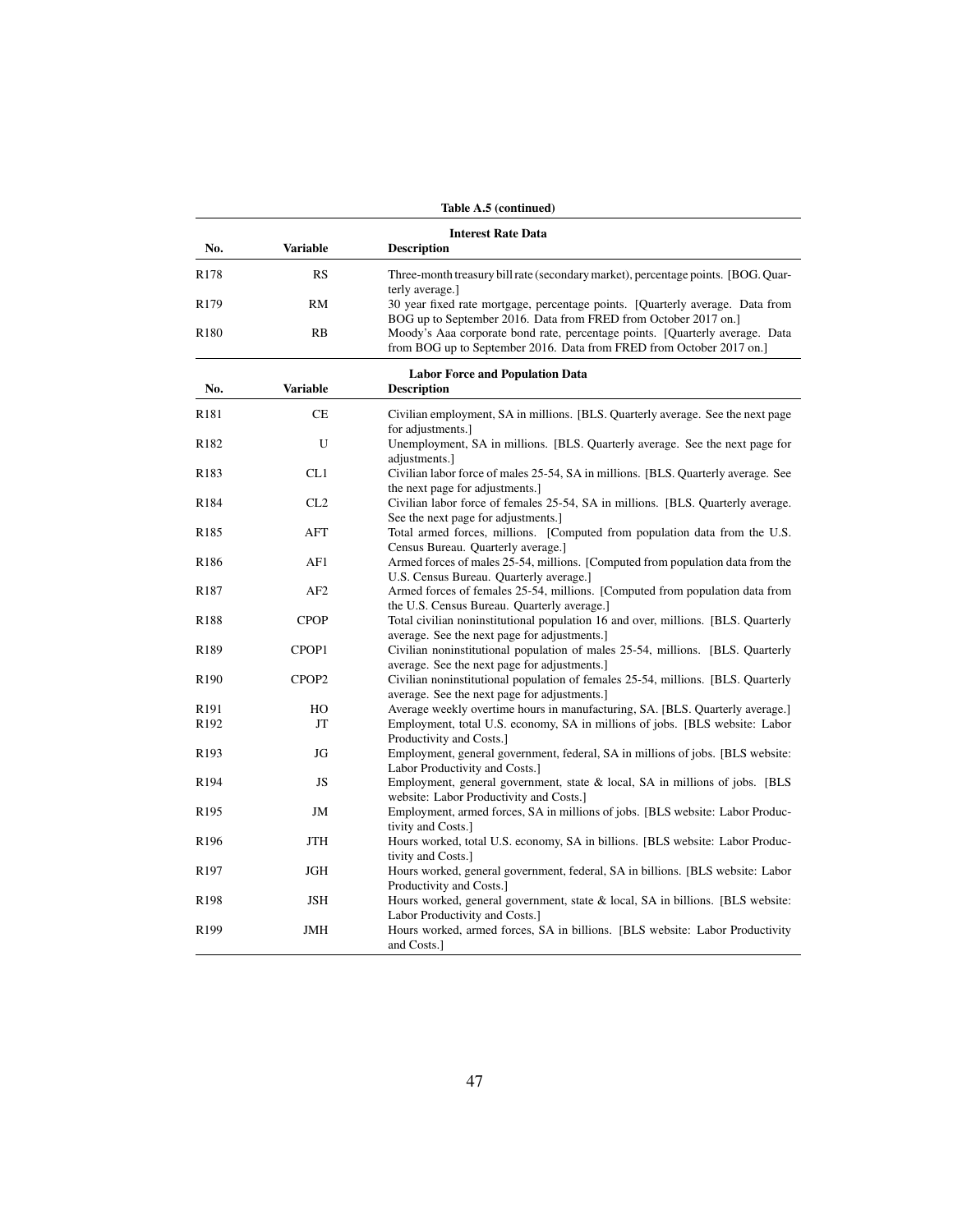|                          |                   | Table A.5 (continued)                                                                                                                                                                    |
|--------------------------|-------------------|------------------------------------------------------------------------------------------------------------------------------------------------------------------------------------------|
|                          |                   | <b>Interest Rate Data</b>                                                                                                                                                                |
| No.                      | <b>Variable</b>   | <b>Description</b>                                                                                                                                                                       |
| R <sub>178</sub>         | RS                | Three-month treasury bill rate (secondary market), percentage points. [BOG. Quar-<br>terly average.]                                                                                     |
| R <sub>179</sub>         | RM                | 30 year fixed rate mortgage, percentage points. [Quarterly average. Data from<br>BOG up to September 2016. Data from FRED from October 2017 on.]                                         |
| R <sub>180</sub>         | RB                | Moody's Aaa corporate bond rate, percentage points. [Quarterly average. Data<br>from BOG up to September 2016. Data from FRED from October 2017 on.                                      |
| No.                      | <b>Variable</b>   | <b>Labor Force and Population Data</b><br><b>Description</b>                                                                                                                             |
| R <sub>181</sub>         | <b>CE</b>         | Civilian employment, SA in millions. [BLS. Quarterly average. See the next page<br>for adjustments.]                                                                                     |
| R <sub>182</sub>         | U                 | Unemployment, SA in millions. [BLS. Quarterly average. See the next page for<br>adjustments.]                                                                                            |
| R183                     | CL1               | Civilian labor force of males 25-54, SA in millions. [BLS. Quarterly average. See<br>the next page for adjustments.]                                                                     |
| R184                     | CL2               | Civilian labor force of females 25-54, SA in millions. [BLS. Quarterly average.]<br>See the next page for adjustments.]                                                                  |
| R <sub>185</sub>         | AFT               | Total armed forces, millions. [Computed from population data from the U.S.<br>Census Bureau. Quarterly average.]                                                                         |
| R186                     | AF1               | Armed forces of males 25-54, millions. [Computed from population data from the<br>U.S. Census Bureau. Quarterly average.]                                                                |
| R187                     | AF2               | Armed forces of females 25-54, millions. [Computed from population data from<br>the U.S. Census Bureau. Quarterly average.]                                                              |
| R188                     | <b>CPOP</b>       | Total civilian noninstitutional population 16 and over, millions. [BLS. Quarterly<br>average. See the next page for adjustments.]                                                        |
| R189                     | CPOP1             | Civilian noninstitutional population of males 25-54, millions. [BLS. Quarterly<br>average. See the next page for adjustments.                                                            |
| R <sub>190</sub>         | CPOP <sub>2</sub> | Civilian noninstitutional population of females 25-54, millions. [BLS. Quarterly<br>average. See the next page for adjustments.]                                                         |
| R <sub>191</sub><br>R192 | HO<br>JT          | Average weekly overtime hours in manufacturing, SA. [BLS. Quarterly average.]<br>Employment, total U.S. economy, SA in millions of jobs. [BLS website: Labor<br>Productivity and Costs.] |
| R <sub>193</sub>         | JG                | Employment, general government, federal, SA in millions of jobs. [BLS website:<br>Labor Productivity and Costs.]                                                                         |
| R194                     | JS                | Employment, general government, state & local, SA in millions of jobs. [BLS<br>website: Labor Productivity and Costs.]                                                                   |
| R <sub>195</sub>         | JM                | Employment, armed forces, SA in millions of jobs. [BLS website: Labor Produc-<br>tivity and Costs.]                                                                                      |
| R <sub>196</sub>         | JTH               | Hours worked, total U.S. economy, SA in billions. [BLS website: Labor Produc-<br>tivity and Costs.]                                                                                      |
| R <sub>197</sub>         | JGH               | Hours worked, general government, federal, SA in billions. [BLS website: Labor]<br>Productivity and Costs.                                                                               |
| R <sub>198</sub>         | <b>JSH</b>        | Hours worked, general government, state & local, SA in billions. [BLS website:<br>Labor Productivity and Costs.]                                                                         |
| R <sub>199</sub>         | <b>JMH</b>        | Hours worked, armed forces, SA in billions. [BLS website: Labor Productivity<br>and Costs.]                                                                                              |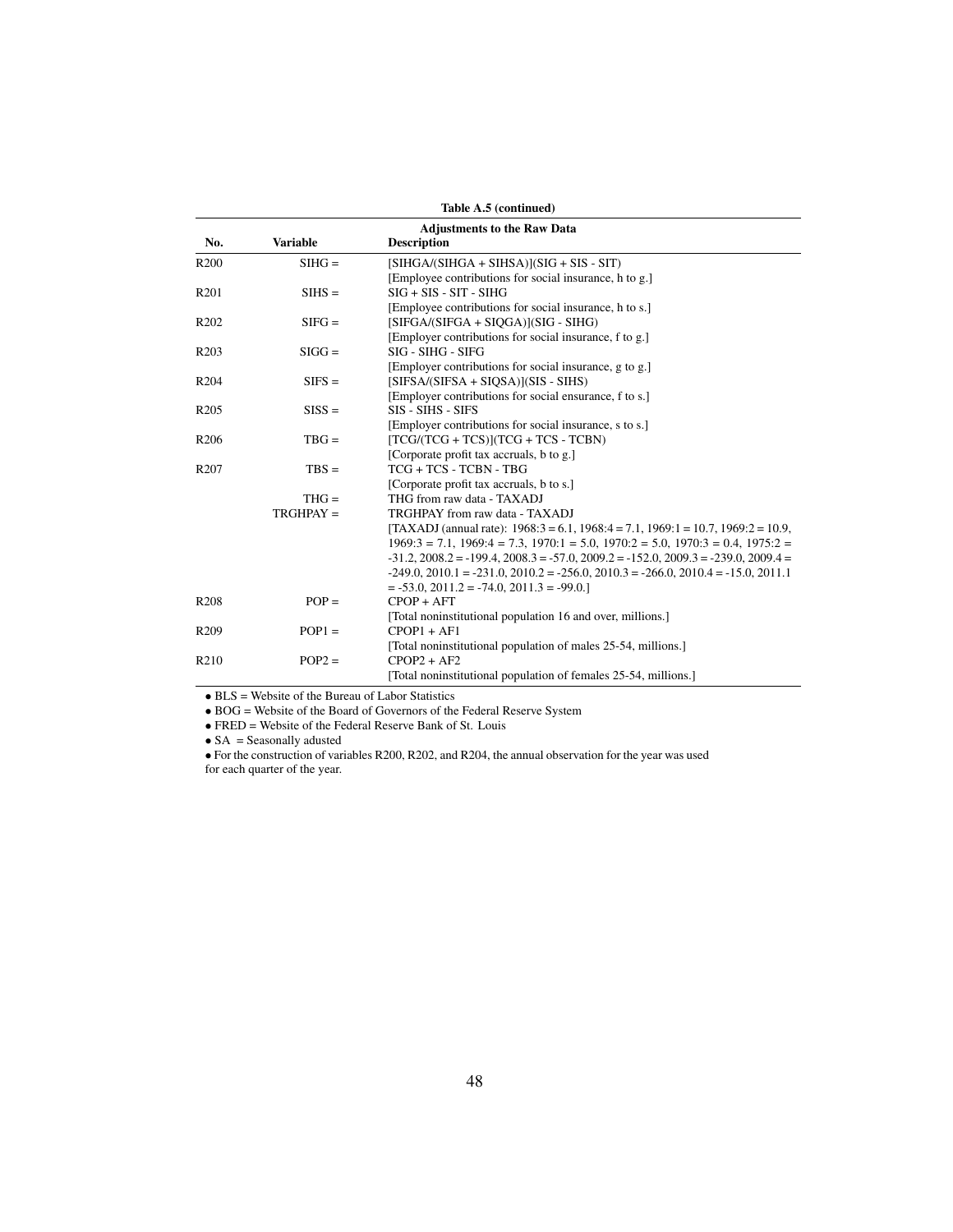|                   | Table A.5 (continued)              |                                                                                                     |  |  |  |  |
|-------------------|------------------------------------|-----------------------------------------------------------------------------------------------------|--|--|--|--|
|                   | <b>Adjustments to the Raw Data</b> |                                                                                                     |  |  |  |  |
| No.               | <b>Variable</b>                    | <b>Description</b>                                                                                  |  |  |  |  |
| R <sub>200</sub>  | $SIHG =$                           | $[SHGA/(SIHGA + SIHSA)](SIG + SIS - SIT)$                                                           |  |  |  |  |
|                   |                                    | [Employee contributions for social insurance, h to g.]                                              |  |  |  |  |
| R <sub>201</sub>  | $SIHS =$                           | $SIG + SIS - SIT - SHIG$                                                                            |  |  |  |  |
|                   |                                    | [Employee contributions for social insurance, h to s.]                                              |  |  |  |  |
| R <sub>202</sub>  | $SIFG =$                           | [SIFGA/(SIFGA + SIQGA)](SIG - SIHG)                                                                 |  |  |  |  |
|                   |                                    | [Employer contributions for social insurance, f to g.]                                              |  |  |  |  |
| R <sub>20</sub> 3 | $SIGG =$                           | SIG - SIHG - SIFG                                                                                   |  |  |  |  |
|                   |                                    | [Employer contributions for social insurance, g to g.]                                              |  |  |  |  |
| R <sub>204</sub>  | $SIFS =$                           | $[SIFSA/(SIFSA + SIQSA)](SIS - SIHS)$                                                               |  |  |  |  |
|                   |                                    | [Employer contributions for social ensurance, f to s.]                                              |  |  |  |  |
| R <sub>205</sub>  | $SISS =$                           | SIS - SIHS - SIFS                                                                                   |  |  |  |  |
|                   |                                    | [Employer contributions for social insurance, s to s.]                                              |  |  |  |  |
| R <sub>206</sub>  | $TBG =$                            | $[TCG/(TCG + TCS)](TCG + TCS - TCBN)$                                                               |  |  |  |  |
|                   |                                    | [Corporate profit tax accruals, b to g.]                                                            |  |  |  |  |
| R <sub>207</sub>  | $TBS =$                            | TCG + TCS - TCBN - TBG                                                                              |  |  |  |  |
|                   |                                    | [Corporate profit tax accruals, b to s.]                                                            |  |  |  |  |
|                   | $THG =$                            | THG from raw data - TAXADJ                                                                          |  |  |  |  |
|                   | $TRGHPAY =$                        | TRGHPAY from raw data - TAXADJ                                                                      |  |  |  |  |
|                   |                                    | [TAXADJ (annual rate): $1968:3 = 6.1$ , $1968:4 = 7.1$ , $1969:1 = 10.7$ , $1969:2 = 10.9$ ,        |  |  |  |  |
|                   |                                    | $1969:3 = 7.1$ , $1969:4 = 7.3$ , $1970:1 = 5.0$ , $1970:2 = 5.0$ , $1970:3 = 0.4$ , $1975:2 =$     |  |  |  |  |
|                   |                                    | $-31.2$ , $2008.2 = -199.4$ , $2008.3 = -57.0$ , $2009.2 = -152.0$ , $2009.3 = -239.0$ , $2009.4 =$ |  |  |  |  |
|                   |                                    | $-249.0$ , $2010.1 = -231.0$ , $2010.2 = -256.0$ , $2010.3 = -266.0$ , $2010.4 = -15.0$ , $2011.1$  |  |  |  |  |
|                   |                                    | $= -53.0, 2011.2 = -74.0, 2011.3 = -99.0.$                                                          |  |  |  |  |
| R <sub>208</sub>  | $POP =$                            | $CPOP + AFT$                                                                                        |  |  |  |  |
|                   |                                    | [Total noninstitutional population 16 and over, millions.]                                          |  |  |  |  |
| R <sub>209</sub>  | $POP1 =$                           | $CPOP1 + AF1$                                                                                       |  |  |  |  |
|                   |                                    | [Total noninstitutional population of males 25-54, millions.]                                       |  |  |  |  |
| R <sub>210</sub>  | $POP2 =$                           | $CPOP2 + AF2$                                                                                       |  |  |  |  |
|                   |                                    | [Total noninstitutional population of females 25-54, millions.]                                     |  |  |  |  |

• BLS = Website of the Bureau of Labor Statistics

• BOG = Website of the Board of Governors of the Federal Reserve System

• FRED = Website of the Federal Reserve Bank of St. Louis

• SA = Seasonally adusted

• For the construction of variables R200, R202, and R204, the annual observation for the year was used for each quarter of the year.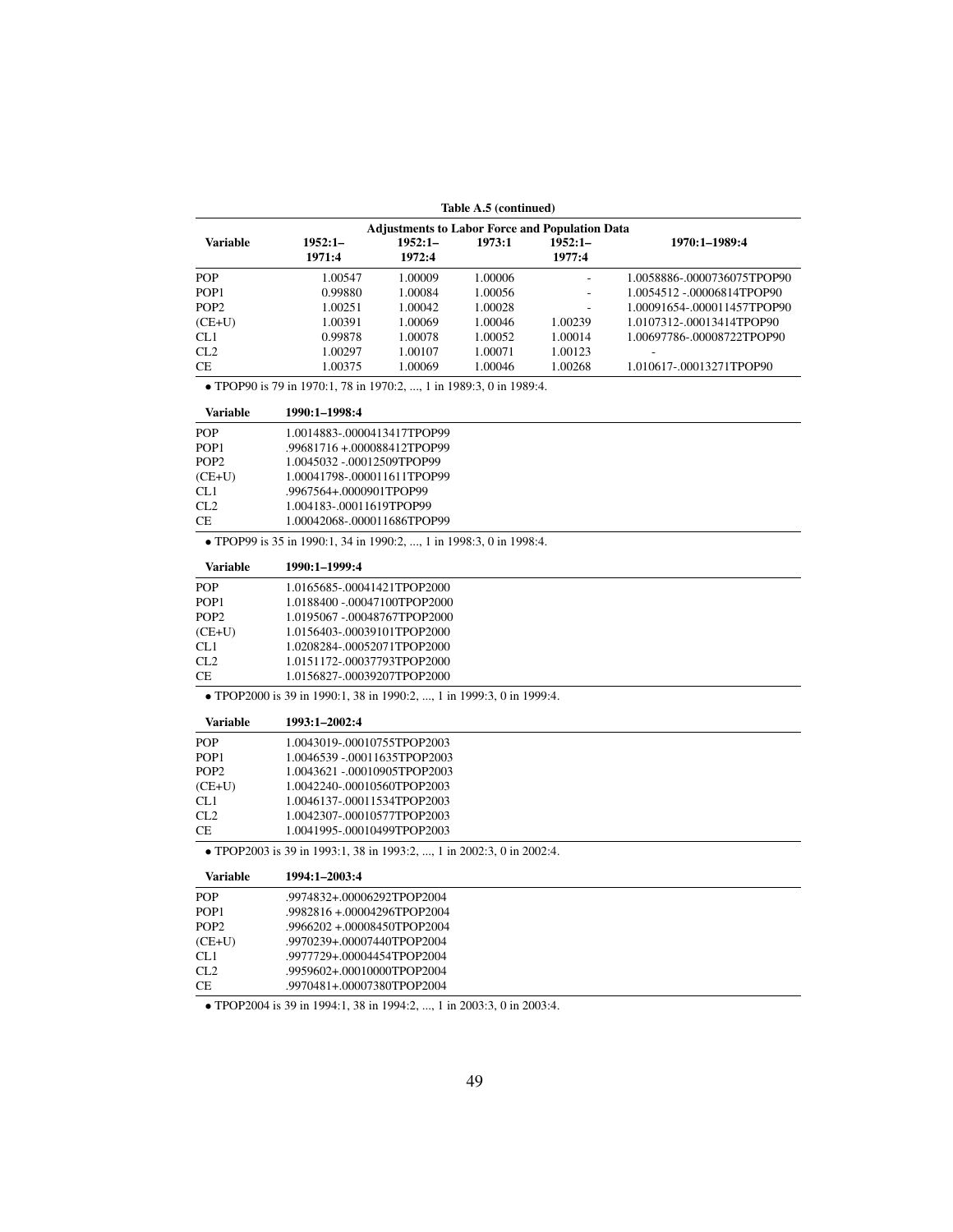| Table A.5 (continued) |                                                                       |                              |         |                                                       |                             |  |  |  |
|-----------------------|-----------------------------------------------------------------------|------------------------------|---------|-------------------------------------------------------|-----------------------------|--|--|--|
|                       |                                                                       |                              |         | <b>Adjustments to Labor Force and Population Data</b> |                             |  |  |  |
| <b>Variable</b>       | $1952:1-$<br>1971:4                                                   | $1952:1-$<br>1972:4          | 1973:1  | $1952:1-$<br>1977:4                                   | 1970:1-1989:4               |  |  |  |
| <b>POP</b>            | 1.00547                                                               | 1.00009                      | 1.00006 |                                                       | 1.0058886-.0000736075TPOP90 |  |  |  |
| POP <sub>1</sub>      | 0.99880                                                               | 1.00084                      | 1.00056 |                                                       | 1.0054512 -.00006814TPOP90  |  |  |  |
| POP <sub>2</sub>      | 1.00251                                                               | 1.00042                      | 1.00028 |                                                       | 1.00091654-.000011457TPOP90 |  |  |  |
| $(CE+U)$              | 1.00391                                                               | 1.00069                      | 1.00046 | 1.00239                                               | 1.0107312-.00013414TPOP90   |  |  |  |
| CL1                   | 0.99878                                                               | 1.00078                      | 1.00052 | 1.00014                                               | 1.00697786-.00008722TPOP90  |  |  |  |
| CL2                   | 1.00297                                                               | 1.00107                      | 1.00071 | 1.00123                                               |                             |  |  |  |
| <b>CE</b>             | 1.00375                                                               | 1.00069                      | 1.00046 | 1.00268                                               | 1.010617-.00013271TPOP90    |  |  |  |
|                       | • TPOP90 is 79 in 1970:1, 78 in 1970:2, , 1 in 1989:3, 0 in 1989:4.   |                              |         |                                                       |                             |  |  |  |
| <b>Variable</b>       | 1990:1-1998:4                                                         |                              |         |                                                       |                             |  |  |  |
| <b>POP</b>            | 1.0014883-.0000413417TPOP99                                           |                              |         |                                                       |                             |  |  |  |
| POP <sub>1</sub>      | .99681716 +.000088412TPOP99                                           |                              |         |                                                       |                             |  |  |  |
| POP <sub>2</sub>      | 1.0045032 -.00012509TPOP99                                            |                              |         |                                                       |                             |  |  |  |
| $(CE+U)$              | 1.00041798-.000011611TPOP99                                           |                              |         |                                                       |                             |  |  |  |
| CL <sub>1</sub>       | .9967564+.0000901TPOP99                                               |                              |         |                                                       |                             |  |  |  |
| CL2                   | 1.004183-.00011619TPOP99                                              |                              |         |                                                       |                             |  |  |  |
| СE                    | 1.00042068-.000011686TPOP99                                           |                              |         |                                                       |                             |  |  |  |
|                       | • TPOP99 is 35 in 1990:1, 34 in 1990:2, , 1 in 1998:3, 0 in 1998:4.   |                              |         |                                                       |                             |  |  |  |
| <b>Variable</b>       | 1990:1-1999:4                                                         |                              |         |                                                       |                             |  |  |  |
| <b>POP</b>            | 1.0165685-.00041421TPOP2000                                           |                              |         |                                                       |                             |  |  |  |
| POP <sub>1</sub>      | 1.0188400 -.00047100TPOP2000                                          |                              |         |                                                       |                             |  |  |  |
| POP <sub>2</sub>      |                                                                       | 1.0195067 -.00048767TPOP2000 |         |                                                       |                             |  |  |  |
| $(CE+U)$              |                                                                       | 1.0156403-.00039101TPOP2000  |         |                                                       |                             |  |  |  |
| CL1                   |                                                                       | 1.0208284-.00052071TPOP2000  |         |                                                       |                             |  |  |  |
| CL2                   | 1.0151172-.00037793TPOP2000                                           |                              |         |                                                       |                             |  |  |  |
| <b>CE</b>             | 1.0156827-.00039207TPOP2000                                           |                              |         |                                                       |                             |  |  |  |
|                       | • TPOP2000 is 39 in 1990:1, 38 in 1990:2, , 1 in 1999:3, 0 in 1999:4. |                              |         |                                                       |                             |  |  |  |
| Variable              | 1993:1-2002:4                                                         |                              |         |                                                       |                             |  |  |  |
| POP                   | 1.0043019-.00010755TPOP2003                                           |                              |         |                                                       |                             |  |  |  |
| POP <sub>1</sub>      | 1.0046539 -.00011635TPOP2003                                          |                              |         |                                                       |                             |  |  |  |
| POP <sub>2</sub>      | 1.0043621 -.00010905TPOP2003                                          |                              |         |                                                       |                             |  |  |  |
| $(CE+U)$              | 1.0042240-.00010560TPOP2003                                           |                              |         |                                                       |                             |  |  |  |
| CL1                   | 1.0046137-.00011534TPOP2003                                           |                              |         |                                                       |                             |  |  |  |
| CL2                   | 1.0042307-.00010577TPOP2003                                           |                              |         |                                                       |                             |  |  |  |
| CE                    | 1.0041995-.00010499TPOP2003                                           |                              |         |                                                       |                             |  |  |  |
|                       | • TPOP2003 is 39 in 1993:1, 38 in 1993:2, , 1 in 2002:3, 0 in 2002:4. |                              |         |                                                       |                             |  |  |  |
| Variable              | 1994:1-2003:4                                                         |                              |         |                                                       |                             |  |  |  |
| POP                   | .9974832+.00006292TPOP2004                                            |                              |         |                                                       |                             |  |  |  |
| POP <sub>1</sub>      | .9982816+.00004296TPOP2004                                            |                              |         |                                                       |                             |  |  |  |
| POP <sub>2</sub>      | .9966202+.00008450TPOP2004                                            |                              |         |                                                       |                             |  |  |  |
| $(CE+U)$              | .9970239+.00007440TPOP2004                                            |                              |         |                                                       |                             |  |  |  |
| CL1                   | .9977729+.00004454TPOP2004                                            |                              |         |                                                       |                             |  |  |  |
| CL2                   | .9959602+.00010000TPOP2004                                            |                              |         |                                                       |                             |  |  |  |
| <b>CE</b>             | .9970481+.00007380TPOP2004                                            |                              |         |                                                       |                             |  |  |  |

• TPOP2004 is 39 in 1994:1, 38 in 1994:2, ..., 1 in 2003:3, 0 in 2003:4.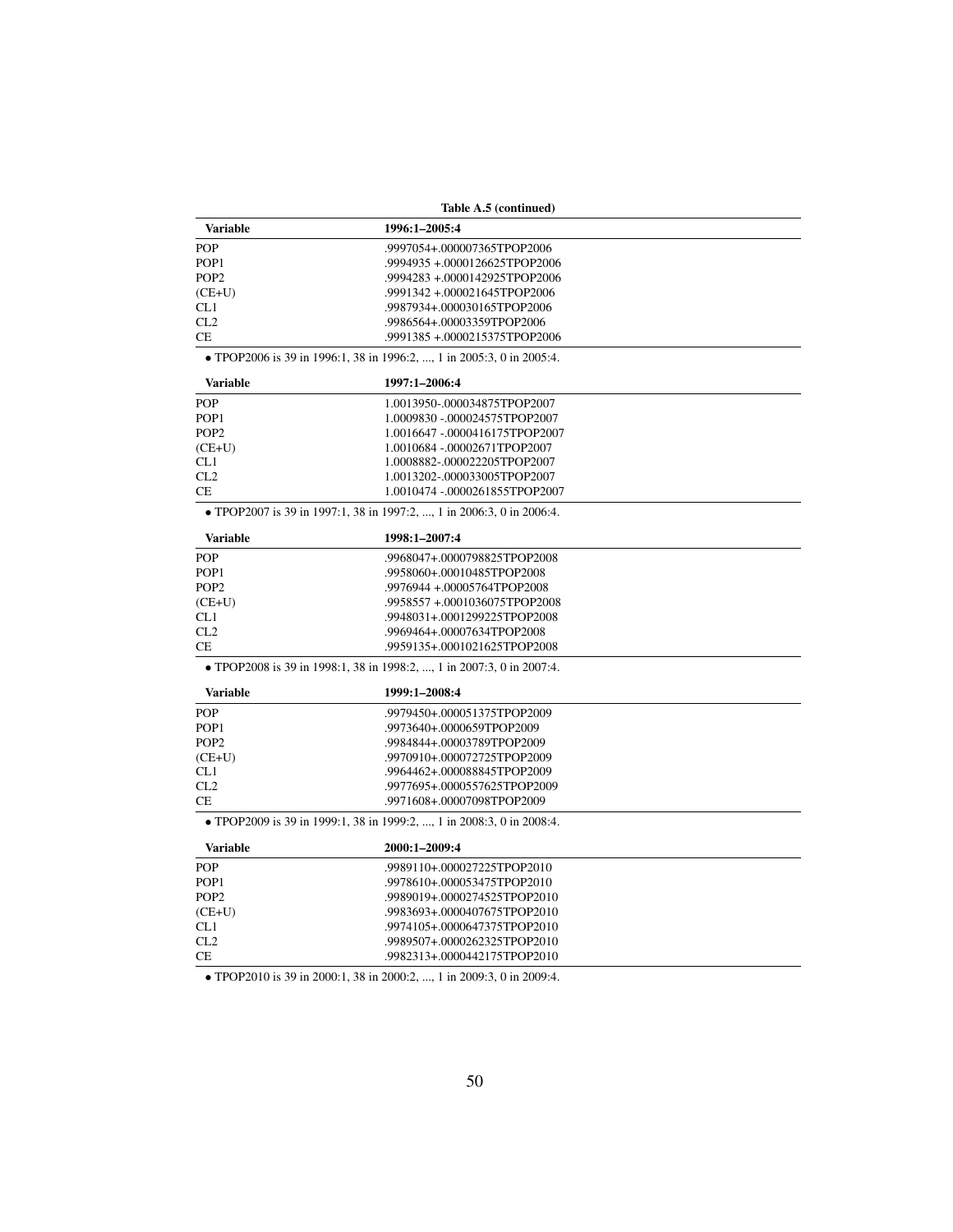| Table A.5 (continued) |                                                                       |  |  |  |
|-----------------------|-----------------------------------------------------------------------|--|--|--|
| Variable              | 1996:1-2005:4                                                         |  |  |  |
| <b>POP</b>            | .9997054+.000007365TPOP2006                                           |  |  |  |
| POP <sub>1</sub>      | .9994935+.0000126625TPOP2006                                          |  |  |  |
| POP <sub>2</sub>      | .9994283 +.0000142925TPOP2006                                         |  |  |  |
| $(CE+U)$              | .9991342+.000021645TPOP2006                                           |  |  |  |
| CL1                   | .9987934+.000030165TPOP2006                                           |  |  |  |
| CL2                   | .9986564+.00003359TPOP2006                                            |  |  |  |
| <b>CE</b>             | .9991385+.0000215375TPOP2006                                          |  |  |  |
|                       | • TPOP2006 is 39 in 1996:1, 38 in 1996:2, , 1 in 2005:3, 0 in 2005:4. |  |  |  |
| <b>Variable</b>       | 1997:1-2006:4                                                         |  |  |  |
| POP                   | 1.0013950-.000034875TPOP2007                                          |  |  |  |
| POP <sub>1</sub>      | 1.0009830 -.000024575TPOP2007                                         |  |  |  |
| POP <sub>2</sub>      | 1.0016647 -.0000416175TPOP2007                                        |  |  |  |
| $(CE+U)$              | 1.0010684 -.00002671TPOP2007                                          |  |  |  |
| CL1                   | 1.0008882-.000022205TPOP2007                                          |  |  |  |
| CL2                   | 1.0013202-.000033005TPOP2007                                          |  |  |  |
| CE                    | 1.0010474 -.0000261855TPOP2007                                        |  |  |  |
|                       | • TPOP2007 is 39 in 1997:1, 38 in 1997:2, , 1 in 2006:3, 0 in 2006:4. |  |  |  |
| <b>Variable</b>       | 1998:1-2007:4                                                         |  |  |  |
| POP                   | .9968047+.0000798825TPOP2008                                          |  |  |  |
| POP <sub>1</sub>      | .9958060+.00010485TPOP2008                                            |  |  |  |
| POP <sub>2</sub>      | .9976944 +.00005764TPOP2008                                           |  |  |  |
| $(CE+U)$              | .9958557 +.0001036075TPOP2008                                         |  |  |  |
| CL1                   | .9948031+.0001299225TPOP2008                                          |  |  |  |
| CL2                   | .9969464+.00007634TPOP2008                                            |  |  |  |
| CE                    | .9959135+.0001021625TPOP2008                                          |  |  |  |
|                       | • TPOP2008 is 39 in 1998:1, 38 in 1998:2, , 1 in 2007:3, 0 in 2007:4. |  |  |  |
| <b>Variable</b>       | 1999:1-2008:4                                                         |  |  |  |
| <b>POP</b>            | .9979450+.000051375TPOP2009                                           |  |  |  |
| POP <sub>1</sub>      | .9973640+.0000659TPOP2009                                             |  |  |  |
| POP <sub>2</sub>      | .9984844+.00003789TPOP2009                                            |  |  |  |
| $(CE+U)$              | .9970910+.000072725TPOP2009                                           |  |  |  |
| CL1                   | .9964462+.000088845TPOP2009                                           |  |  |  |
| CL2                   | .9977695+.0000557625TPOP2009                                          |  |  |  |
| CE                    | .9971608+.00007098TPOP2009                                            |  |  |  |
|                       | • TPOP2009 is 39 in 1999:1, 38 in 1999:2, , 1 in 2008:3, 0 in 2008:4. |  |  |  |
| <b>Variable</b>       | 2000:1-2009:4                                                         |  |  |  |
| POP                   | .9989110+.000027225TPOP2010                                           |  |  |  |
| POP <sub>1</sub>      | .9978610+.000053475TPOP2010                                           |  |  |  |
| POP <sub>2</sub>      | .9989019+.0000274525TPOP2010                                          |  |  |  |
| $(CE+U)$              | .9983693+.0000407675TPOP2010                                          |  |  |  |
| CL1                   | .9974105+.0000647375TPOP2010                                          |  |  |  |
| CL2                   | .9989507+.0000262325TPOP2010                                          |  |  |  |
| <b>CE</b>             | .9982313+.0000442175TPOP2010                                          |  |  |  |

• TPOP2010 is 39 in 2000:1, 38 in 2000:2, ..., 1 in 2009:3, 0 in 2009:4.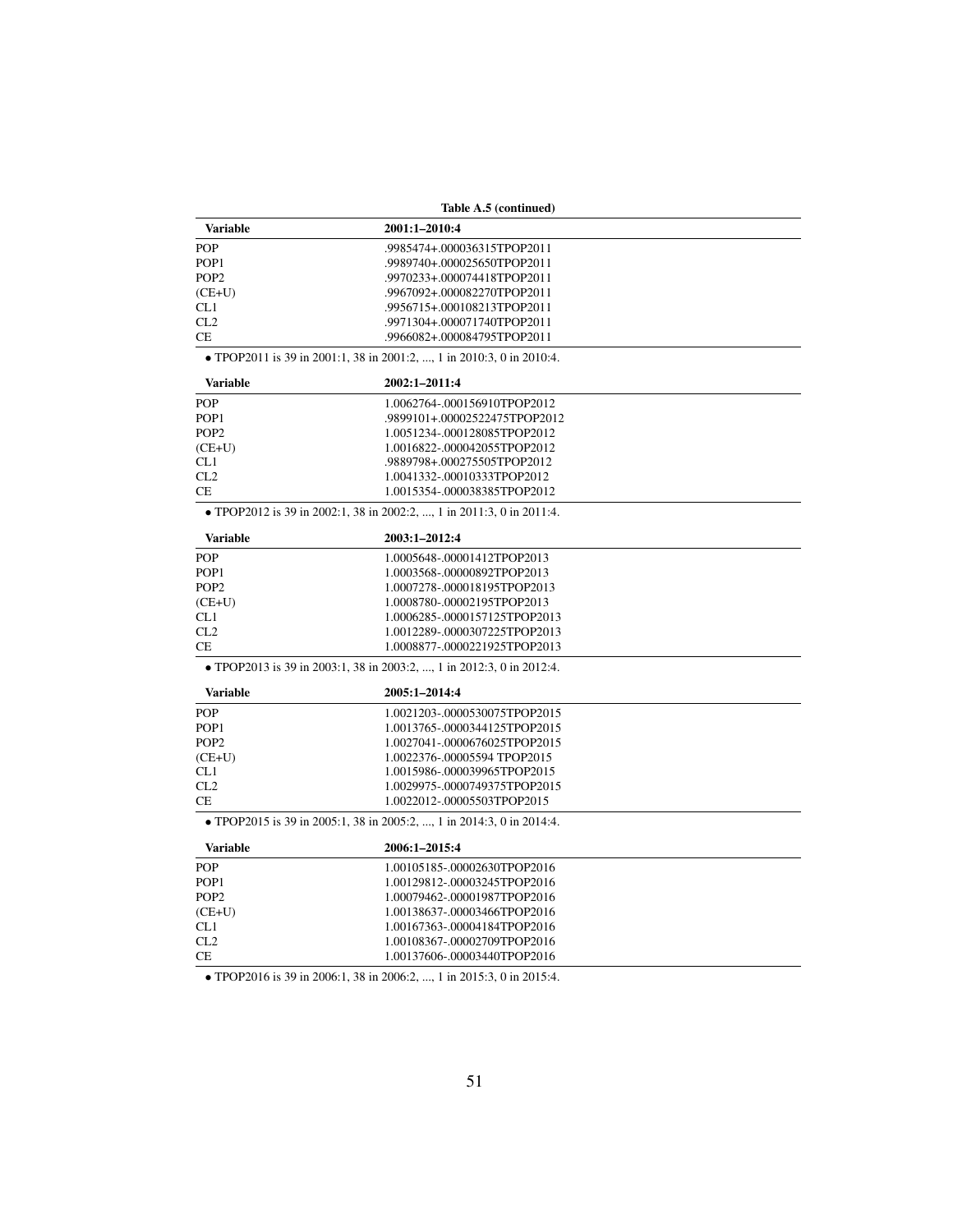|                  | Table A.5 (continued)                                                 |  |
|------------------|-----------------------------------------------------------------------|--|
| <b>Variable</b>  | 2001:1-2010:4                                                         |  |
| <b>POP</b>       | .9985474+.000036315TPOP2011                                           |  |
| POP <sub>1</sub> | .9989740+.000025650TPOP2011                                           |  |
| POP <sub>2</sub> | .9970233+.000074418TPOP2011                                           |  |
| $(CE+U)$         | .9967092+.000082270TPOP2011                                           |  |
| CL1              | .9956715+.000108213TPOP2011                                           |  |
| CL2              | .9971304+.000071740TPOP2011                                           |  |
| CE               | .9966082+.000084795TPOP2011                                           |  |
|                  | • TPOP2011 is 39 in 2001:1, 38 in 2001:2, , 1 in 2010:3, 0 in 2010:4. |  |
| <b>Variable</b>  | 2002:1-2011:4                                                         |  |
| <b>POP</b>       | 1.0062764-.000156910TPOP2012                                          |  |
| POP <sub>1</sub> | .9899101+.00002522475TPOP2012                                         |  |
| POP <sub>2</sub> | 1.0051234-.000128085TPOP2012                                          |  |
| $(CE+U)$         | 1.0016822-.000042055TPOP2012                                          |  |
| CL1              | .9889798+.000275505TPOP2012                                           |  |
| CL2              | 1.0041332-.00010333TPOP2012                                           |  |
| <b>CE</b>        | 1.0015354-.000038385TPOP2012                                          |  |
|                  | • TPOP2012 is 39 in 2002:1, 38 in 2002:2, , 1 in 2011:3, 0 in 2011:4. |  |
| <b>Variable</b>  | 2003:1-2012:4                                                         |  |
| <b>POP</b>       | 1.0005648-.00001412TPOP2013                                           |  |
| POP <sub>1</sub> | 1.0003568-.00000892TPOP2013                                           |  |
| POP <sub>2</sub> | 1.0007278-.000018195TPOP2013                                          |  |
| $(CE+U)$         | 1.0008780-.00002195TPOP2013                                           |  |
| CL1              | 1.0006285-.0000157125TPOP2013                                         |  |
| CL2              | 1.0012289-.0000307225TPOP2013                                         |  |
| <b>CE</b>        | 1.0008877-.0000221925TPOP2013                                         |  |
|                  | • TPOP2013 is 39 in 2003:1, 38 in 2003:2, , 1 in 2012:3, 0 in 2012:4. |  |
| <b>Variable</b>  | 2005:1-2014:4                                                         |  |
| <b>POP</b>       | 1.0021203-.0000530075TPOP2015                                         |  |
| POP <sub>1</sub> | 1.0013765-.0000344125TPOP2015                                         |  |
| POP <sub>2</sub> | 1.0027041-.0000676025TPOP2015                                         |  |
| $(CE+U)$         | 1.0022376-.00005594 TPOP2015                                          |  |
| CL1              | 1.0015986-.000039965TPOP2015                                          |  |
| CL2              | 1.0029975-.0000749375TPOP2015                                         |  |
| <b>CE</b>        | 1.0022012-.00005503TPOP2015                                           |  |
|                  | • TPOP2015 is 39 in 2005:1, 38 in 2005:2, , 1 in 2014:3, 0 in 2014:4. |  |
| <b>Variable</b>  | 2006:1-2015:4                                                         |  |
| <b>POP</b>       | 1.00105185-.00002630TPOP2016                                          |  |
| POP <sub>1</sub> | 1.00129812-.00003245TPOP2016                                          |  |
| POP <sub>2</sub> | 1.00079462-.00001987TPOP2016                                          |  |
| $(CE+U)$         | 1.00138637-.00003466TPOP2016                                          |  |
| CL1              | 1.00167363-.00004184TPOP2016                                          |  |
| CL2              | 1.00108367-.00002709TPOP2016                                          |  |
| <b>CE</b>        | 1.00137606-.00003440TPOP2016                                          |  |
|                  |                                                                       |  |

• TPOP2016 is 39 in 2006:1, 38 in 2006:2, ..., 1 in 2015:3, 0 in 2015:4.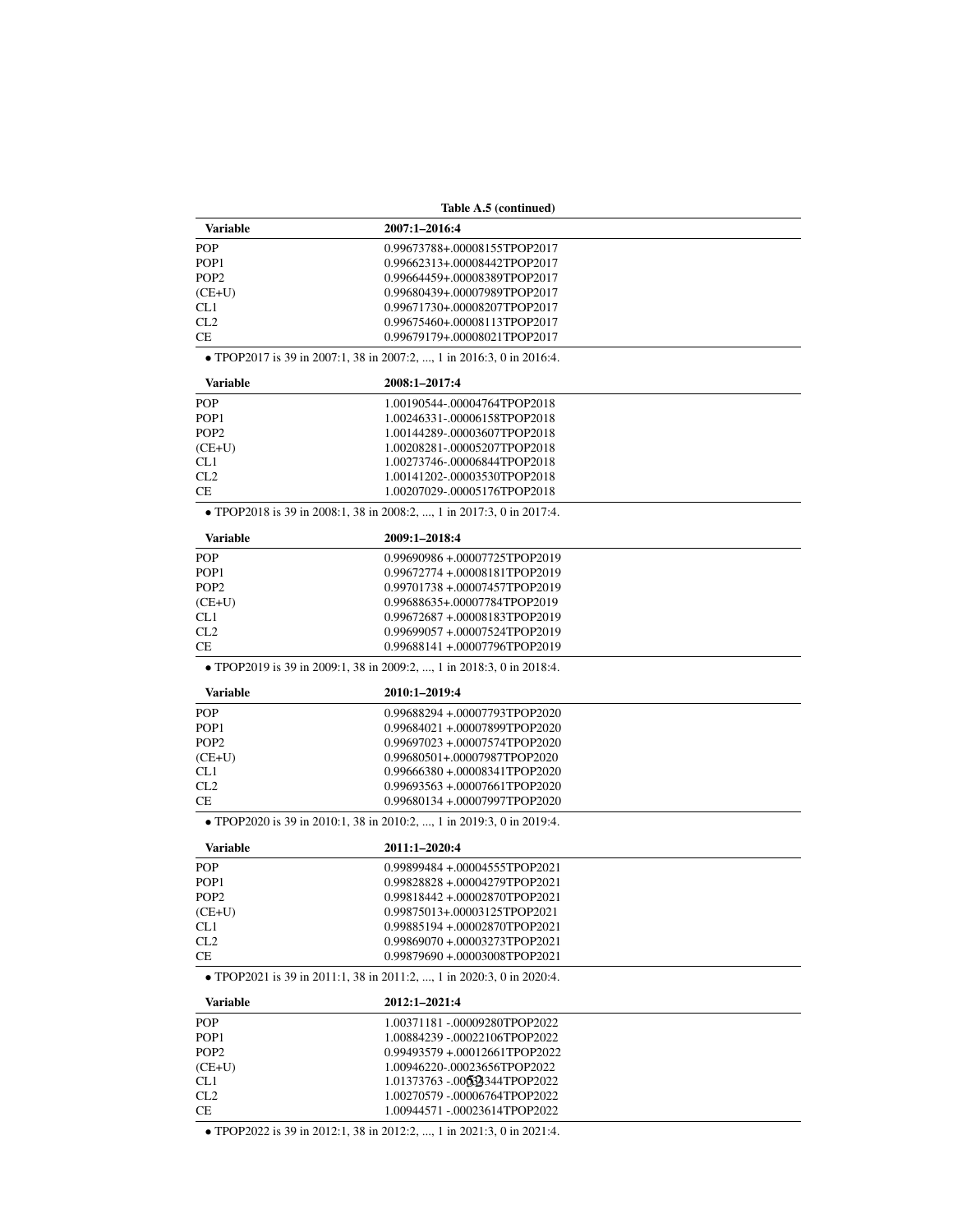|                  | Table A.5 (continued)                                                 |  |  |  |  |
|------------------|-----------------------------------------------------------------------|--|--|--|--|
| <b>Variable</b>  | 2007:1-2016:4                                                         |  |  |  |  |
| <b>POP</b>       | 0.99673788+.00008155TPOP2017                                          |  |  |  |  |
| POP <sub>1</sub> | 0.99662313+.00008442TPOP2017                                          |  |  |  |  |
| POP <sub>2</sub> | 0.99664459+.00008389TPOP2017                                          |  |  |  |  |
| $(CE+U)$         | 0.99680439+.00007989TPOP2017                                          |  |  |  |  |
| CL <sub>1</sub>  | 0.99671730+.00008207TPOP2017                                          |  |  |  |  |
| CL2              | 0.99675460+.00008113TPOP2017                                          |  |  |  |  |
| <b>CE</b>        | 0.99679179+.00008021TPOP2017                                          |  |  |  |  |
|                  | • TPOP2017 is 39 in 2007:1, 38 in 2007:2, , 1 in 2016:3, 0 in 2016:4. |  |  |  |  |
| <b>Variable</b>  | 2008:1-2017:4                                                         |  |  |  |  |
| <b>POP</b>       | 1.00190544-.00004764TPOP2018                                          |  |  |  |  |
| POP <sub>1</sub> | 1.00246331-.00006158TPOP2018                                          |  |  |  |  |
| POP <sub>2</sub> | 1.00144289-.00003607TPOP2018                                          |  |  |  |  |
| $(CE+U)$         | 1.00208281-.00005207TPOP2018                                          |  |  |  |  |
| CL1              | 1.00273746-.00006844TPOP2018                                          |  |  |  |  |
| CL2              | 1.00141202-.00003530TPOP2018                                          |  |  |  |  |
| СE               | 1.00207029-.00005176TPOP2018                                          |  |  |  |  |
|                  | • TPOP2018 is 39 in 2008:1, 38 in 2008:2, , 1 in 2017:3, 0 in 2017:4. |  |  |  |  |
| <b>Variable</b>  | 2009:1-2018:4                                                         |  |  |  |  |
| <b>POP</b>       | 0.99690986 +.00007725TPOP2019                                         |  |  |  |  |
| POP <sub>1</sub> | 0.99672774 +.00008181TPOP2019                                         |  |  |  |  |
| POP <sub>2</sub> | 0.99701738 +.00007457TPOP2019                                         |  |  |  |  |
| $(CE+U)$         | 0.99688635+.00007784TPOP2019                                          |  |  |  |  |
| CL1              | 0.99672687 +.00008183TPOP2019                                         |  |  |  |  |
| CL2              | 0.99699057 +.00007524TPOP2019                                         |  |  |  |  |
| <b>CE</b>        | 0.99688141+.00007796TPOP2019                                          |  |  |  |  |
|                  |                                                                       |  |  |  |  |
|                  | • TPOP2019 is 39 in 2009:1, 38 in 2009:2, , 1 in 2018:3, 0 in 2018:4. |  |  |  |  |
| <b>Variable</b>  | 2010:1-2019:4                                                         |  |  |  |  |
| <b>POP</b>       | 0.99688294 +.00007793TPOP2020                                         |  |  |  |  |
| POP <sub>1</sub> | 0.99684021 +.00007899TPOP2020                                         |  |  |  |  |
| POP <sub>2</sub> | 0.99697023 +.00007574TPOP2020                                         |  |  |  |  |
| $(CE+U)$         | 0.99680501+.00007987TPOP2020                                          |  |  |  |  |
| CL1              | 0.99666380 +.00008341TPOP2020                                         |  |  |  |  |
| CL2              | 0.99693563 +.00007661TPOP2020                                         |  |  |  |  |
| СE               | 0.99680134 +.00007997TPOP2020                                         |  |  |  |  |
|                  | • TPOP2020 is 39 in 2010:1, 38 in 2010:2, , 1 in 2019:3, 0 in 2019:4. |  |  |  |  |
| <b>Variable</b>  | 2011:1-2020:4                                                         |  |  |  |  |
| POP              | 0.99899484 +.00004555TPOP2021                                         |  |  |  |  |
| POP1             | 0.99828828 +.00004279TPOP2021                                         |  |  |  |  |
| POP <sub>2</sub> | 0.99818442 +.00002870TPOP2021                                         |  |  |  |  |
| $(CE+U)$         | 0.99875013+.00003125TPOP2021                                          |  |  |  |  |
| CL1              | 0.99885194 +.00002870TPOP2021                                         |  |  |  |  |
| CL2              | 0.99869070 +.00003273TPOP2021                                         |  |  |  |  |
| CE               | 0.99879690 +.00003008TPOP2021                                         |  |  |  |  |
|                  | • TPOP2021 is 39 in 2011:1, 38 in 2011:2, , 1 in 2020:3, 0 in 2020:4. |  |  |  |  |
| <b>Variable</b>  | 2012:1-2021:4                                                         |  |  |  |  |
| POP              | 1.00371181 -.00009280TPOP2022                                         |  |  |  |  |
| POP <sub>1</sub> | 1.00884239 -.00022106TPOP2022                                         |  |  |  |  |
| POP <sub>2</sub> | 0.99493579 +.00012661TPOP2022                                         |  |  |  |  |
| $(CE+U)$         | 1.00946220-.00023656TPOP2022                                          |  |  |  |  |
| CL1              | 1.01373763 -.006324344TPOP2022                                        |  |  |  |  |
| CL2              | 1.00270579 -.00006764TPOP2022                                         |  |  |  |  |
| СE               | 1.00944571 -.00023614TPOP2022                                         |  |  |  |  |
|                  |                                                                       |  |  |  |  |

• TPOP2022 is 39 in 2012:1, 38 in 2012:2, ..., 1 in 2021:3, 0 in 2021:4.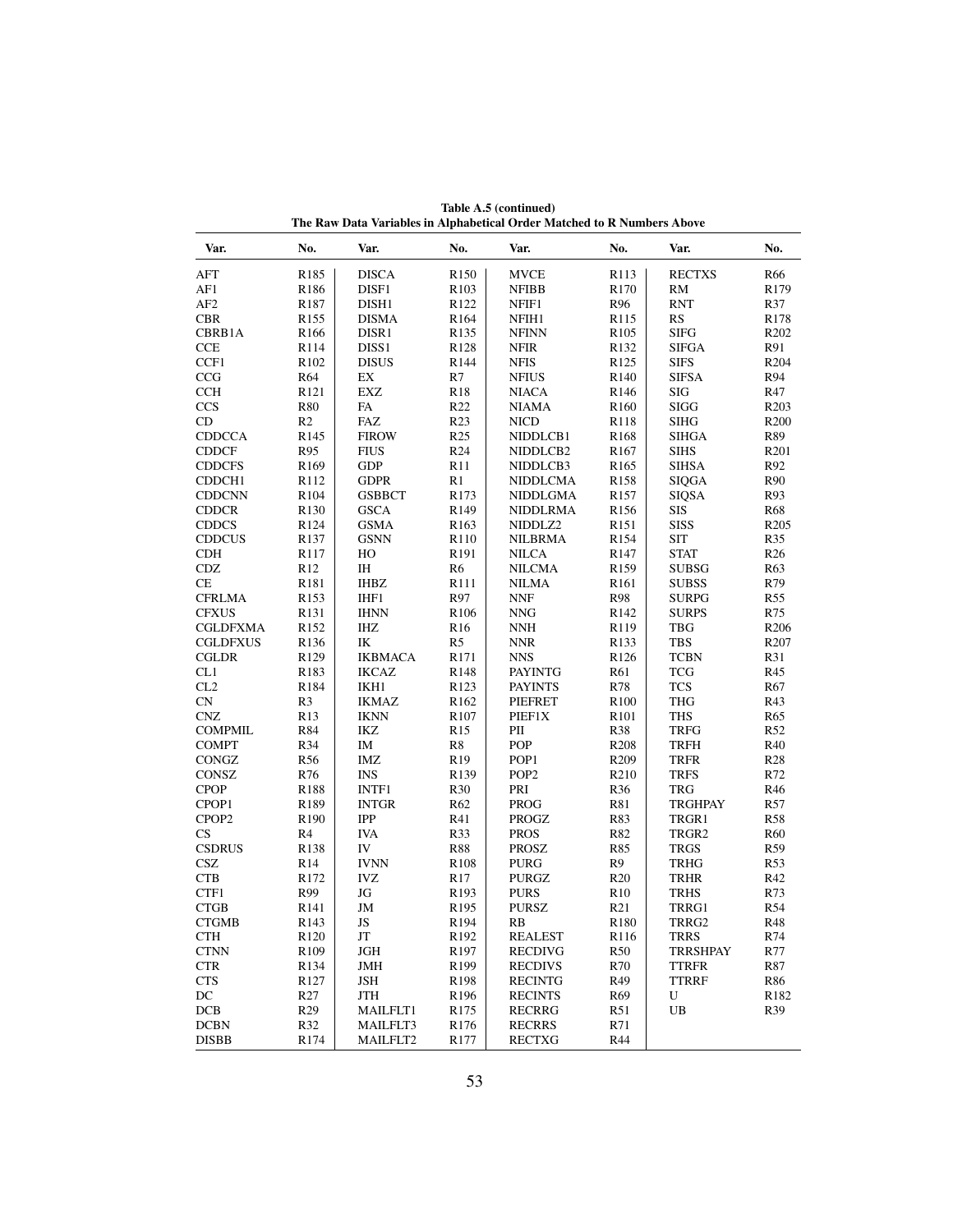| Var.                   | No.              | Var.              | No.              | Var.             | No.              | Var.              | No.              |
|------------------------|------------------|-------------------|------------------|------------------|------------------|-------------------|------------------|
| <b>AFT</b>             | R <sub>185</sub> | <b>DISCA</b>      | R <sub>150</sub> | <b>MVCE</b>      | R113             | <b>RECTXS</b>     | R <sub>66</sub>  |
| AF1                    | R186             | DISF1             | R <sub>103</sub> | <b>NFIBB</b>     | R170             | $\mathbf{RM}$     | R179             |
| AF <sub>2</sub>        | R <sub>187</sub> | DISH1             | R <sub>122</sub> | NFIF1            | R96              | <b>RNT</b>        | R37              |
| <b>CBR</b>             | R <sub>155</sub> | <b>DISMA</b>      | R <sub>164</sub> | NFIH1            | R115             | <b>RS</b>         | R <sub>178</sub> |
| CBRB1A                 | R <sub>166</sub> | DISR1             | R <sub>135</sub> | <b>NFINN</b>     | R <sub>105</sub> | <b>SIFG</b>       | R <sub>202</sub> |
| <b>CCE</b>             | R114             | DISS <sub>1</sub> | R128             | <b>NFIR</b>      | R132             | <b>SIFGA</b>      | R91              |
| CCF1                   | R <sub>102</sub> | <b>DISUS</b>      | R144             | <b>NFIS</b>      | R125             | <b>SIFS</b>       | R204             |
| CCG                    | R64              | EX                | R7               | <b>NFIUS</b>     | R140             | <b>SIFSA</b>      | R94              |
| <b>CCH</b>             | R <sub>121</sub> | <b>EXZ</b>        | <b>R18</b>       | <b>NIACA</b>     | R <sub>146</sub> | <b>SIG</b>        | R47              |
| <b>CCS</b>             | <b>R80</b>       | FA                | R22              | <b>NIAMA</b>     | R <sub>160</sub> | <b>SIGG</b>       | R203             |
| CD                     | R <sub>2</sub>   | FAZ               | R <sub>23</sub>  | <b>NICD</b>      | R <sub>118</sub> | <b>SIHG</b>       | R <sub>200</sub> |
| <b>CDDCCA</b>          | R <sub>145</sub> | <b>FIROW</b>      | R <sub>25</sub>  | NIDDLCB1         | R <sub>168</sub> | <b>SIHGA</b>      | R89              |
| <b>CDDCF</b>           | R95              | <b>FIUS</b>       | R <sub>24</sub>  | NIDDLCB2         | R <sub>167</sub> | <b>SIHS</b>       | R <sub>201</sub> |
| <b>CDDCFS</b>          | R <sub>169</sub> | <b>GDP</b>        | R11              | NIDDLCB3         | R <sub>165</sub> | <b>SIHSA</b>      | R92              |
| CDDCH1                 | R <sub>112</sub> | <b>GDPR</b>       | R1               | <b>NIDDLCMA</b>  | R158             | <b>SIQGA</b>      | R90              |
| <b>CDDCNN</b>          | R <sub>104</sub> | <b>GSBBCT</b>     | R <sub>173</sub> | NIDDLGMA         | R157             | <b>SIQSA</b>      | R93              |
| <b>CDDCR</b>           | R <sub>130</sub> | <b>GSCA</b>       | R <sub>149</sub> | <b>NIDDLRMA</b>  | R <sub>156</sub> | <b>SIS</b>        | <b>R68</b>       |
| <b>CDDCS</b>           | R124             | <b>GSMA</b>       | R <sub>163</sub> | NIDDLZ2          | R <sub>151</sub> | <b>SISS</b>       | R <sub>205</sub> |
| <b>CDDCUS</b>          | R <sub>137</sub> | <b>GSNN</b>       | R <sub>110</sub> | <b>NILBRMA</b>   | R <sub>154</sub> | <b>SIT</b>        | R35              |
| <b>CDH</b>             | R117             | HO                | R191             | <b>NILCA</b>     | R147             | <b>STAT</b>       | R <sub>26</sub>  |
| <b>CDZ</b>             | R <sub>12</sub>  | IH                | R6               | <b>NILCMA</b>    | R159             | <b>SUBSG</b>      | R63              |
| CE                     | R181             | <b>IHBZ</b>       | R111             | <b>NILMA</b>     | R <sub>161</sub> |                   | R79              |
|                        |                  |                   |                  |                  |                  | <b>SUBSS</b>      |                  |
| <b>CFRLMA</b>          | R153             | IHF1              | R97              | <b>NNF</b>       | <b>R98</b>       | <b>SURPG</b>      | R <sub>55</sub>  |
| <b>CFXUS</b>           | R <sub>131</sub> | <b>IHNN</b>       | R <sub>106</sub> | <b>NNG</b>       | R <sub>142</sub> | <b>SURPS</b>      | R75              |
| CGLDFXMA               | R <sub>152</sub> | IHZ               | R <sub>16</sub>  | <b>NNH</b>       | R119             | <b>TBG</b>        | R <sub>206</sub> |
| <b>CGLDFXUS</b>        | R136             | IK                | R5               | <b>NNR</b>       | R <sub>133</sub> | <b>TBS</b>        | R <sub>207</sub> |
| <b>CGLDR</b>           | R129             | <b>IKBMACA</b>    | R171             | <b>NNS</b>       | R126             | <b>TCBN</b>       | R31              |
| CL1                    | R <sub>183</sub> | <b>IKCAZ</b>      | R <sub>148</sub> | <b>PAYINTG</b>   | R61              | <b>TCG</b>        | R45              |
| CL2                    | R184             | IKH1              | R <sub>123</sub> | <b>PAYINTS</b>   | R78              | <b>TCS</b>        | R67              |
| <b>CN</b>              | R <sub>3</sub>   | <b>IKMAZ</b>      | R <sub>162</sub> | <b>PIEFRET</b>   | R <sub>100</sub> | <b>THG</b>        | R43              |
| <b>CNZ</b>             | R <sub>13</sub>  | <b>IKNN</b>       | R107             | PIEF1X           | R <sub>101</sub> | <b>THS</b>        | R65              |
| <b>COMPMIL</b>         | R84              | IKZ               | R <sub>15</sub>  | PII              | R38              | <b>TRFG</b>       | R <sub>52</sub>  |
| <b>COMPT</b>           | R34              | IM                | R8               | <b>POP</b>       | R <sub>208</sub> | <b>TRFH</b>       | R40              |
| CONGZ                  | R <sub>56</sub>  | IMZ               | R <sub>19</sub>  | POP <sub>1</sub> | R <sub>209</sub> | <b>TRFR</b>       | R28              |
| CONSZ                  | R76              | <b>INS</b>        | R139             | POP <sub>2</sub> | R210             | <b>TRFS</b>       | R72              |
| <b>CPOP</b>            | R188             | INTF1             | R30              | PRI              | R36              | <b>TRG</b>        | R46              |
| CPOP1                  | R <sub>189</sub> | <b>INTGR</b>      | R <sub>62</sub>  | <b>PROG</b>      | R81              | <b>TRGHPAY</b>    | R57              |
| CPOP <sub>2</sub>      | R <sub>190</sub> | IPP               | R41              | <b>PROGZ</b>     | R83              | TRGR1             | <b>R58</b>       |
| $\mathbf{C}\mathbf{S}$ | R4               | <b>IVA</b>        | R33              | <b>PROS</b>      | R82              | TRGR <sub>2</sub> | R <sub>60</sub>  |
| <b>CSDRUS</b>          | R <sub>138</sub> | IV                | <b>R88</b>       | <b>PROSZ</b>     | R85              | <b>TRGS</b>       | R59              |
| <b>CSZ</b>             | R <sub>14</sub>  | <b>IVNN</b>       | R <sub>108</sub> | <b>PURG</b>      | R9               | <b>TRHG</b>       | R53              |
| <b>CTB</b>             | R <sub>172</sub> | <b>IVZ</b>        | R <sub>17</sub>  | PURGZ            | R <sub>20</sub>  | <b>TRHR</b>       | R42              |
| CTF1                   | R99              | JG                | R <sub>193</sub> | <b>PURS</b>      | R <sub>10</sub>  | <b>TRHS</b>       | R73              |
| <b>CTGB</b>            | R <sub>141</sub> | JM                | R <sub>195</sub> | <b>PURSZ</b>     | R21              | TRRG1             | R <sub>54</sub>  |
| <b>CTGMB</b>           | R <sub>143</sub> | JS                | R <sub>194</sub> | RB               | R <sub>180</sub> | TRRG2             | <b>R48</b>       |
| <b>CTH</b>             | R <sub>120</sub> | JT                | R <sub>192</sub> | <b>REALEST</b>   | R116             | <b>TRRS</b>       | R74              |
| <b>CTNN</b>            | R <sub>109</sub> | <b>JGH</b>        | R197             | <b>RECDIVG</b>   | R <sub>50</sub>  | <b>TRRSHPAY</b>   | R77              |
| <b>CTR</b>             | R134             | <b>JMH</b>        | R <sub>199</sub> | <b>RECDIVS</b>   | R70              | <b>TTRFR</b>      | R87              |
| <b>CTS</b>             | R <sub>127</sub> | JSH               | R <sub>198</sub> | <b>RECINTG</b>   | R49              | <b>TTRRF</b>      | <b>R86</b>       |
| DC                     | R <sub>27</sub>  | <b>JTH</b>        | R196             | <b>RECINTS</b>   | R69              | U                 | R182             |
| DCB                    | R <sub>29</sub>  | MAILFLT1          | R <sub>175</sub> | <b>RECRRG</b>    | R51              | UB                | R39              |
| <b>DCBN</b>            | R32              | MAILFLT3          | R <sub>176</sub> | <b>RECRRS</b>    | R71              |                   |                  |
| <b>DISBB</b>           | R174             | MAILFLT2          | R <sub>177</sub> | <b>RECTXG</b>    | R44              |                   |                  |

Table A.5 (continued) The Raw Data Variables in Alphabetical Order Matched to R Numbers Above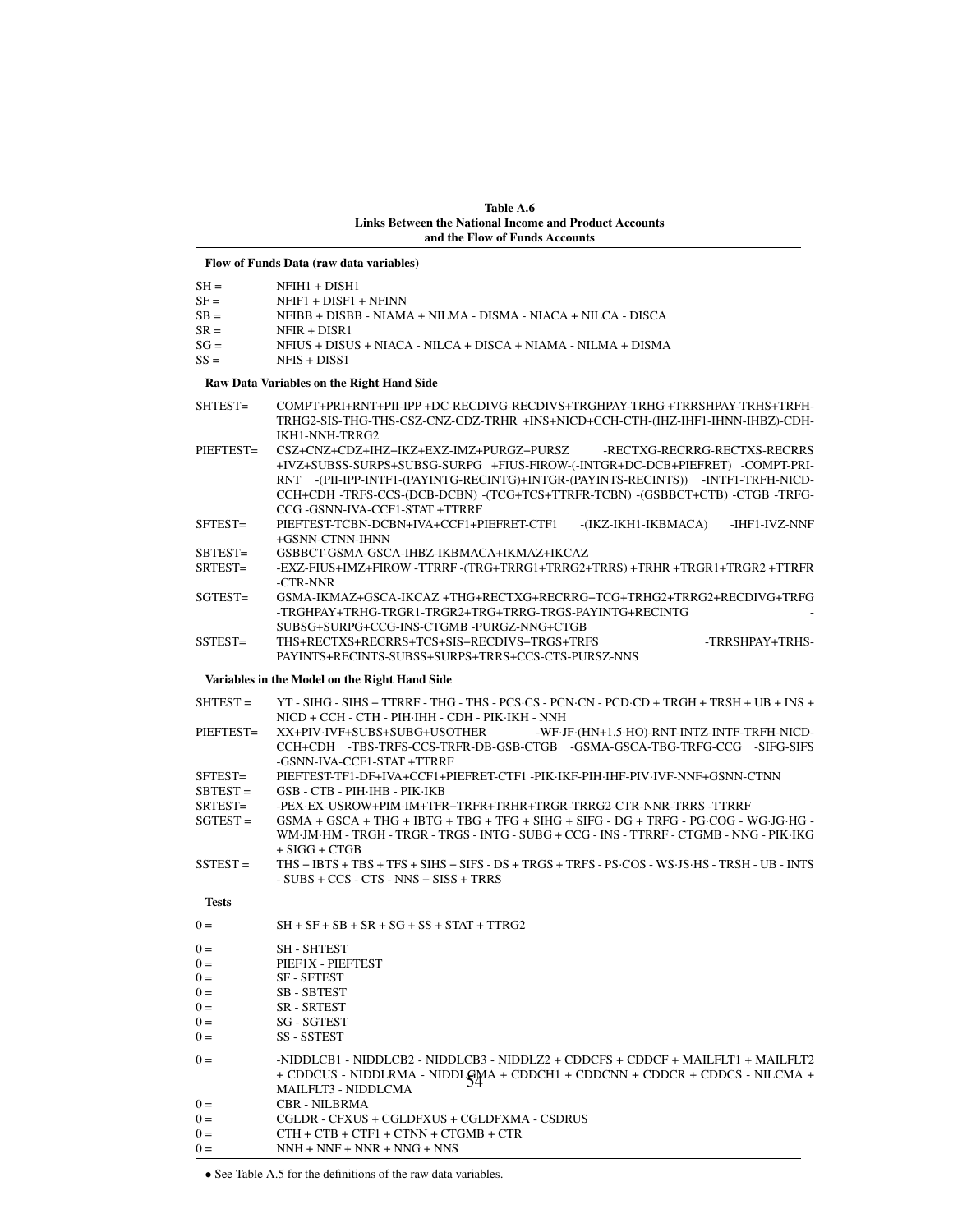Table A.6 Links Between the National Income and Product Accounts and the Flow of Funds Accounts

## Flow of Funds Data (raw data variables)

| $SH =$<br>$SF =$<br>$SB =$<br>$SR =$<br>$SG =$ | $NFHH1 + DISH1$<br>NFIF1 + DISF1 + NFINN<br>NFIBB + DISBB - NIAMA + NILMA - DISMA - NIACA + NILCA - DISCA<br>NFIR + DISR1                                                                                                                                                                                                                                      |  |  |  |  |  |
|------------------------------------------------|----------------------------------------------------------------------------------------------------------------------------------------------------------------------------------------------------------------------------------------------------------------------------------------------------------------------------------------------------------------|--|--|--|--|--|
| $SS =$                                         | NFIUS + DISUS + NIACA - NILCA + DISCA + NIAMA - NILMA + DISMA<br>$NFIS + DISS1$                                                                                                                                                                                                                                                                                |  |  |  |  |  |
|                                                | Raw Data Variables on the Right Hand Side                                                                                                                                                                                                                                                                                                                      |  |  |  |  |  |
| SHTEST=                                        | COMPT+PRI+RNT+PII-IPP+DC-RECDIVG-RECDIVS+TRGHPAY-TRHG+TRRSHPAY-TRHS+TRFH-<br>TRHG2-SIS-THG-THS-CSZ-CNZ-CDZ-TRHR +INS+NICD+CCH-CTH-(IHZ-IHF1-IHNN-IHBZ)-CDH-<br>IKH1-NNH-TRRG2                                                                                                                                                                                  |  |  |  |  |  |
| PIEFTEST=                                      | CSZ+CNZ+CDZ+IHZ+IKZ+EXZ-IMZ+PURGZ+PURSZ<br>-RECTXG-RECRRG-RECTXS-RECRRS<br>+IVZ+SUBSS-SURPS+SUBSG-SURPG +FIUS-FIROW-(-INTGR+DC-DCB+PIEFRET) -COMPT-PRI-<br>RNT -(PII-IPP-INTF1-(PAYINTG-RECINTG)+INTGR-(PAYINTS-RECINTS)) -INTF1-TRFH-NICD-<br>CCH+CDH -TRFS-CCS-(DCB-DCBN) -(TCG+TCS+TTRFR-TCBN) -(GSBBCT+CTB) -CTGB -TRFG-<br>CCG -GSNN-IVA-CCF1-STAT +TTRRF |  |  |  |  |  |
| SFTEST=                                        | PIEFTEST-TCBN-DCBN+IVA+CCF1+PIEFRET-CTF1<br>-(IKZ-IKH1-IKBMACA)<br>-IHF1-IVZ-NNF<br>+GSNN-CTNN-IHNN                                                                                                                                                                                                                                                            |  |  |  |  |  |
| SBTEST=                                        | GSBBCT-GSMA-GSCA-IHBZ-IKBMACA+IKMAZ+IKCAZ                                                                                                                                                                                                                                                                                                                      |  |  |  |  |  |
| SRTEST=                                        | -EXZ-FIUS+IMZ+FIROW -TTRRF -(TRG+TRRG1+TRRG2+TRRS) +TRHR +TRGR1+TRGR2 +TTRFR<br>-CTR-NNR                                                                                                                                                                                                                                                                       |  |  |  |  |  |
| SGTEST=                                        | GSMA-IKMAZ+GSCA-IKCAZ +THG+RECTXG+RECRRG+TCG+TRHG2+TRRG2+RECDIVG+TRFG<br>-TRGHPAY+TRHG-TRGR1-TRGR2+TRG+TRRG-TRGS-PAYINTG+RECINTG<br>SUBSG+SURPG+CCG-INS-CTGMB-PURGZ-NNG+CTGB                                                                                                                                                                                   |  |  |  |  |  |
| SSTEST=                                        | THS+RECTXS+RECRRS+TCS+SIS+RECDIVS+TRGS+TRFS<br>-TRRSHPAY+TRHS-                                                                                                                                                                                                                                                                                                 |  |  |  |  |  |
|                                                | PAYINTS+RECINTS-SUBSS+SURPS+TRRS+CCS-CTS-PURSZ-NNS                                                                                                                                                                                                                                                                                                             |  |  |  |  |  |
|                                                | Variables in the Model on the Right Hand Side                                                                                                                                                                                                                                                                                                                  |  |  |  |  |  |
| SHTEST =                                       | YT - SIHG - SIHS + TTRRF - THG - THS - PCS·CS - PCN·CN - PCD·CD + TRGH + TRSH + UB + INS +                                                                                                                                                                                                                                                                     |  |  |  |  |  |
|                                                | NICD + CCH - CTH - PIH-IHH - CDH - PIK-IKH - NNH                                                                                                                                                                                                                                                                                                               |  |  |  |  |  |
| PIEFTEST=                                      | XX+PIV·IVF+SUBS+SUBG+USOTHER<br>-WF·JF·(HN+1.5·HO)-RNT-INTZ-INTF-TRFH-NICD-<br>CCH+CDH -TBS-TRFS-CCS-TRFR-DB-GSB-CTGB -GSMA-GSCA-TBG-TRFG-CCG -SIFG-SIFS<br>-GSNN-IVA-CCF1-STAT +TTRRF                                                                                                                                                                         |  |  |  |  |  |
| SFTEST=                                        | PIEFTEST-TF1-DF+IVA+CCF1+PIEFRET-CTF1-PIK·IKF-PIH·IHF-PIV·IVF-NNF+GSNN-CTNN                                                                                                                                                                                                                                                                                    |  |  |  |  |  |
| $SBTEST =$                                     | GSB - CTB - PIH·IHB - PIK·IKB                                                                                                                                                                                                                                                                                                                                  |  |  |  |  |  |
| SRTEST=                                        | -PEX·EX-USROW+PIM·IM+TFR+TRFR+TRHR+TRGR-TRRG2-CTR-NNR-TRRS -TTRRF                                                                                                                                                                                                                                                                                              |  |  |  |  |  |
| $SGTEST =$                                     | $GSMA + GSCA + THG + IBTG + TBG + TFG + SHFG + SIFG - DG + TRFG - PG \cdot COG - WG \cdot HG - EG$<br>WM JM HM - TRGH - TRGR - TRGS - INTG - SUBG + CCG - INS - TTRRF - CTGMB - NNG - PIK IKG<br>$+ SIGG + CTGB$                                                                                                                                               |  |  |  |  |  |
| $SSTEST =$                                     | THS + IBTS + TBS + TFS + SIHS + SIFS - DS + TRGS + TRFS - PS·COS - WS·JS·HS - TRSH - UB - INTS<br>$-$ SUBS + CCS - CTS - NNS + SISS + TRRS                                                                                                                                                                                                                     |  |  |  |  |  |
| <b>Tests</b>                                   |                                                                                                                                                                                                                                                                                                                                                                |  |  |  |  |  |
| $0 =$                                          | $SH + SF + SB + SR + SG + SS + STAT + TTRG2$                                                                                                                                                                                                                                                                                                                   |  |  |  |  |  |
| $0 =$                                          | <b>SH - SHTEST</b>                                                                                                                                                                                                                                                                                                                                             |  |  |  |  |  |
| $0 =$                                          | PIEF1X - PIEFTEST                                                                                                                                                                                                                                                                                                                                              |  |  |  |  |  |
| $0 =$                                          | SF - SFTEST                                                                                                                                                                                                                                                                                                                                                    |  |  |  |  |  |
| $0 =$                                          | SB - SBTEST                                                                                                                                                                                                                                                                                                                                                    |  |  |  |  |  |
| $0 =$                                          | SR - SRTEST                                                                                                                                                                                                                                                                                                                                                    |  |  |  |  |  |
| $0 =$                                          | SG - SGTEST                                                                                                                                                                                                                                                                                                                                                    |  |  |  |  |  |
| $0 =$                                          | SS - SSTEST                                                                                                                                                                                                                                                                                                                                                    |  |  |  |  |  |
| $0 =$                                          | -NIDDLCB1 - NIDDLCB2 - NIDDLCB3 - NIDDLZ2 + CDDCFS + CDDCF + MAILFLT1 + MAILFLT2<br>+ CDDCUS - NIDDLRMA - NIDDLGMA + CDDCH1 + CDDCNN + CDDCR + CDDCS - NILCMA +<br>MAILFLT3 - NIDDLCMA                                                                                                                                                                         |  |  |  |  |  |
| $0 =$                                          | <b>CBR - NILBRMA</b>                                                                                                                                                                                                                                                                                                                                           |  |  |  |  |  |
| $0 =$                                          | CGLDR - CFXUS + CGLDFXUS + CGLDFXMA - CSDRUS                                                                                                                                                                                                                                                                                                                   |  |  |  |  |  |
| $0 =$                                          | $CTH + CTB + CTF1 + CTNN + CTGMB + CTR$                                                                                                                                                                                                                                                                                                                        |  |  |  |  |  |
| $0 =$                                          | $NNH + NNF + NNR + NNG + NNS$                                                                                                                                                                                                                                                                                                                                  |  |  |  |  |  |

• See Table A.5 for the definitions of the raw data variables.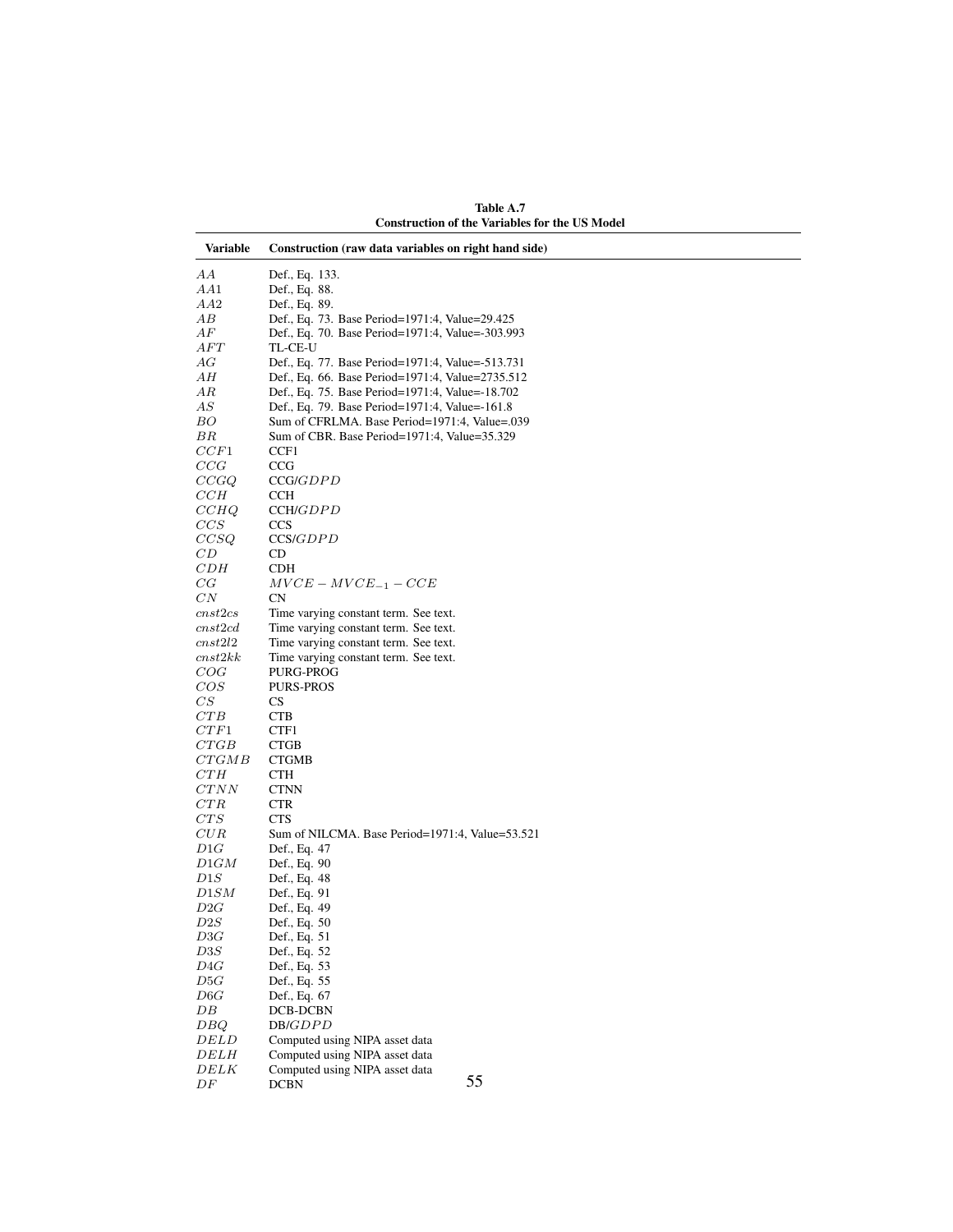| Variable            | Construction (raw data variables on right hand side)                           |
|---------------------|--------------------------------------------------------------------------------|
| AА                  | Def., Eq. 133.                                                                 |
| AA1                 | Def., Eq. 88.                                                                  |
| AA2                 | Def., Eq. 89.                                                                  |
| AВ                  | Def., Eq. 73. Base Period=1971:4, Value=29.425                                 |
| AF                  | Def., Eq. 70. Base Period=1971:4, Value=-303.993                               |
| AFT                 | TL-CE-U                                                                        |
| АG                  | Def., Eq. 77. Base Period=1971:4, Value=-513.731                               |
| AН                  | Def., Eq. 66. Base Period=1971:4, Value=2735.512                               |
| ΑR                  | Def., Eq. 75. Base Period=1971:4, Value=-18.702                                |
| АS                  | Def., Eq. 79. Base Period=1971:4, Value=-161.8                                 |
| BО                  | Sum of CFRLMA. Base Period=1971:4, Value=.039                                  |
| ΒR                  | Sum of CBR. Base Period=1971:4, Value=35.329                                   |
| CCF1                | CCF1                                                                           |
| CCG                 | CCG                                                                            |
| CCGQ                | CCG/GDPD                                                                       |
| CCH                 | CCH                                                                            |
| CCHQ                | CCH/GDPD                                                                       |
| CCS                 | <b>CCS</b>                                                                     |
| CCSQ                | CCS/GDPD                                                                       |
| CD                  | CD                                                                             |
| CDH                 | CDH                                                                            |
| $_{CG}$             | $MVCE-MVCE_{-1}-CCE$                                                           |
| $_{CN}$             | CN                                                                             |
| cnst2cs             | Time varying constant term. See text.                                          |
| cnst2cd             | Time varying constant term. See text.                                          |
| cnst2l2<br>cnst2kk  | Time varying constant term. See text.<br>Time varying constant term. See text. |
| COG                 | PURG-PROG                                                                      |
| COS                 | <b>PURS-PROS</b>                                                               |
| $\mathbb{C}S$       | <b>CS</b>                                                                      |
| CTB                 | <b>CTB</b>                                                                     |
| CTF1                | CTF1                                                                           |
| CTGB                | <b>CTGB</b>                                                                    |
| CTGMB               | <b>CTGMB</b>                                                                   |
| CTH                 | <b>CTH</b>                                                                     |
| CTNN                | <b>CTNN</b>                                                                    |
| CTR                 | <b>CTR</b>                                                                     |
| CTS                 | CTS                                                                            |
| $_{CUR}$            | Sum of NILCMA. Base Period=1971:4, Value=53.521                                |
| D1G                 | Def., Eq. 47                                                                   |
| D1GM                | Def., Eq. 90                                                                   |
| D1S                 | Def., Eq. 48                                                                   |
| D1SM                | Def., Eq. 91                                                                   |
| D2G                 | Def., Eq. 49                                                                   |
| $\scriptstyle{D2S}$ | Def., Eq. 50                                                                   |
| D3G                 | Def., Eq. 51                                                                   |
| $\scriptstyle D3S$  | Def., Eq. 52                                                                   |
| D4G<br>D5G          | Def., Eq. 53<br>Def., Eq. 55                                                   |
| D6G                 | Def., Eq. 67                                                                   |
| DB                  | DCB-DCBN                                                                       |
| DBQ                 | DB/GDPD                                                                        |
| DELD                | Computed using NIPA asset data                                                 |
| DELH                | Computed using NIPA asset data                                                 |
| DELK                | Computed using NIPA asset data                                                 |
| $\cal DF$           | 55<br><b>DCBN</b>                                                              |

Table A.7 Construction of the Variables for the US Model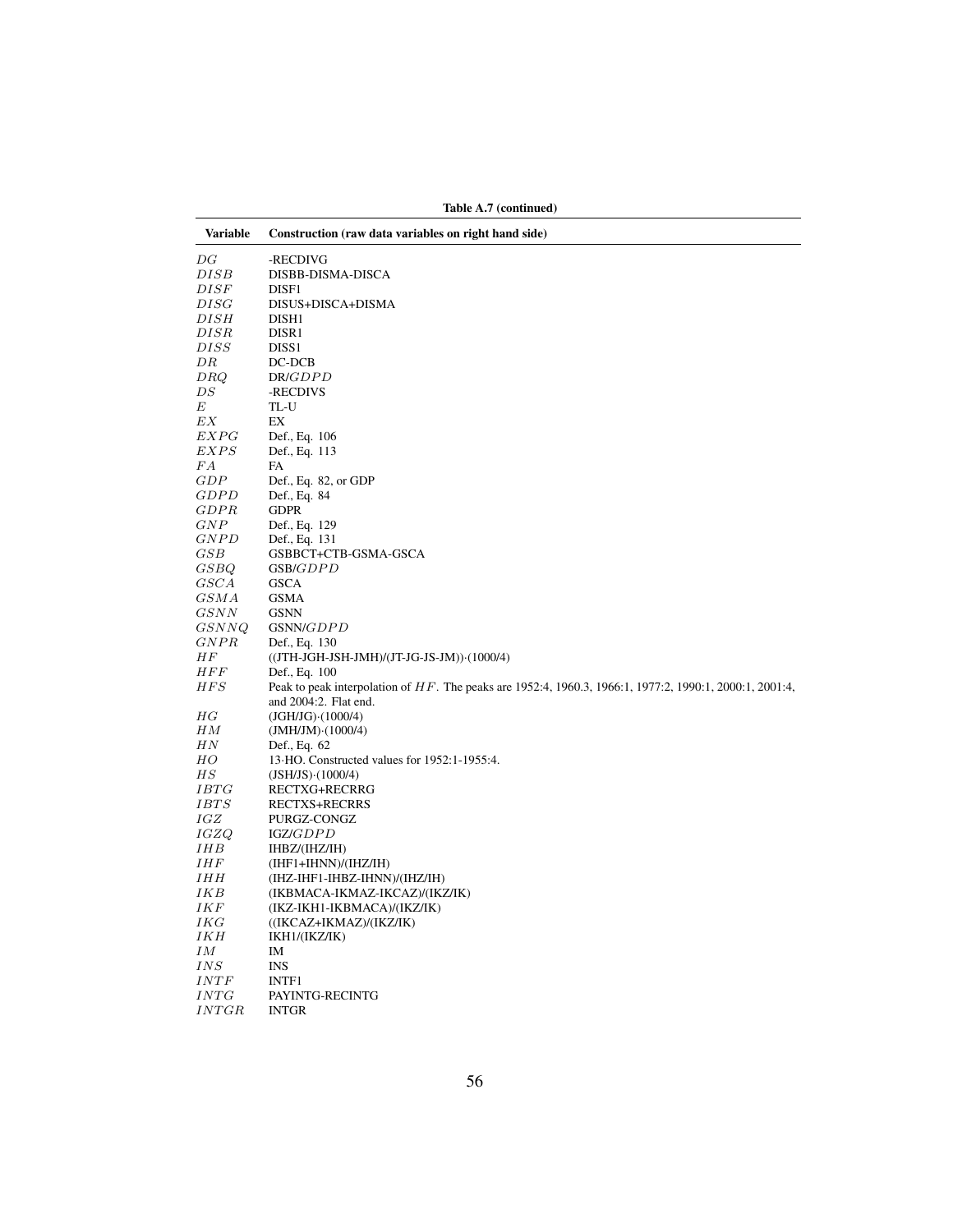| Variable     | Construction (raw data variables on right hand side)                                                    |
|--------------|---------------------------------------------------------------------------------------------------------|
| DG           | -RECDIVG                                                                                                |
| DISB         | DISBB-DISMA-DISCA                                                                                       |
| DISF         | DISF1                                                                                                   |
| DISG         | DISUS+DISCA+DISMA                                                                                       |
| DISH         | DISH1                                                                                                   |
| DISR         | DISR1                                                                                                   |
| DISS         | DISS <sub>1</sub>                                                                                       |
| DR           | DC-DCB                                                                                                  |
| DRQ          | DR/GDPD                                                                                                 |
| DS           | -RECDIVS                                                                                                |
| Е            | TL-U                                                                                                    |
| EX           | EX                                                                                                      |
| <i>EXPG</i>  | Def., Eq. 106                                                                                           |
| EXPS         | Def., Eq. 113                                                                                           |
| FA           | FA                                                                                                      |
| GDP          | Def., Eq. 82, or GDP                                                                                    |
| <b>GDPD</b>  | Def., Eq. 84                                                                                            |
| GDPR         | <b>GDPR</b>                                                                                             |
| GNP          | Def., Eq. 129                                                                                           |
| <b>GNPD</b>  | Def., Eq. 131                                                                                           |
| $_{GSB}$     | GSBBCT+CTB-GSMA-GSCA                                                                                    |
| GSBQ         | GSB/GDPD                                                                                                |
| GSCA         | <b>GSCA</b>                                                                                             |
| G S M A      | <b>GSMA</b>                                                                                             |
| GSNN         | <b>GSNN</b>                                                                                             |
| GSNNQ        | GSNN/GDPD                                                                                               |
| GNPR         | Def., Eq. 130                                                                                           |
| ΗF           | ((JTH-JGH-JSH-JMH)/(JT-JG-JS-JM)) (1000/4)                                                              |
| <b>HFF</b>   | Def., Eq. 100                                                                                           |
| <i>HFS</i>   | Peak to peak interpolation of HF. The peaks are 1952:4, 1960.3, 1966:1, 1977:2, 1990:1, 2000:1, 2001:4, |
|              | and 2004:2. Flat end.                                                                                   |
| HG           | $(JGH/JG) \cdot (1000/4)$                                                                               |
| ΗМ           | $(JMH/JM) \cdot (1000/4)$                                                                               |
| HN           | Def., Eq. 62                                                                                            |
| HO           | 13.HO. Constructed values for 1952:1-1955:4.                                                            |
| $_{HS}$      | $(JSH/JS) \cdot (1000/4)$                                                                               |
| <i>IBTG</i>  | RECTXG+RECRRG                                                                                           |
| <i>IBTS</i>  | <b>RECTXS+RECRRS</b>                                                                                    |
| IGZ          | PURGZ-CONGZ                                                                                             |
| IGZQ<br>IHB  | IGZ/GDPD                                                                                                |
| <i>IHF</i>   | IHBZ/(IHZ/IH)<br>(IHF1+IHNN)/(IHZ/IH)                                                                   |
| IHH          |                                                                                                         |
| IKB          | (IHZ-IHF1-IHBZ-IHNN)/(IHZ/IH)                                                                           |
| IKF          | (IKBMACA-IKMAZ-IKCAZ)/(IKZ/IK)<br>(IKZ-IKH1-IKBMACA)/(IKZ/IK)                                           |
| IKG          | $((IKCAZ+IKMAZ)/(IKZ/IK))$                                                                              |
| IKH          | IKH1/(IKZ/IK)                                                                                           |
| IΜ           | IM                                                                                                      |
| IN S         | <b>INS</b>                                                                                              |
| INTF         | <b>INTF1</b>                                                                                            |
| INTG         | PAYINTG-RECINTG                                                                                         |
| <b>INTGR</b> | <b>INTGR</b>                                                                                            |
|              |                                                                                                         |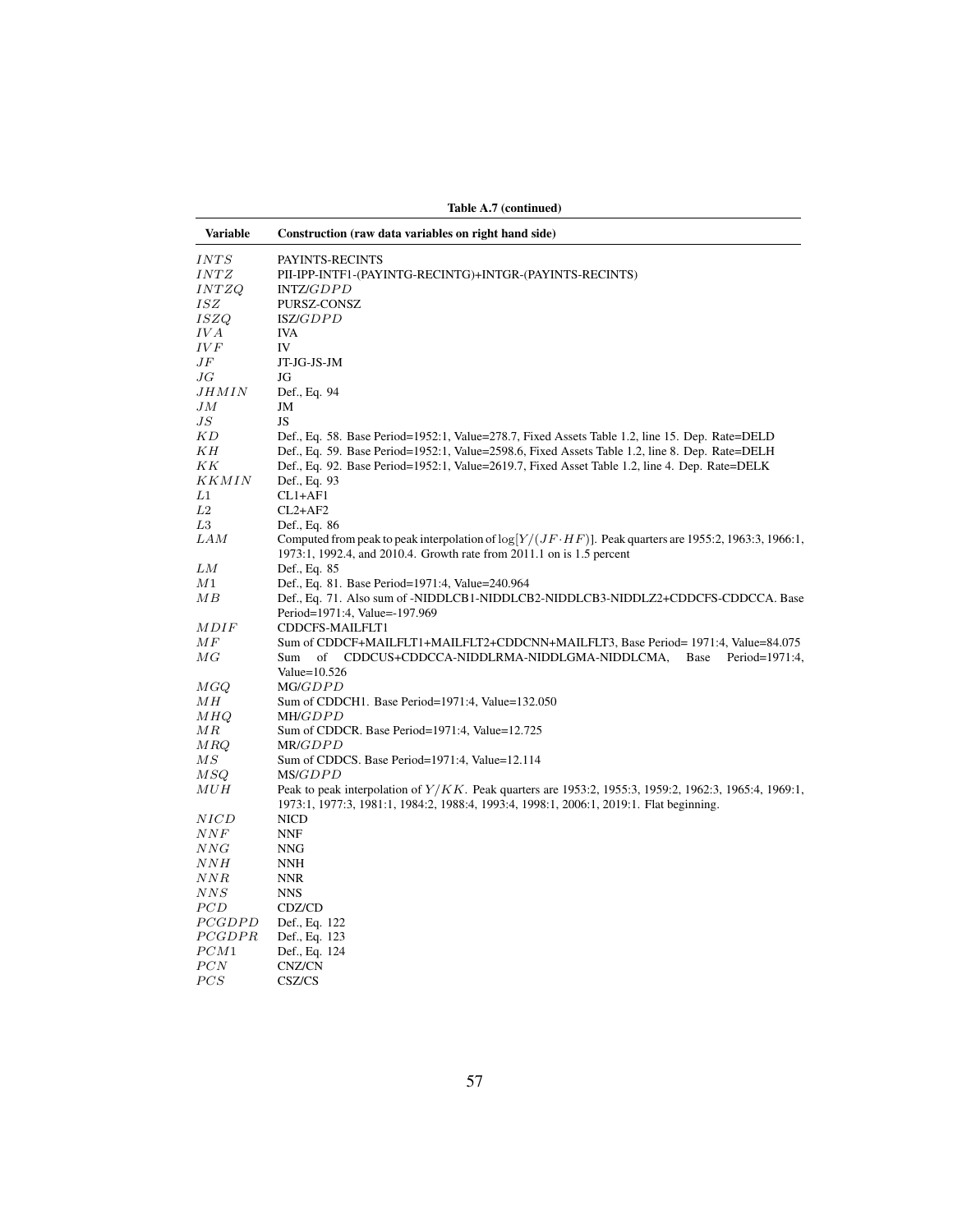| Variable           | Construction (raw data variables on right hand side)                                                                                                                                     |
|--------------------|------------------------------------------------------------------------------------------------------------------------------------------------------------------------------------------|
| INTS               | PAYINTS-RECINTS                                                                                                                                                                          |
| INTZ               | PII-IPP-INTF1-(PAYINTG-RECINTG)+INTGR-(PAYINTS-RECINTS)                                                                                                                                  |
| INTZQ              | INTZ/GDPD                                                                                                                                                                                |
| <i>ISZ</i>         | PURSZ-CONSZ                                                                                                                                                                              |
| <i>ISZQ</i>        | ISZ/GDPD                                                                                                                                                                                 |
| IV A               | <b>IVA</b>                                                                                                                                                                               |
| IV F               | IV                                                                                                                                                                                       |
| $J\hspace{0.5pt}F$ | JT-JG-JS-JM                                                                                                                                                                              |
| JG                 | JG                                                                                                                                                                                       |
| $_{JHMIN}$         | Def., Eq. 94                                                                                                                                                                             |
| JМ                 | JM                                                                                                                                                                                       |
| J S                | JS                                                                                                                                                                                       |
| ΚD                 | Def., Eq. 58. Base Period=1952:1, Value=278.7, Fixed Assets Table 1.2, line 15. Dep. Rate=DELD                                                                                           |
| KН                 | Def., Eq. 59. Base Period=1952:1, Value=2598.6, Fixed Assets Table 1.2, line 8. Dep. Rate=DELH                                                                                           |
| ΚK                 | Def., Eq. 92. Base Period=1952:1, Value=2619.7, Fixed Asset Table 1.2, line 4. Dep. Rate=DELK                                                                                            |
| <i>KKMIN</i>       | Def., Eq. 93                                                                                                                                                                             |
| L1                 | $CL1+AF1$                                                                                                                                                                                |
| L2                 | $CL2+AF2$                                                                                                                                                                                |
| L3                 | Def., Eq. 86                                                                                                                                                                             |
| LAM                | Computed from peak to peak interpolation of $\log[Y/(JF \cdot HF)]$ . Peak quarters are 1955:2, 1963:3, 1966:1,<br>1973:1, 1992.4, and 2010.4. Growth rate from 2011.1 on is 1.5 percent |
| LМ                 | Def., Eq. 85                                                                                                                                                                             |
| M1                 | Def., Eq. 81. Base Period=1971:4, Value=240.964                                                                                                                                          |
| ΜВ                 | Def., Eq. 71. Also sum of -NIDDLCB1-NIDDLCB2-NIDDLCB3-NIDDLZ2+CDDCFS-CDDCCA. Base                                                                                                        |
| <i>MDIF</i>        | Period=1971:4, Value=-197.969<br>CDDCFS-MAILFLT1                                                                                                                                         |
| МF                 | Sum of CDDCF+MAILFLT1+MAILFLT2+CDDCNN+MAILFLT3, Base Period= 1971:4, Value=84.075                                                                                                        |
| $_{MG}$            | CDDCUS+CDDCCA-NIDDLRMA-NIDDLGMA-NIDDLCMA,<br>Base<br>Period=1971:4,<br>Sum<br>of                                                                                                         |
|                    | Value= $10.526$                                                                                                                                                                          |
| MGQ                | MG/GDPD                                                                                                                                                                                  |
| ΜН                 | Sum of CDDCH1. Base Period=1971:4, Value=132.050                                                                                                                                         |
| MHQ                | MH/GDPD                                                                                                                                                                                  |
| MR                 | Sum of CDDCR. Base Period=1971:4, Value=12.725                                                                                                                                           |
| MRQ                | MR/GDPD                                                                                                                                                                                  |
| $\overline{MS}$    | Sum of CDDCS. Base Period=1971:4, Value=12.114                                                                                                                                           |
| M SQ               | MS/GDPD                                                                                                                                                                                  |
| MUH                | Peak to peak interpolation of $Y/KK$ . Peak quarters are 1953:2, 1955:3, 1959:2, 1962:3, 1965:4, 1969:1,                                                                                 |
|                    | 1973:1, 1977:3, 1981:1, 1984:2, 1988:4, 1993:4, 1998:1, 2006:1, 2019:1. Flat beginning.                                                                                                  |
| NICD               | <b>NICD</b>                                                                                                                                                                              |
| $\it NNF$          | <b>NNF</b>                                                                                                                                                                               |
| NNG                | <b>NNG</b>                                                                                                                                                                               |
| NNH                | <b>NNH</b>                                                                                                                                                                               |
| NNR                | <b>NNR</b>                                                                                                                                                                               |
| NNS                | <b>NNS</b>                                                                                                                                                                               |
| PCD                | CDZ/CD                                                                                                                                                                                   |
| PCGDPD             | Def., Eq. 122                                                                                                                                                                            |
| <i>PCGDPR</i>      | Def., Eq. 123                                                                                                                                                                            |
| PCM1               | Def., Eq. 124                                                                                                                                                                            |
| PCN                | CNZ/CN                                                                                                                                                                                   |
| PCS                | CSZ/CS                                                                                                                                                                                   |

Table A.7 (continued)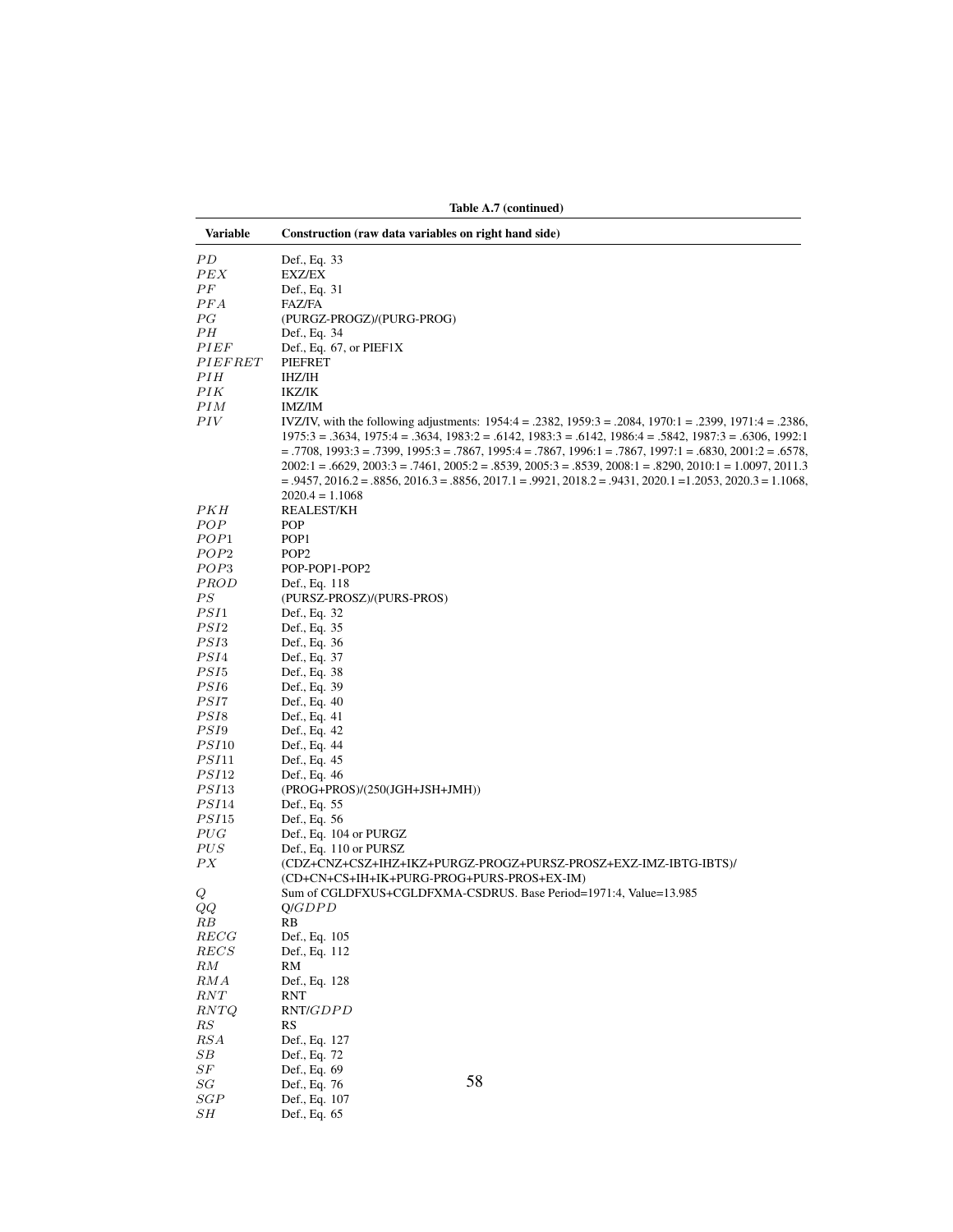| Variable      | Construction (raw data variables on right hand side)                                                                                                                                                                                                                                                                                                                                                                                                                                                                                                                                                       |
|---------------|------------------------------------------------------------------------------------------------------------------------------------------------------------------------------------------------------------------------------------------------------------------------------------------------------------------------------------------------------------------------------------------------------------------------------------------------------------------------------------------------------------------------------------------------------------------------------------------------------------|
| РD            | Def., Eq. 33                                                                                                                                                                                                                                                                                                                                                                                                                                                                                                                                                                                               |
| PEX           | EXZ/EX                                                                                                                                                                                                                                                                                                                                                                                                                                                                                                                                                                                                     |
| РF            | Def., Eq. 31                                                                                                                                                                                                                                                                                                                                                                                                                                                                                                                                                                                               |
| PFA           | FAZ/FA                                                                                                                                                                                                                                                                                                                                                                                                                                                                                                                                                                                                     |
| РG            | (PURGZ-PROGZ)/(PURG-PROG)                                                                                                                                                                                                                                                                                                                                                                                                                                                                                                                                                                                  |
| РН            | Def., Eq. 34                                                                                                                                                                                                                                                                                                                                                                                                                                                                                                                                                                                               |
| <i>PIEF</i>   | Def., Eq. $67$ , or PIEF1X                                                                                                                                                                                                                                                                                                                                                                                                                                                                                                                                                                                 |
| PIEFRET       | PIEFRET                                                                                                                                                                                                                                                                                                                                                                                                                                                                                                                                                                                                    |
| PIH<br>PIK    | IHZ/IH<br>IKZ/IK                                                                                                                                                                                                                                                                                                                                                                                                                                                                                                                                                                                           |
| PІM           | <b>IMZ/IM</b>                                                                                                                                                                                                                                                                                                                                                                                                                                                                                                                                                                                              |
| PIV           | IVZ/IV, with the following adjustments: 1954:4 = .2382, 1959:3 = .2084, 1970:1 = .2399, 1971:4 = .2386,<br>$1975:3 = 0.3634$ , $1975:4 = 0.3634$ , $1983:2 = 0.6142$ , $1983:3 = 0.6142$ , $1986:4 = 0.5842$ , $1987:3 = 0.6306$ , $1992:1$<br>$=$ .7708, 1993:3 = .7399, 1995:3 = .7867, 1995:4 = .7867, 1996:1 = .7867, 1997:1 = .6830, 2001:2 = .6578<br>$2002:1 = .6629, 2003:3 = .7461, 2005:2 = .8539, 2005:3 = .8539, 2008:1 = .8290, 2010:1 = 1.0097, 2011.3$<br>$= .9457, 2016.2 = .8856, 2016.3 = .8856, 2017.1 = .9921, 2018.2 = .9431, 2020.1 = 1.2053, 2020.3 = 1.1068,$<br>$2020.4 = 1.1068$ |
| PКH           | REALEST/KH                                                                                                                                                                                                                                                                                                                                                                                                                                                                                                                                                                                                 |
| POP           | POP                                                                                                                                                                                                                                                                                                                                                                                                                                                                                                                                                                                                        |
| POP1          | POP <sub>1</sub>                                                                                                                                                                                                                                                                                                                                                                                                                                                                                                                                                                                           |
| POP2          | POP <sub>2</sub>                                                                                                                                                                                                                                                                                                                                                                                                                                                                                                                                                                                           |
| POP3          | POP-POP1-POP2                                                                                                                                                                                                                                                                                                                                                                                                                                                                                                                                                                                              |
| PROD          | Def., Eq. 118                                                                                                                                                                                                                                                                                                                                                                                                                                                                                                                                                                                              |
| PS            | (PURSZ-PROSZ)/(PURS-PROS)                                                                                                                                                                                                                                                                                                                                                                                                                                                                                                                                                                                  |
| PSI1          | Def., Eq. 32                                                                                                                                                                                                                                                                                                                                                                                                                                                                                                                                                                                               |
| PSI2          | Def., Eq. 35                                                                                                                                                                                                                                                                                                                                                                                                                                                                                                                                                                                               |
| PSI3          | Def., Eq. 36                                                                                                                                                                                                                                                                                                                                                                                                                                                                                                                                                                                               |
| PSI4          | Def., Eq. 37                                                                                                                                                                                                                                                                                                                                                                                                                                                                                                                                                                                               |
| PSI5          | Def., Eq. 38                                                                                                                                                                                                                                                                                                                                                                                                                                                                                                                                                                                               |
| PSI6<br>PSI7  | Def., Eq. 39<br>Def., Eq. 40                                                                                                                                                                                                                                                                                                                                                                                                                                                                                                                                                                               |
| PSI8          | Def., Eq. 41                                                                                                                                                                                                                                                                                                                                                                                                                                                                                                                                                                                               |
| PSI9          | Def., Eq. 42                                                                                                                                                                                                                                                                                                                                                                                                                                                                                                                                                                                               |
| PSI10         | Def., Eq. 44                                                                                                                                                                                                                                                                                                                                                                                                                                                                                                                                                                                               |
| <i>PSI</i> 11 | Def., Eq. 45                                                                                                                                                                                                                                                                                                                                                                                                                                                                                                                                                                                               |
| <i>PSI</i> 12 | Def., Eq. 46                                                                                                                                                                                                                                                                                                                                                                                                                                                                                                                                                                                               |
| <i>PSI</i> 13 | $(PROG+PROS)/(250(JGH+JSH+JMH))$                                                                                                                                                                                                                                                                                                                                                                                                                                                                                                                                                                           |
| <i>PSI</i> 14 | Def., Eq. 55                                                                                                                                                                                                                                                                                                                                                                                                                                                                                                                                                                                               |
| PSI15         | Def., Eq. 56                                                                                                                                                                                                                                                                                                                                                                                                                                                                                                                                                                                               |
| PUG           | Def., Eq. 104 or PURGZ                                                                                                                                                                                                                                                                                                                                                                                                                                                                                                                                                                                     |
| $PUS$         | Def., Eq. 110 or PURSZ                                                                                                                                                                                                                                                                                                                                                                                                                                                                                                                                                                                     |
| PX<br>Q       | (CDZ+CNZ+CSZ+IHZ+IKZ+PURGZ-PROGZ+PURSZ-PROSZ+EXZ-IMZ-IBTG-IBTS)/<br>(CD+CN+CS+IH+IK+PURG-PROG+PURS-PROS+EX-IM)<br>Sum of CGLDFXUS+CGLDFXMA-CSDRUS. Base Period=1971:4, Value=13.985                                                                                                                                                                                                                                                                                                                                                                                                                        |
| QQ            | Q/GDPD                                                                                                                                                                                                                                                                                                                                                                                                                                                                                                                                                                                                     |
| RВ            | RB                                                                                                                                                                                                                                                                                                                                                                                                                                                                                                                                                                                                         |
| <b>RECG</b>   | Def., Eq. 105                                                                                                                                                                                                                                                                                                                                                                                                                                                                                                                                                                                              |
| <b>RECS</b>   | Def., Eq. 112                                                                                                                                                                                                                                                                                                                                                                                                                                                                                                                                                                                              |
| RM            | RM                                                                                                                                                                                                                                                                                                                                                                                                                                                                                                                                                                                                         |
| RMA<br>RNT    | Def., Eq. 128<br>RNT                                                                                                                                                                                                                                                                                                                                                                                                                                                                                                                                                                                       |
| RNTQ<br>RS    | RNT/GDPD<br>RS                                                                                                                                                                                                                                                                                                                                                                                                                                                                                                                                                                                             |
| RSA           | Def., Eq. 127                                                                                                                                                                                                                                                                                                                                                                                                                                                                                                                                                                                              |
| SВ            | Def., Eq. 72                                                                                                                                                                                                                                                                                                                                                                                                                                                                                                                                                                                               |
| $_{SF}$       | Def., Eq. 69                                                                                                                                                                                                                                                                                                                                                                                                                                                                                                                                                                                               |
| SG            | 58<br>Def., Eq. 76                                                                                                                                                                                                                                                                                                                                                                                                                                                                                                                                                                                         |
| SGP<br>SH     | Def., Eq. 107<br>Def., Eq. 65                                                                                                                                                                                                                                                                                                                                                                                                                                                                                                                                                                              |

Table A.7 (continued)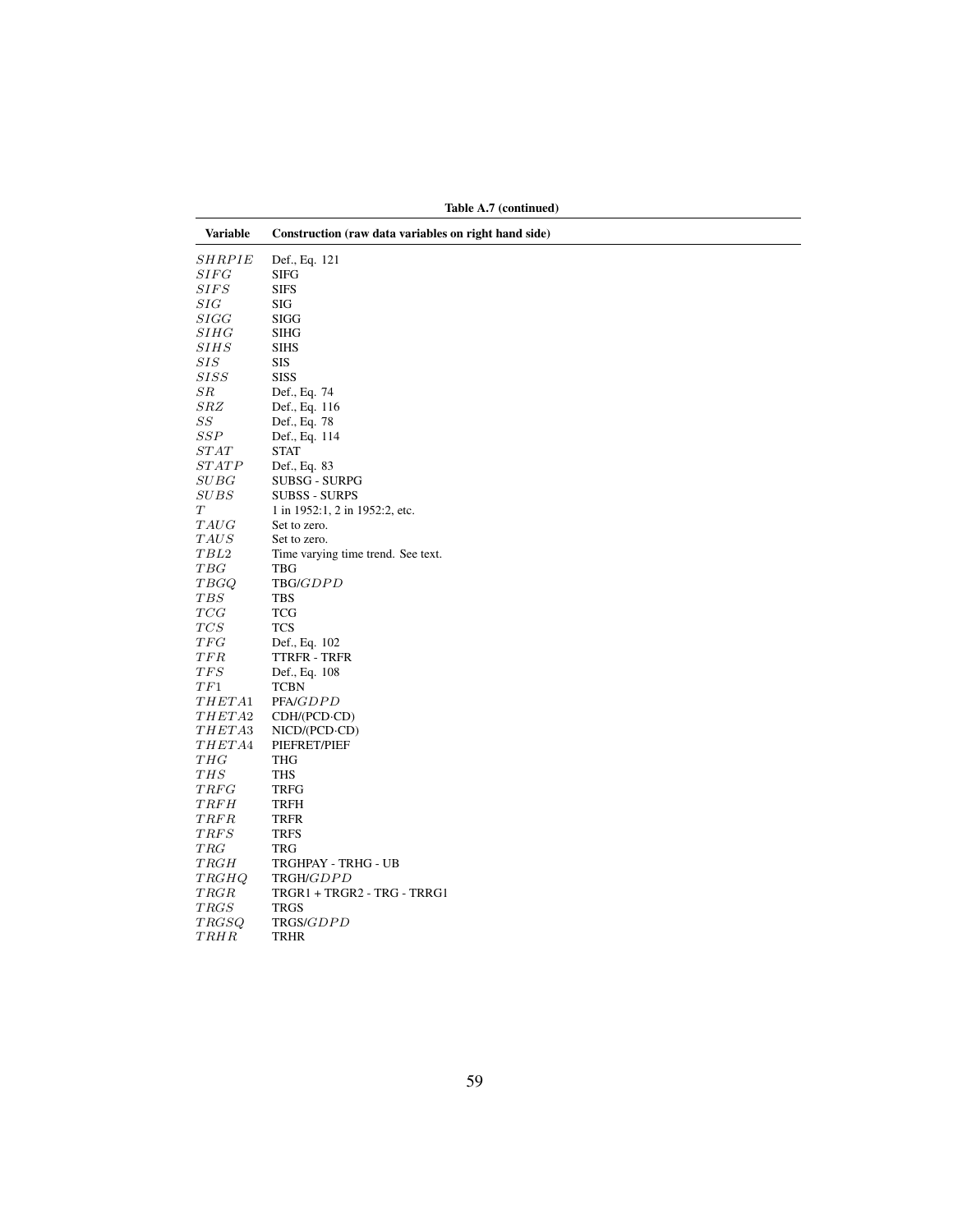| rable A. (continued) |                                                      |  |  |
|----------------------|------------------------------------------------------|--|--|
| <b>Variable</b>      | Construction (raw data variables on right hand side) |  |  |
| <b>SHRPIE</b>        | Def., Eq. 121                                        |  |  |
| SIFG                 | <b>SIFG</b>                                          |  |  |
| SIFS                 | <b>SIFS</b>                                          |  |  |
| SIG                  | SIG                                                  |  |  |
| SIGG                 | SIGG                                                 |  |  |
| SHHG                 | <b>SIHG</b>                                          |  |  |
| SHHS                 | <b>SIHS</b>                                          |  |  |
| SIS                  | SIS                                                  |  |  |
| SISS                 | <b>SISS</b>                                          |  |  |
| $_{SR}$              | Def., Eq. 74                                         |  |  |
| SRZ                  | Def., Eq. 116                                        |  |  |
| $^{SS}$              | Def., Eq. 78                                         |  |  |
| SSP                  | Def., Eq. 114                                        |  |  |
| STAT                 | <b>STAT</b>                                          |  |  |
| STATE                | Def., Eq. 83                                         |  |  |
| SUBG                 | <b>SUBSG - SURPG</b>                                 |  |  |
| SUBS                 | <b>SUBSS - SURPS</b>                                 |  |  |
| Т                    | 1 in 1952:1, 2 in 1952:2, etc.                       |  |  |
| TAUG                 | Set to zero.                                         |  |  |
| $\mathit{TAUS}$      | Set to zero.                                         |  |  |
| TBL <sub>2</sub>     | Time varying time trend. See text.                   |  |  |
| $_{TBG}$             | TBG                                                  |  |  |
| <i>TBGQ</i>          | TBG/GDPD                                             |  |  |
| TBS                  | <b>TBS</b>                                           |  |  |
| TCG                  | <b>TCG</b>                                           |  |  |
| TCS                  | <b>TCS</b>                                           |  |  |
| TFG                  | Def., Eq. 102                                        |  |  |
| TFR                  | TTRFR - TRFR                                         |  |  |
| TFS                  | Def., Eq. 108                                        |  |  |
| TF1                  | <b>TCBN</b>                                          |  |  |
| THETA1               | PFA/GDPD                                             |  |  |
| <i>THETA</i> 2       | $CDH/(PCD \cdot CD)$                                 |  |  |
| THETA3               | $NICD/(PCD \cdot CD)$                                |  |  |
| THETA4               | PIEFRET/PIEF                                         |  |  |
| THG                  | THG                                                  |  |  |
| THS                  | THS                                                  |  |  |
| <b>TRFG</b>          | <b>TRFG</b>                                          |  |  |
| <b>TRFH</b>          | <b>TRFH</b>                                          |  |  |
| TRFR                 | <b>TRFR</b>                                          |  |  |
| TRFS                 | <b>TRFS</b>                                          |  |  |
| TRG                  | TRG                                                  |  |  |
| TRGH                 | TRGHPAY - TRHG - UB                                  |  |  |
| TRGHQ                | TRGH/GDPD                                            |  |  |
| TRGR                 | TRGR1 + TRGR2 - TRG - TRRG1                          |  |  |
| <b>TRGS</b>          | <b>TRGS</b>                                          |  |  |
| TRGSQ                | TRGS/GDPD                                            |  |  |
| <b>TRHR</b>          | TRHR                                                 |  |  |

Table A.7 (continued)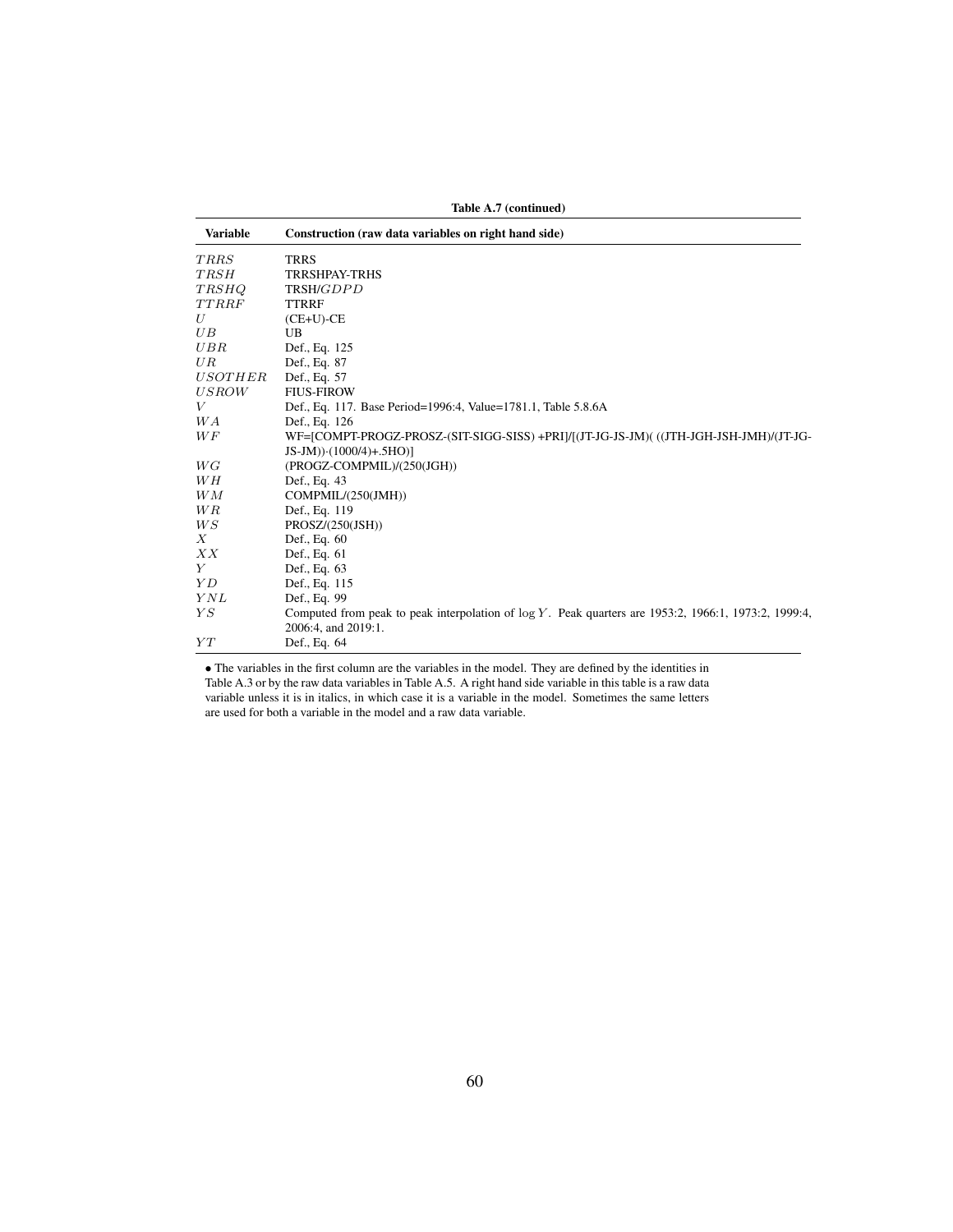| Table A.7 (continued) |                                                                                                                                 |  |  |
|-----------------------|---------------------------------------------------------------------------------------------------------------------------------|--|--|
| <b>Variable</b>       | Construction (raw data variables on right hand side)                                                                            |  |  |
| TRRS                  | <b>TRRS</b>                                                                                                                     |  |  |
| <b>TRSH</b>           | <b>TRRSHPAY-TRHS</b>                                                                                                            |  |  |
| <b>TRSHQ</b>          | TRSH/GDPD                                                                                                                       |  |  |
| <b>TTRRF</b>          | <b>TTRRF</b>                                                                                                                    |  |  |
| U                     | $(CE+U)-CE$                                                                                                                     |  |  |
| UB                    | UB                                                                                                                              |  |  |
| UBR                   | Def., Eq. 125                                                                                                                   |  |  |
| UR                    | Def., Eq. 87                                                                                                                    |  |  |
| <i>USOTHER</i>        | Def., Eq. 57                                                                                                                    |  |  |
| <i>USROW</i>          | <b>FIUS-FIROW</b>                                                                                                               |  |  |
| V                     | Def., Eq. 117. Base Period=1996:4, Value=1781.1, Table 5.8.6A                                                                   |  |  |
| W A                   | Def., Eq. 126                                                                                                                   |  |  |
| WF                    | WF=[COMPT-PROGZ-PROSZ-(SIT-SIGG-SISS) +PRI]/[(JT-JG-JS-JM)(((JTH-JGH-JSH-JMH)/(JT-JG-                                           |  |  |
|                       | $JS-JM) \cdot (1000/4) + .5HO)$                                                                                                 |  |  |
| WG                    | (PROGZ-COMPMIL)/(250(JGH))                                                                                                      |  |  |
| WН                    | Def., Eq. 43                                                                                                                    |  |  |
| WM                    | COMPMIL/(250(JMH))                                                                                                              |  |  |
| WR                    | Def., Eq. 119                                                                                                                   |  |  |
| WS                    | PROSZ/(250(JSH))                                                                                                                |  |  |
| $\boldsymbol{X}$      | Def., Eq. 60                                                                                                                    |  |  |
| XX                    | Def., Eq. 61                                                                                                                    |  |  |
| Y                     | Def., Eq. 63                                                                                                                    |  |  |
| YD                    | Def., Eq. 115                                                                                                                   |  |  |
| YNL                   | Def., Eq. 99                                                                                                                    |  |  |
| YS                    | Computed from peak to peak interpolation of $\log Y$ . Peak quarters are 1953:2, 1966:1, 1973:2, 1999:4,<br>2006:4, and 2019:1. |  |  |
| YT                    | Def., Eq. 64                                                                                                                    |  |  |

• The variables in the first column are the variables in the model. They are defined by the identities in Table A.3 or by the raw data variables in Table A.5. A right hand side variable in this table is a raw data variable unless it is in italics, in which case it is a variable in the model. Sometimes the same letters are used for both a variable in the model and a raw data variable.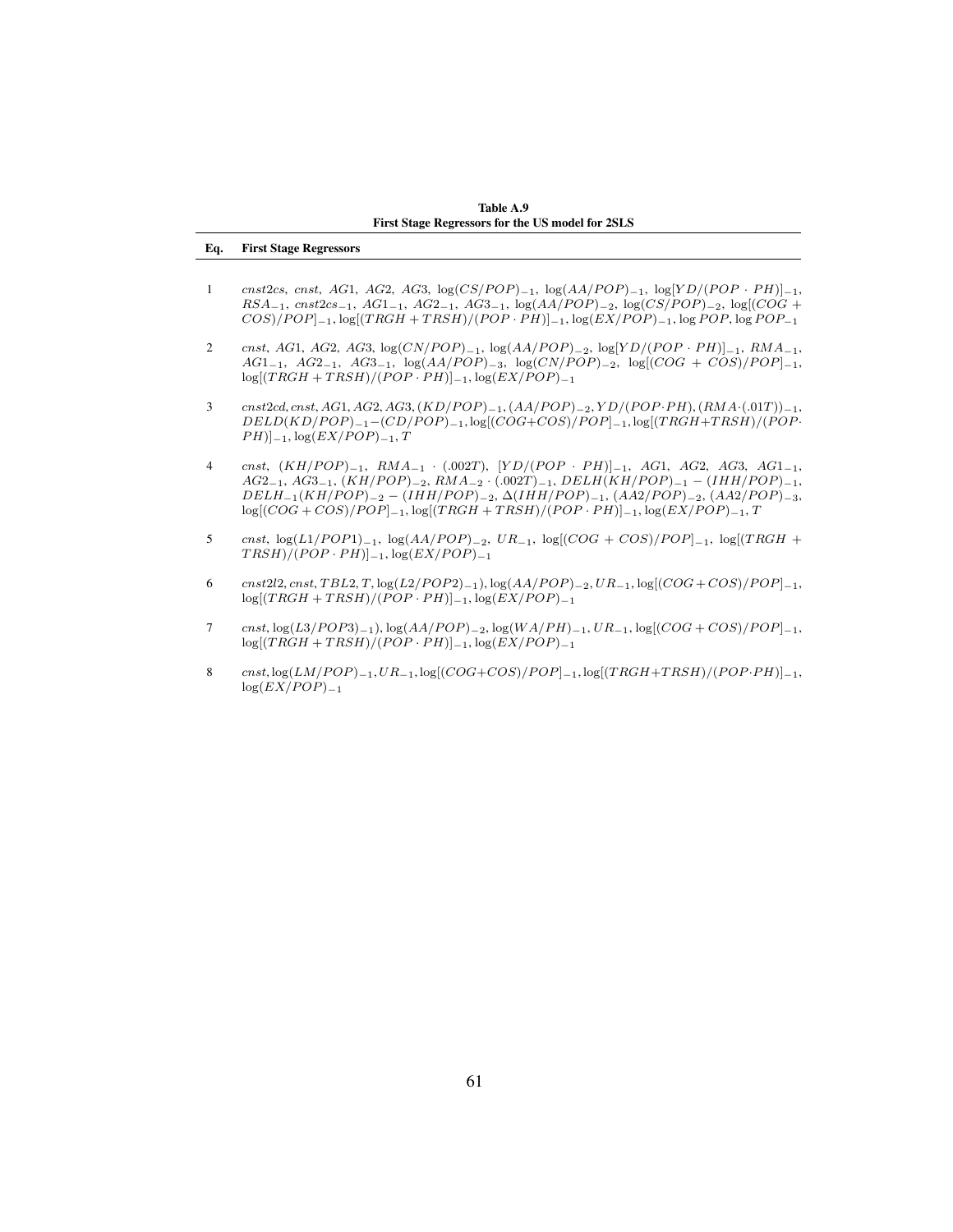Table A.9 First Stage Regressors for the US model for 2SLS

## Eq. First Stage Regressors

- 1 cnst2cs, cnst, AG1, AG2, AG3, log(CS/POP)<sub>-1</sub>, log(AA/POP)<sub>-1</sub>, log[YD/(POP · PH)]<sub>-1</sub>,  $RSA_{-1}$ ,  $cnst2cs_{-1}$ ,  $AG1_{-1}$ ,  $AG2_{-1}$ ,  $AG3_{-1}$ ,  $log(AA/POP)_{-2}$ ,  $log(CS/POP)_{-2}$ ,  $log(COG +$  $COS$ )/ $POP$ ]<sub>−1</sub>, log[(TRGH + TRSH)/( $POP \cdot PH$ )]<sub>−1</sub>, log( $EX/POP$ )<sub>−1</sub>, log  $POP$ , log  $POP_{-1}$
- 2 cnst, AG1, AG2, AG3, log(CN/POP)−1, log(AA/POP)−2, log[YD/(POP · PH)|−1, RMA−1,  $AG1_{-1}$ ,  $AG2_{-1}$ ,  $AG3_{-1}$ ,  $\log(AA/POP)_{-3}$ ,  $\log(CN/POP)_{-2}$ ,  $\log[(COG + COS)/POP]_{-1}$ ,  $log[(TRGH + TRSH)/(POP \cdot PH)]_{-1}$ ,  $log(EX/POP)_{-1}$
- 3 cnst2cd, cnst, AG1, AG2, AG3, (KD/POP)−1, (AA/POP)−2, Y D/(POP · PH), (RMA·(.01T))−1,  $DELD(KD/POP)_{-1}-(CD/POP)_{-1}$ , log[( $COG+COS)/POP$ ) $_{-1}$ , log[(TRGH+TRSH)/(POP·  $PH$ )]<sub>−1</sub>, log( $EX/POP$ )<sub>−1</sub>, T
- 4 cnst,  $(KH/POP)_{-1}$ ,  $RMA_{-1}$  · (.002T),  $[YD/(POP \cdot PH)]_{-1}$ , AG1, AG2, AG3, AG1<sub>-1</sub>,  $AG2_{-1}$ ,  $AG3_{-1}$ ,  $(KH/POP)_{-2}$ ,  $RMA_{-2}$  · (.002T)<sub>-1</sub>,  $DELH(KH/POP)_{-1}$  – (IHH/POP)<sub>-1</sub>,  $DELH_{-1}(KH/POP)_{-2} - (IHH/POP)_{-2}, \Delta (IHH/POP)_{-1}, (AA2/POP)_{-2}, (AA2/POP)_{-3},$  $log[(COG + COS)/POP]_{-1}$ ,  $log[(TRGH + TRSH)/(POP \cdot PH)]_{-1}$ ,  $log(EX/POP)_{-1}$ ,  $T$
- 5 cnst,  $\log(L1/POP1)_{-1}$ ,  $\log(AA/POP)_{-2}$ ,  $UR_{-1}$ ,  $\log[(COG + COS)/POP]_{-1}$ ,  $\log[(TRGH +$  $TRSH)/(POP \cdot PH)$ ]<sub>−1</sub>, log( $EX/POP$ )<sub>−1</sub>
- 6 cnst2l2, cnst, TBL2, T, log(L2/POP2)−1), log(AA/POP)−2,  $UR_{-1}$ , log[(COG + COS)/POP]−1,  $log[(TRGH + TRSH)/(\breve{POP} \cdot PH)]_{-1}, log(\breve{EX}/POP)_{-1}$
- 7 cnst, log(L3/POP3)<sub>-1</sub>), log(AA/POP)<sub>-2</sub>, log(WA/PH)<sub>-1</sub>, UR<sub>-1</sub>, log[(COG + COS)/POP]<sub>-1</sub>,  $log[(TRGH + TRSH)/(POP \cdot PH)]_{-1}$ ,  $log(EX/POP)_{-1}$
- 8 cnst, log(LM/POP)−1, UR<sub>−1</sub>, log[(COG+COS)/POP]−1, log[(TRGH+TRSH)/(POP·PH)]−1,  $log(EX/POP)_{-1}$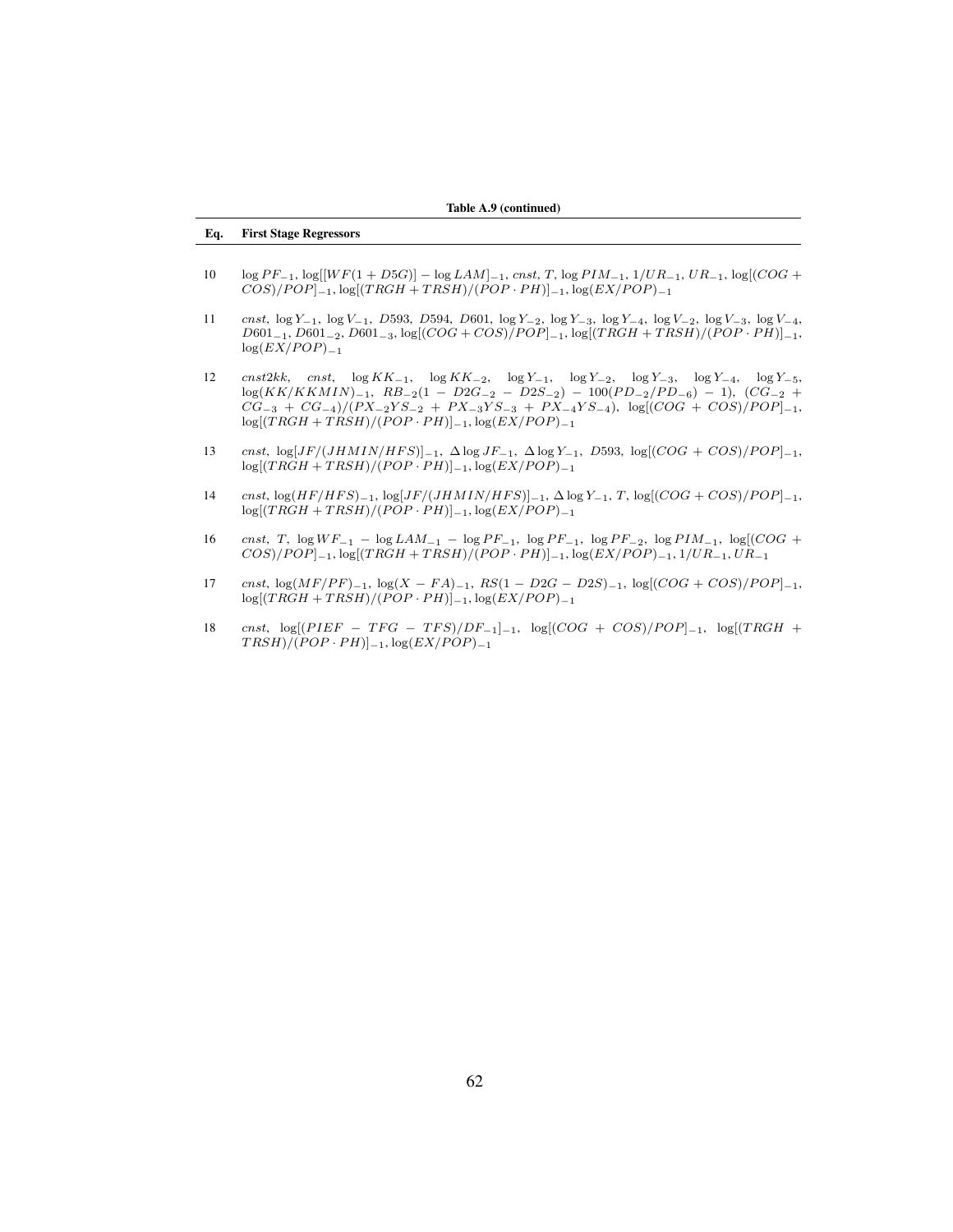## Eq. First Stage Regressors

- $10 \log PF_{-1}$ ,  $\log[|WF(1 + DSG)| \log LAM]_{-1}$ , cnst, T,  $\log PIM_{-1}$ ,  $1/UR_{-1}$ ,  $UR_{-1}$ ,  $\log[|COG +$  $\overrightarrow{COS}/\overrightarrow{POP}_{-1}, \log[(TRGH + TRSH)/(POP \cdot PH)]_{-1}, \log(EX/POP)_{-1}$
- 11 cnst, log Y−1, log V−1, D593, D594, D601, log Y−2, log Y−3, log Y−4, log V−2, log V−3, log V−4,  $D601_{-1}$ ,  $D601_{-2}$ ,  $D601_{-3}$ ,  $log[(COG + COS)/POP]_{-1}$ ,  $log[(TRGH + TRSH)/(POP \cdot PH)]_{-1}$ ,  $log(EX/POP)_{-1}$
- 12 cnst2kk, cnst,  $\log KK_{-1}$ ,  $\log KK_{-2}$ ,  $\log Y_{-1}$ ,  $\log Y_{-2}$ ,  $\log Y_{-3}$ ,  $\log Y_{-4}$ ,  $\log Y_{-5}$ ,  $log(KK/KKMIN)_{-1}$ ,  $RB_{-2}(1 - D2G_{-2} - D2S_{-2}) - 100(PD_{-2}/PD_{-6}) - 1$ ),  $(CG_{-2} +$  $CG_{-3} + CG_{-4})/(PX_{-2}YS_{-2} + PX_{-3}YS_{-3} + P\overline{X}_{-4}YS_{-4}), \log[(COG + COS)/POP]_{-1},$  $log[(TRGH + TRSH)/(POP \cdot PH)]_{-1}$ ,  $log(EX/POP)_{-1}$
- 13 cnst,  $\log[JF/(JH MIN/HFS)]_{-1}$ ,  $\Delta \log JF_{-1}$ ,  $\Delta \log Y_{-1}$ ,  $D593$ ,  $\log[(COG + COS)/POP]_{-1}$ ,  $log[(TRGH + TRSH)/(POP \cdot PH)]_{-1}$ ,  $log(EX/POP)_{-1}$
- 14 cnst,  $\log(HF/HFS)_{-1}$ ,  $\log[JF/(JHMIN/HFS)]_{-1}$ ,  $\Delta \log Y_{-1}$ , T,  $\log[(COG + COS)/POP]_{-1}$ ,  $log[(TRGH + TRSH)/(POP \cdot PH)]_{-1}$ ,  $log(EX/POP)_{-1}$
- 16 cnst, T,  $\log WF_{-1} \log LAM_{-1} \log PF_{-1}$ ,  $\log PF_{-1}$ ,  $\log PF_{-2}$ ,  $\log PIM_{-1}$ ,  $\log [(COG +$  $(COS)/POP$ ]<sub>−1</sub>, log[(TRGH + TRSH)/(POP · PH)]<sub>−1</sub>, log(EX/POP)<sub>−1</sub>, 1/UR<sub>−1</sub>, UR<sub>−1</sub>
- 17 cnst,  $\log(MF/PF)_{-1}$ ,  $\log(X FA)_{-1}$ ,  $RS(1 D2G D2S)_{-1}$ ,  $\log[(COG + COS)/POP]_{-1}$ ,  $log[(TRGH + TRSH)/(POP \cdot PH)]_{-1}$ ,  $log(EX/POP)_{-1}$
- 18 cnst,  $log[(PIEF TFG TFS)/DF_{-1}]_{-1}$ ,  $log[(COG + COS)/POP]_{-1}$ ,  $log[(TRGH +$  $TRSH)/[POP \cdot PH]_{-1}$ , log $(EX/POP)_{-1}$